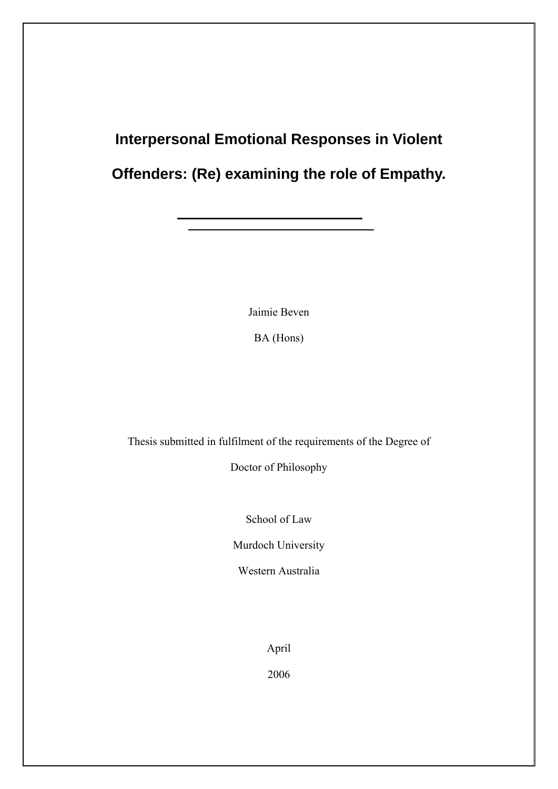# **Interpersonal Emotional Responses in Violent Offenders: (Re) examining the role of Empathy.**

Jaimie Beven

BA (Hons)

Thesis submitted in fulfilment of the requirements of the Degree of

Doctor of Philosophy

School of Law

Murdoch University

Western Australia

April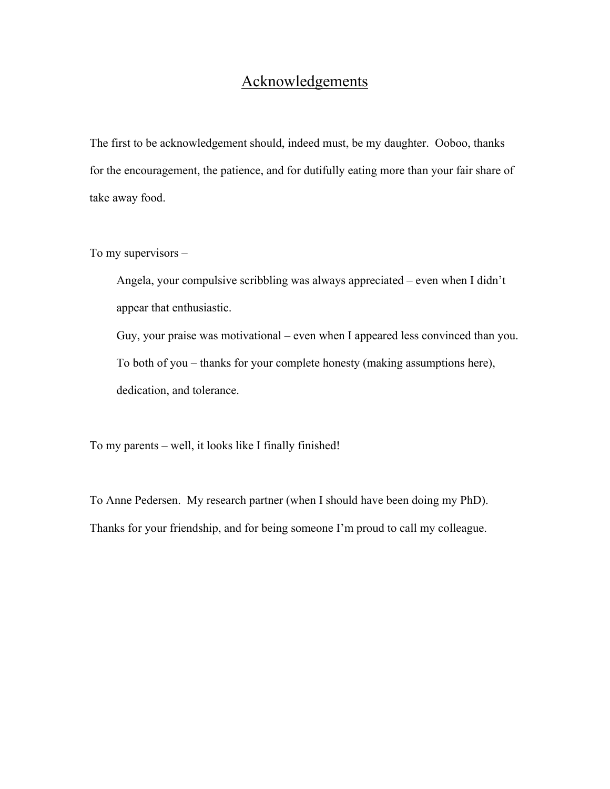# Acknowledgements

The first to be acknowledgement should, indeed must, be my daughter. Ooboo, thanks for the encouragement, the patience, and for dutifully eating more than your fair share of take away food.

To my supervisors –

Angela, your compulsive scribbling was always appreciated – even when I didn't appear that enthusiastic.

Guy, your praise was motivational – even when I appeared less convinced than you. To both of you – thanks for your complete honesty (making assumptions here), dedication, and tolerance.

To my parents – well, it looks like I finally finished!

To Anne Pedersen. My research partner (when I should have been doing my PhD). Thanks for your friendship, and for being someone I'm proud to call my colleague.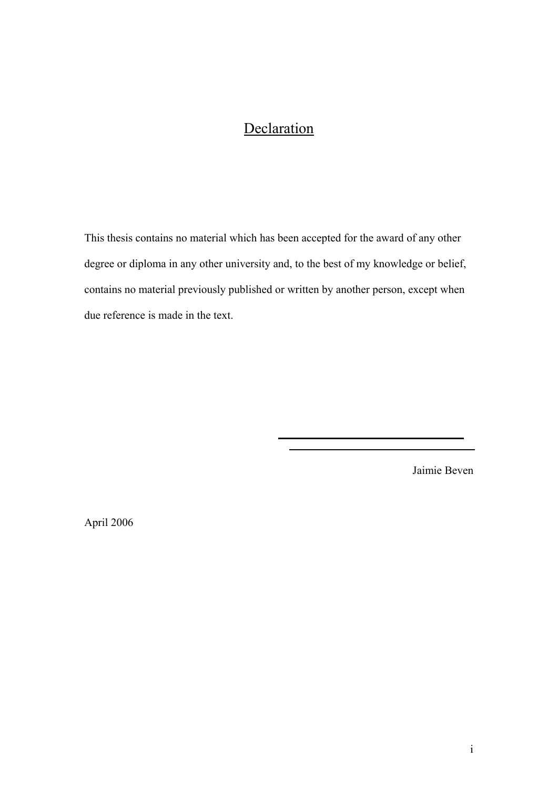# **Declaration**

This thesis contains no material which has been accepted for the award of any other degree or diploma in any other university and, to the best of my knowledge or belief, contains no material previously published or written by another person, except when due reference is made in the text.

Jaimie Beven

April 2006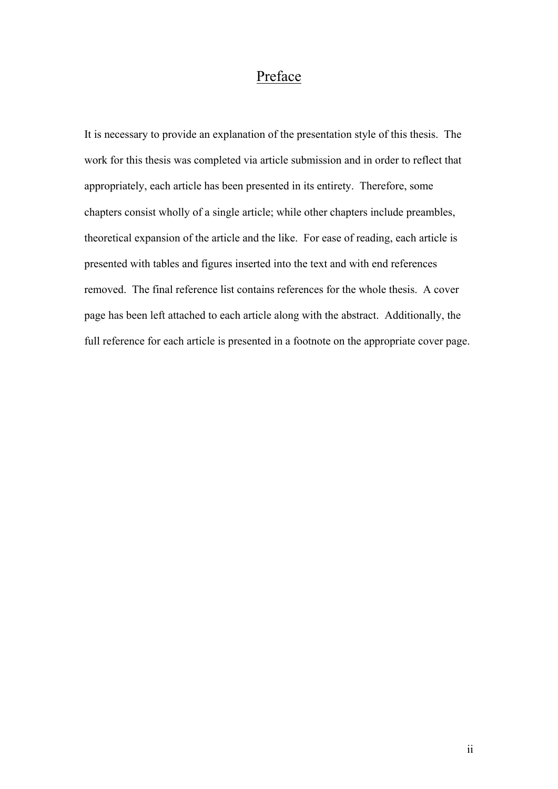## Preface

It is necessary to provide an explanation of the presentation style of this thesis. The work for this thesis was completed via article submission and in order to reflect that appropriately, each article has been presented in its entirety. Therefore, some chapters consist wholly of a single article; while other chapters include preambles, theoretical expansion of the article and the like. For ease of reading, each article is presented with tables and figures inserted into the text and with end references removed. The final reference list contains references for the whole thesis. A cover page has been left attached to each article along with the abstract. Additionally, the full reference for each article is presented in a footnote on the appropriate cover page.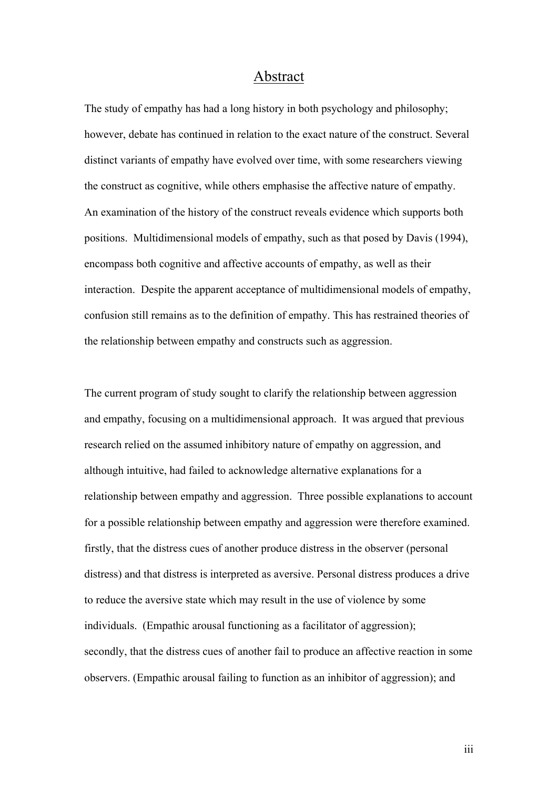### Abstract

The study of empathy has had a long history in both psychology and philosophy; however, debate has continued in relation to the exact nature of the construct. Several distinct variants of empathy have evolved over time, with some researchers viewing the construct as cognitive, while others emphasise the affective nature of empathy. An examination of the history of the construct reveals evidence which supports both positions. Multidimensional models of empathy, such as that posed by Davis (1994), encompass both cognitive and affective accounts of empathy, as well as their interaction. Despite the apparent acceptance of multidimensional models of empathy, confusion still remains as to the definition of empathy. This has restrained theories of the relationship between empathy and constructs such as aggression.

The current program of study sought to clarify the relationship between aggression and empathy, focusing on a multidimensional approach. It was argued that previous research relied on the assumed inhibitory nature of empathy on aggression, and although intuitive, had failed to acknowledge alternative explanations for a relationship between empathy and aggression. Three possible explanations to account for a possible relationship between empathy and aggression were therefore examined. firstly, that the distress cues of another produce distress in the observer (personal distress) and that distress is interpreted as aversive. Personal distress produces a drive to reduce the aversive state which may result in the use of violence by some individuals. (Empathic arousal functioning as a facilitator of aggression); secondly, that the distress cues of another fail to produce an affective reaction in some observers. (Empathic arousal failing to function as an inhibitor of aggression); and

iii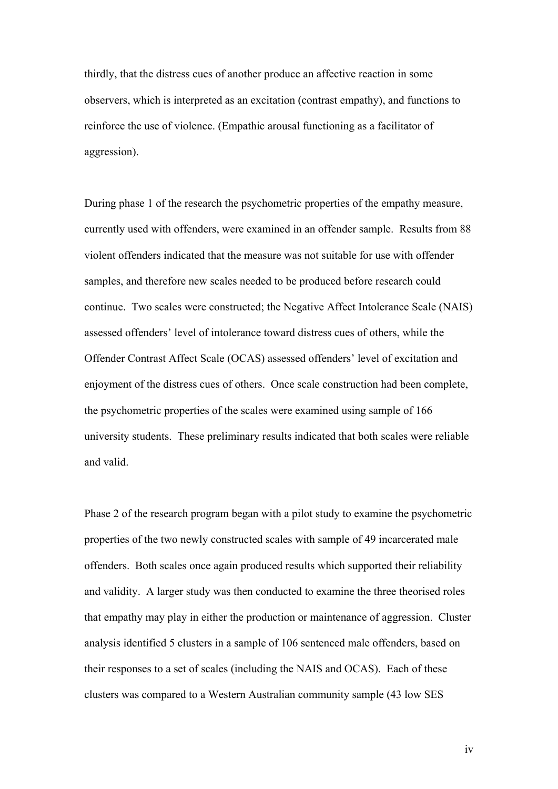thirdly, that the distress cues of another produce an affective reaction in some observers, which is interpreted as an excitation (contrast empathy), and functions to reinforce the use of violence. (Empathic arousal functioning as a facilitator of aggression).

During phase 1 of the research the psychometric properties of the empathy measure, currently used with offenders, were examined in an offender sample. Results from 88 violent offenders indicated that the measure was not suitable for use with offender samples, and therefore new scales needed to be produced before research could continue. Two scales were constructed; the Negative Affect Intolerance Scale (NAIS) assessed offenders' level of intolerance toward distress cues of others, while the Offender Contrast Affect Scale (OCAS) assessed offenders' level of excitation and enjoyment of the distress cues of others. Once scale construction had been complete, the psychometric properties of the scales were examined using sample of 166 university students. These preliminary results indicated that both scales were reliable and valid.

Phase 2 of the research program began with a pilot study to examine the psychometric properties of the two newly constructed scales with sample of 49 incarcerated male offenders. Both scales once again produced results which supported their reliability and validity. A larger study was then conducted to examine the three theorised roles that empathy may play in either the production or maintenance of aggression. Cluster analysis identified 5 clusters in a sample of 106 sentenced male offenders, based on their responses to a set of scales (including the NAIS and OCAS). Each of these clusters was compared to a Western Australian community sample (43 low SES

iv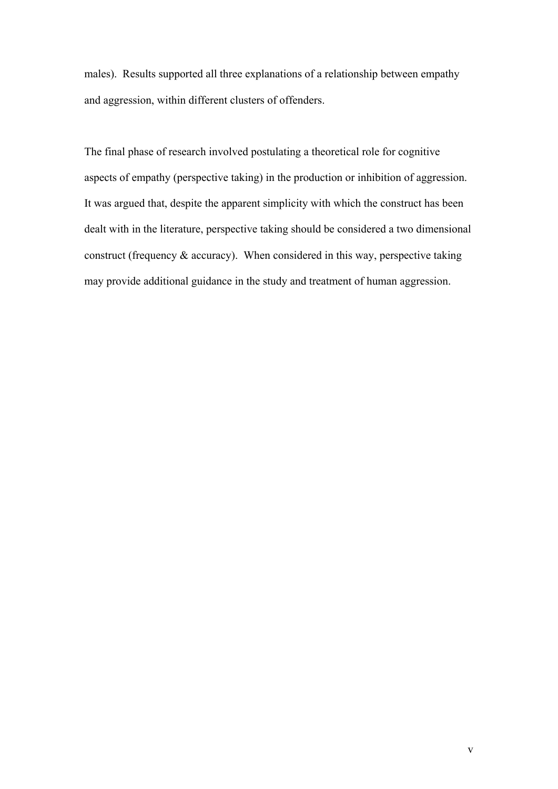males). Results supported all three explanations of a relationship between empathy and aggression, within different clusters of offenders.

The final phase of research involved postulating a theoretical role for cognitive aspects of empathy (perspective taking) in the production or inhibition of aggression. It was argued that, despite the apparent simplicity with which the construct has been dealt with in the literature, perspective taking should be considered a two dimensional construct (frequency  $\&$  accuracy). When considered in this way, perspective taking may provide additional guidance in the study and treatment of human aggression.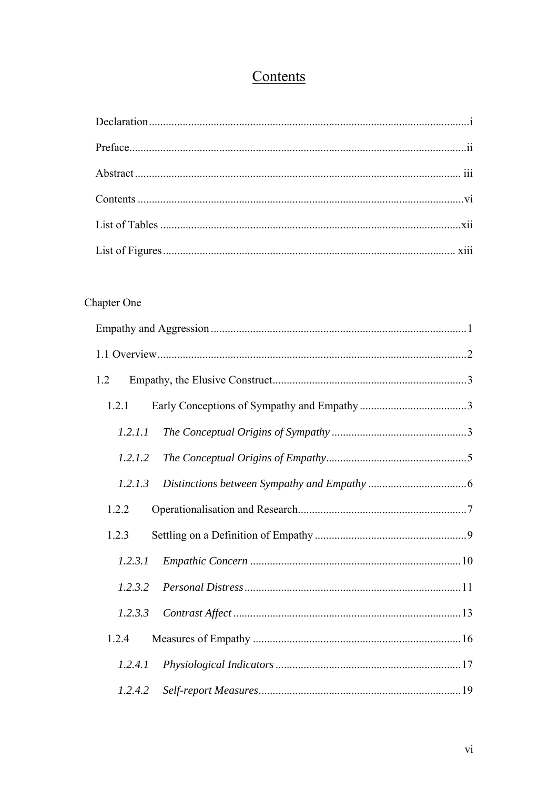# Contents

# Chapter One

| 1.2     |  |
|---------|--|
| 1.2.1   |  |
| 1.2.1.1 |  |
| 1.2.1.2 |  |
| 1.2.1.3 |  |
| 1.2.2   |  |
| 1.2.3   |  |
| 1.2.3.1 |  |
| 1.2.3.2 |  |
| 1.2.3.3 |  |
| 1.2.4   |  |
| 1.2.4.1 |  |
| 1.2.4.2 |  |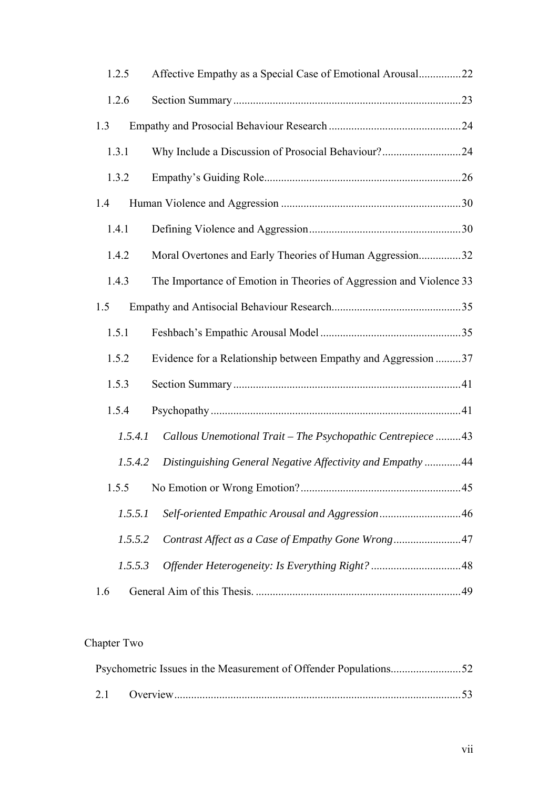| 1.2.5   | Affective Empathy as a Special Case of Emotional Arousal22          |  |
|---------|---------------------------------------------------------------------|--|
| 1.2.6   |                                                                     |  |
| 1.3     |                                                                     |  |
| 1.3.1   | Why Include a Discussion of Prosocial Behaviour?24                  |  |
| 1.3.2   |                                                                     |  |
| 1.4     |                                                                     |  |
| 1.4.1   |                                                                     |  |
| 1.4.2   | Moral Overtones and Early Theories of Human Aggression32            |  |
| 1.4.3   | The Importance of Emotion in Theories of Aggression and Violence 33 |  |
| 1.5     |                                                                     |  |
| 1.5.1   |                                                                     |  |
| 1.5.2   | Evidence for a Relationship between Empathy and Aggression 37       |  |
| 1.5.3   |                                                                     |  |
| 1.5.4   |                                                                     |  |
| 1.5.4.1 | Callous Unemotional Trait - The Psychopathic Centrepiece  43        |  |
| 1.5.4.2 | Distinguishing General Negative Affectivity and Empathy  44         |  |
|         |                                                                     |  |
| 1.5.5.1 |                                                                     |  |
| 1.5.5.2 | Contrast Affect as a Case of Empathy Gone Wrong47                   |  |
| 1.5.5.3 |                                                                     |  |
| 1.6     |                                                                     |  |

# Chapter Two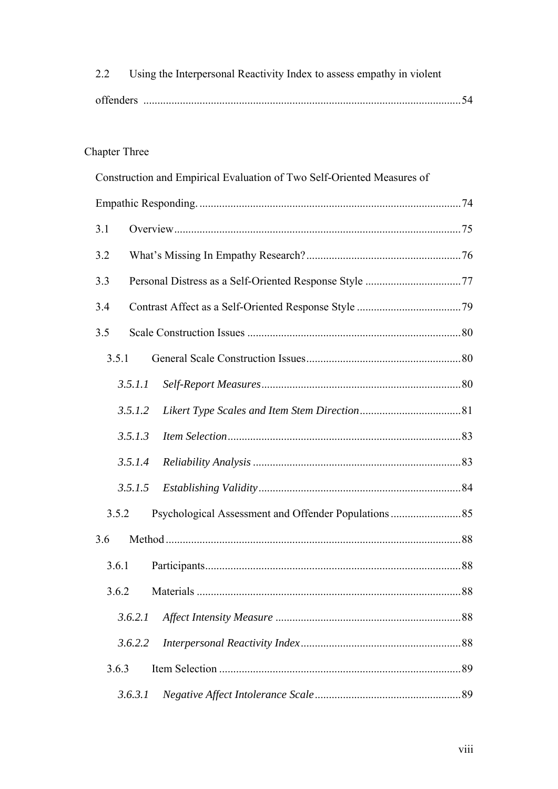| 2.2 Using the Interpersonal Reactivity Index to assess empathy in violent |  |
|---------------------------------------------------------------------------|--|
|                                                                           |  |

# Chapter Three

| Construction and Empirical Evaluation of Two Self-Oriented Measures of |    |
|------------------------------------------------------------------------|----|
|                                                                        |    |
| 3.1                                                                    |    |
| 3.2                                                                    |    |
| 3.3                                                                    |    |
| 3.4                                                                    |    |
| 3.5                                                                    |    |
| 3.5.1                                                                  |    |
| 3.5.1.1                                                                |    |
| 3.5.1.2                                                                |    |
| 3.5.1.3                                                                |    |
| 3.5.1.4                                                                |    |
| 3.5.1.5                                                                |    |
| 3.5.2                                                                  |    |
| 3.6                                                                    |    |
| 3.6.1                                                                  |    |
|                                                                        | 88 |
| 3.6.2.1                                                                |    |
| 3.6.2.2                                                                |    |
| 3.6.3                                                                  |    |
| 3.6.3.1                                                                |    |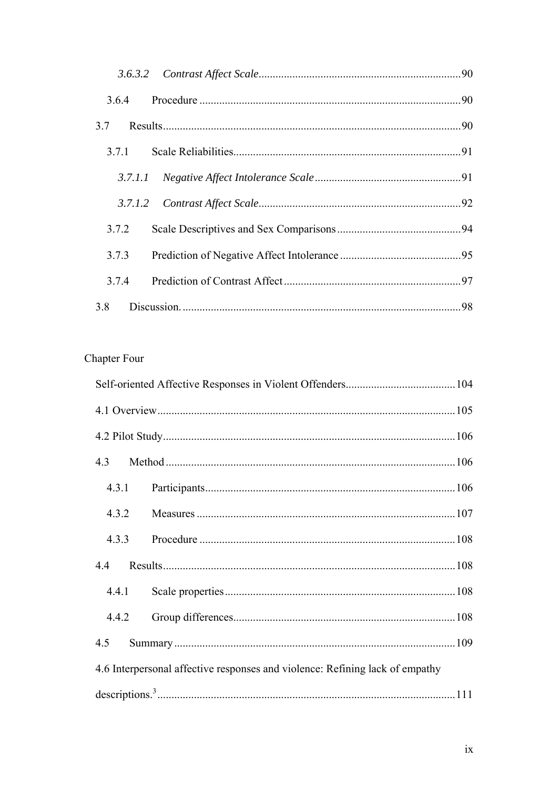| 3.7   |     |
|-------|-----|
|       |     |
|       |     |
|       |     |
| 3.7.2 |     |
| 3.7.3 |     |
| 3.7.4 |     |
| 3.8   | .98 |

# Chapter Four

| 4.5 |                                                                              |  |
|-----|------------------------------------------------------------------------------|--|
|     | 4.6 Interpersonal affective responses and violence: Refining lack of empathy |  |
|     |                                                                              |  |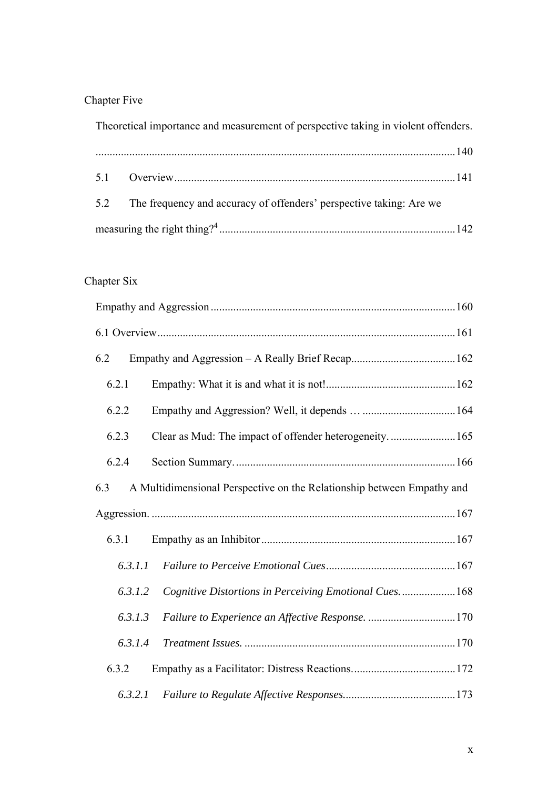# Chapter Five

Theoretical importance and measurement of perspective taking in violent offenders.

| 5.2 The frequency and accuracy of offenders' perspective taking: Are we |  |
|-------------------------------------------------------------------------|--|
|                                                                         |  |

## Chapter Six

| 6.2     |                                                                        |  |
|---------|------------------------------------------------------------------------|--|
| 6.2.1   |                                                                        |  |
| 6.2.2   |                                                                        |  |
| 6.2.3   | Clear as Mud: The impact of offender heterogeneity 165                 |  |
| 6.2.4   |                                                                        |  |
| 6.3     | A Multidimensional Perspective on the Relationship between Empathy and |  |
|         |                                                                        |  |
|         |                                                                        |  |
| 6.3.1   |                                                                        |  |
| 6.3.1.1 |                                                                        |  |
| 6.3.1.2 | Cognitive Distortions in Perceiving Emotional Cues168                  |  |
| 6.3.1.3 | Failure to Experience an Affective Response. 170                       |  |
| 6.3.1.4 |                                                                        |  |
| 6.3.2   |                                                                        |  |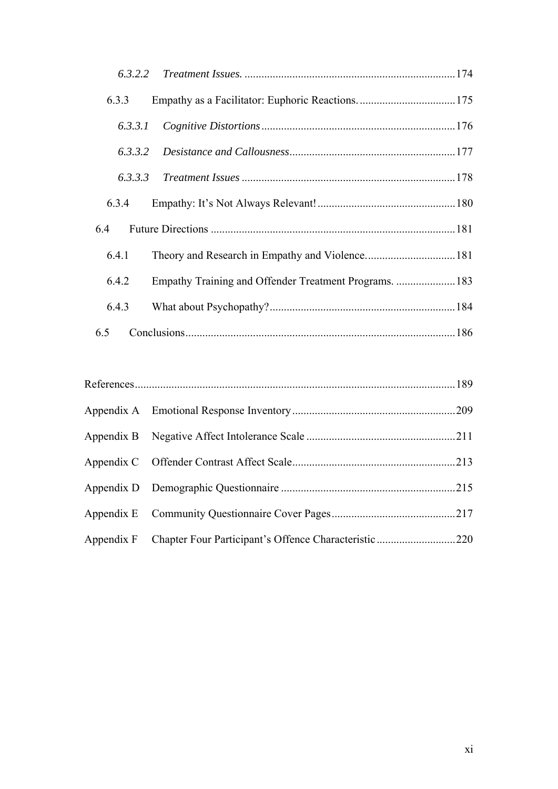| 6.3.3   |  |
|---------|--|
| 6.3.3.1 |  |
| 6.3.3.2 |  |
|         |  |
| 6.3.4   |  |
| 6.4     |  |
| 6.4.1   |  |
| 6.4.2   |  |
| 6.4.3   |  |
| 6.5     |  |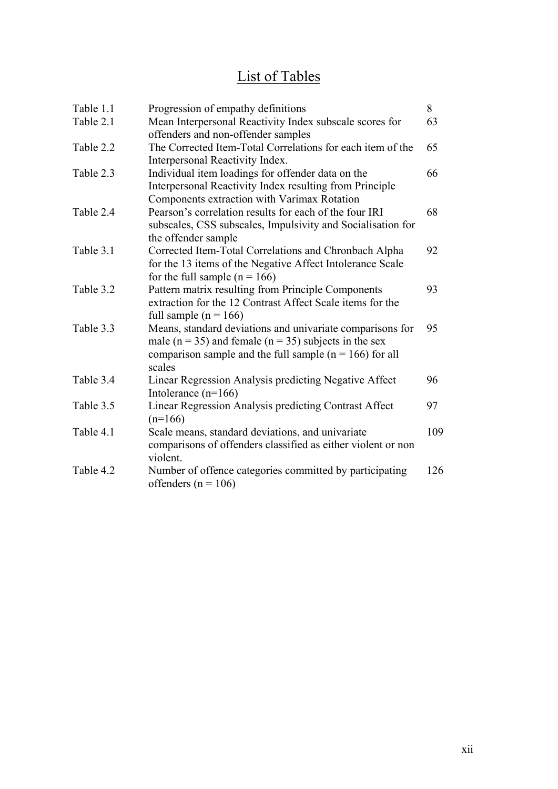# List of Tables

| Table 1.1 | Progression of empathy definitions                            | 8   |
|-----------|---------------------------------------------------------------|-----|
| Table 2.1 | Mean Interpersonal Reactivity Index subscale scores for       | 63  |
|           | offenders and non-offender samples                            |     |
| Table 2.2 | The Corrected Item-Total Correlations for each item of the    | 65  |
|           | Interpersonal Reactivity Index.                               |     |
| Table 2.3 | Individual item loadings for offender data on the             | 66  |
|           | Interpersonal Reactivity Index resulting from Principle       |     |
|           | Components extraction with Varimax Rotation                   |     |
| Table 2.4 | Pearson's correlation results for each of the four IRI        | 68  |
|           | subscales, CSS subscales, Impulsivity and Socialisation for   |     |
|           | the offender sample                                           |     |
| Table 3.1 | Corrected Item-Total Correlations and Chronbach Alpha         | 92  |
|           | for the 13 items of the Negative Affect Intolerance Scale     |     |
|           | for the full sample $(n = 166)$                               |     |
| Table 3.2 | Pattern matrix resulting from Principle Components            | 93  |
|           | extraction for the 12 Contrast Affect Scale items for the     |     |
|           | full sample ( $n = 166$ )                                     |     |
| Table 3.3 | Means, standard deviations and univariate comparisons for     | 95  |
|           | male ( $n = 35$ ) and female ( $n = 35$ ) subjects in the sex |     |
|           | comparison sample and the full sample ( $n = 166$ ) for all   |     |
|           | scales                                                        |     |
| Table 3.4 | Linear Regression Analysis predicting Negative Affect         | 96  |
|           | Intolerance $(n=166)$                                         |     |
| Table 3.5 | Linear Regression Analysis predicting Contrast Affect         | 97  |
|           | $(n=166)$                                                     |     |
| Table 4.1 | Scale means, standard deviations, and univariate              | 109 |
|           | comparisons of offenders classified as either violent or non  |     |
|           | violent.                                                      |     |
| Table 4.2 | Number of offence categories committed by participating       | 126 |
|           | offenders ( $n = 106$ )                                       |     |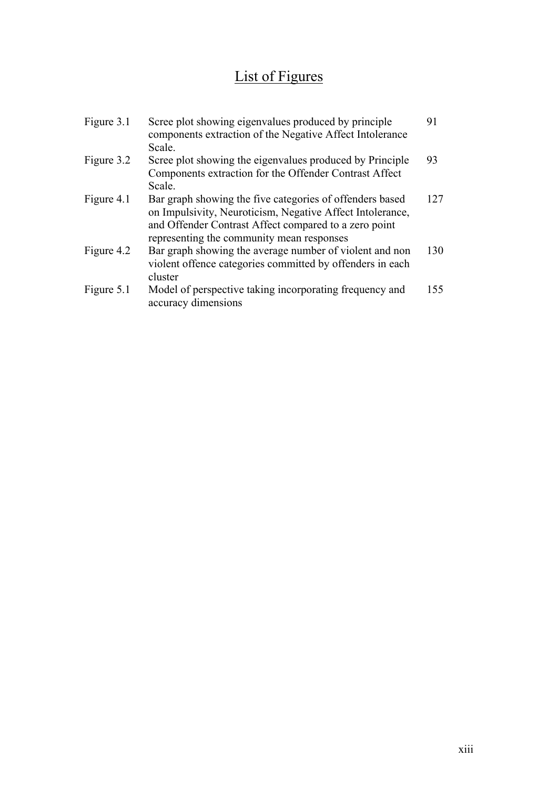# List of Figures

| Figure 3.1 | Scree plot showing eigenvalues produced by principle<br>components extraction of the Negative Affect Intolerance<br>Scale.                                                                                                  | 91  |
|------------|-----------------------------------------------------------------------------------------------------------------------------------------------------------------------------------------------------------------------------|-----|
| Figure 3.2 | Scree plot showing the eigenvalues produced by Principle<br>Components extraction for the Offender Contrast Affect<br>Scale.                                                                                                | 93  |
| Figure 4.1 | Bar graph showing the five categories of offenders based<br>on Impulsivity, Neuroticism, Negative Affect Intolerance,<br>and Offender Contrast Affect compared to a zero point<br>representing the community mean responses | 127 |
| Figure 4.2 | Bar graph showing the average number of violent and non<br>violent offence categories committed by offenders in each<br>cluster                                                                                             | 130 |
| Figure 5.1 | Model of perspective taking incorporating frequency and<br>accuracy dimensions                                                                                                                                              | 155 |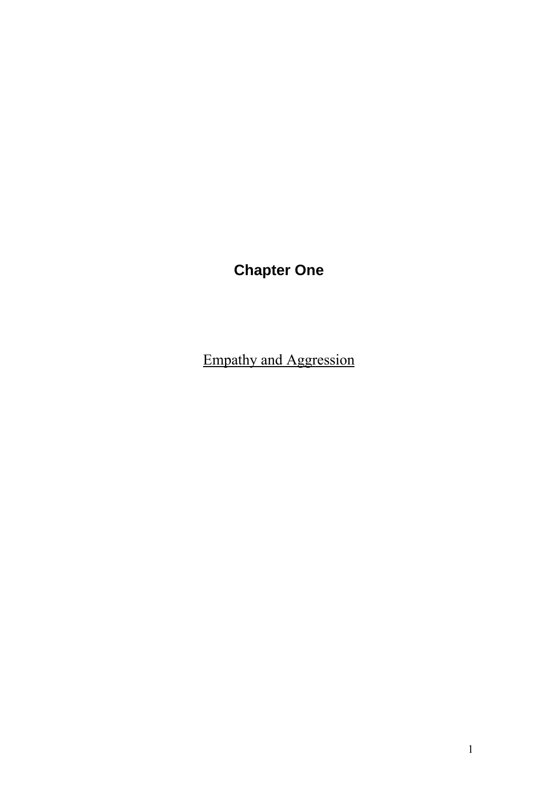# **Chapter One**

Empathy and Aggression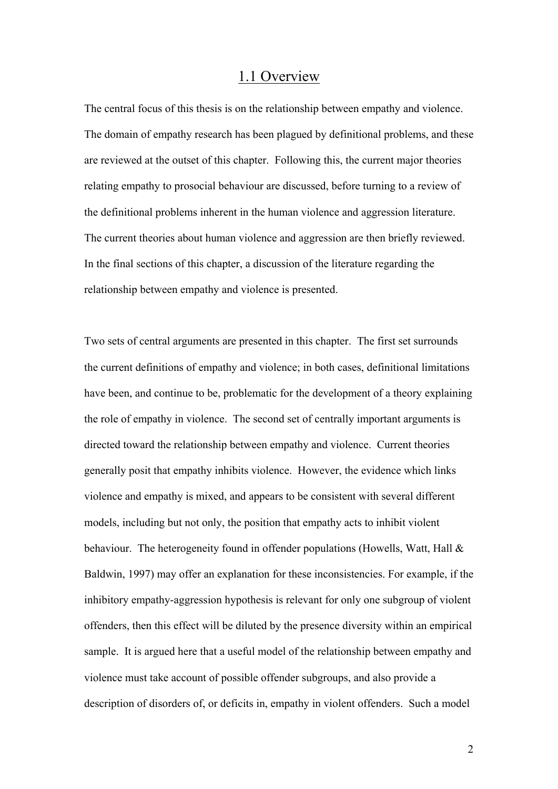## 1.1 Overview

The central focus of this thesis is on the relationship between empathy and violence. The domain of empathy research has been plagued by definitional problems, and these are reviewed at the outset of this chapter. Following this, the current major theories relating empathy to prosocial behaviour are discussed, before turning to a review of the definitional problems inherent in the human violence and aggression literature. The current theories about human violence and aggression are then briefly reviewed. In the final sections of this chapter, a discussion of the literature regarding the relationship between empathy and violence is presented.

Two sets of central arguments are presented in this chapter. The first set surrounds the current definitions of empathy and violence; in both cases, definitional limitations have been, and continue to be, problematic for the development of a theory explaining the role of empathy in violence. The second set of centrally important arguments is directed toward the relationship between empathy and violence. Current theories generally posit that empathy inhibits violence. However, the evidence which links violence and empathy is mixed, and appears to be consistent with several different models, including but not only, the position that empathy acts to inhibit violent behaviour. The heterogeneity found in offender populations (Howells, Watt, Hall & Baldwin, 1997) may offer an explanation for these inconsistencies. For example, if the inhibitory empathy-aggression hypothesis is relevant for only one subgroup of violent offenders, then this effect will be diluted by the presence diversity within an empirical sample. It is argued here that a useful model of the relationship between empathy and violence must take account of possible offender subgroups, and also provide a description of disorders of, or deficits in, empathy in violent offenders. Such a model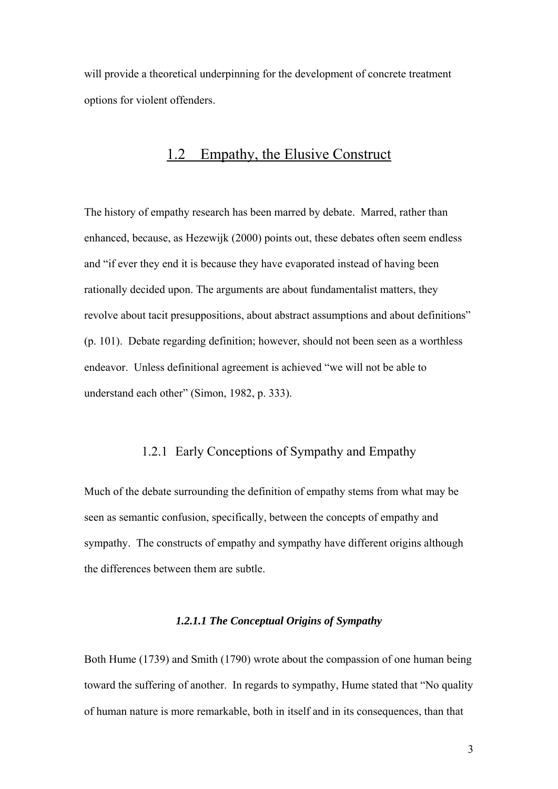will provide a theoretical underpinning for the development of concrete treatment options for violent offenders.

# 1.2 Empathy, the Elusive Construct

The history of empathy research has been marred by debate. Marred, rather than enhanced, because, as Hezewijk (2000) points out, these debates often seem endless and "if ever they end it is because they have evaporated instead of having been rationally decided upon. The arguments are about fundamentalist matters, they revolve about tacit presuppositions, about abstract assumptions and about definitions" (p. 101). Debate regarding definition; however, should not been seen as a worthless endeavor. Unless definitional agreement is achieved "we will not be able to understand each other" (Simon, 1982, p. 333).

## 1.2.1 Early Conceptions of Sympathy and Empathy

Much of the debate surrounding the definition of empathy stems from what may be seen as semantic confusion, specifically, between the concepts of empathy and sympathy. The constructs of empathy and sympathy have different origins although the differences between them are subtle.

#### *1.2.1.1 The Conceptual Origins of Sympathy*

Both Hume (1739) and Smith (1790) wrote about the compassion of one human being toward the suffering of another. In regards to sympathy, Hume stated that "No quality of human nature is more remarkable, both in itself and in its consequences, than that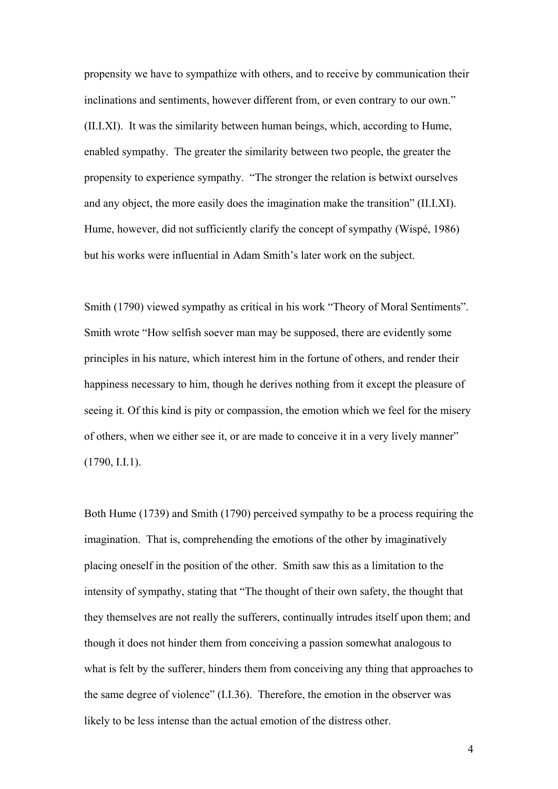propensity we have to sympathize with others, and to receive by communication their inclinations and sentiments, however different from, or even contrary to our own." (II.I.XI). It was the similarity between human beings, which, according to Hume, enabled sympathy. The greater the similarity between two people, the greater the propensity to experience sympathy. "The stronger the relation is betwixt ourselves and any object, the more easily does the imagination make the transition" (II.I.XI). Hume, however, did not sufficiently clarify the concept of sympathy (Wispé, 1986) but his works were influential in Adam Smith's later work on the subject.

Smith (1790) viewed sympathy as critical in his work "Theory of Moral Sentiments". Smith wrote "How selfish soever man may be supposed, there are evidently some principles in his nature, which interest him in the fortune of others, and render their happiness necessary to him, though he derives nothing from it except the pleasure of seeing it. Of this kind is pity or compassion, the emotion which we feel for the misery of others, when we either see it, or are made to conceive it in a very lively manner" (1790, I.I.1).

Both Hume (1739) and Smith (1790) perceived sympathy to be a process requiring the imagination. That is, comprehending the emotions of the other by imaginatively placing oneself in the position of the other. Smith saw this as a limitation to the intensity of sympathy, stating that "The thought of their own safety, the thought that they themselves are not really the sufferers, continually intrudes itself upon them; and though it does not hinder them from conceiving a passion somewhat analogous to what is felt by the sufferer, hinders them from conceiving any thing that approaches to the same degree of violence" (I.I.36). Therefore, the emotion in the observer was likely to be less intense than the actual emotion of the distress other.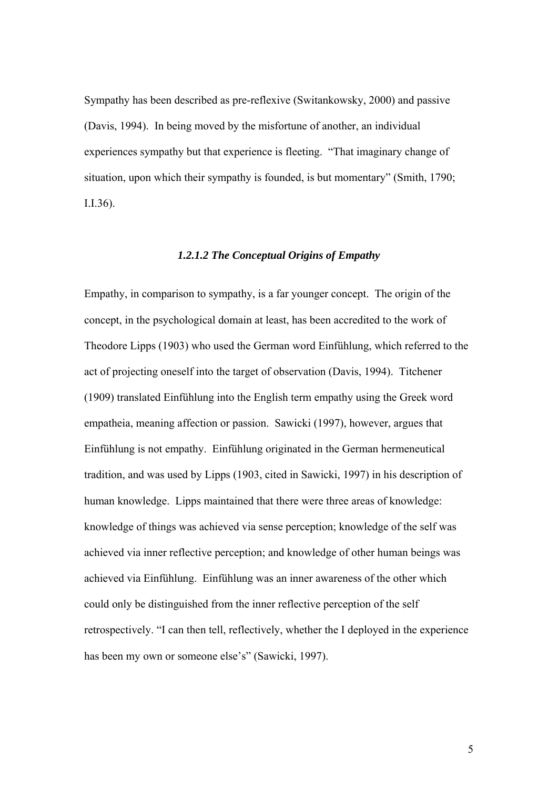Sympathy has been described as pre-reflexive (Switankowsky, 2000) and passive (Davis, 1994). In being moved by the misfortune of another, an individual experiences sympathy but that experience is fleeting. "That imaginary change of situation, upon which their sympathy is founded, is but momentary" (Smith, 1790; I.I.36).

### *1.2.1.2 The Conceptual Origins of Empathy*

Empathy, in comparison to sympathy, is a far younger concept. The origin of the concept, in the psychological domain at least, has been accredited to the work of Theodore Lipps (1903) who used the German word Einfühlung, which referred to the act of projecting oneself into the target of observation (Davis, 1994). Titchener (1909) translated Einfühlung into the English term empathy using the Greek word empatheia, meaning affection or passion. Sawicki (1997), however, argues that Einfühlung is not empathy. Einfühlung originated in the German hermeneutical tradition, and was used by Lipps (1903, cited in Sawicki, 1997) in his description of human knowledge. Lipps maintained that there were three areas of knowledge: knowledge of things was achieved via sense perception; knowledge of the self was achieved via inner reflective perception; and knowledge of other human beings was achieved via Einfühlung. Einfühlung was an inner awareness of the other which could only be distinguished from the inner reflective perception of the self retrospectively. "I can then tell, reflectively, whether the I deployed in the experience has been my own or someone else's" (Sawicki, 1997).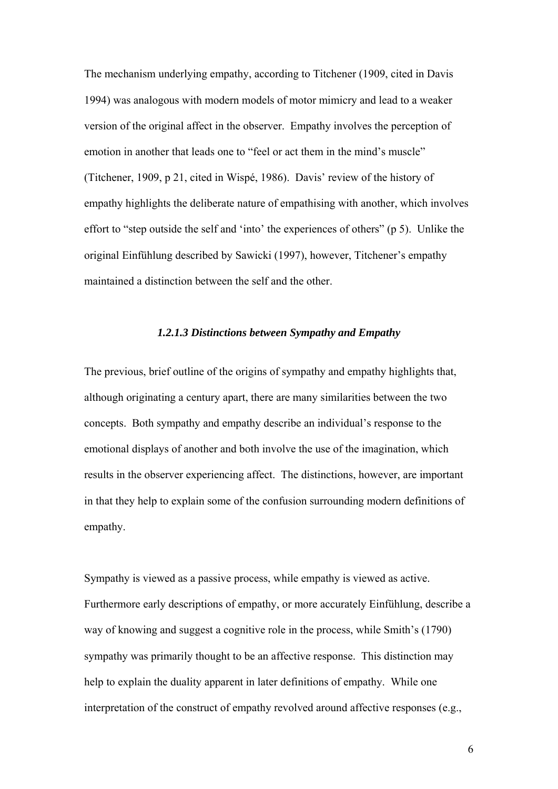The mechanism underlying empathy, according to Titchener (1909, cited in Davis 1994) was analogous with modern models of motor mimicry and lead to a weaker version of the original affect in the observer. Empathy involves the perception of emotion in another that leads one to "feel or act them in the mind's muscle" (Titchener, 1909, p 21, cited in Wispé, 1986). Davis' review of the history of empathy highlights the deliberate nature of empathising with another, which involves effort to "step outside the self and 'into' the experiences of others" (p 5). Unlike the original Einfühlung described by Sawicki (1997), however, Titchener's empathy maintained a distinction between the self and the other.

#### *1.2.1.3 Distinctions between Sympathy and Empathy*

The previous, brief outline of the origins of sympathy and empathy highlights that, although originating a century apart, there are many similarities between the two concepts. Both sympathy and empathy describe an individual's response to the emotional displays of another and both involve the use of the imagination, which results in the observer experiencing affect. The distinctions, however, are important in that they help to explain some of the confusion surrounding modern definitions of empathy.

Sympathy is viewed as a passive process, while empathy is viewed as active. Furthermore early descriptions of empathy, or more accurately Einfühlung, describe a way of knowing and suggest a cognitive role in the process, while Smith's (1790) sympathy was primarily thought to be an affective response. This distinction may help to explain the duality apparent in later definitions of empathy. While one interpretation of the construct of empathy revolved around affective responses (e.g.,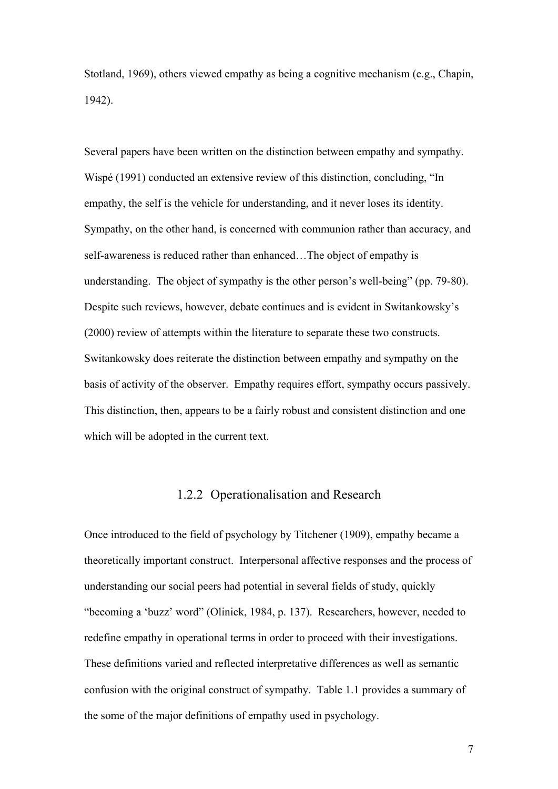Stotland, 1969), others viewed empathy as being a cognitive mechanism (e.g., Chapin, 1942).

Several papers have been written on the distinction between empathy and sympathy. Wispé (1991) conducted an extensive review of this distinction, concluding, "In empathy, the self is the vehicle for understanding, and it never loses its identity. Sympathy, on the other hand, is concerned with communion rather than accuracy, and self-awareness is reduced rather than enhanced…The object of empathy is understanding. The object of sympathy is the other person's well-being" (pp. 79-80). Despite such reviews, however, debate continues and is evident in Switankowsky's (2000) review of attempts within the literature to separate these two constructs. Switankowsky does reiterate the distinction between empathy and sympathy on the basis of activity of the observer. Empathy requires effort, sympathy occurs passively. This distinction, then, appears to be a fairly robust and consistent distinction and one which will be adopted in the current text.

## 1.2.2 Operationalisation and Research

Once introduced to the field of psychology by Titchener (1909), empathy became a theoretically important construct. Interpersonal affective responses and the process of understanding our social peers had potential in several fields of study, quickly "becoming a 'buzz' word" (Olinick, 1984, p. 137). Researchers, however, needed to redefine empathy in operational terms in order to proceed with their investigations. These definitions varied and reflected interpretative differences as well as semantic confusion with the original construct of sympathy. Table 1.1 provides a summary of the some of the major definitions of empathy used in psychology.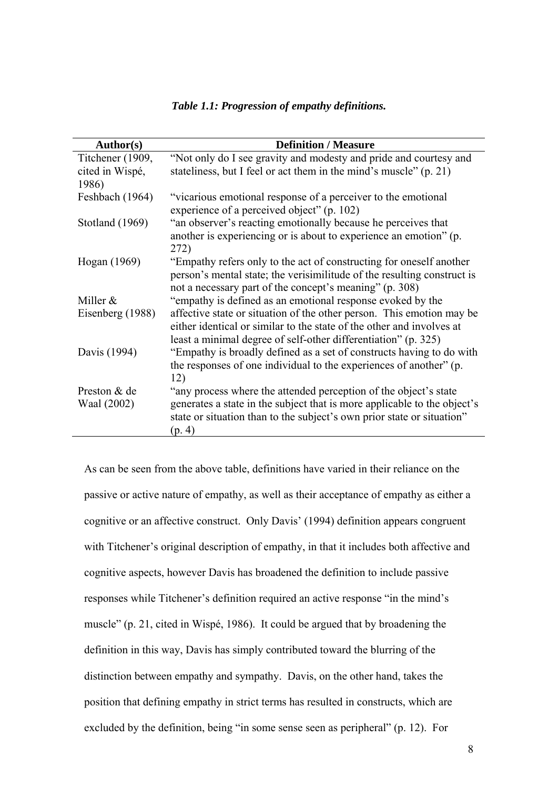| Author(s)        | <b>Definition / Measure</b>                                                                                                                                                                                      |
|------------------|------------------------------------------------------------------------------------------------------------------------------------------------------------------------------------------------------------------|
| Titchener (1909, | "Not only do I see gravity and modesty and pride and courtesy and                                                                                                                                                |
| cited in Wispé,  | stateliness, but I feel or act them in the mind's muscle" (p. 21)                                                                                                                                                |
| 1986)            |                                                                                                                                                                                                                  |
| Feshbach (1964)  | "vicarious emotional response of a perceiver to the emotional<br>experience of a perceived object" (p. 102)                                                                                                      |
| Stotland (1969)  | "an observer's reacting emotionally because he perceives that                                                                                                                                                    |
|                  | another is experiencing or is about to experience an emotion" (p.<br>272)                                                                                                                                        |
| Hogan (1969)     | "Empathy refers only to the act of constructing for oneself another                                                                                                                                              |
|                  | person's mental state; the verisimilitude of the resulting construct is                                                                                                                                          |
|                  | not a necessary part of the concept's meaning" (p. 308)                                                                                                                                                          |
| Miller $&$       | "empathy is defined as an emotional response evoked by the                                                                                                                                                       |
| Eisenberg (1988) | affective state or situation of the other person. This emotion may be<br>either identical or similar to the state of the other and involves at<br>least a minimal degree of self-other differentiation" (p. 325) |
| Davis (1994)     | "Empathy is broadly defined as a set of constructs having to do with                                                                                                                                             |
|                  | the responses of one individual to the experiences of another" (p.<br>12)                                                                                                                                        |
| Preston & de     | "any process where the attended perception of the object's state                                                                                                                                                 |
| Waal (2002)      | generates a state in the subject that is more applicable to the object's<br>state or situation than to the subject's own prior state or situation"<br>(p. 4)                                                     |
|                  |                                                                                                                                                                                                                  |

*Table 1.1: Progression of empathy definitions.* 

As can be seen from the above table, definitions have varied in their reliance on the passive or active nature of empathy, as well as their acceptance of empathy as either a cognitive or an affective construct. Only Davis' (1994) definition appears congruent with Titchener's original description of empathy, in that it includes both affective and cognitive aspects, however Davis has broadened the definition to include passive responses while Titchener's definition required an active response "in the mind's muscle" (p. 21, cited in Wispé, 1986). It could be argued that by broadening the definition in this way, Davis has simply contributed toward the blurring of the distinction between empathy and sympathy. Davis, on the other hand, takes the position that defining empathy in strict terms has resulted in constructs, which are excluded by the definition, being "in some sense seen as peripheral" (p. 12). For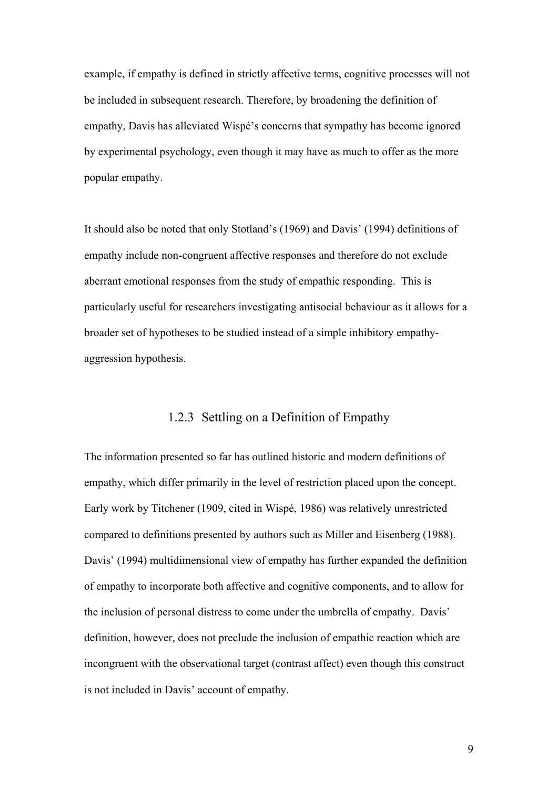example, if empathy is defined in strictly affective terms, cognitive processes will not be included in subsequent research. Therefore, by broadening the definition of empathy, Davis has alleviated Wispé's concerns that sympathy has become ignored by experimental psychology, even though it may have as much to offer as the more popular empathy.

It should also be noted that only Stotland's (1969) and Davis' (1994) definitions of empathy include non-congruent affective responses and therefore do not exclude aberrant emotional responses from the study of empathic responding. This is particularly useful for researchers investigating antisocial behaviour as it allows for a broader set of hypotheses to be studied instead of a simple inhibitory empathyaggression hypothesis.

## 1.2.3 Settling on a Definition of Empathy

The information presented so far has outlined historic and modern definitions of empathy, which differ primarily in the level of restriction placed upon the concept. Early work by Titchener (1909, cited in Wispé, 1986) was relatively unrestricted compared to definitions presented by authors such as Miller and Eisenberg (1988). Davis' (1994) multidimensional view of empathy has further expanded the definition of empathy to incorporate both affective and cognitive components, and to allow for the inclusion of personal distress to come under the umbrella of empathy. Davis' definition, however, does not preclude the inclusion of empathic reaction which are incongruent with the observational target (contrast affect) even though this construct is not included in Davis' account of empathy.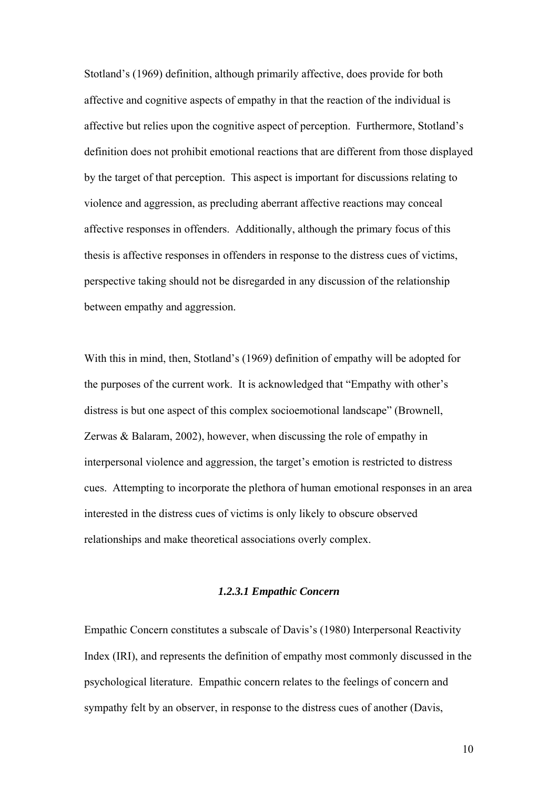Stotland's (1969) definition, although primarily affective, does provide for both affective and cognitive aspects of empathy in that the reaction of the individual is affective but relies upon the cognitive aspect of perception. Furthermore, Stotland's definition does not prohibit emotional reactions that are different from those displayed by the target of that perception. This aspect is important for discussions relating to violence and aggression, as precluding aberrant affective reactions may conceal affective responses in offenders. Additionally, although the primary focus of this thesis is affective responses in offenders in response to the distress cues of victims, perspective taking should not be disregarded in any discussion of the relationship between empathy and aggression.

With this in mind, then, Stotland's (1969) definition of empathy will be adopted for the purposes of the current work. It is acknowledged that "Empathy with other's distress is but one aspect of this complex socioemotional landscape" (Brownell, Zerwas & Balaram, 2002), however, when discussing the role of empathy in interpersonal violence and aggression, the target's emotion is restricted to distress cues. Attempting to incorporate the plethora of human emotional responses in an area interested in the distress cues of victims is only likely to obscure observed relationships and make theoretical associations overly complex.

#### *1.2.3.1 Empathic Concern*

Empathic Concern constitutes a subscale of Davis's (1980) Interpersonal Reactivity Index (IRI), and represents the definition of empathy most commonly discussed in the psychological literature. Empathic concern relates to the feelings of concern and sympathy felt by an observer, in response to the distress cues of another (Davis,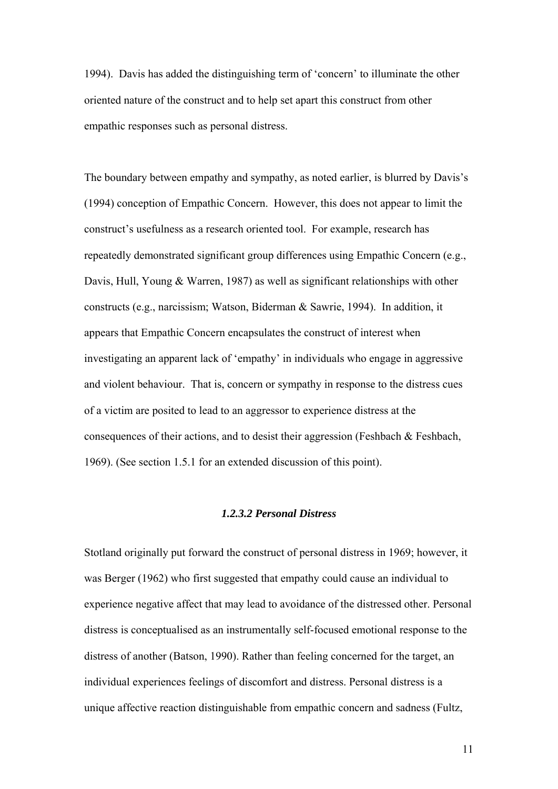1994). Davis has added the distinguishing term of 'concern' to illuminate the other oriented nature of the construct and to help set apart this construct from other empathic responses such as personal distress.

The boundary between empathy and sympathy, as noted earlier, is blurred by Davis's (1994) conception of Empathic Concern. However, this does not appear to limit the construct's usefulness as a research oriented tool. For example, research has repeatedly demonstrated significant group differences using Empathic Concern (e.g., Davis, Hull, Young & Warren, 1987) as well as significant relationships with other constructs (e.g., narcissism; Watson, Biderman & Sawrie, 1994). In addition, it appears that Empathic Concern encapsulates the construct of interest when investigating an apparent lack of 'empathy' in individuals who engage in aggressive and violent behaviour. That is, concern or sympathy in response to the distress cues of a victim are posited to lead to an aggressor to experience distress at the consequences of their actions, and to desist their aggression (Feshbach  $\&$  Feshbach, 1969). (See section 1.5.1 for an extended discussion of this point).

#### *1.2.3.2 Personal Distress*

Stotland originally put forward the construct of personal distress in 1969; however, it was Berger (1962) who first suggested that empathy could cause an individual to experience negative affect that may lead to avoidance of the distressed other. Personal distress is conceptualised as an instrumentally self-focused emotional response to the distress of another (Batson, 1990). Rather than feeling concerned for the target, an individual experiences feelings of discomfort and distress. Personal distress is a unique affective reaction distinguishable from empathic concern and sadness (Fultz,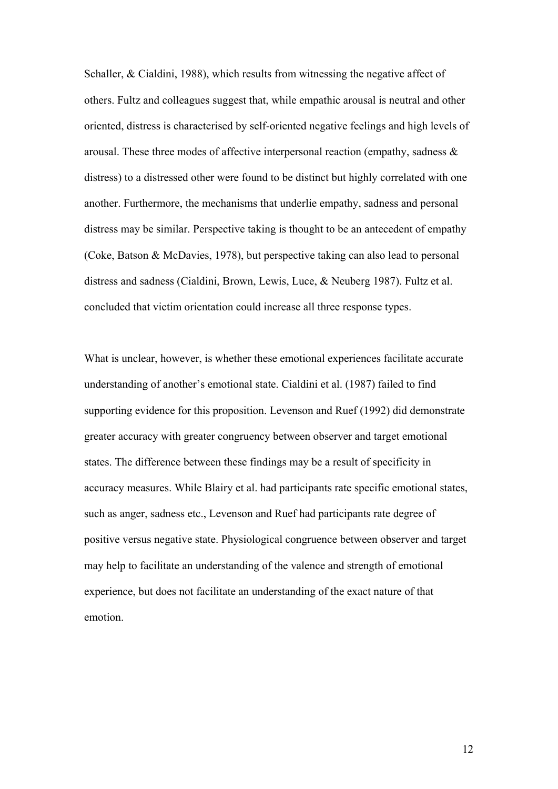Schaller, & Cialdini, 1988), which results from witnessing the negative affect of others. Fultz and colleagues suggest that, while empathic arousal is neutral and other oriented, distress is characterised by self-oriented negative feelings and high levels of arousal. These three modes of affective interpersonal reaction (empathy, sadness & distress) to a distressed other were found to be distinct but highly correlated with one another. Furthermore, the mechanisms that underlie empathy, sadness and personal distress may be similar. Perspective taking is thought to be an antecedent of empathy (Coke, Batson & McDavies, 1978), but perspective taking can also lead to personal distress and sadness (Cialdini, Brown, Lewis, Luce, & Neuberg 1987). Fultz et al. concluded that victim orientation could increase all three response types.

What is unclear, however, is whether these emotional experiences facilitate accurate understanding of another's emotional state. Cialdini et al. (1987) failed to find supporting evidence for this proposition. Levenson and Ruef (1992) did demonstrate greater accuracy with greater congruency between observer and target emotional states. The difference between these findings may be a result of specificity in accuracy measures. While Blairy et al. had participants rate specific emotional states, such as anger, sadness etc., Levenson and Ruef had participants rate degree of positive versus negative state. Physiological congruence between observer and target may help to facilitate an understanding of the valence and strength of emotional experience, but does not facilitate an understanding of the exact nature of that emotion.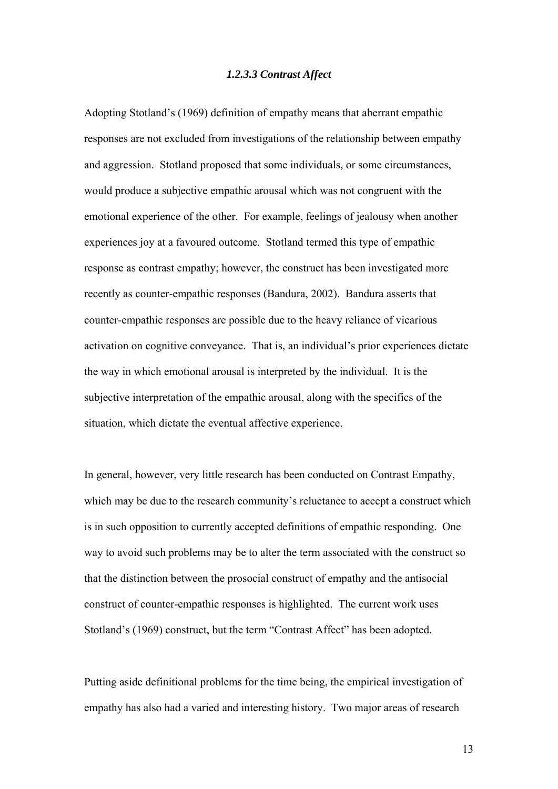#### *1.2.3.3 Contrast Affect*

Adopting Stotland's (1969) definition of empathy means that aberrant empathic responses are not excluded from investigations of the relationship between empathy and aggression. Stotland proposed that some individuals, or some circumstances, would produce a subjective empathic arousal which was not congruent with the emotional experience of the other. For example, feelings of jealousy when another experiences joy at a favoured outcome. Stotland termed this type of empathic response as contrast empathy; however, the construct has been investigated more recently as counter-empathic responses (Bandura, 2002). Bandura asserts that counter-empathic responses are possible due to the heavy reliance of vicarious activation on cognitive conveyance. That is, an individual's prior experiences dictate the way in which emotional arousal is interpreted by the individual. It is the subjective interpretation of the empathic arousal, along with the specifics of the situation, which dictate the eventual affective experience.

In general, however, very little research has been conducted on Contrast Empathy, which may be due to the research community's reluctance to accept a construct which is in such opposition to currently accepted definitions of empathic responding. One way to avoid such problems may be to alter the term associated with the construct so that the distinction between the prosocial construct of empathy and the antisocial construct of counter-empathic responses is highlighted. The current work uses Stotland's (1969) construct, but the term "Contrast Affect" has been adopted.

Putting aside definitional problems for the time being, the empirical investigation of empathy has also had a varied and interesting history. Two major areas of research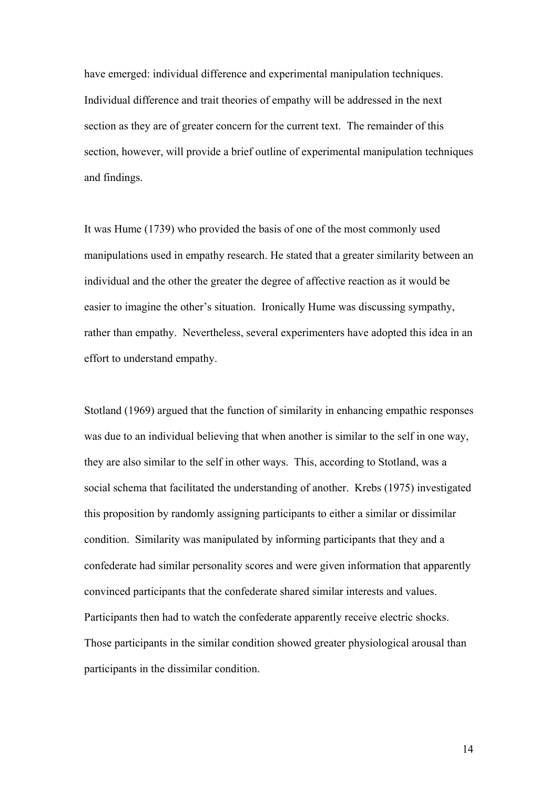have emerged: individual difference and experimental manipulation techniques. Individual difference and trait theories of empathy will be addressed in the next section as they are of greater concern for the current text. The remainder of this section, however, will provide a brief outline of experimental manipulation techniques and findings.

It was Hume (1739) who provided the basis of one of the most commonly used manipulations used in empathy research. He stated that a greater similarity between an individual and the other the greater the degree of affective reaction as it would be easier to imagine the other's situation. Ironically Hume was discussing sympathy, rather than empathy. Nevertheless, several experimenters have adopted this idea in an effort to understand empathy.

Stotland (1969) argued that the function of similarity in enhancing empathic responses was due to an individual believing that when another is similar to the self in one way, they are also similar to the self in other ways. This, according to Stotland, was a social schema that facilitated the understanding of another. Krebs (1975) investigated this proposition by randomly assigning participants to either a similar or dissimilar condition. Similarity was manipulated by informing participants that they and a confederate had similar personality scores and were given information that apparently convinced participants that the confederate shared similar interests and values. Participants then had to watch the confederate apparently receive electric shocks. Those participants in the similar condition showed greater physiological arousal than participants in the dissimilar condition.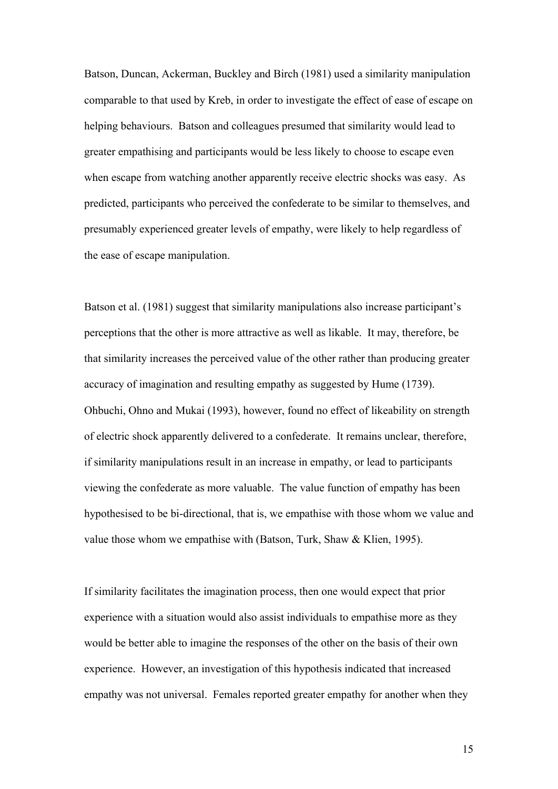Batson, Duncan, Ackerman, Buckley and Birch (1981) used a similarity manipulation comparable to that used by Kreb, in order to investigate the effect of ease of escape on helping behaviours. Batson and colleagues presumed that similarity would lead to greater empathising and participants would be less likely to choose to escape even when escape from watching another apparently receive electric shocks was easy. As predicted, participants who perceived the confederate to be similar to themselves, and presumably experienced greater levels of empathy, were likely to help regardless of the ease of escape manipulation.

Batson et al. (1981) suggest that similarity manipulations also increase participant's perceptions that the other is more attractive as well as likable. It may, therefore, be that similarity increases the perceived value of the other rather than producing greater accuracy of imagination and resulting empathy as suggested by Hume (1739). Ohbuchi, Ohno and Mukai (1993), however, found no effect of likeability on strength of electric shock apparently delivered to a confederate. It remains unclear, therefore, if similarity manipulations result in an increase in empathy, or lead to participants viewing the confederate as more valuable. The value function of empathy has been hypothesised to be bi-directional, that is, we empathise with those whom we value and value those whom we empathise with (Batson, Turk, Shaw & Klien, 1995).

If similarity facilitates the imagination process, then one would expect that prior experience with a situation would also assist individuals to empathise more as they would be better able to imagine the responses of the other on the basis of their own experience. However, an investigation of this hypothesis indicated that increased empathy was not universal. Females reported greater empathy for another when they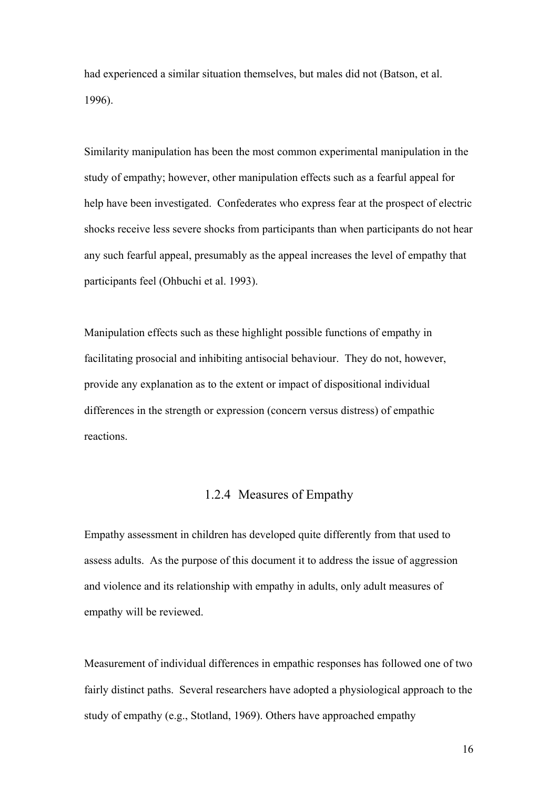had experienced a similar situation themselves, but males did not (Batson, et al. 1996).

Similarity manipulation has been the most common experimental manipulation in the study of empathy; however, other manipulation effects such as a fearful appeal for help have been investigated. Confederates who express fear at the prospect of electric shocks receive less severe shocks from participants than when participants do not hear any such fearful appeal, presumably as the appeal increases the level of empathy that participants feel (Ohbuchi et al. 1993).

Manipulation effects such as these highlight possible functions of empathy in facilitating prosocial and inhibiting antisocial behaviour. They do not, however, provide any explanation as to the extent or impact of dispositional individual differences in the strength or expression (concern versus distress) of empathic reactions.

## 1.2.4 Measures of Empathy

Empathy assessment in children has developed quite differently from that used to assess adults. As the purpose of this document it to address the issue of aggression and violence and its relationship with empathy in adults, only adult measures of empathy will be reviewed.

Measurement of individual differences in empathic responses has followed one of two fairly distinct paths. Several researchers have adopted a physiological approach to the study of empathy (e.g., Stotland, 1969). Others have approached empathy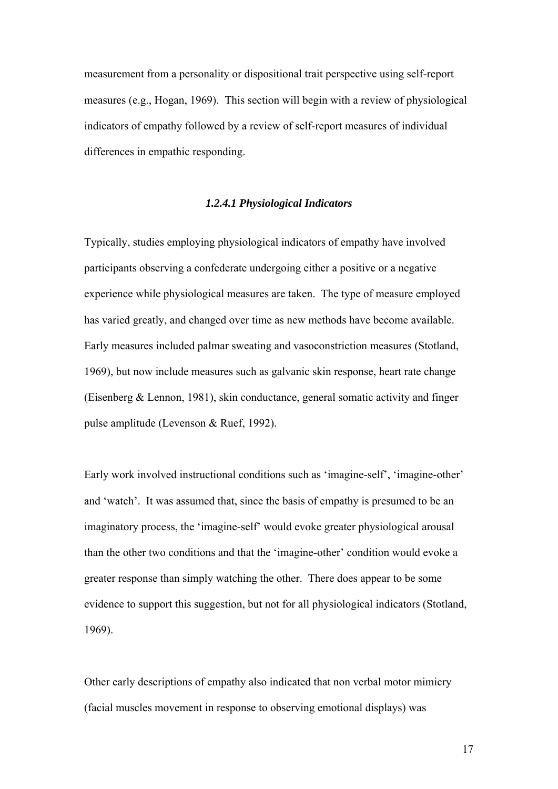measurement from a personality or dispositional trait perspective using self-report measures (e.g., Hogan, 1969). This section will begin with a review of physiological indicators of empathy followed by a review of self-report measures of individual differences in empathic responding.

#### *1.2.4.1 Physiological Indicators*

Typically, studies employing physiological indicators of empathy have involved participants observing a confederate undergoing either a positive or a negative experience while physiological measures are taken. The type of measure employed has varied greatly, and changed over time as new methods have become available. Early measures included palmar sweating and vasoconstriction measures (Stotland, 1969), but now include measures such as galvanic skin response, heart rate change (Eisenberg & Lennon, 1981), skin conductance, general somatic activity and finger pulse amplitude (Levenson & Ruef, 1992).

Early work involved instructional conditions such as 'imagine-self', 'imagine-other' and 'watch'. It was assumed that, since the basis of empathy is presumed to be an imaginatory process, the 'imagine-self' would evoke greater physiological arousal than the other two conditions and that the 'imagine-other' condition would evoke a greater response than simply watching the other. There does appear to be some evidence to support this suggestion, but not for all physiological indicators (Stotland, 1969).

Other early descriptions of empathy also indicated that non verbal motor mimicry (facial muscles movement in response to observing emotional displays) was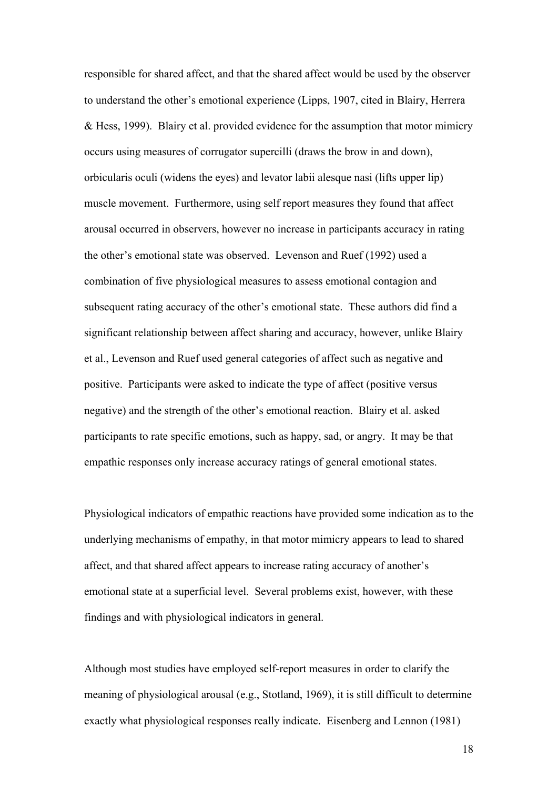responsible for shared affect, and that the shared affect would be used by the observer to understand the other's emotional experience (Lipps, 1907, cited in Blairy, Herrera & Hess, 1999). Blairy et al. provided evidence for the assumption that motor mimicry occurs using measures of corrugator supercilli (draws the brow in and down), orbicularis oculi (widens the eyes) and levator labii alesque nasi (lifts upper lip) muscle movement. Furthermore, using self report measures they found that affect arousal occurred in observers, however no increase in participants accuracy in rating the other's emotional state was observed. Levenson and Ruef (1992) used a combination of five physiological measures to assess emotional contagion and subsequent rating accuracy of the other's emotional state. These authors did find a significant relationship between affect sharing and accuracy, however, unlike Blairy et al., Levenson and Ruef used general categories of affect such as negative and positive. Participants were asked to indicate the type of affect (positive versus negative) and the strength of the other's emotional reaction. Blairy et al. asked participants to rate specific emotions, such as happy, sad, or angry. It may be that empathic responses only increase accuracy ratings of general emotional states.

Physiological indicators of empathic reactions have provided some indication as to the underlying mechanisms of empathy, in that motor mimicry appears to lead to shared affect, and that shared affect appears to increase rating accuracy of another's emotional state at a superficial level. Several problems exist, however, with these findings and with physiological indicators in general.

Although most studies have employed self-report measures in order to clarify the meaning of physiological arousal (e.g., Stotland, 1969), it is still difficult to determine exactly what physiological responses really indicate. Eisenberg and Lennon (1981)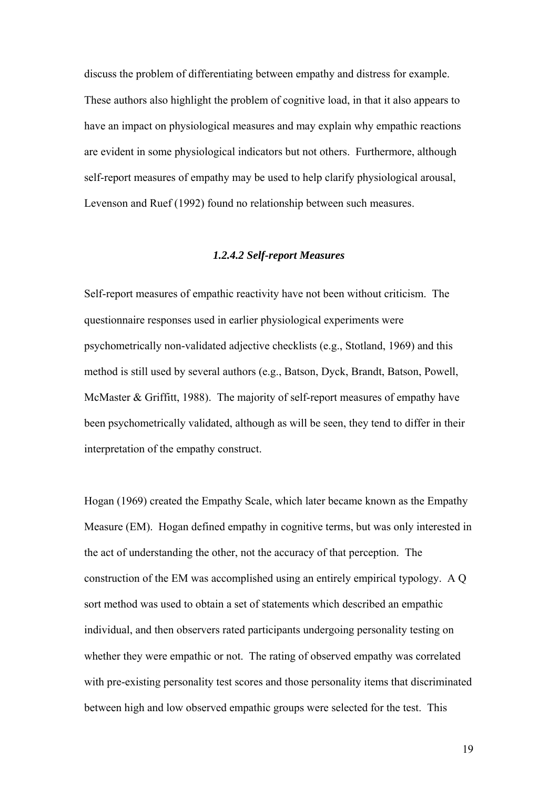discuss the problem of differentiating between empathy and distress for example. These authors also highlight the problem of cognitive load, in that it also appears to have an impact on physiological measures and may explain why empathic reactions are evident in some physiological indicators but not others. Furthermore, although self-report measures of empathy may be used to help clarify physiological arousal, Levenson and Ruef (1992) found no relationship between such measures.

#### *1.2.4.2 Self-report Measures*

Self-report measures of empathic reactivity have not been without criticism. The questionnaire responses used in earlier physiological experiments were psychometrically non-validated adjective checklists (e.g., Stotland, 1969) and this method is still used by several authors (e.g., Batson, Dyck, Brandt, Batson, Powell, McMaster & Griffitt, 1988). The majority of self-report measures of empathy have been psychometrically validated, although as will be seen, they tend to differ in their interpretation of the empathy construct.

Hogan (1969) created the Empathy Scale, which later became known as the Empathy Measure (EM). Hogan defined empathy in cognitive terms, but was only interested in the act of understanding the other, not the accuracy of that perception. The construction of the EM was accomplished using an entirely empirical typology. A Q sort method was used to obtain a set of statements which described an empathic individual, and then observers rated participants undergoing personality testing on whether they were empathic or not. The rating of observed empathy was correlated with pre-existing personality test scores and those personality items that discriminated between high and low observed empathic groups were selected for the test. This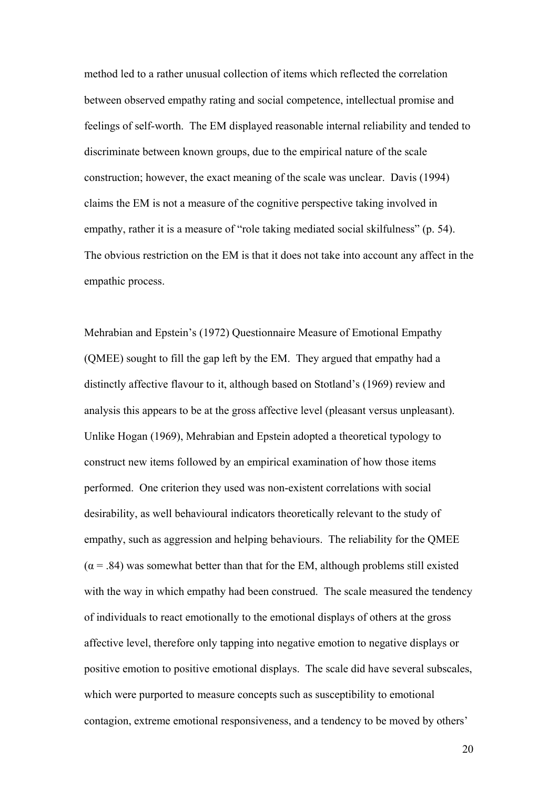method led to a rather unusual collection of items which reflected the correlation between observed empathy rating and social competence, intellectual promise and feelings of self-worth. The EM displayed reasonable internal reliability and tended to discriminate between known groups, due to the empirical nature of the scale construction; however, the exact meaning of the scale was unclear. Davis (1994) claims the EM is not a measure of the cognitive perspective taking involved in empathy, rather it is a measure of "role taking mediated social skilfulness" (p. 54). The obvious restriction on the EM is that it does not take into account any affect in the empathic process.

Mehrabian and Epstein's (1972) Questionnaire Measure of Emotional Empathy (QMEE) sought to fill the gap left by the EM. They argued that empathy had a distinctly affective flavour to it, although based on Stotland's (1969) review and analysis this appears to be at the gross affective level (pleasant versus unpleasant). Unlike Hogan (1969), Mehrabian and Epstein adopted a theoretical typology to construct new items followed by an empirical examination of how those items performed. One criterion they used was non-existent correlations with social desirability, as well behavioural indicators theoretically relevant to the study of empathy, such as aggression and helping behaviours. The reliability for the QMEE  $(\alpha = .84)$  was somewhat better than that for the EM, although problems still existed with the way in which empathy had been construed. The scale measured the tendency of individuals to react emotionally to the emotional displays of others at the gross affective level, therefore only tapping into negative emotion to negative displays or positive emotion to positive emotional displays. The scale did have several subscales, which were purported to measure concepts such as susceptibility to emotional contagion, extreme emotional responsiveness, and a tendency to be moved by others'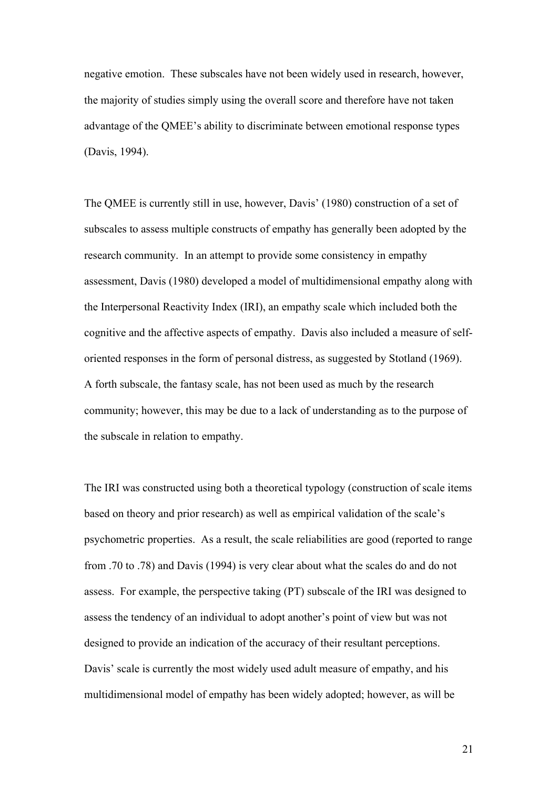negative emotion. These subscales have not been widely used in research, however, the majority of studies simply using the overall score and therefore have not taken advantage of the QMEE's ability to discriminate between emotional response types (Davis, 1994).

The QMEE is currently still in use, however, Davis' (1980) construction of a set of subscales to assess multiple constructs of empathy has generally been adopted by the research community. In an attempt to provide some consistency in empathy assessment, Davis (1980) developed a model of multidimensional empathy along with the Interpersonal Reactivity Index (IRI), an empathy scale which included both the cognitive and the affective aspects of empathy. Davis also included a measure of selforiented responses in the form of personal distress, as suggested by Stotland (1969). A forth subscale, the fantasy scale, has not been used as much by the research community; however, this may be due to a lack of understanding as to the purpose of the subscale in relation to empathy.

The IRI was constructed using both a theoretical typology (construction of scale items based on theory and prior research) as well as empirical validation of the scale's psychometric properties. As a result, the scale reliabilities are good (reported to range from .70 to .78) and Davis (1994) is very clear about what the scales do and do not assess. For example, the perspective taking (PT) subscale of the IRI was designed to assess the tendency of an individual to adopt another's point of view but was not designed to provide an indication of the accuracy of their resultant perceptions. Davis' scale is currently the most widely used adult measure of empathy, and his multidimensional model of empathy has been widely adopted; however, as will be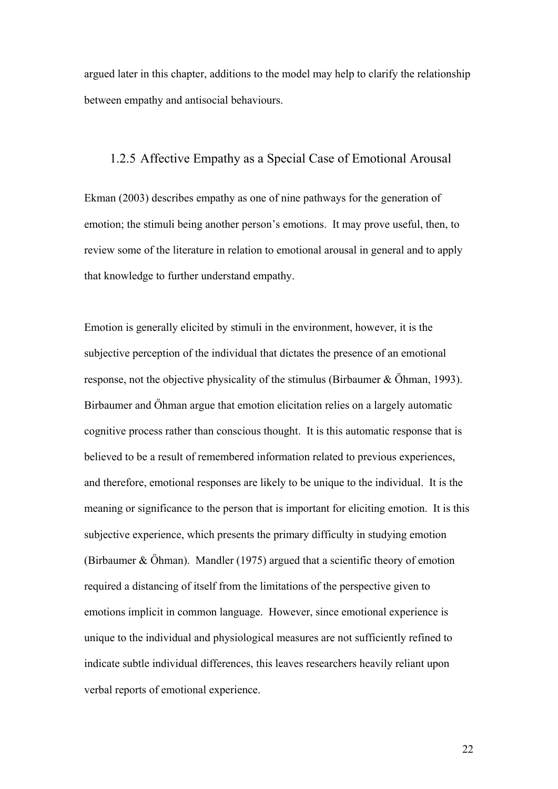argued later in this chapter, additions to the model may help to clarify the relationship between empathy and antisocial behaviours.

#### 1.2.5 Affective Empathy as a Special Case of Emotional Arousal

Ekman (2003) describes empathy as one of nine pathways for the generation of emotion; the stimuli being another person's emotions. It may prove useful, then, to review some of the literature in relation to emotional arousal in general and to apply that knowledge to further understand empathy.

Emotion is generally elicited by stimuli in the environment, however, it is the subjective perception of the individual that dictates the presence of an emotional response, not the objective physicality of the stimulus (Birbaumer & Őhman, 1993). Birbaumer and Őhman argue that emotion elicitation relies on a largely automatic cognitive process rather than conscious thought. It is this automatic response that is believed to be a result of remembered information related to previous experiences, and therefore, emotional responses are likely to be unique to the individual. It is the meaning or significance to the person that is important for eliciting emotion. It is this subjective experience, which presents the primary difficulty in studying emotion (Birbaumer  $& Õh$ man). Mandler (1975) argued that a scientific theory of emotion required a distancing of itself from the limitations of the perspective given to emotions implicit in common language. However, since emotional experience is unique to the individual and physiological measures are not sufficiently refined to indicate subtle individual differences, this leaves researchers heavily reliant upon verbal reports of emotional experience.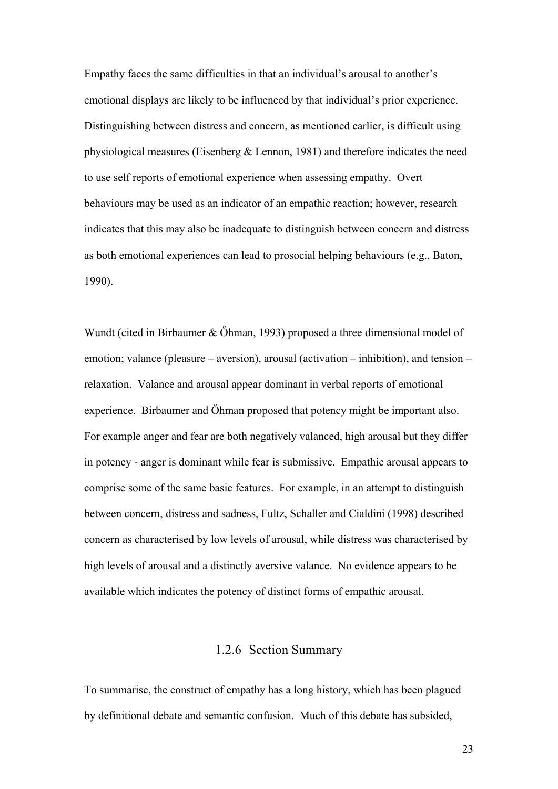Empathy faces the same difficulties in that an individual's arousal to another's emotional displays are likely to be influenced by that individual's prior experience. Distinguishing between distress and concern, as mentioned earlier, is difficult using physiological measures (Eisenberg & Lennon, 1981) and therefore indicates the need to use self reports of emotional experience when assessing empathy. Overt behaviours may be used as an indicator of an empathic reaction; however, research indicates that this may also be inadequate to distinguish between concern and distress as both emotional experiences can lead to prosocial helping behaviours (e.g., Baton, 1990).

Wundt (cited in Birbaumer & Őhman, 1993) proposed a three dimensional model of emotion; valance (pleasure – aversion), arousal (activation – inhibition), and tension – relaxation. Valance and arousal appear dominant in verbal reports of emotional experience. Birbaumer and Őhman proposed that potency might be important also. For example anger and fear are both negatively valanced, high arousal but they differ in potency - anger is dominant while fear is submissive. Empathic arousal appears to comprise some of the same basic features. For example, in an attempt to distinguish between concern, distress and sadness, Fultz, Schaller and Cialdini (1998) described concern as characterised by low levels of arousal, while distress was characterised by high levels of arousal and a distinctly aversive valance. No evidence appears to be available which indicates the potency of distinct forms of empathic arousal.

#### 1.2.6 Section Summary

To summarise, the construct of empathy has a long history, which has been plagued by definitional debate and semantic confusion. Much of this debate has subsided,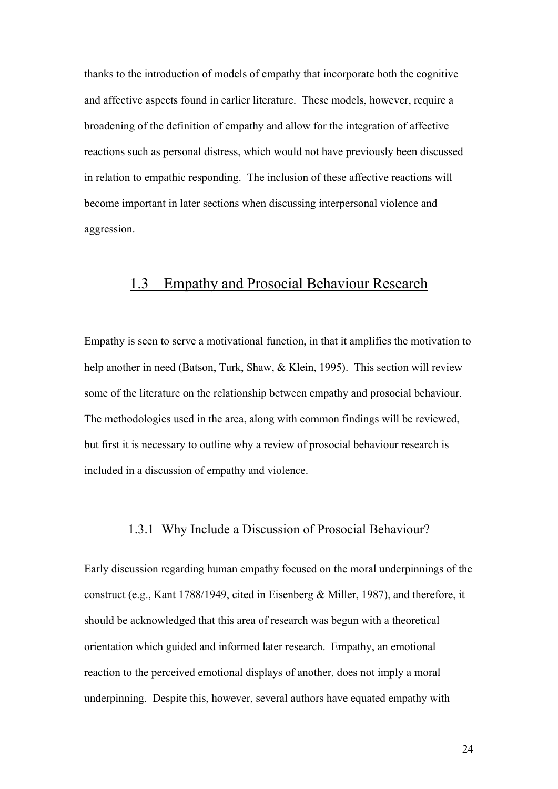thanks to the introduction of models of empathy that incorporate both the cognitive and affective aspects found in earlier literature. These models, however, require a broadening of the definition of empathy and allow for the integration of affective reactions such as personal distress, which would not have previously been discussed in relation to empathic responding. The inclusion of these affective reactions will become important in later sections when discussing interpersonal violence and aggression.

## 1.3 Empathy and Prosocial Behaviour Research

Empathy is seen to serve a motivational function, in that it amplifies the motivation to help another in need (Batson, Turk, Shaw, & Klein, 1995). This section will review some of the literature on the relationship between empathy and prosocial behaviour. The methodologies used in the area, along with common findings will be reviewed, but first it is necessary to outline why a review of prosocial behaviour research is included in a discussion of empathy and violence.

#### 1.3.1 Why Include a Discussion of Prosocial Behaviour?

Early discussion regarding human empathy focused on the moral underpinnings of the construct (e.g., Kant 1788/1949, cited in Eisenberg & Miller, 1987), and therefore, it should be acknowledged that this area of research was begun with a theoretical orientation which guided and informed later research. Empathy, an emotional reaction to the perceived emotional displays of another, does not imply a moral underpinning. Despite this, however, several authors have equated empathy with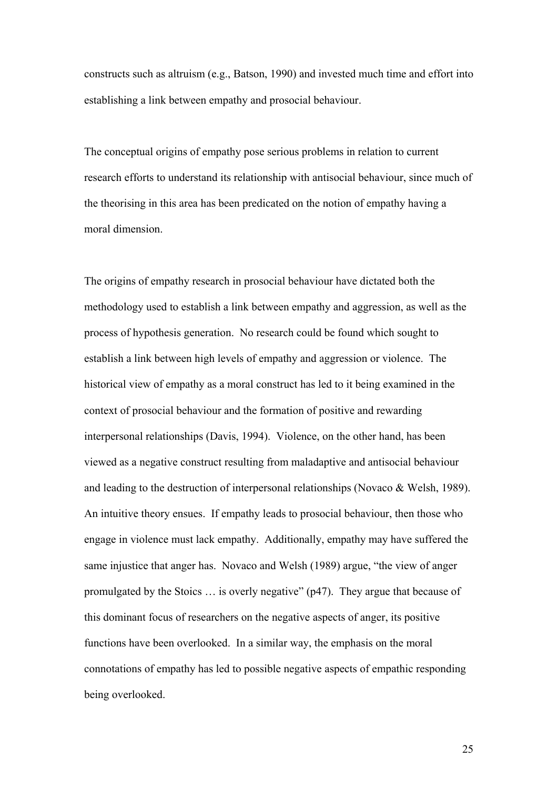constructs such as altruism (e.g., Batson, 1990) and invested much time and effort into establishing a link between empathy and prosocial behaviour.

The conceptual origins of empathy pose serious problems in relation to current research efforts to understand its relationship with antisocial behaviour, since much of the theorising in this area has been predicated on the notion of empathy having a moral dimension.

The origins of empathy research in prosocial behaviour have dictated both the methodology used to establish a link between empathy and aggression, as well as the process of hypothesis generation. No research could be found which sought to establish a link between high levels of empathy and aggression or violence. The historical view of empathy as a moral construct has led to it being examined in the context of prosocial behaviour and the formation of positive and rewarding interpersonal relationships (Davis, 1994). Violence, on the other hand, has been viewed as a negative construct resulting from maladaptive and antisocial behaviour and leading to the destruction of interpersonal relationships (Novaco & Welsh, 1989). An intuitive theory ensues. If empathy leads to prosocial behaviour, then those who engage in violence must lack empathy. Additionally, empathy may have suffered the same injustice that anger has. Novaco and Welsh (1989) argue, "the view of anger promulgated by the Stoics … is overly negative" (p47). They argue that because of this dominant focus of researchers on the negative aspects of anger, its positive functions have been overlooked. In a similar way, the emphasis on the moral connotations of empathy has led to possible negative aspects of empathic responding being overlooked.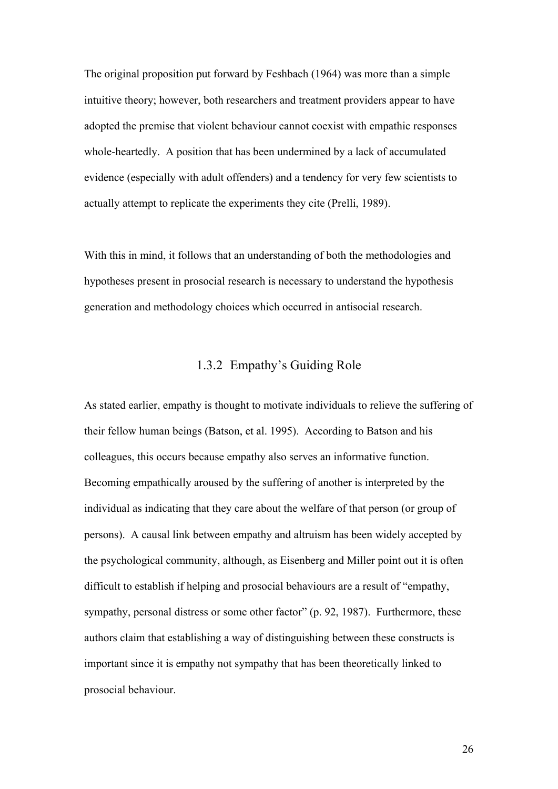The original proposition put forward by Feshbach (1964) was more than a simple intuitive theory; however, both researchers and treatment providers appear to have adopted the premise that violent behaviour cannot coexist with empathic responses whole-heartedly. A position that has been undermined by a lack of accumulated evidence (especially with adult offenders) and a tendency for very few scientists to actually attempt to replicate the experiments they cite (Prelli, 1989).

With this in mind, it follows that an understanding of both the methodologies and hypotheses present in prosocial research is necessary to understand the hypothesis generation and methodology choices which occurred in antisocial research.

## 1.3.2 Empathy's Guiding Role

As stated earlier, empathy is thought to motivate individuals to relieve the suffering of their fellow human beings (Batson, et al. 1995). According to Batson and his colleagues, this occurs because empathy also serves an informative function. Becoming empathically aroused by the suffering of another is interpreted by the individual as indicating that they care about the welfare of that person (or group of persons). A causal link between empathy and altruism has been widely accepted by the psychological community, although, as Eisenberg and Miller point out it is often difficult to establish if helping and prosocial behaviours are a result of "empathy, sympathy, personal distress or some other factor" (p. 92, 1987). Furthermore, these authors claim that establishing a way of distinguishing between these constructs is important since it is empathy not sympathy that has been theoretically linked to prosocial behaviour.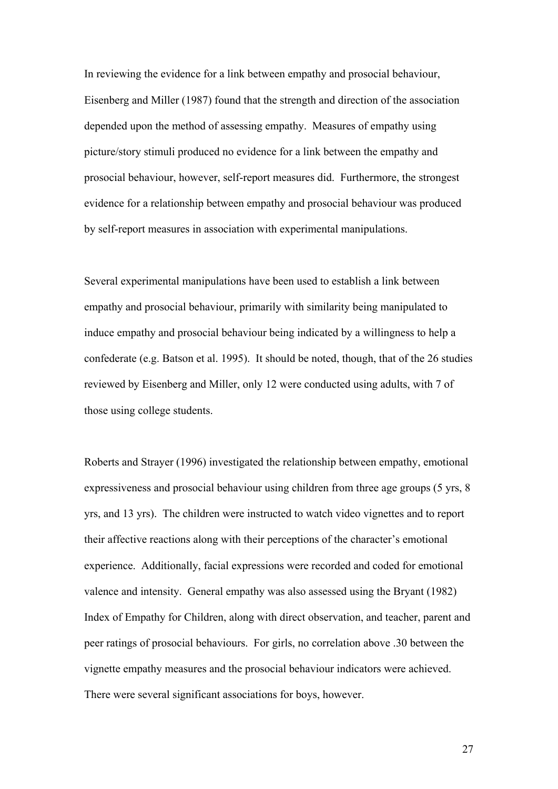In reviewing the evidence for a link between empathy and prosocial behaviour, Eisenberg and Miller (1987) found that the strength and direction of the association depended upon the method of assessing empathy. Measures of empathy using picture/story stimuli produced no evidence for a link between the empathy and prosocial behaviour, however, self-report measures did. Furthermore, the strongest evidence for a relationship between empathy and prosocial behaviour was produced by self-report measures in association with experimental manipulations.

Several experimental manipulations have been used to establish a link between empathy and prosocial behaviour, primarily with similarity being manipulated to induce empathy and prosocial behaviour being indicated by a willingness to help a confederate (e.g. Batson et al. 1995). It should be noted, though, that of the 26 studies reviewed by Eisenberg and Miller, only 12 were conducted using adults, with 7 of those using college students.

Roberts and Strayer (1996) investigated the relationship between empathy, emotional expressiveness and prosocial behaviour using children from three age groups (5 yrs, 8 yrs, and 13 yrs). The children were instructed to watch video vignettes and to report their affective reactions along with their perceptions of the character's emotional experience. Additionally, facial expressions were recorded and coded for emotional valence and intensity. General empathy was also assessed using the Bryant (1982) Index of Empathy for Children, along with direct observation, and teacher, parent and peer ratings of prosocial behaviours. For girls, no correlation above .30 between the vignette empathy measures and the prosocial behaviour indicators were achieved. There were several significant associations for boys, however.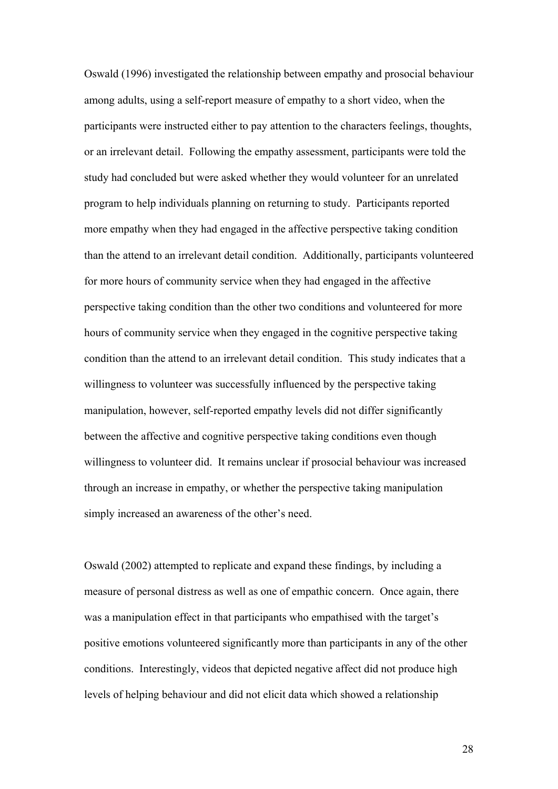Oswald (1996) investigated the relationship between empathy and prosocial behaviour among adults, using a self-report measure of empathy to a short video, when the participants were instructed either to pay attention to the characters feelings, thoughts, or an irrelevant detail. Following the empathy assessment, participants were told the study had concluded but were asked whether they would volunteer for an unrelated program to help individuals planning on returning to study. Participants reported more empathy when they had engaged in the affective perspective taking condition than the attend to an irrelevant detail condition. Additionally, participants volunteered for more hours of community service when they had engaged in the affective perspective taking condition than the other two conditions and volunteered for more hours of community service when they engaged in the cognitive perspective taking condition than the attend to an irrelevant detail condition. This study indicates that a willingness to volunteer was successfully influenced by the perspective taking manipulation, however, self-reported empathy levels did not differ significantly between the affective and cognitive perspective taking conditions even though willingness to volunteer did. It remains unclear if prosocial behaviour was increased through an increase in empathy, or whether the perspective taking manipulation simply increased an awareness of the other's need.

Oswald (2002) attempted to replicate and expand these findings, by including a measure of personal distress as well as one of empathic concern. Once again, there was a manipulation effect in that participants who empathised with the target's positive emotions volunteered significantly more than participants in any of the other conditions. Interestingly, videos that depicted negative affect did not produce high levels of helping behaviour and did not elicit data which showed a relationship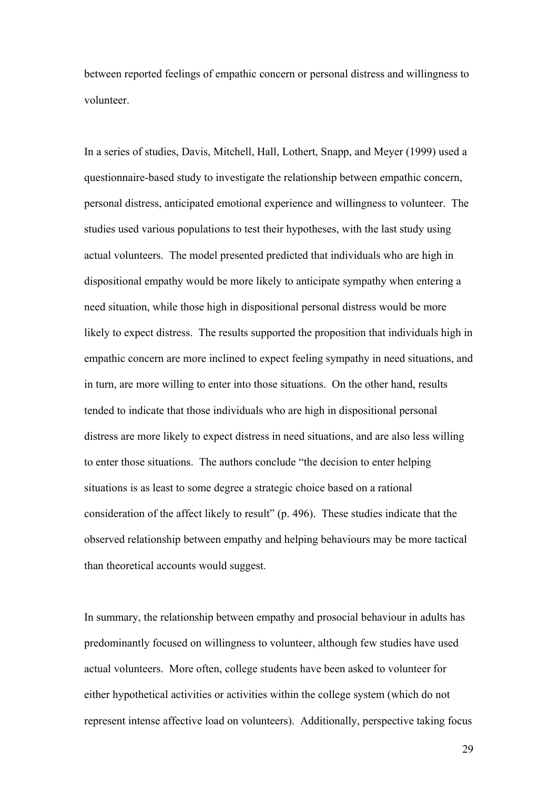between reported feelings of empathic concern or personal distress and willingness to volunteer.

In a series of studies, Davis, Mitchell, Hall, Lothert, Snapp, and Meyer (1999) used a questionnaire-based study to investigate the relationship between empathic concern, personal distress, anticipated emotional experience and willingness to volunteer. The studies used various populations to test their hypotheses, with the last study using actual volunteers. The model presented predicted that individuals who are high in dispositional empathy would be more likely to anticipate sympathy when entering a need situation, while those high in dispositional personal distress would be more likely to expect distress. The results supported the proposition that individuals high in empathic concern are more inclined to expect feeling sympathy in need situations, and in turn, are more willing to enter into those situations. On the other hand, results tended to indicate that those individuals who are high in dispositional personal distress are more likely to expect distress in need situations, and are also less willing to enter those situations. The authors conclude "the decision to enter helping situations is as least to some degree a strategic choice based on a rational consideration of the affect likely to result" (p. 496). These studies indicate that the observed relationship between empathy and helping behaviours may be more tactical than theoretical accounts would suggest.

In summary, the relationship between empathy and prosocial behaviour in adults has predominantly focused on willingness to volunteer, although few studies have used actual volunteers. More often, college students have been asked to volunteer for either hypothetical activities or activities within the college system (which do not represent intense affective load on volunteers). Additionally, perspective taking focus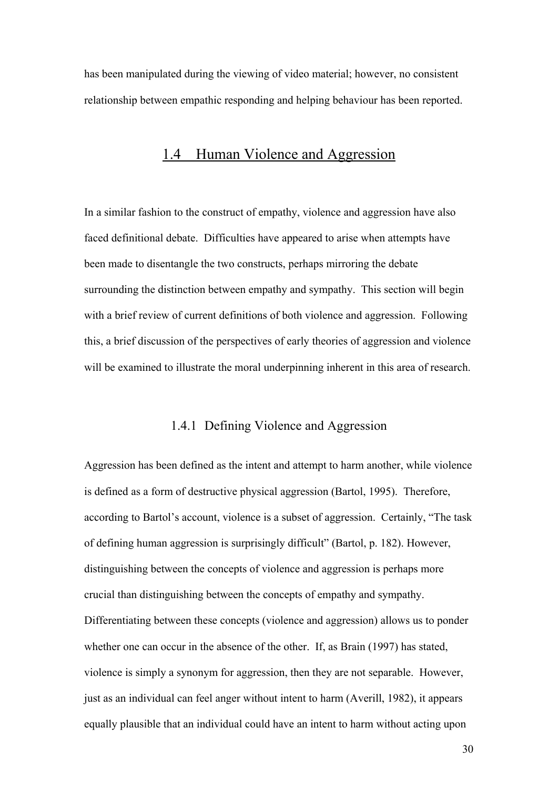has been manipulated during the viewing of video material; however, no consistent relationship between empathic responding and helping behaviour has been reported.

## 1.4 Human Violence and Aggression

In a similar fashion to the construct of empathy, violence and aggression have also faced definitional debate. Difficulties have appeared to arise when attempts have been made to disentangle the two constructs, perhaps mirroring the debate surrounding the distinction between empathy and sympathy. This section will begin with a brief review of current definitions of both violence and aggression. Following this, a brief discussion of the perspectives of early theories of aggression and violence will be examined to illustrate the moral underpinning inherent in this area of research.

### 1.4.1 Defining Violence and Aggression

Aggression has been defined as the intent and attempt to harm another, while violence is defined as a form of destructive physical aggression (Bartol, 1995). Therefore, according to Bartol's account, violence is a subset of aggression. Certainly, "The task of defining human aggression is surprisingly difficult" (Bartol, p. 182). However, distinguishing between the concepts of violence and aggression is perhaps more crucial than distinguishing between the concepts of empathy and sympathy. Differentiating between these concepts (violence and aggression) allows us to ponder whether one can occur in the absence of the other. If, as Brain (1997) has stated, violence is simply a synonym for aggression, then they are not separable. However, just as an individual can feel anger without intent to harm (Averill, 1982), it appears equally plausible that an individual could have an intent to harm without acting upon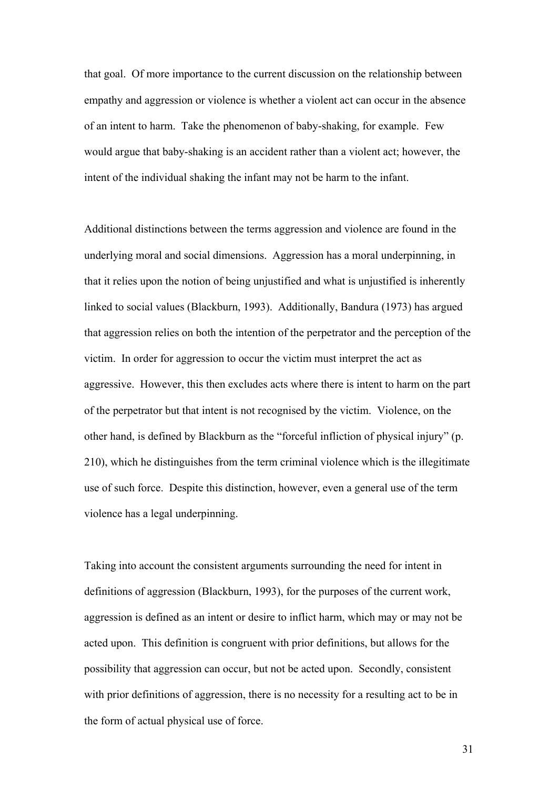that goal. Of more importance to the current discussion on the relationship between empathy and aggression or violence is whether a violent act can occur in the absence of an intent to harm. Take the phenomenon of baby-shaking, for example. Few would argue that baby-shaking is an accident rather than a violent act; however, the intent of the individual shaking the infant may not be harm to the infant.

Additional distinctions between the terms aggression and violence are found in the underlying moral and social dimensions. Aggression has a moral underpinning, in that it relies upon the notion of being unjustified and what is unjustified is inherently linked to social values (Blackburn, 1993). Additionally, Bandura (1973) has argued that aggression relies on both the intention of the perpetrator and the perception of the victim. In order for aggression to occur the victim must interpret the act as aggressive. However, this then excludes acts where there is intent to harm on the part of the perpetrator but that intent is not recognised by the victim. Violence, on the other hand, is defined by Blackburn as the "forceful infliction of physical injury" (p. 210), which he distinguishes from the term criminal violence which is the illegitimate use of such force. Despite this distinction, however, even a general use of the term violence has a legal underpinning.

Taking into account the consistent arguments surrounding the need for intent in definitions of aggression (Blackburn, 1993), for the purposes of the current work, aggression is defined as an intent or desire to inflict harm, which may or may not be acted upon. This definition is congruent with prior definitions, but allows for the possibility that aggression can occur, but not be acted upon. Secondly, consistent with prior definitions of aggression, there is no necessity for a resulting act to be in the form of actual physical use of force.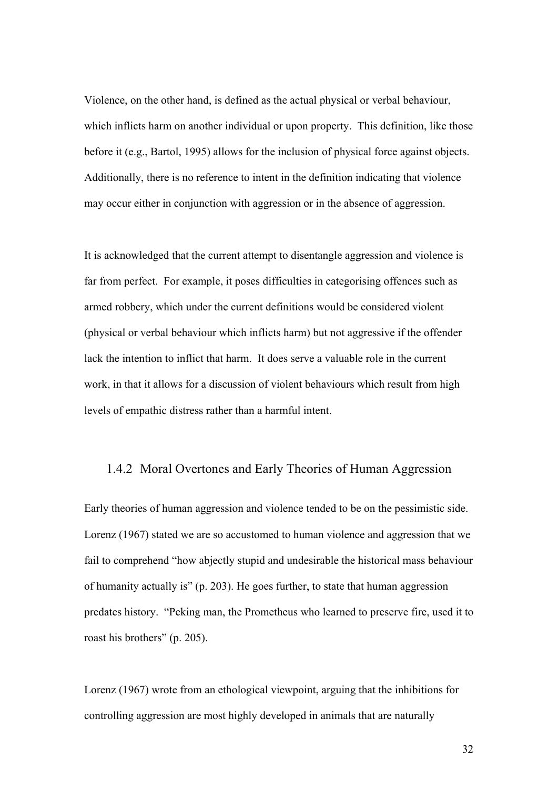Violence, on the other hand, is defined as the actual physical or verbal behaviour, which inflicts harm on another individual or upon property. This definition, like those before it (e.g., Bartol, 1995) allows for the inclusion of physical force against objects. Additionally, there is no reference to intent in the definition indicating that violence may occur either in conjunction with aggression or in the absence of aggression.

It is acknowledged that the current attempt to disentangle aggression and violence is far from perfect. For example, it poses difficulties in categorising offences such as armed robbery, which under the current definitions would be considered violent (physical or verbal behaviour which inflicts harm) but not aggressive if the offender lack the intention to inflict that harm. It does serve a valuable role in the current work, in that it allows for a discussion of violent behaviours which result from high levels of empathic distress rather than a harmful intent.

#### 1.4.2 Moral Overtones and Early Theories of Human Aggression

Early theories of human aggression and violence tended to be on the pessimistic side. Lorenz (1967) stated we are so accustomed to human violence and aggression that we fail to comprehend "how abjectly stupid and undesirable the historical mass behaviour of humanity actually is" (p. 203). He goes further, to state that human aggression predates history. "Peking man, the Prometheus who learned to preserve fire, used it to roast his brothers" (p. 205).

Lorenz (1967) wrote from an ethological viewpoint, arguing that the inhibitions for controlling aggression are most highly developed in animals that are naturally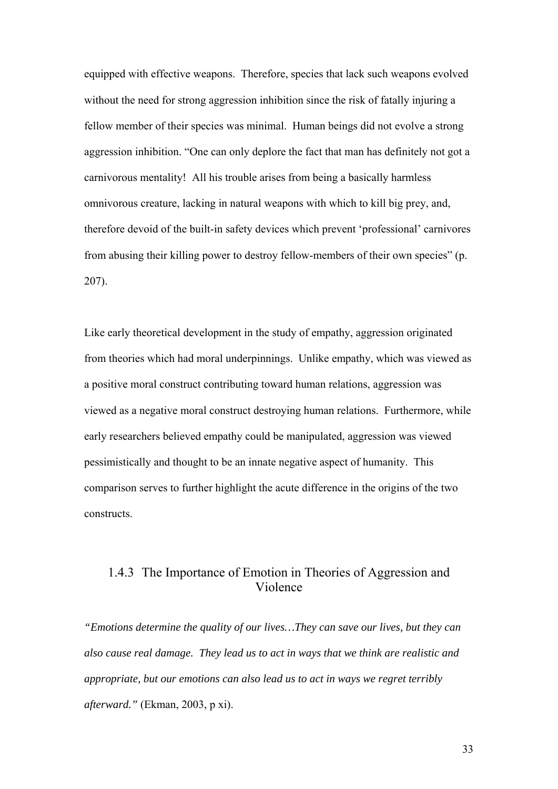equipped with effective weapons. Therefore, species that lack such weapons evolved without the need for strong aggression inhibition since the risk of fatally injuring a fellow member of their species was minimal. Human beings did not evolve a strong aggression inhibition. "One can only deplore the fact that man has definitely not got a carnivorous mentality! All his trouble arises from being a basically harmless omnivorous creature, lacking in natural weapons with which to kill big prey, and, therefore devoid of the built-in safety devices which prevent 'professional' carnivores from abusing their killing power to destroy fellow-members of their own species" (p. 207).

Like early theoretical development in the study of empathy, aggression originated from theories which had moral underpinnings. Unlike empathy, which was viewed as a positive moral construct contributing toward human relations, aggression was viewed as a negative moral construct destroying human relations. Furthermore, while early researchers believed empathy could be manipulated, aggression was viewed pessimistically and thought to be an innate negative aspect of humanity. This comparison serves to further highlight the acute difference in the origins of the two constructs.

## 1.4.3 The Importance of Emotion in Theories of Aggression and Violence

*"Emotions determine the quality of our lives…They can save our lives, but they can also cause real damage. They lead us to act in ways that we think are realistic and appropriate, but our emotions can also lead us to act in ways we regret terribly afterward."* (Ekman, 2003, p xi).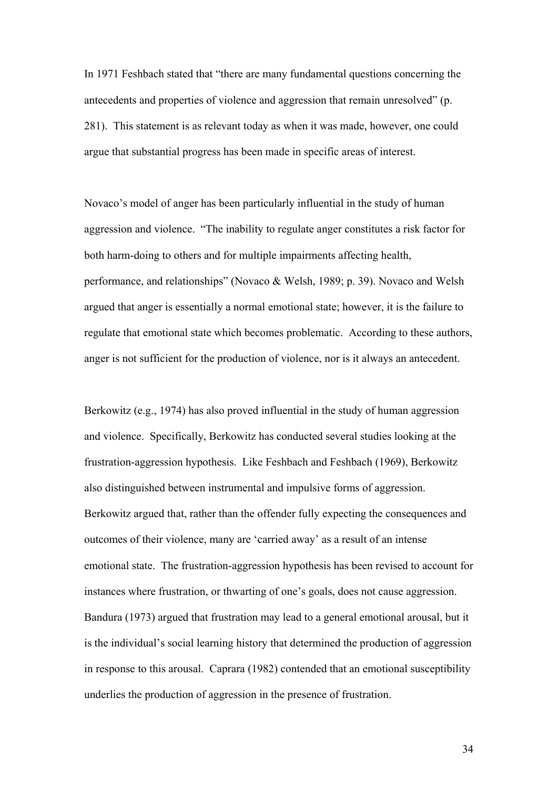In 1971 Feshbach stated that "there are many fundamental questions concerning the antecedents and properties of violence and aggression that remain unresolved" (p. 281). This statement is as relevant today as when it was made, however, one could argue that substantial progress has been made in specific areas of interest.

Novaco's model of anger has been particularly influential in the study of human aggression and violence. "The inability to regulate anger constitutes a risk factor for both harm-doing to others and for multiple impairments affecting health, performance, and relationships" (Novaco & Welsh, 1989; p. 39). Novaco and Welsh argued that anger is essentially a normal emotional state; however, it is the failure to regulate that emotional state which becomes problematic. According to these authors, anger is not sufficient for the production of violence, nor is it always an antecedent.

Berkowitz (e.g., 1974) has also proved influential in the study of human aggression and violence. Specifically, Berkowitz has conducted several studies looking at the frustration-aggression hypothesis. Like Feshbach and Feshbach (1969), Berkowitz also distinguished between instrumental and impulsive forms of aggression. Berkowitz argued that, rather than the offender fully expecting the consequences and outcomes of their violence, many are 'carried away' as a result of an intense emotional state. The frustration-aggression hypothesis has been revised to account for instances where frustration, or thwarting of one's goals, does not cause aggression. Bandura (1973) argued that frustration may lead to a general emotional arousal, but it is the individual's social learning history that determined the production of aggression in response to this arousal. Caprara (1982) contended that an emotional susceptibility underlies the production of aggression in the presence of frustration.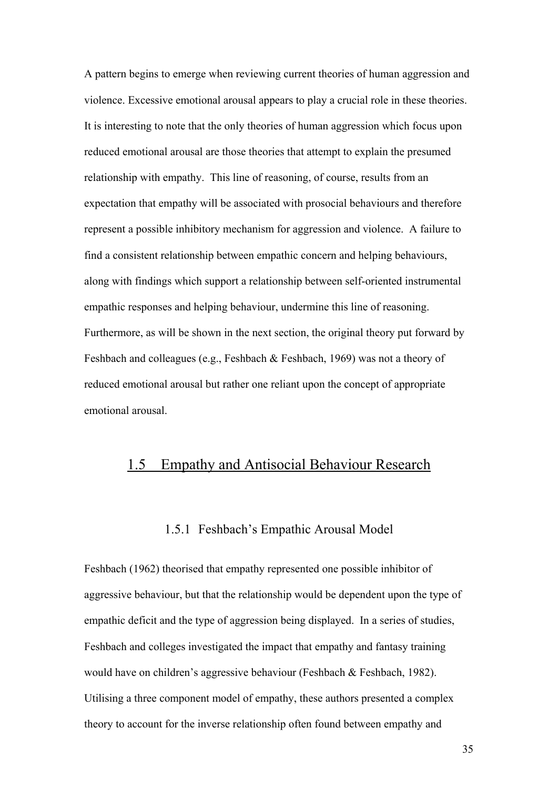A pattern begins to emerge when reviewing current theories of human aggression and violence. Excessive emotional arousal appears to play a crucial role in these theories. It is interesting to note that the only theories of human aggression which focus upon reduced emotional arousal are those theories that attempt to explain the presumed relationship with empathy. This line of reasoning, of course, results from an expectation that empathy will be associated with prosocial behaviours and therefore represent a possible inhibitory mechanism for aggression and violence. A failure to find a consistent relationship between empathic concern and helping behaviours, along with findings which support a relationship between self-oriented instrumental empathic responses and helping behaviour, undermine this line of reasoning. Furthermore, as will be shown in the next section, the original theory put forward by Feshbach and colleagues (e.g., Feshbach & Feshbach, 1969) was not a theory of reduced emotional arousal but rather one reliant upon the concept of appropriate emotional arousal.

## 1.5 Empathy and Antisocial Behaviour Research

#### 1.5.1 Feshbach's Empathic Arousal Model

Feshbach (1962) theorised that empathy represented one possible inhibitor of aggressive behaviour, but that the relationship would be dependent upon the type of empathic deficit and the type of aggression being displayed. In a series of studies, Feshbach and colleges investigated the impact that empathy and fantasy training would have on children's aggressive behaviour (Feshbach & Feshbach, 1982). Utilising a three component model of empathy, these authors presented a complex theory to account for the inverse relationship often found between empathy and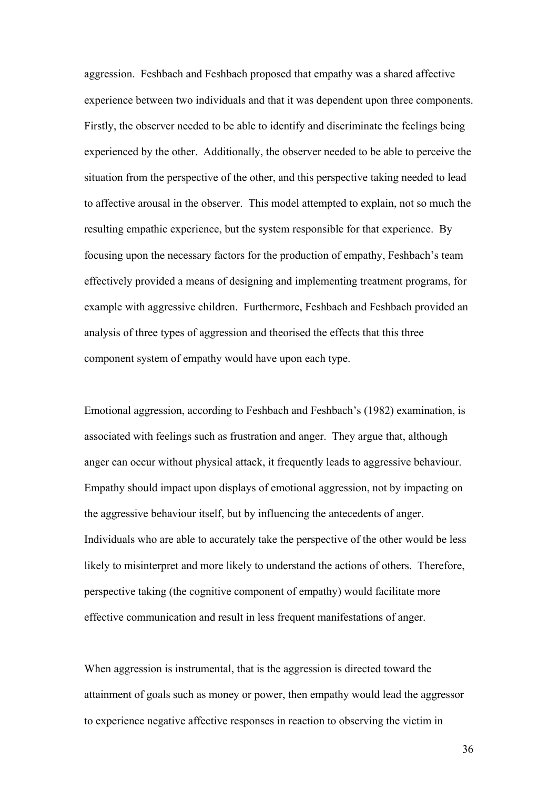aggression. Feshbach and Feshbach proposed that empathy was a shared affective experience between two individuals and that it was dependent upon three components. Firstly, the observer needed to be able to identify and discriminate the feelings being experienced by the other. Additionally, the observer needed to be able to perceive the situation from the perspective of the other, and this perspective taking needed to lead to affective arousal in the observer. This model attempted to explain, not so much the resulting empathic experience, but the system responsible for that experience. By focusing upon the necessary factors for the production of empathy, Feshbach's team effectively provided a means of designing and implementing treatment programs, for example with aggressive children. Furthermore, Feshbach and Feshbach provided an analysis of three types of aggression and theorised the effects that this three component system of empathy would have upon each type.

Emotional aggression, according to Feshbach and Feshbach's (1982) examination, is associated with feelings such as frustration and anger. They argue that, although anger can occur without physical attack, it frequently leads to aggressive behaviour. Empathy should impact upon displays of emotional aggression, not by impacting on the aggressive behaviour itself, but by influencing the antecedents of anger. Individuals who are able to accurately take the perspective of the other would be less likely to misinterpret and more likely to understand the actions of others. Therefore, perspective taking (the cognitive component of empathy) would facilitate more effective communication and result in less frequent manifestations of anger.

When aggression is instrumental, that is the aggression is directed toward the attainment of goals such as money or power, then empathy would lead the aggressor to experience negative affective responses in reaction to observing the victim in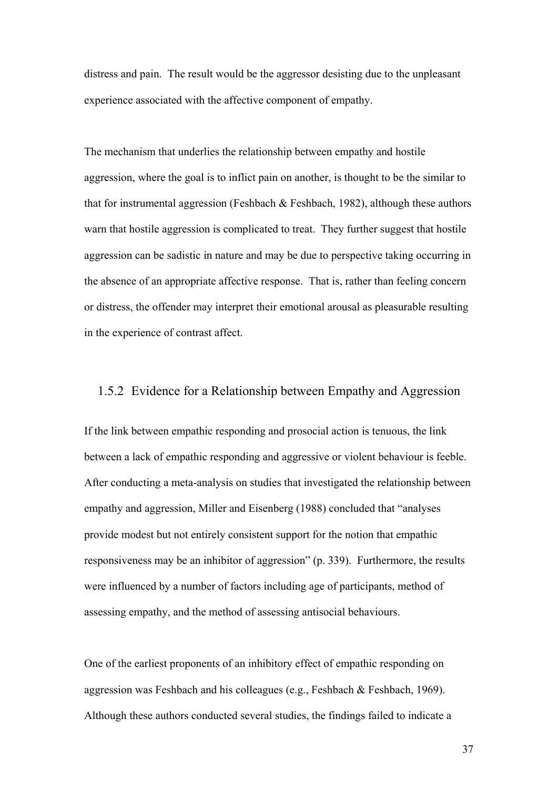distress and pain. The result would be the aggressor desisting due to the unpleasant experience associated with the affective component of empathy.

The mechanism that underlies the relationship between empathy and hostile aggression, where the goal is to inflict pain on another, is thought to be the similar to that for instrumental aggression (Feshbach  $\&$  Feshbach, 1982), although these authors warn that hostile aggression is complicated to treat. They further suggest that hostile aggression can be sadistic in nature and may be due to perspective taking occurring in the absence of an appropriate affective response. That is, rather than feeling concern or distress, the offender may interpret their emotional arousal as pleasurable resulting in the experience of contrast affect.

#### 1.5.2 Evidence for a Relationship between Empathy and Aggression

If the link between empathic responding and prosocial action is tenuous, the link between a lack of empathic responding and aggressive or violent behaviour is feeble. After conducting a meta-analysis on studies that investigated the relationship between empathy and aggression, Miller and Eisenberg (1988) concluded that "analyses provide modest but not entirely consistent support for the notion that empathic responsiveness may be an inhibitor of aggression" (p. 339). Furthermore, the results were influenced by a number of factors including age of participants, method of assessing empathy, and the method of assessing antisocial behaviours.

One of the earliest proponents of an inhibitory effect of empathic responding on aggression was Feshbach and his colleagues (e.g., Feshbach & Feshbach, 1969). Although these authors conducted several studies, the findings failed to indicate a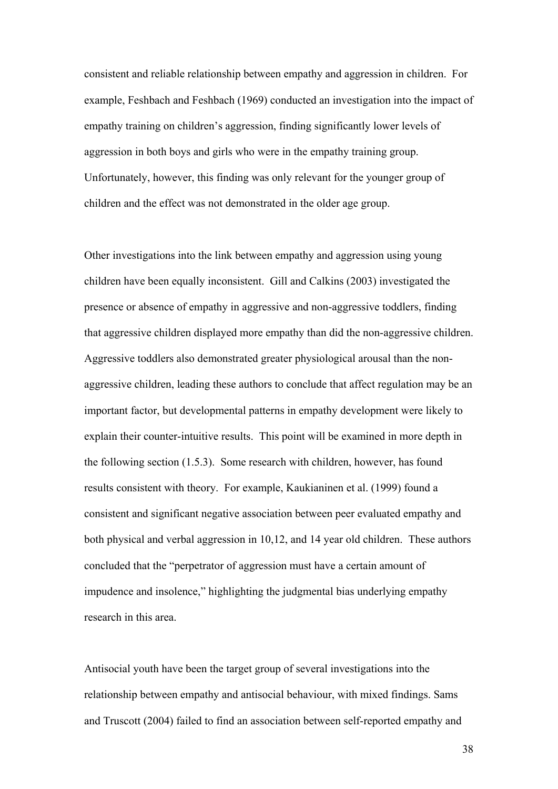consistent and reliable relationship between empathy and aggression in children. For example, Feshbach and Feshbach (1969) conducted an investigation into the impact of empathy training on children's aggression, finding significantly lower levels of aggression in both boys and girls who were in the empathy training group. Unfortunately, however, this finding was only relevant for the younger group of children and the effect was not demonstrated in the older age group.

Other investigations into the link between empathy and aggression using young children have been equally inconsistent. Gill and Calkins (2003) investigated the presence or absence of empathy in aggressive and non-aggressive toddlers, finding that aggressive children displayed more empathy than did the non-aggressive children. Aggressive toddlers also demonstrated greater physiological arousal than the nonaggressive children, leading these authors to conclude that affect regulation may be an important factor, but developmental patterns in empathy development were likely to explain their counter-intuitive results. This point will be examined in more depth in the following section (1.5.3). Some research with children, however, has found results consistent with theory. For example, Kaukianinen et al. (1999) found a consistent and significant negative association between peer evaluated empathy and both physical and verbal aggression in 10,12, and 14 year old children. These authors concluded that the "perpetrator of aggression must have a certain amount of impudence and insolence," highlighting the judgmental bias underlying empathy research in this area.

Antisocial youth have been the target group of several investigations into the relationship between empathy and antisocial behaviour, with mixed findings. Sams and Truscott (2004) failed to find an association between self-reported empathy and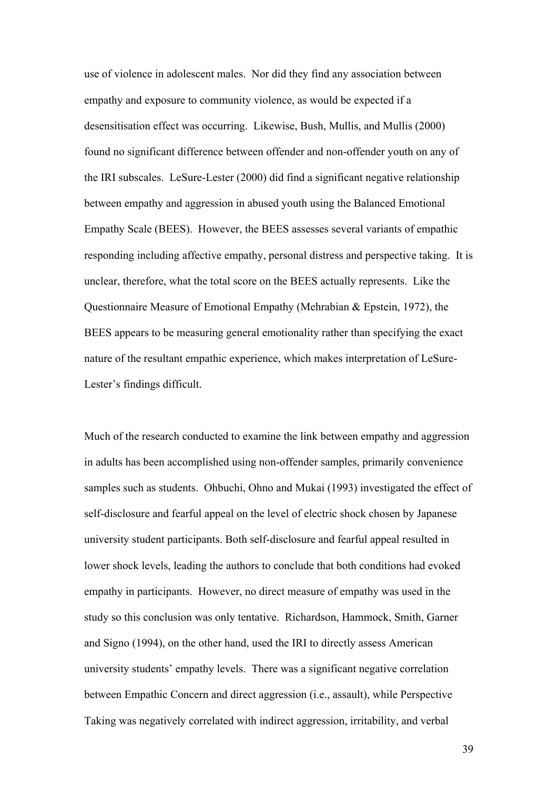use of violence in adolescent males. Nor did they find any association between empathy and exposure to community violence, as would be expected if a desensitisation effect was occurring. Likewise, Bush, Mullis, and Mullis (2000) found no significant difference between offender and non-offender youth on any of the IRI subscales. LeSure-Lester (2000) did find a significant negative relationship between empathy and aggression in abused youth using the Balanced Emotional Empathy Scale (BEES). However, the BEES assesses several variants of empathic responding including affective empathy, personal distress and perspective taking. It is unclear, therefore, what the total score on the BEES actually represents. Like the Questionnaire Measure of Emotional Empathy (Mehrabian & Epstein, 1972), the BEES appears to be measuring general emotionality rather than specifying the exact nature of the resultant empathic experience, which makes interpretation of LeSure-Lester's findings difficult.

Much of the research conducted to examine the link between empathy and aggression in adults has been accomplished using non-offender samples, primarily convenience samples such as students. Ohbuchi, Ohno and Mukai (1993) investigated the effect of self-disclosure and fearful appeal on the level of electric shock chosen by Japanese university student participants. Both self-disclosure and fearful appeal resulted in lower shock levels, leading the authors to conclude that both conditions had evoked empathy in participants. However, no direct measure of empathy was used in the study so this conclusion was only tentative. Richardson, Hammock, Smith, Garner and Signo (1994), on the other hand, used the IRI to directly assess American university students' empathy levels. There was a significant negative correlation between Empathic Concern and direct aggression (i.e., assault), while Perspective Taking was negatively correlated with indirect aggression, irritability, and verbal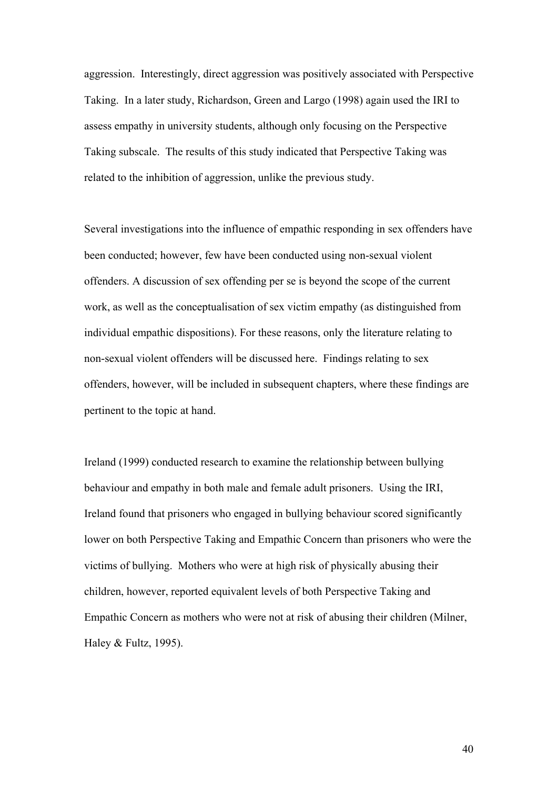aggression. Interestingly, direct aggression was positively associated with Perspective Taking. In a later study, Richardson, Green and Largo (1998) again used the IRI to assess empathy in university students, although only focusing on the Perspective Taking subscale. The results of this study indicated that Perspective Taking was related to the inhibition of aggression, unlike the previous study.

Several investigations into the influence of empathic responding in sex offenders have been conducted; however, few have been conducted using non-sexual violent offenders. A discussion of sex offending per se is beyond the scope of the current work, as well as the conceptualisation of sex victim empathy (as distinguished from individual empathic dispositions). For these reasons, only the literature relating to non-sexual violent offenders will be discussed here. Findings relating to sex offenders, however, will be included in subsequent chapters, where these findings are pertinent to the topic at hand.

Ireland (1999) conducted research to examine the relationship between bullying behaviour and empathy in both male and female adult prisoners. Using the IRI, Ireland found that prisoners who engaged in bullying behaviour scored significantly lower on both Perspective Taking and Empathic Concern than prisoners who were the victims of bullying. Mothers who were at high risk of physically abusing their children, however, reported equivalent levels of both Perspective Taking and Empathic Concern as mothers who were not at risk of abusing their children (Milner, Haley & Fultz, 1995).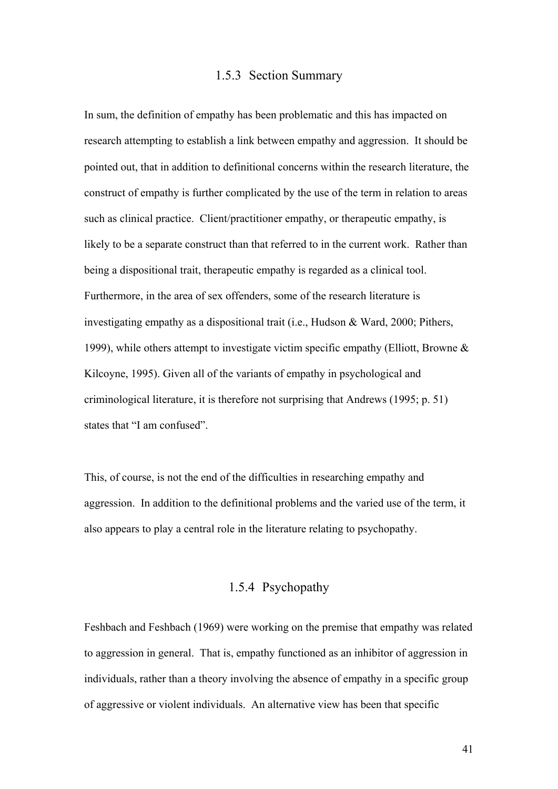#### 1.5.3 Section Summary

In sum, the definition of empathy has been problematic and this has impacted on research attempting to establish a link between empathy and aggression. It should be pointed out, that in addition to definitional concerns within the research literature, the construct of empathy is further complicated by the use of the term in relation to areas such as clinical practice. Client/practitioner empathy, or therapeutic empathy, is likely to be a separate construct than that referred to in the current work. Rather than being a dispositional trait, therapeutic empathy is regarded as a clinical tool. Furthermore, in the area of sex offenders, some of the research literature is investigating empathy as a dispositional trait (i.e., Hudson & Ward, 2000; Pithers, 1999), while others attempt to investigate victim specific empathy (Elliott, Browne & Kilcoyne, 1995). Given all of the variants of empathy in psychological and criminological literature, it is therefore not surprising that Andrews (1995; p. 51) states that "I am confused".

This, of course, is not the end of the difficulties in researching empathy and aggression. In addition to the definitional problems and the varied use of the term, it also appears to play a central role in the literature relating to psychopathy.

## 1.5.4 Psychopathy

Feshbach and Feshbach (1969) were working on the premise that empathy was related to aggression in general. That is, empathy functioned as an inhibitor of aggression in individuals, rather than a theory involving the absence of empathy in a specific group of aggressive or violent individuals. An alternative view has been that specific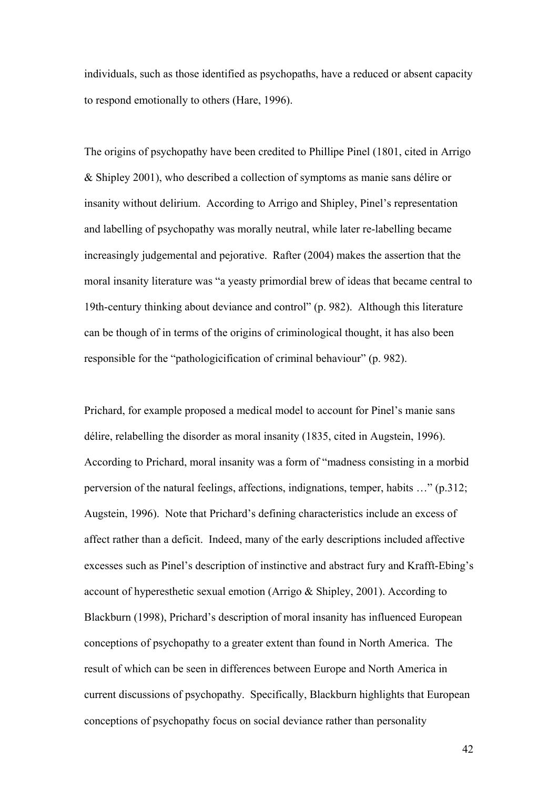individuals, such as those identified as psychopaths, have a reduced or absent capacity to respond emotionally to others (Hare, 1996).

The origins of psychopathy have been credited to Phillipe Pinel (1801, cited in Arrigo & Shipley 2001), who described a collection of symptoms as manie sans délire or insanity without delirium. According to Arrigo and Shipley, Pinel's representation and labelling of psychopathy was morally neutral, while later re-labelling became increasingly judgemental and pejorative. Rafter (2004) makes the assertion that the moral insanity literature was "a yeasty primordial brew of ideas that became central to 19th-century thinking about deviance and control" (p. 982). Although this literature can be though of in terms of the origins of criminological thought, it has also been responsible for the "pathologicification of criminal behaviour" (p. 982).

Prichard, for example proposed a medical model to account for Pinel's manie sans délire, relabelling the disorder as moral insanity (1835, cited in Augstein, 1996). According to Prichard, moral insanity was a form of "madness consisting in a morbid perversion of the natural feelings, affections, indignations, temper, habits …" (p.312; Augstein, 1996). Note that Prichard's defining characteristics include an excess of affect rather than a deficit. Indeed, many of the early descriptions included affective excesses such as Pinel's description of instinctive and abstract fury and Krafft-Ebing's account of hyperesthetic sexual emotion (Arrigo & Shipley, 2001). According to Blackburn (1998), Prichard's description of moral insanity has influenced European conceptions of psychopathy to a greater extent than found in North America. The result of which can be seen in differences between Europe and North America in current discussions of psychopathy. Specifically, Blackburn highlights that European conceptions of psychopathy focus on social deviance rather than personality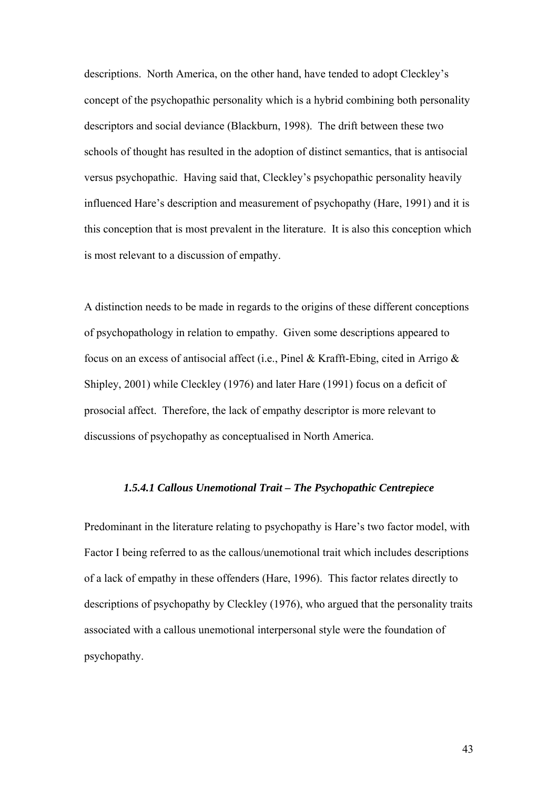descriptions. North America, on the other hand, have tended to adopt Cleckley's concept of the psychopathic personality which is a hybrid combining both personality descriptors and social deviance (Blackburn, 1998). The drift between these two schools of thought has resulted in the adoption of distinct semantics, that is antisocial versus psychopathic. Having said that, Cleckley's psychopathic personality heavily influenced Hare's description and measurement of psychopathy (Hare, 1991) and it is this conception that is most prevalent in the literature. It is also this conception which is most relevant to a discussion of empathy.

A distinction needs to be made in regards to the origins of these different conceptions of psychopathology in relation to empathy. Given some descriptions appeared to focus on an excess of antisocial affect (i.e., Pinel & Krafft-Ebing, cited in Arrigo & Shipley, 2001) while Cleckley (1976) and later Hare (1991) focus on a deficit of prosocial affect. Therefore, the lack of empathy descriptor is more relevant to discussions of psychopathy as conceptualised in North America.

#### *1.5.4.1 Callous Unemotional Trait – The Psychopathic Centrepiece*

Predominant in the literature relating to psychopathy is Hare's two factor model, with Factor I being referred to as the callous/unemotional trait which includes descriptions of a lack of empathy in these offenders (Hare, 1996). This factor relates directly to descriptions of psychopathy by Cleckley (1976), who argued that the personality traits associated with a callous unemotional interpersonal style were the foundation of psychopathy.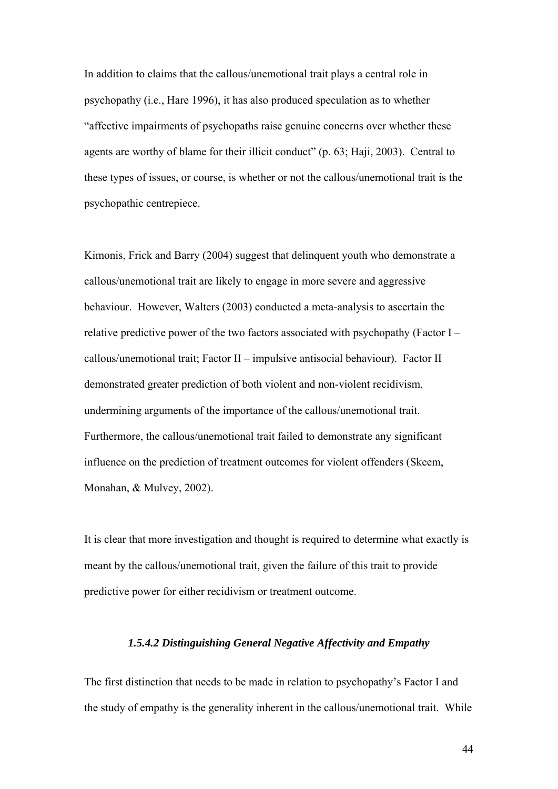In addition to claims that the callous/unemotional trait plays a central role in psychopathy (i.e., Hare 1996), it has also produced speculation as to whether "affective impairments of psychopaths raise genuine concerns over whether these agents are worthy of blame for their illicit conduct" (p. 63; Haji, 2003). Central to these types of issues, or course, is whether or not the callous/unemotional trait is the psychopathic centrepiece.

Kimonis, Frick and Barry (2004) suggest that delinquent youth who demonstrate a callous/unemotional trait are likely to engage in more severe and aggressive behaviour. However, Walters (2003) conducted a meta-analysis to ascertain the relative predictive power of the two factors associated with psychopathy (Factor I – callous/unemotional trait; Factor II – impulsive antisocial behaviour). Factor II demonstrated greater prediction of both violent and non-violent recidivism, undermining arguments of the importance of the callous/unemotional trait. Furthermore, the callous/unemotional trait failed to demonstrate any significant influence on the prediction of treatment outcomes for violent offenders (Skeem, Monahan, & Mulvey, 2002).

It is clear that more investigation and thought is required to determine what exactly is meant by the callous/unemotional trait, given the failure of this trait to provide predictive power for either recidivism or treatment outcome.

#### *1.5.4.2 Distinguishing General Negative Affectivity and Empathy*

The first distinction that needs to be made in relation to psychopathy's Factor I and the study of empathy is the generality inherent in the callous/unemotional trait. While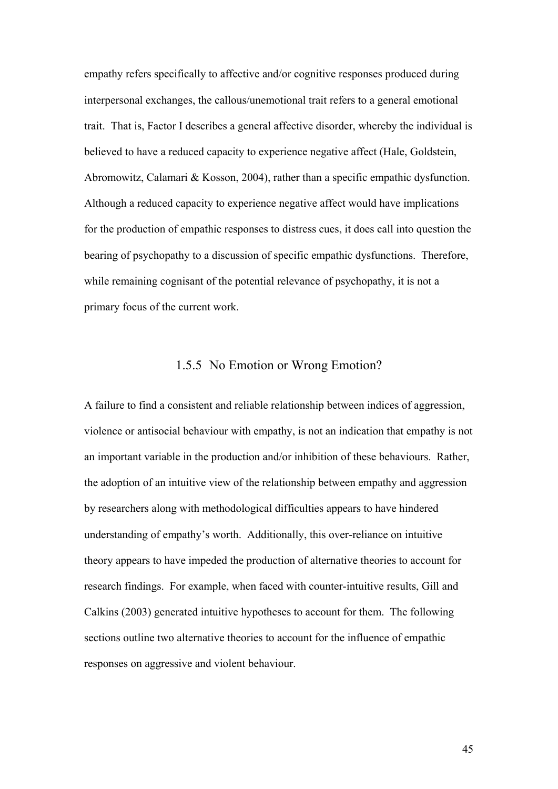empathy refers specifically to affective and/or cognitive responses produced during interpersonal exchanges, the callous/unemotional trait refers to a general emotional trait. That is, Factor I describes a general affective disorder, whereby the individual is believed to have a reduced capacity to experience negative affect (Hale, Goldstein, Abromowitz, Calamari & Kosson, 2004), rather than a specific empathic dysfunction. Although a reduced capacity to experience negative affect would have implications for the production of empathic responses to distress cues, it does call into question the bearing of psychopathy to a discussion of specific empathic dysfunctions. Therefore, while remaining cognisant of the potential relevance of psychopathy, it is not a primary focus of the current work.

### 1.5.5 No Emotion or Wrong Emotion?

A failure to find a consistent and reliable relationship between indices of aggression, violence or antisocial behaviour with empathy, is not an indication that empathy is not an important variable in the production and/or inhibition of these behaviours. Rather, the adoption of an intuitive view of the relationship between empathy and aggression by researchers along with methodological difficulties appears to have hindered understanding of empathy's worth. Additionally, this over-reliance on intuitive theory appears to have impeded the production of alternative theories to account for research findings. For example, when faced with counter-intuitive results, Gill and Calkins (2003) generated intuitive hypotheses to account for them. The following sections outline two alternative theories to account for the influence of empathic responses on aggressive and violent behaviour.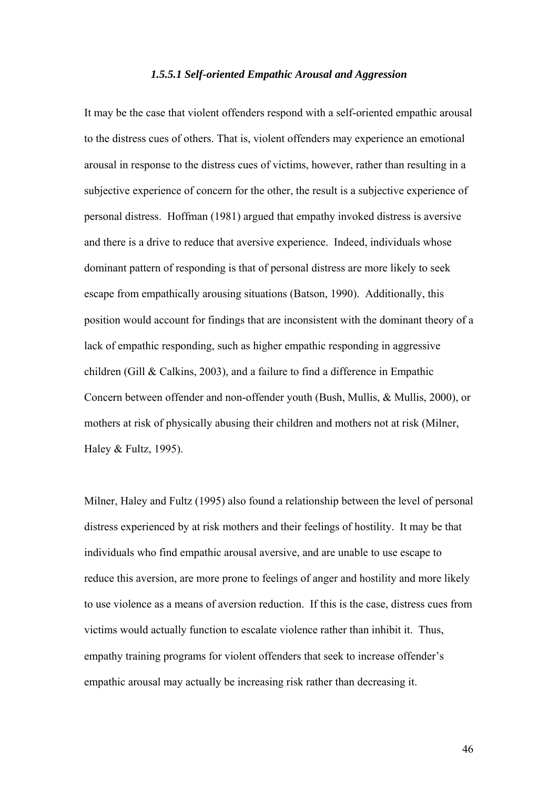#### *1.5.5.1 Self-oriented Empathic Arousal and Aggression*

It may be the case that violent offenders respond with a self-oriented empathic arousal to the distress cues of others. That is, violent offenders may experience an emotional arousal in response to the distress cues of victims, however, rather than resulting in a subjective experience of concern for the other, the result is a subjective experience of personal distress. Hoffman (1981) argued that empathy invoked distress is aversive and there is a drive to reduce that aversive experience. Indeed, individuals whose dominant pattern of responding is that of personal distress are more likely to seek escape from empathically arousing situations (Batson, 1990). Additionally, this position would account for findings that are inconsistent with the dominant theory of a lack of empathic responding, such as higher empathic responding in aggressive children (Gill & Calkins, 2003), and a failure to find a difference in Empathic Concern between offender and non-offender youth (Bush, Mullis, & Mullis, 2000), or mothers at risk of physically abusing their children and mothers not at risk (Milner, Haley & Fultz, 1995).

Milner, Haley and Fultz (1995) also found a relationship between the level of personal distress experienced by at risk mothers and their feelings of hostility. It may be that individuals who find empathic arousal aversive, and are unable to use escape to reduce this aversion, are more prone to feelings of anger and hostility and more likely to use violence as a means of aversion reduction. If this is the case, distress cues from victims would actually function to escalate violence rather than inhibit it. Thus, empathy training programs for violent offenders that seek to increase offender's empathic arousal may actually be increasing risk rather than decreasing it.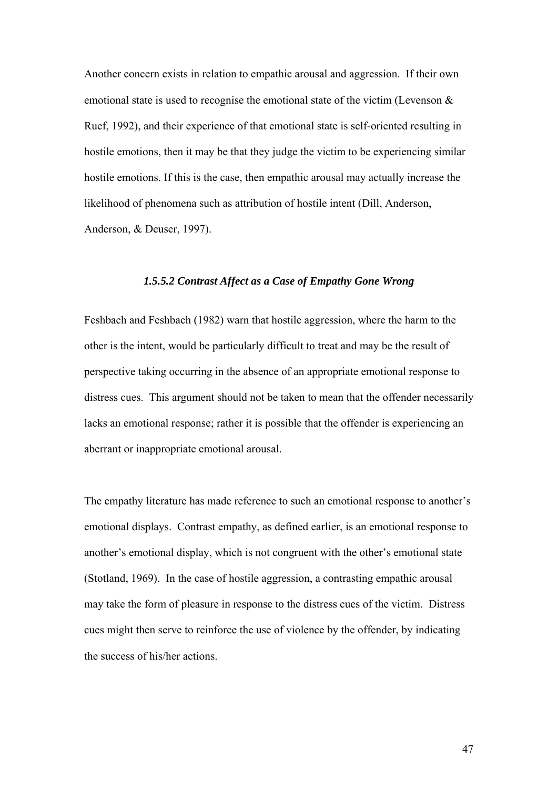Another concern exists in relation to empathic arousal and aggression. If their own emotional state is used to recognise the emotional state of the victim (Levenson & Ruef, 1992), and their experience of that emotional state is self-oriented resulting in hostile emotions, then it may be that they judge the victim to be experiencing similar hostile emotions. If this is the case, then empathic arousal may actually increase the likelihood of phenomena such as attribution of hostile intent (Dill, Anderson, Anderson, & Deuser, 1997).

#### *1.5.5.2 Contrast Affect as a Case of Empathy Gone Wrong*

Feshbach and Feshbach (1982) warn that hostile aggression, where the harm to the other is the intent, would be particularly difficult to treat and may be the result of perspective taking occurring in the absence of an appropriate emotional response to distress cues. This argument should not be taken to mean that the offender necessarily lacks an emotional response; rather it is possible that the offender is experiencing an aberrant or inappropriate emotional arousal.

The empathy literature has made reference to such an emotional response to another's emotional displays. Contrast empathy, as defined earlier, is an emotional response to another's emotional display, which is not congruent with the other's emotional state (Stotland, 1969). In the case of hostile aggression, a contrasting empathic arousal may take the form of pleasure in response to the distress cues of the victim. Distress cues might then serve to reinforce the use of violence by the offender, by indicating the success of his/her actions.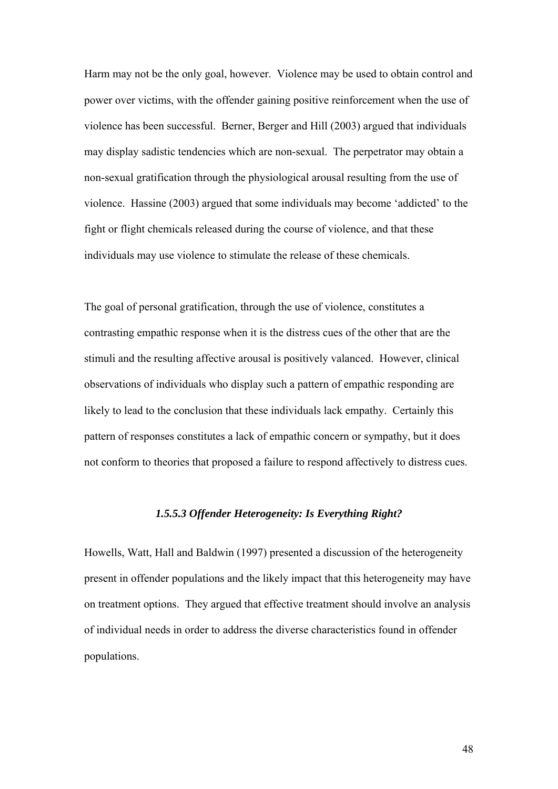Harm may not be the only goal, however. Violence may be used to obtain control and power over victims, with the offender gaining positive reinforcement when the use of violence has been successful. Berner, Berger and Hill (2003) argued that individuals may display sadistic tendencies which are non-sexual. The perpetrator may obtain a non-sexual gratification through the physiological arousal resulting from the use of violence. Hassine (2003) argued that some individuals may become 'addicted' to the fight or flight chemicals released during the course of violence, and that these individuals may use violence to stimulate the release of these chemicals.

The goal of personal gratification, through the use of violence, constitutes a contrasting empathic response when it is the distress cues of the other that are the stimuli and the resulting affective arousal is positively valanced. However, clinical observations of individuals who display such a pattern of empathic responding are likely to lead to the conclusion that these individuals lack empathy. Certainly this pattern of responses constitutes a lack of empathic concern or sympathy, but it does not conform to theories that proposed a failure to respond affectively to distress cues.

#### *1.5.5.3 Offender Heterogeneity: Is Everything Right?*

Howells, Watt, Hall and Baldwin (1997) presented a discussion of the heterogeneity present in offender populations and the likely impact that this heterogeneity may have on treatment options. They argued that effective treatment should involve an analysis of individual needs in order to address the diverse characteristics found in offender populations.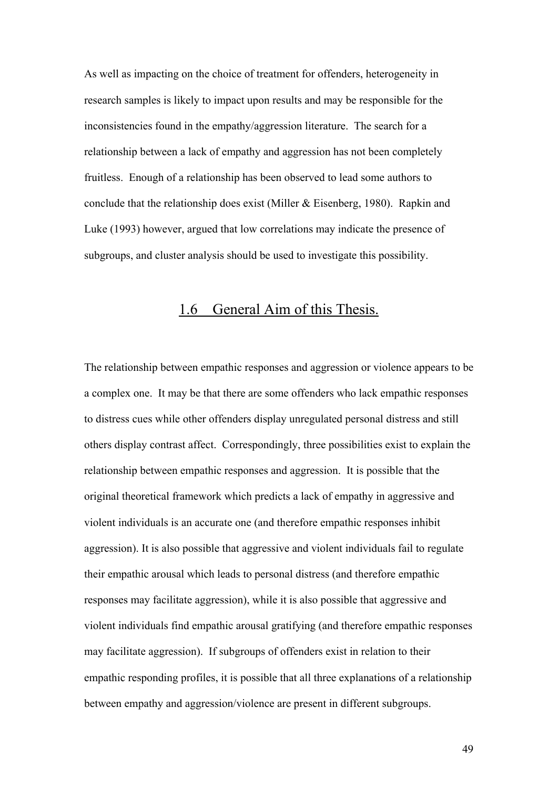As well as impacting on the choice of treatment for offenders, heterogeneity in research samples is likely to impact upon results and may be responsible for the inconsistencies found in the empathy/aggression literature. The search for a relationship between a lack of empathy and aggression has not been completely fruitless. Enough of a relationship has been observed to lead some authors to conclude that the relationship does exist (Miller & Eisenberg, 1980). Rapkin and Luke (1993) however, argued that low correlations may indicate the presence of subgroups, and cluster analysis should be used to investigate this possibility.

## 1.6 General Aim of this Thesis.

The relationship between empathic responses and aggression or violence appears to be a complex one. It may be that there are some offenders who lack empathic responses to distress cues while other offenders display unregulated personal distress and still others display contrast affect. Correspondingly, three possibilities exist to explain the relationship between empathic responses and aggression. It is possible that the original theoretical framework which predicts a lack of empathy in aggressive and violent individuals is an accurate one (and therefore empathic responses inhibit aggression). It is also possible that aggressive and violent individuals fail to regulate their empathic arousal which leads to personal distress (and therefore empathic responses may facilitate aggression), while it is also possible that aggressive and violent individuals find empathic arousal gratifying (and therefore empathic responses may facilitate aggression). If subgroups of offenders exist in relation to their empathic responding profiles, it is possible that all three explanations of a relationship between empathy and aggression/violence are present in different subgroups.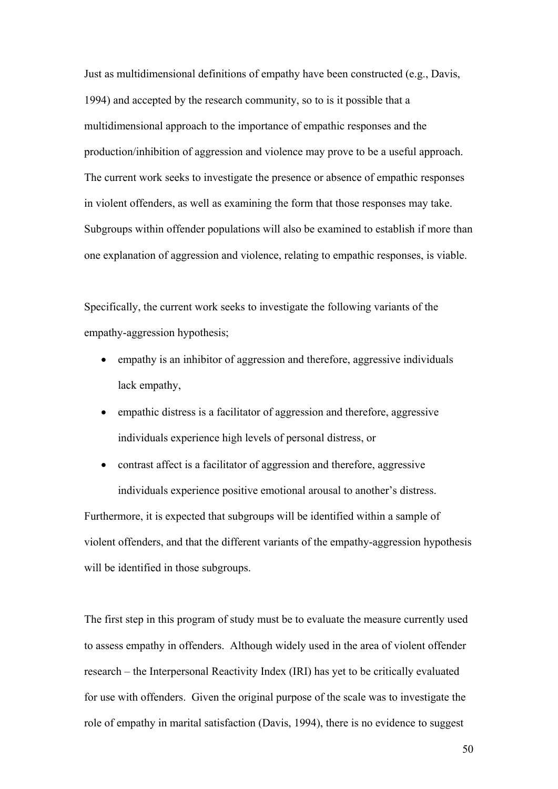Just as multidimensional definitions of empathy have been constructed (e.g., Davis, 1994) and accepted by the research community, so to is it possible that a multidimensional approach to the importance of empathic responses and the production/inhibition of aggression and violence may prove to be a useful approach. The current work seeks to investigate the presence or absence of empathic responses in violent offenders, as well as examining the form that those responses may take. Subgroups within offender populations will also be examined to establish if more than one explanation of aggression and violence, relating to empathic responses, is viable.

Specifically, the current work seeks to investigate the following variants of the empathy-aggression hypothesis;

- empathy is an inhibitor of aggression and therefore, aggressive individuals lack empathy,
- empathic distress is a facilitator of aggression and therefore, aggressive individuals experience high levels of personal distress, or

• contrast affect is a facilitator of aggression and therefore, aggressive individuals experience positive emotional arousal to another's distress. Furthermore, it is expected that subgroups will be identified within a sample of violent offenders, and that the different variants of the empathy-aggression hypothesis will be identified in those subgroups.

The first step in this program of study must be to evaluate the measure currently used to assess empathy in offenders. Although widely used in the area of violent offender research – the Interpersonal Reactivity Index (IRI) has yet to be critically evaluated for use with offenders. Given the original purpose of the scale was to investigate the role of empathy in marital satisfaction (Davis, 1994), there is no evidence to suggest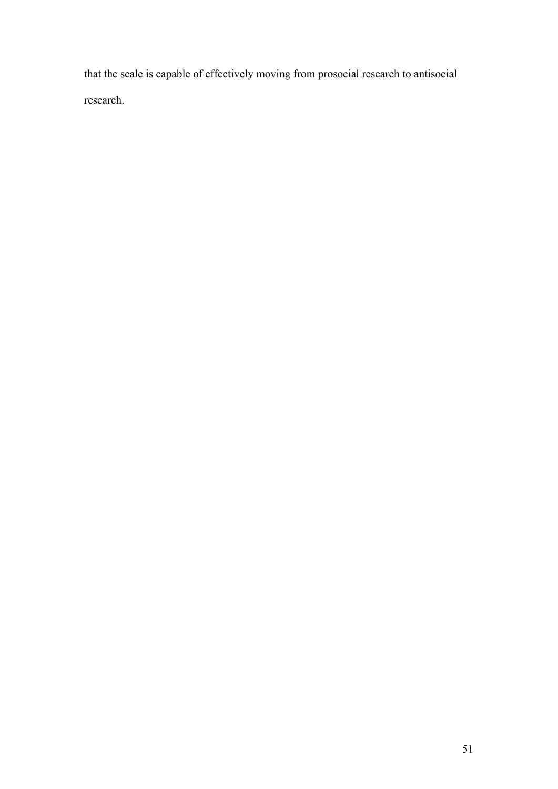that the scale is capable of effectively moving from prosocial research to antisocial research.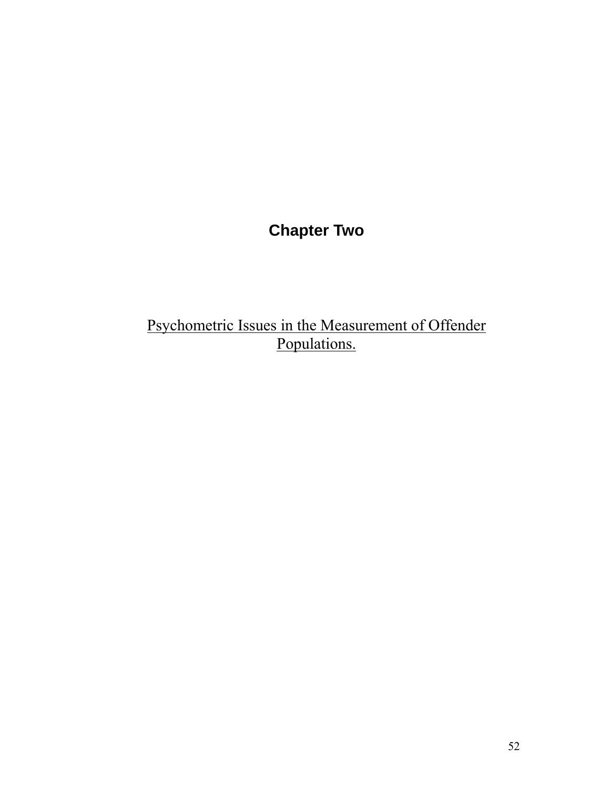# **Chapter Two**

# Psychometric Issues in the Measurement of Offender Populations.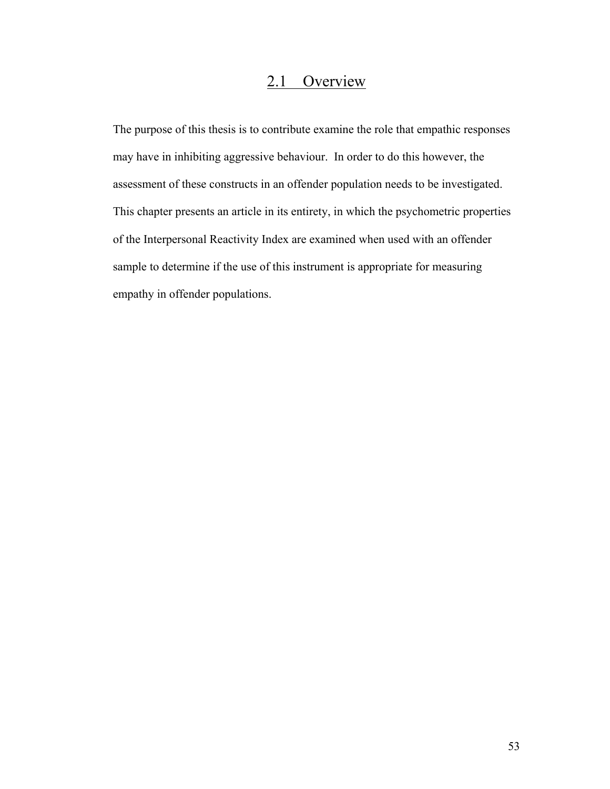## 2.1 Overview

The purpose of this thesis is to contribute examine the role that empathic responses may have in inhibiting aggressive behaviour. In order to do this however, the assessment of these constructs in an offender population needs to be investigated. This chapter presents an article in its entirety, in which the psychometric properties of the Interpersonal Reactivity Index are examined when used with an offender sample to determine if the use of this instrument is appropriate for measuring empathy in offender populations.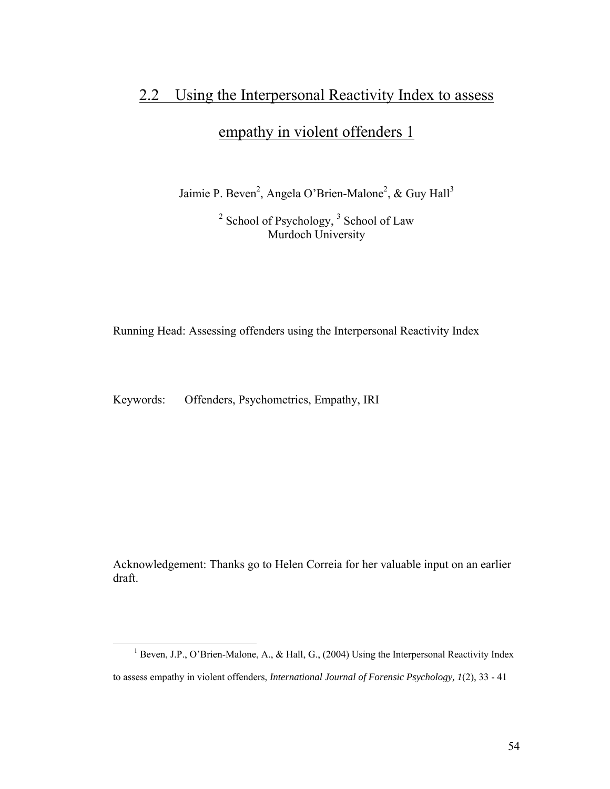## 2.2 Using the Interpersonal Reactivity Index to assess

## empathy in violent offenders 1

Jaimie P. Beven<sup>2</sup>, Angela O'Brien-Malone<sup>2</sup>, & Guy Hall<sup>3</sup>

 $2^2$  School of Psychology,  $3^3$  School of Law Murdoch University

Running Head: Assessing offenders using the Interpersonal Reactivity Index

Keywords: Offenders, Psychometrics, Empathy, IRI

Acknowledgement: Thanks go to Helen Correia for her valuable input on an earlier draft.

<sup>&</sup>lt;sup>1</sup> Beven, J.P., O'Brien-Malone, A., & Hall, G., (2004) Using the Interpersonal Reactivity Index to assess empathy in violent offenders, *International Journal of Forensic Psychology, 1*(2), 33 - 41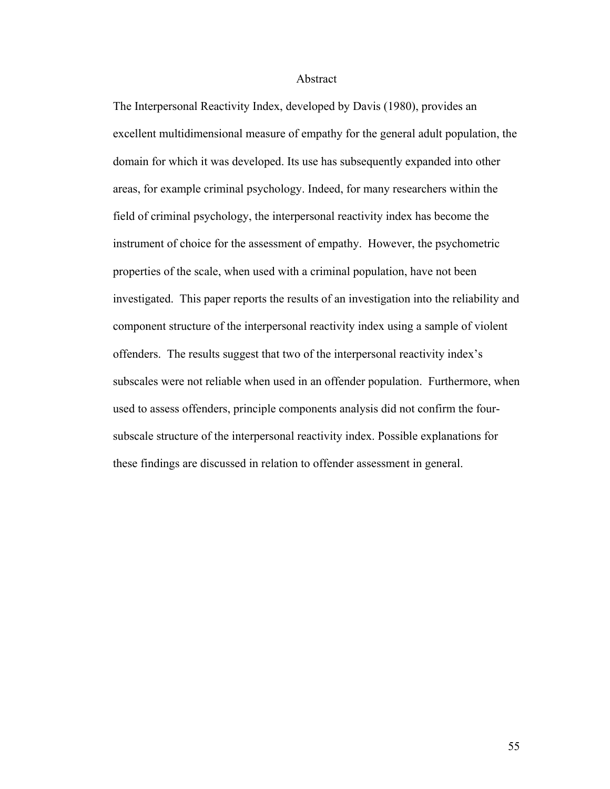#### Abstract

The Interpersonal Reactivity Index, developed by Davis (1980), provides an excellent multidimensional measure of empathy for the general adult population, the domain for which it was developed. Its use has subsequently expanded into other areas, for example criminal psychology. Indeed, for many researchers within the field of criminal psychology, the interpersonal reactivity index has become the instrument of choice for the assessment of empathy. However, the psychometric properties of the scale, when used with a criminal population, have not been investigated. This paper reports the results of an investigation into the reliability and component structure of the interpersonal reactivity index using a sample of violent offenders. The results suggest that two of the interpersonal reactivity index's subscales were not reliable when used in an offender population. Furthermore, when used to assess offenders, principle components analysis did not confirm the foursubscale structure of the interpersonal reactivity index. Possible explanations for these findings are discussed in relation to offender assessment in general.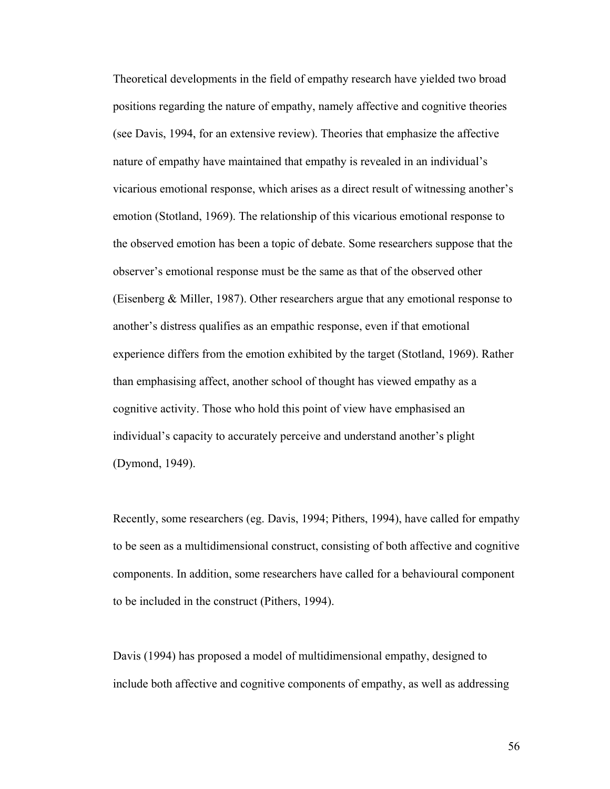Theoretical developments in the field of empathy research have yielded two broad positions regarding the nature of empathy, namely affective and cognitive theories (see Davis, 1994, for an extensive review). Theories that emphasize the affective nature of empathy have maintained that empathy is revealed in an individual's vicarious emotional response, which arises as a direct result of witnessing another's emotion (Stotland, 1969). The relationship of this vicarious emotional response to the observed emotion has been a topic of debate. Some researchers suppose that the observer's emotional response must be the same as that of the observed other (Eisenberg & Miller, 1987). Other researchers argue that any emotional response to another's distress qualifies as an empathic response, even if that emotional experience differs from the emotion exhibited by the target (Stotland, 1969). Rather than emphasising affect, another school of thought has viewed empathy as a cognitive activity. Those who hold this point of view have emphasised an individual's capacity to accurately perceive and understand another's plight (Dymond, 1949).

Recently, some researchers (eg. Davis, 1994; Pithers, 1994), have called for empathy to be seen as a multidimensional construct, consisting of both affective and cognitive components. In addition, some researchers have called for a behavioural component to be included in the construct (Pithers, 1994).

Davis (1994) has proposed a model of multidimensional empathy, designed to include both affective and cognitive components of empathy, as well as addressing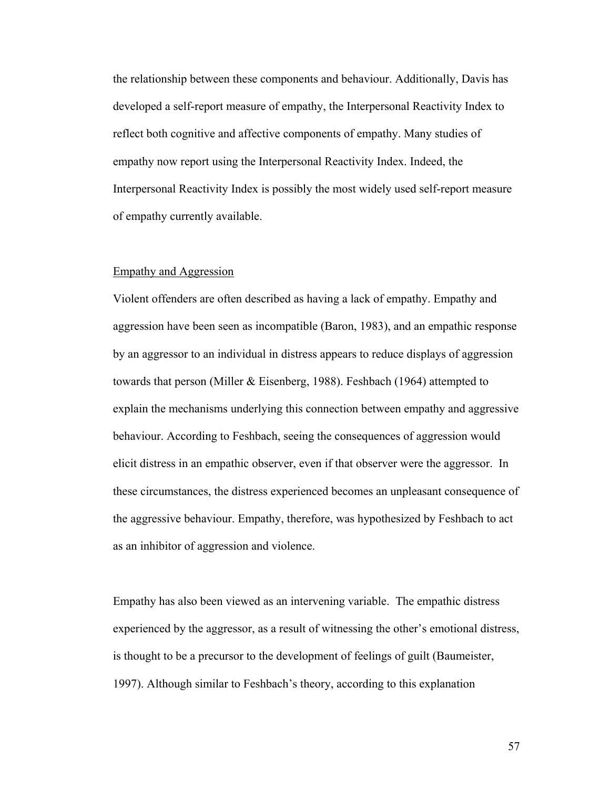the relationship between these components and behaviour. Additionally, Davis has developed a self-report measure of empathy, the Interpersonal Reactivity Index to reflect both cognitive and affective components of empathy. Many studies of empathy now report using the Interpersonal Reactivity Index. Indeed, the Interpersonal Reactivity Index is possibly the most widely used self-report measure of empathy currently available.

#### Empathy and Aggression

Violent offenders are often described as having a lack of empathy. Empathy and aggression have been seen as incompatible (Baron, 1983), and an empathic response by an aggressor to an individual in distress appears to reduce displays of aggression towards that person (Miller & Eisenberg, 1988). Feshbach (1964) attempted to explain the mechanisms underlying this connection between empathy and aggressive behaviour. According to Feshbach, seeing the consequences of aggression would elicit distress in an empathic observer, even if that observer were the aggressor. In these circumstances, the distress experienced becomes an unpleasant consequence of the aggressive behaviour. Empathy, therefore, was hypothesized by Feshbach to act as an inhibitor of aggression and violence.

Empathy has also been viewed as an intervening variable. The empathic distress experienced by the aggressor, as a result of witnessing the other's emotional distress, is thought to be a precursor to the development of feelings of guilt (Baumeister, 1997). Although similar to Feshbach's theory, according to this explanation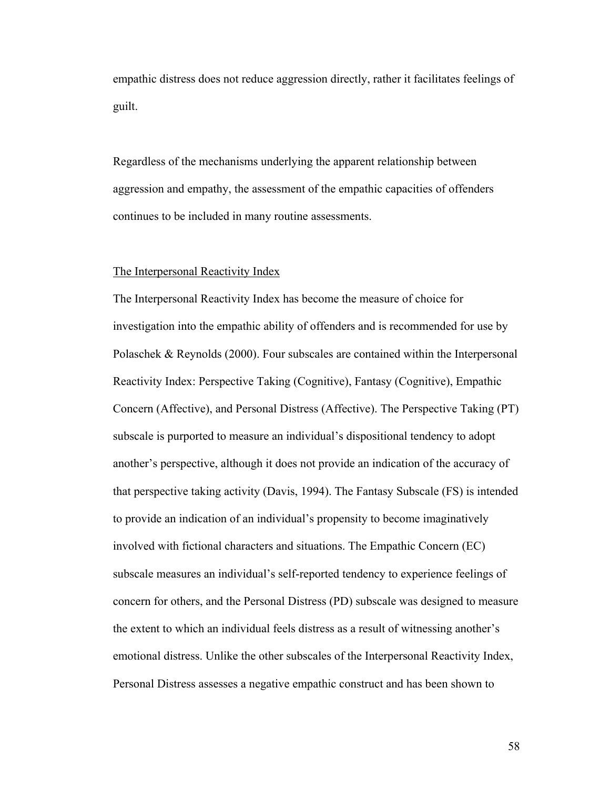empathic distress does not reduce aggression directly, rather it facilitates feelings of guilt.

Regardless of the mechanisms underlying the apparent relationship between aggression and empathy, the assessment of the empathic capacities of offenders continues to be included in many routine assessments.

#### The Interpersonal Reactivity Index

The Interpersonal Reactivity Index has become the measure of choice for investigation into the empathic ability of offenders and is recommended for use by Polaschek & Reynolds (2000). Four subscales are contained within the Interpersonal Reactivity Index: Perspective Taking (Cognitive), Fantasy (Cognitive), Empathic Concern (Affective), and Personal Distress (Affective). The Perspective Taking (PT) subscale is purported to measure an individual's dispositional tendency to adopt another's perspective, although it does not provide an indication of the accuracy of that perspective taking activity (Davis, 1994). The Fantasy Subscale (FS) is intended to provide an indication of an individual's propensity to become imaginatively involved with fictional characters and situations. The Empathic Concern (EC) subscale measures an individual's self-reported tendency to experience feelings of concern for others, and the Personal Distress (PD) subscale was designed to measure the extent to which an individual feels distress as a result of witnessing another's emotional distress. Unlike the other subscales of the Interpersonal Reactivity Index, Personal Distress assesses a negative empathic construct and has been shown to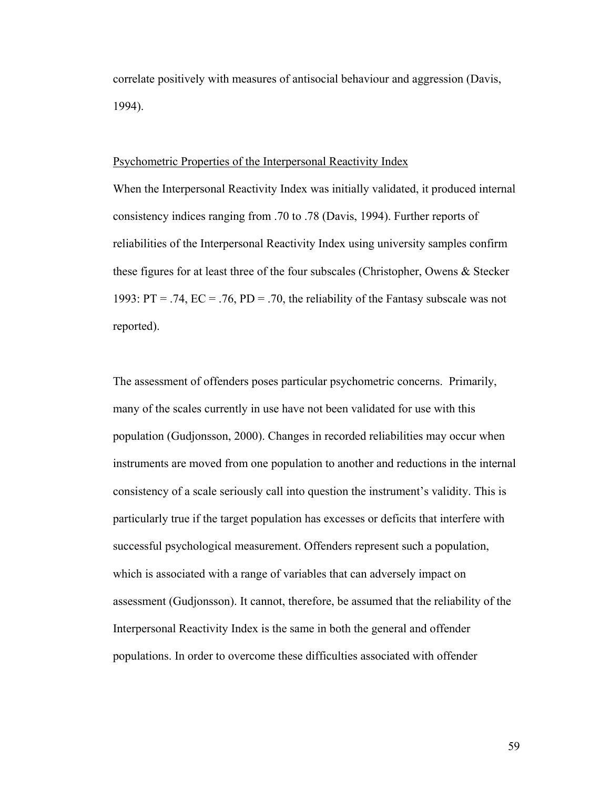correlate positively with measures of antisocial behaviour and aggression (Davis, 1994).

#### Psychometric Properties of the Interpersonal Reactivity Index

When the Interpersonal Reactivity Index was initially validated, it produced internal consistency indices ranging from .70 to .78 (Davis, 1994). Further reports of reliabilities of the Interpersonal Reactivity Index using university samples confirm these figures for at least three of the four subscales (Christopher, Owens & Stecker 1993:  $PT = .74$ ,  $EC = .76$ ,  $PD = .70$ , the reliability of the Fantasy subscale was not reported).

The assessment of offenders poses particular psychometric concerns. Primarily, many of the scales currently in use have not been validated for use with this population (Gudjonsson, 2000). Changes in recorded reliabilities may occur when instruments are moved from one population to another and reductions in the internal consistency of a scale seriously call into question the instrument's validity. This is particularly true if the target population has excesses or deficits that interfere with successful psychological measurement. Offenders represent such a population, which is associated with a range of variables that can adversely impact on assessment (Gudjonsson). It cannot, therefore, be assumed that the reliability of the Interpersonal Reactivity Index is the same in both the general and offender populations. In order to overcome these difficulties associated with offender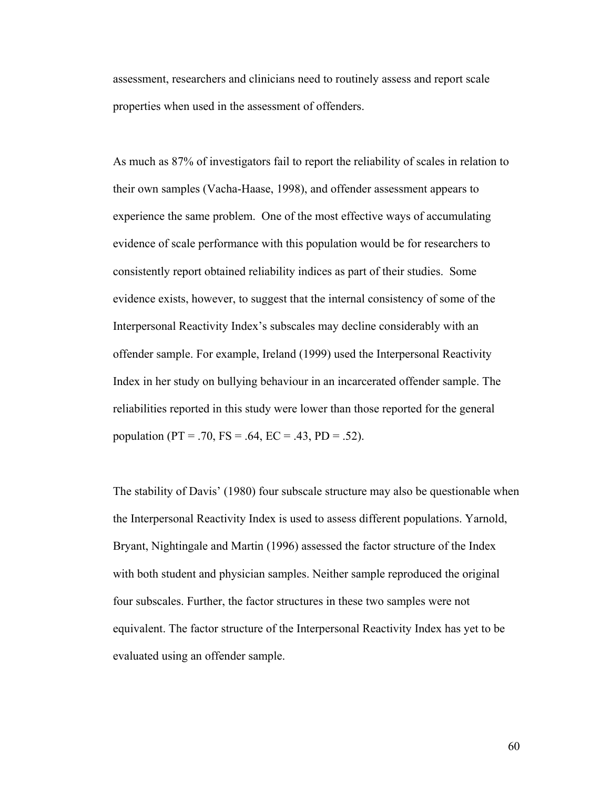assessment, researchers and clinicians need to routinely assess and report scale properties when used in the assessment of offenders.

As much as 87% of investigators fail to report the reliability of scales in relation to their own samples (Vacha-Haase, 1998), and offender assessment appears to experience the same problem. One of the most effective ways of accumulating evidence of scale performance with this population would be for researchers to consistently report obtained reliability indices as part of their studies. Some evidence exists, however, to suggest that the internal consistency of some of the Interpersonal Reactivity Index's subscales may decline considerably with an offender sample. For example, Ireland (1999) used the Interpersonal Reactivity Index in her study on bullying behaviour in an incarcerated offender sample. The reliabilities reported in this study were lower than those reported for the general population (PT = .70, FS = .64, EC = .43, PD = .52).

The stability of Davis' (1980) four subscale structure may also be questionable when the Interpersonal Reactivity Index is used to assess different populations. Yarnold, Bryant, Nightingale and Martin (1996) assessed the factor structure of the Index with both student and physician samples. Neither sample reproduced the original four subscales. Further, the factor structures in these two samples were not equivalent. The factor structure of the Interpersonal Reactivity Index has yet to be evaluated using an offender sample.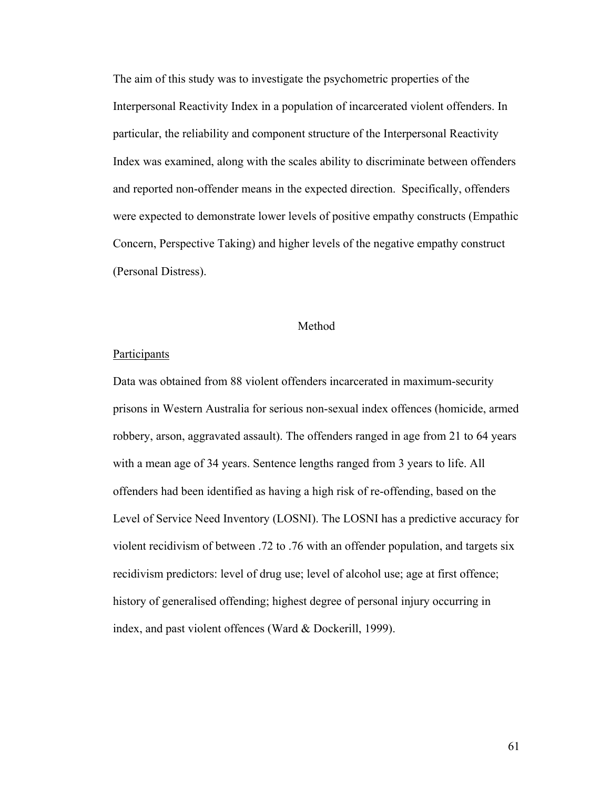The aim of this study was to investigate the psychometric properties of the Interpersonal Reactivity Index in a population of incarcerated violent offenders. In particular, the reliability and component structure of the Interpersonal Reactivity Index was examined, along with the scales ability to discriminate between offenders and reported non-offender means in the expected direction. Specifically, offenders were expected to demonstrate lower levels of positive empathy constructs (Empathic Concern, Perspective Taking) and higher levels of the negative empathy construct (Personal Distress).

#### Method

#### **Participants**

Data was obtained from 88 violent offenders incarcerated in maximum-security prisons in Western Australia for serious non-sexual index offences (homicide, armed robbery, arson, aggravated assault). The offenders ranged in age from 21 to 64 years with a mean age of 34 years. Sentence lengths ranged from 3 years to life. All offenders had been identified as having a high risk of re-offending, based on the Level of Service Need Inventory (LOSNI). The LOSNI has a predictive accuracy for violent recidivism of between .72 to .76 with an offender population, and targets six recidivism predictors: level of drug use; level of alcohol use; age at first offence; history of generalised offending; highest degree of personal injury occurring in index, and past violent offences (Ward & Dockerill, 1999).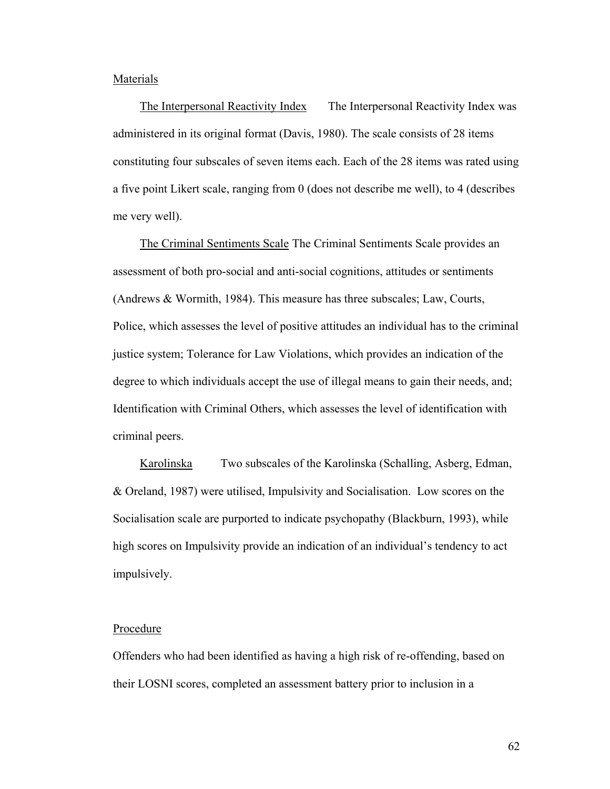#### **Materials**

The Interpersonal Reactivity Index The Interpersonal Reactivity Index was administered in its original format (Davis, 1980). The scale consists of 28 items constituting four subscales of seven items each. Each of the 28 items was rated using a five point Likert scale, ranging from 0 (does not describe me well), to 4 (describes me very well).

The Criminal Sentiments Scale The Criminal Sentiments Scale provides an assessment of both pro-social and anti-social cognitions, attitudes or sentiments (Andrews & Wormith, 1984). This measure has three subscales; Law, Courts, Police, which assesses the level of positive attitudes an individual has to the criminal justice system; Tolerance for Law Violations, which provides an indication of the degree to which individuals accept the use of illegal means to gain their needs, and; Identification with Criminal Others, which assesses the level of identification with criminal peers.

Karolinska Two subscales of the Karolinska (Schalling, Asberg, Edman, & Oreland, 1987) were utilised, Impulsivity and Socialisation. Low scores on the Socialisation scale are purported to indicate psychopathy (Blackburn, 1993), while high scores on Impulsivity provide an indication of an individual's tendency to act impulsively.

#### Procedure

Offenders who had been identified as having a high risk of re-offending, based on their LOSNI scores, completed an assessment battery prior to inclusion in a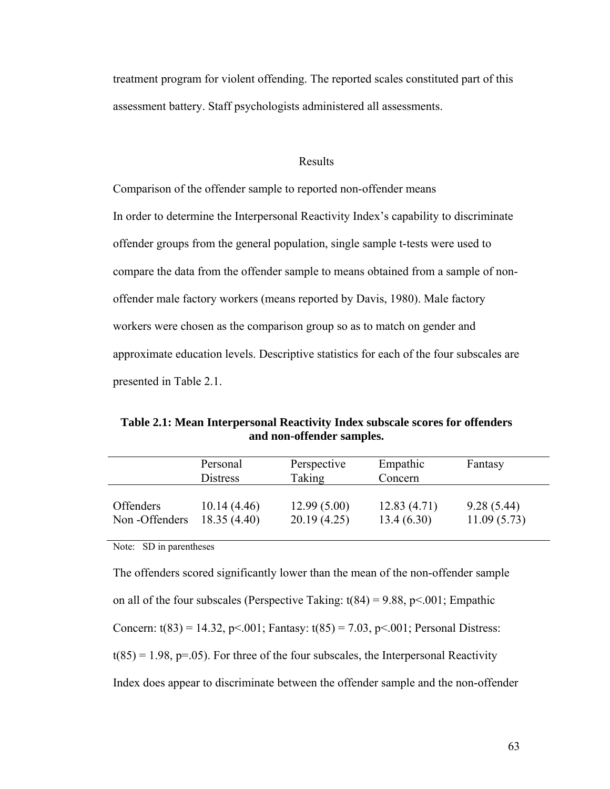treatment program for violent offending. The reported scales constituted part of this assessment battery. Staff psychologists administered all assessments.

#### Results

Comparison of the offender sample to reported non-offender means In order to determine the Interpersonal Reactivity Index's capability to discriminate offender groups from the general population, single sample t-tests were used to compare the data from the offender sample to means obtained from a sample of nonoffender male factory workers (means reported by Davis, 1980). Male factory workers were chosen as the comparison group so as to match on gender and approximate education levels. Descriptive statistics for each of the four subscales are presented in Table 2.1.

**Table 2.1: Mean Interpersonal Reactivity Index subscale scores for offenders and non-offender samples.** 

|                  | Personal<br><b>Distress</b> | Perspective<br>Taking | Empathic<br>Concern | Fantasy     |  |
|------------------|-----------------------------|-----------------------|---------------------|-------------|--|
| <b>Offenders</b> | 10.14(4.46)                 | 12.99(5.00)           | 12.83(4.71)         | 9.28(5.44)  |  |
| Non-Offenders    | 18.35(4.40)                 | 20.19(4.25)           | 13.4(6.30)          | 11.09(5.73) |  |

Note: SD in parentheses

The offenders scored significantly lower than the mean of the non-offender sample on all of the four subscales (Perspective Taking:  $t(84) = 9.88$ , p<.001; Empathic Concern:  $t(83) = 14.32$ ,  $p \le 0.001$ ; Fantasy:  $t(85) = 7.03$ ,  $p \le 0.001$ ; Personal Distress:  $t(85) = 1.98$ , p=.05). For three of the four subscales, the Interpersonal Reactivity Index does appear to discriminate between the offender sample and the non-offender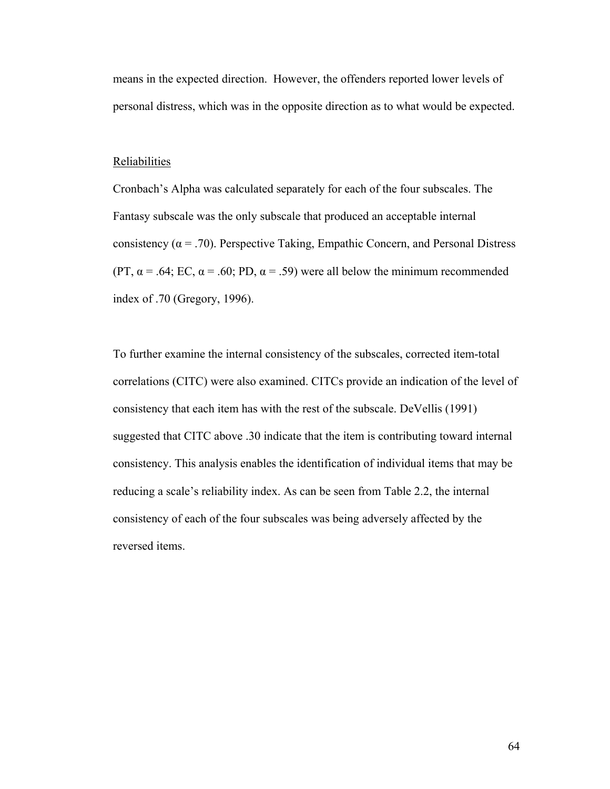means in the expected direction. However, the offenders reported lower levels of personal distress, which was in the opposite direction as to what would be expected.

#### Reliabilities

Cronbach's Alpha was calculated separately for each of the four subscales. The Fantasy subscale was the only subscale that produced an acceptable internal consistency ( $\alpha$  = .70). Perspective Taking, Empathic Concern, and Personal Distress (PT,  $\alpha$  = .64; EC,  $\alpha$  = .60; PD,  $\alpha$  = .59) were all below the minimum recommended index of .70 (Gregory, 1996).

To further examine the internal consistency of the subscales, corrected item-total correlations (CITC) were also examined. CITCs provide an indication of the level of consistency that each item has with the rest of the subscale. DeVellis (1991) suggested that CITC above .30 indicate that the item is contributing toward internal consistency. This analysis enables the identification of individual items that may be reducing a scale's reliability index. As can be seen from Table 2.2, the internal consistency of each of the four subscales was being adversely affected by the reversed items.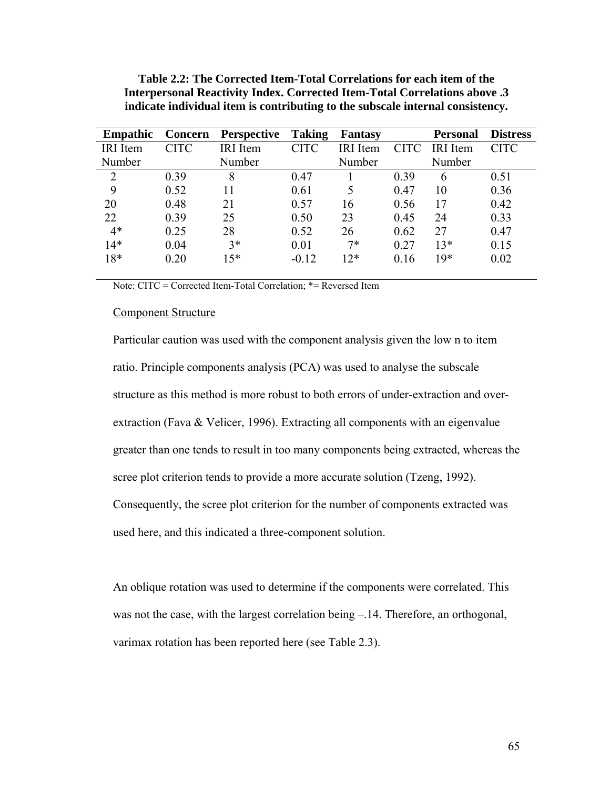| <b>Empathic</b> | <b>Concern</b> | <b>Perspective</b> | Taking      | Fantasy         |             | <b>Personal</b> | <b>Distress</b> |
|-----------------|----------------|--------------------|-------------|-----------------|-------------|-----------------|-----------------|
| <b>IRI</b> Item | <b>CITC</b>    | <b>IRI</b> Item    | <b>CITC</b> | <b>IRI</b> Item | <b>CITC</b> | IRI Item        | <b>CITC</b>     |
| Number          |                | Number             |             | Number          |             | Number          |                 |
| 2               | 0.39           | 8                  | 0.47        |                 | 0.39        | 6               | 0.51            |
| 9               | 0.52           | 11                 | 0.61        | 5               | 0.47        | 10              | 0.36            |
| 20              | 0.48           | 21                 | 0.57        | 16              | 0.56        | 17              | 0.42            |
| 22              | 0.39           | 25                 | 0.50        | 23              | 0.45        | 24              | 0.33            |
| $4*$            | 0.25           | 28                 | 0.52        | 26              | 0.62        | 27              | 0.47            |
| $14*$           | 0.04           | $3*$               | 0.01        | $7*$            | 0.27        | $13*$           | 0.15            |
| 18*             | 0.20           | $15*$              | $-0.12$     | $12*$           | 0.16        | $19*$           | 0.02            |

**Table 2.2: The Corrected Item-Total Correlations for each item of the Interpersonal Reactivity Index. Corrected Item-Total Correlations above .3 indicate individual item is contributing to the subscale internal consistency.** 

Note: CITC = Corrected Item-Total Correlation; \*= Reversed Item

#### Component Structure

Particular caution was used with the component analysis given the low n to item ratio. Principle components analysis (PCA) was used to analyse the subscale structure as this method is more robust to both errors of under-extraction and overextraction (Fava & Velicer, 1996). Extracting all components with an eigenvalue greater than one tends to result in too many components being extracted, whereas the scree plot criterion tends to provide a more accurate solution (Tzeng, 1992). Consequently, the scree plot criterion for the number of components extracted was used here, and this indicated a three-component solution.

An oblique rotation was used to determine if the components were correlated. This was not the case, with the largest correlation being  $-.14$ . Therefore, an orthogonal, varimax rotation has been reported here (see Table 2.3).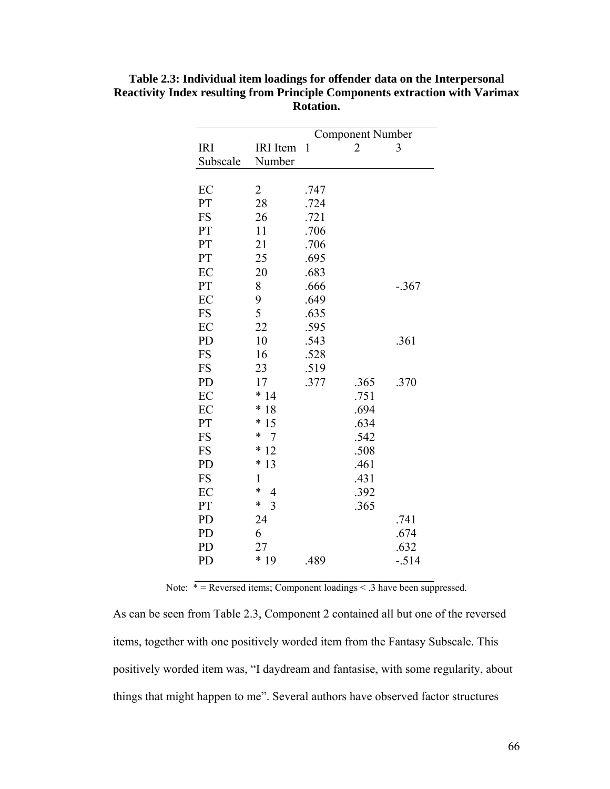|                          | <b>Component Number</b> |                |         |  |
|--------------------------|-------------------------|----------------|---------|--|
| <b>IRI</b> Item          | 1                       | $\overline{2}$ | 3       |  |
| Number                   |                         |                |         |  |
|                          |                         |                |         |  |
| 2                        | .747                    |                |         |  |
| 28                       | .724                    |                |         |  |
| 26                       | .721                    |                |         |  |
| 11                       | .706                    |                |         |  |
| 21                       | .706                    |                |         |  |
| 25                       | .695                    |                |         |  |
| 20                       | .683                    |                |         |  |
| 8                        | .666                    |                | $-.367$ |  |
| 9                        | .649                    |                |         |  |
| 5                        | .635                    |                |         |  |
| 22                       | .595                    |                |         |  |
| 10                       | .543                    |                | .361    |  |
| 16                       | .528                    |                |         |  |
| 23                       | .519                    |                |         |  |
| 17                       | .377                    | .365           | .370    |  |
|                          |                         | .751           |         |  |
| $\ast$<br>18             |                         | .694           |         |  |
| $\ast$<br>15             |                         | .634           |         |  |
| $\ast$<br>7              |                         | .542           |         |  |
| $\ast$<br>12             |                         | .508           |         |  |
| $\ast$<br>13             |                         | .461           |         |  |
| 1                        |                         | .431           |         |  |
| $\ast$<br>$\overline{4}$ |                         | .392           |         |  |
| $\ast$<br>$\overline{3}$ |                         | .365           |         |  |
| 24                       |                         |                | .741    |  |
| 6                        |                         |                | .674    |  |
| 27                       |                         |                | .632    |  |
| $*19$                    | .489                    |                | $-.514$ |  |
|                          | $*14$                   |                |         |  |

**Table 2.3: Individual item loadings for offender data on the Interpersonal Reactivity Index resulting from Principle Components extraction with Varimax Rotation.** 

Note:  $* =$  Reversed items; Component loadings  $< .3$  have been suppressed.

As can be seen from Table 2.3, Component 2 contained all but one of the reversed items, together with one positively worded item from the Fantasy Subscale. This positively worded item was, "I daydream and fantasise, with some regularity, about things that might happen to me". Several authors have observed factor structures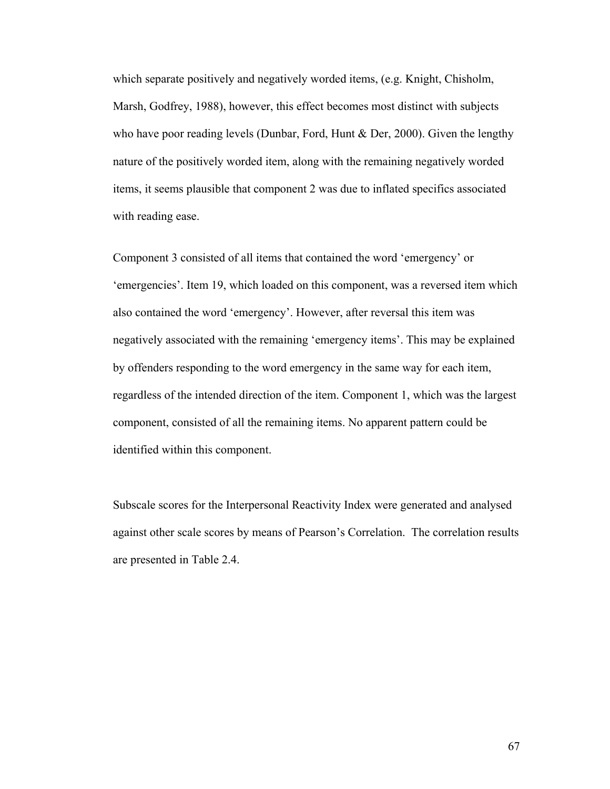which separate positively and negatively worded items, (e.g. Knight, Chisholm, Marsh, Godfrey, 1988), however, this effect becomes most distinct with subjects who have poor reading levels (Dunbar, Ford, Hunt & Der, 2000). Given the lengthy nature of the positively worded item, along with the remaining negatively worded items, it seems plausible that component 2 was due to inflated specifics associated with reading ease.

Component 3 consisted of all items that contained the word 'emergency' or 'emergencies'. Item 19, which loaded on this component, was a reversed item which also contained the word 'emergency'. However, after reversal this item was negatively associated with the remaining 'emergency items'. This may be explained by offenders responding to the word emergency in the same way for each item, regardless of the intended direction of the item. Component 1, which was the largest component, consisted of all the remaining items. No apparent pattern could be identified within this component.

Subscale scores for the Interpersonal Reactivity Index were generated and analysed against other scale scores by means of Pearson's Correlation. The correlation results are presented in Table 2.4.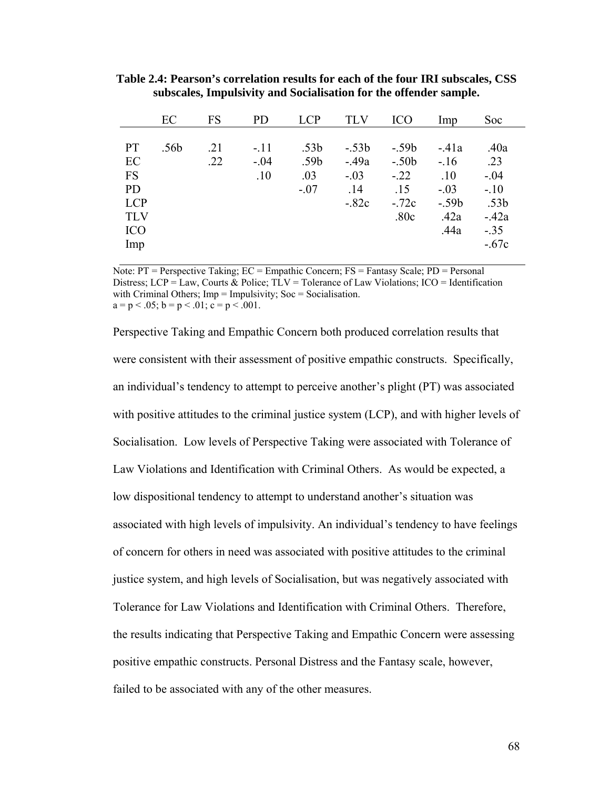|                                                                                     | EC   | FS         | <b>PD</b>               | <b>LCP</b>                                            | <b>TLV</b>                                    | ICO                                                   | Imp                                                          | Soc                                                                     |  |
|-------------------------------------------------------------------------------------|------|------------|-------------------------|-------------------------------------------------------|-----------------------------------------------|-------------------------------------------------------|--------------------------------------------------------------|-------------------------------------------------------------------------|--|
| <b>PT</b><br>EC<br><b>FS</b><br><b>PD</b><br><b>LCP</b><br><b>TLV</b><br><b>ICO</b> | .56b | .21<br>.22 | $-.11$<br>$-.04$<br>.10 | .53 <sub>b</sub><br>.59 <sub>b</sub><br>.03<br>$-.07$ | $-.53b$<br>$-49a$<br>$-.03$<br>.14<br>$-.82c$ | $-.59b$<br>$-.50b$<br>$-.22$<br>.15<br>$-72c$<br>.80c | $-41a$<br>$-.16$<br>.10<br>$-.03$<br>$-.59b$<br>.42a<br>.44a | .40a<br>.23<br>$-.04$<br>$-.10$<br>.53 <sub>b</sub><br>$-42a$<br>$-.35$ |  |
| Imp                                                                                 |      |            |                         |                                                       |                                               |                                                       |                                                              | $-.67c$                                                                 |  |
|                                                                                     |      |            |                         |                                                       |                                               |                                                       |                                                              |                                                                         |  |

**Table 2.4: Pearson's correlation results for each of the four IRI subscales, CSS subscales, Impulsivity and Socialisation for the offender sample.** 

Note: PT = Perspective Taking; EC = Empathic Concern; FS = Fantasy Scale; PD = Personal Distress;  $LCP = Law$ , Courts & Police;  $TLV = Tolerance$  of Law Violations;  $ICO = Identification$ with Criminal Others; Imp = Impulsivity; Soc = Socialisation.  $a = p < .05$ ;  $b = p < .01$ ;  $c = p < .001$ .

Perspective Taking and Empathic Concern both produced correlation results that were consistent with their assessment of positive empathic constructs. Specifically, an individual's tendency to attempt to perceive another's plight (PT) was associated with positive attitudes to the criminal justice system (LCP), and with higher levels of Socialisation. Low levels of Perspective Taking were associated with Tolerance of Law Violations and Identification with Criminal Others. As would be expected, a low dispositional tendency to attempt to understand another's situation was associated with high levels of impulsivity. An individual's tendency to have feelings of concern for others in need was associated with positive attitudes to the criminal justice system, and high levels of Socialisation, but was negatively associated with Tolerance for Law Violations and Identification with Criminal Others. Therefore, the results indicating that Perspective Taking and Empathic Concern were assessing positive empathic constructs. Personal Distress and the Fantasy scale, however, failed to be associated with any of the other measures.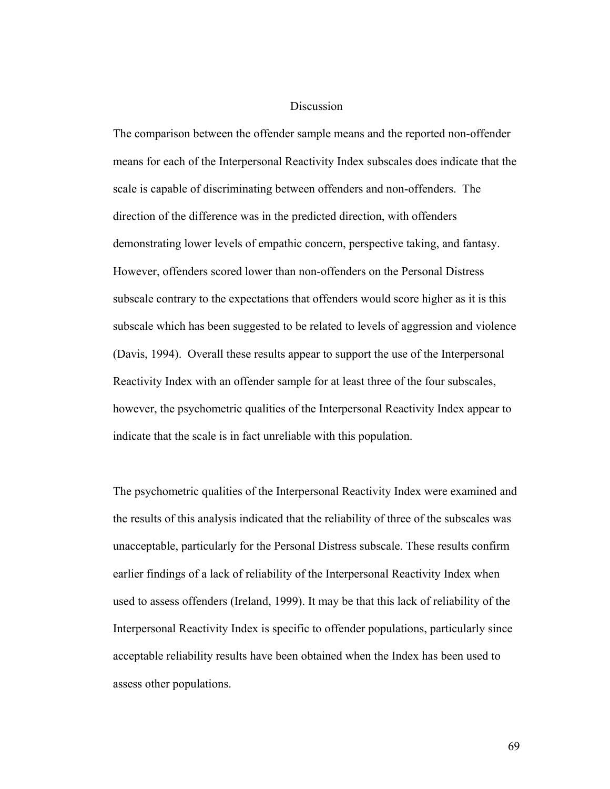#### Discussion

The comparison between the offender sample means and the reported non-offender means for each of the Interpersonal Reactivity Index subscales does indicate that the scale is capable of discriminating between offenders and non-offenders. The direction of the difference was in the predicted direction, with offenders demonstrating lower levels of empathic concern, perspective taking, and fantasy. However, offenders scored lower than non-offenders on the Personal Distress subscale contrary to the expectations that offenders would score higher as it is this subscale which has been suggested to be related to levels of aggression and violence (Davis, 1994). Overall these results appear to support the use of the Interpersonal Reactivity Index with an offender sample for at least three of the four subscales, however, the psychometric qualities of the Interpersonal Reactivity Index appear to indicate that the scale is in fact unreliable with this population.

The psychometric qualities of the Interpersonal Reactivity Index were examined and the results of this analysis indicated that the reliability of three of the subscales was unacceptable, particularly for the Personal Distress subscale. These results confirm earlier findings of a lack of reliability of the Interpersonal Reactivity Index when used to assess offenders (Ireland, 1999). It may be that this lack of reliability of the Interpersonal Reactivity Index is specific to offender populations, particularly since acceptable reliability results have been obtained when the Index has been used to assess other populations.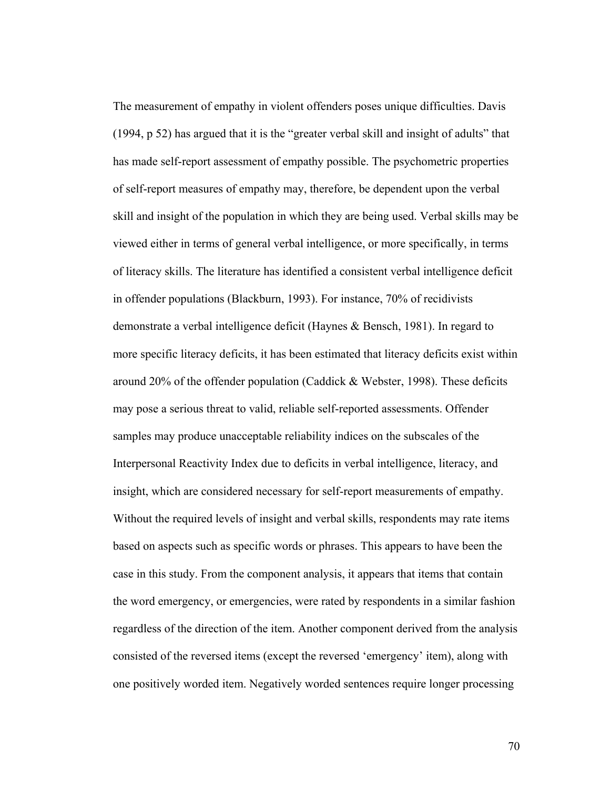The measurement of empathy in violent offenders poses unique difficulties. Davis (1994, p 52) has argued that it is the "greater verbal skill and insight of adults" that has made self-report assessment of empathy possible. The psychometric properties of self-report measures of empathy may, therefore, be dependent upon the verbal skill and insight of the population in which they are being used. Verbal skills may be viewed either in terms of general verbal intelligence, or more specifically, in terms of literacy skills. The literature has identified a consistent verbal intelligence deficit in offender populations (Blackburn, 1993). For instance, 70% of recidivists demonstrate a verbal intelligence deficit (Haynes & Bensch, 1981). In regard to more specific literacy deficits, it has been estimated that literacy deficits exist within around 20% of the offender population (Caddick & Webster, 1998). These deficits may pose a serious threat to valid, reliable self-reported assessments. Offender samples may produce unacceptable reliability indices on the subscales of the Interpersonal Reactivity Index due to deficits in verbal intelligence, literacy, and insight, which are considered necessary for self-report measurements of empathy. Without the required levels of insight and verbal skills, respondents may rate items based on aspects such as specific words or phrases. This appears to have been the case in this study. From the component analysis, it appears that items that contain the word emergency, or emergencies, were rated by respondents in a similar fashion regardless of the direction of the item. Another component derived from the analysis consisted of the reversed items (except the reversed 'emergency' item), along with one positively worded item. Negatively worded sentences require longer processing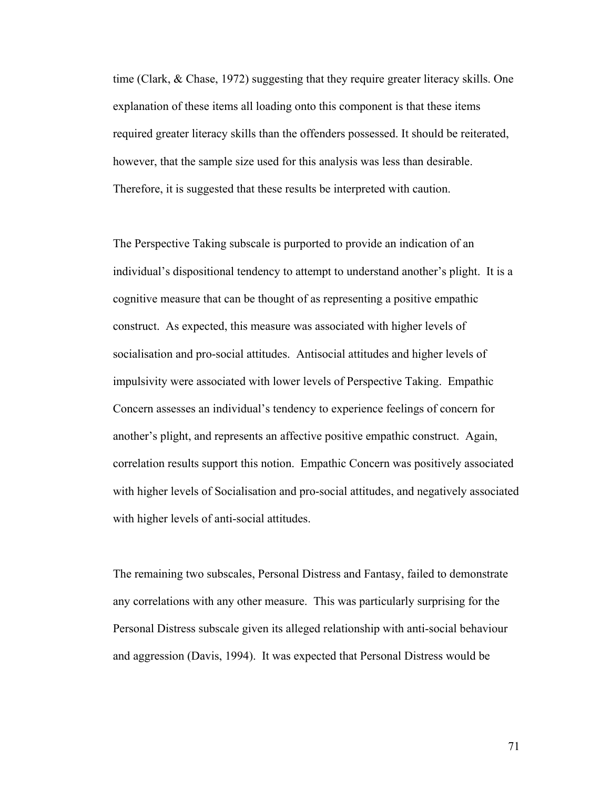time (Clark, & Chase, 1972) suggesting that they require greater literacy skills. One explanation of these items all loading onto this component is that these items required greater literacy skills than the offenders possessed. It should be reiterated, however, that the sample size used for this analysis was less than desirable. Therefore, it is suggested that these results be interpreted with caution.

The Perspective Taking subscale is purported to provide an indication of an individual's dispositional tendency to attempt to understand another's plight. It is a cognitive measure that can be thought of as representing a positive empathic construct. As expected, this measure was associated with higher levels of socialisation and pro-social attitudes. Antisocial attitudes and higher levels of impulsivity were associated with lower levels of Perspective Taking. Empathic Concern assesses an individual's tendency to experience feelings of concern for another's plight, and represents an affective positive empathic construct. Again, correlation results support this notion. Empathic Concern was positively associated with higher levels of Socialisation and pro-social attitudes, and negatively associated with higher levels of anti-social attitudes.

The remaining two subscales, Personal Distress and Fantasy, failed to demonstrate any correlations with any other measure. This was particularly surprising for the Personal Distress subscale given its alleged relationship with anti-social behaviour and aggression (Davis, 1994). It was expected that Personal Distress would be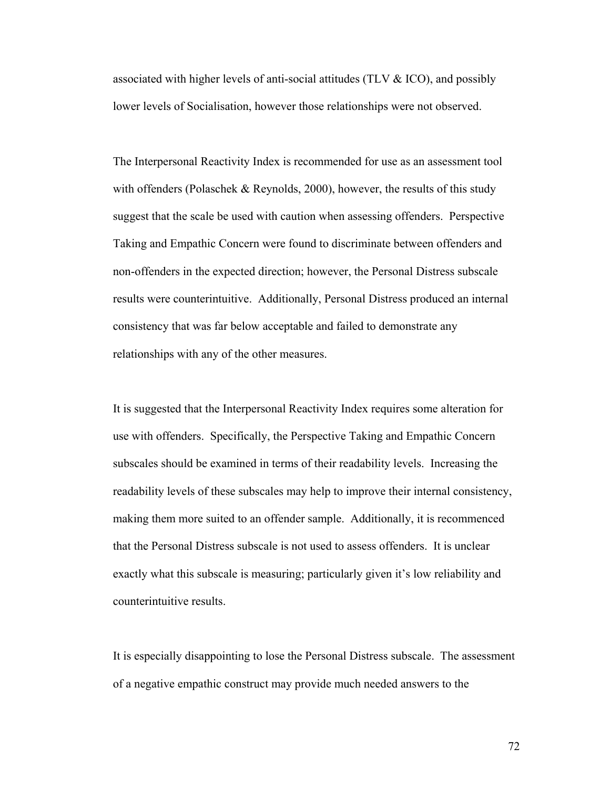associated with higher levels of anti-social attitudes (TLV & ICO), and possibly lower levels of Socialisation, however those relationships were not observed.

The Interpersonal Reactivity Index is recommended for use as an assessment tool with offenders (Polaschek & Reynolds, 2000), however, the results of this study suggest that the scale be used with caution when assessing offenders. Perspective Taking and Empathic Concern were found to discriminate between offenders and non-offenders in the expected direction; however, the Personal Distress subscale results were counterintuitive. Additionally, Personal Distress produced an internal consistency that was far below acceptable and failed to demonstrate any relationships with any of the other measures.

It is suggested that the Interpersonal Reactivity Index requires some alteration for use with offenders. Specifically, the Perspective Taking and Empathic Concern subscales should be examined in terms of their readability levels. Increasing the readability levels of these subscales may help to improve their internal consistency, making them more suited to an offender sample. Additionally, it is recommenced that the Personal Distress subscale is not used to assess offenders. It is unclear exactly what this subscale is measuring; particularly given it's low reliability and counterintuitive results.

It is especially disappointing to lose the Personal Distress subscale. The assessment of a negative empathic construct may provide much needed answers to the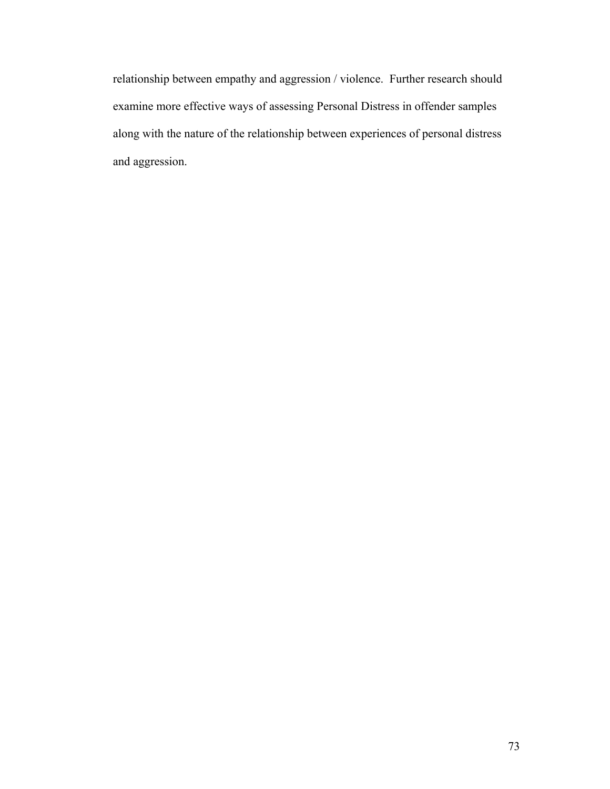relationship between empathy and aggression / violence. Further research should examine more effective ways of assessing Personal Distress in offender samples along with the nature of the relationship between experiences of personal distress and aggression.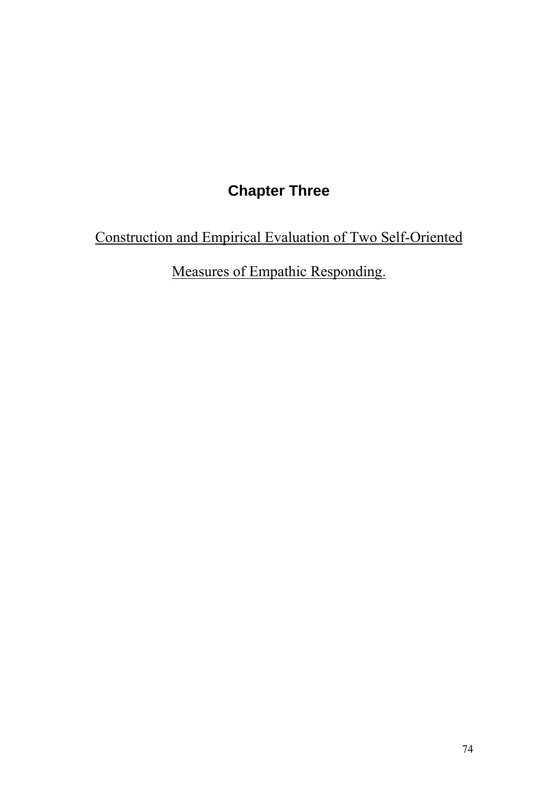# **Chapter Three**

Construction and Empirical Evaluation of Two Self-Oriented

Measures of Empathic Responding.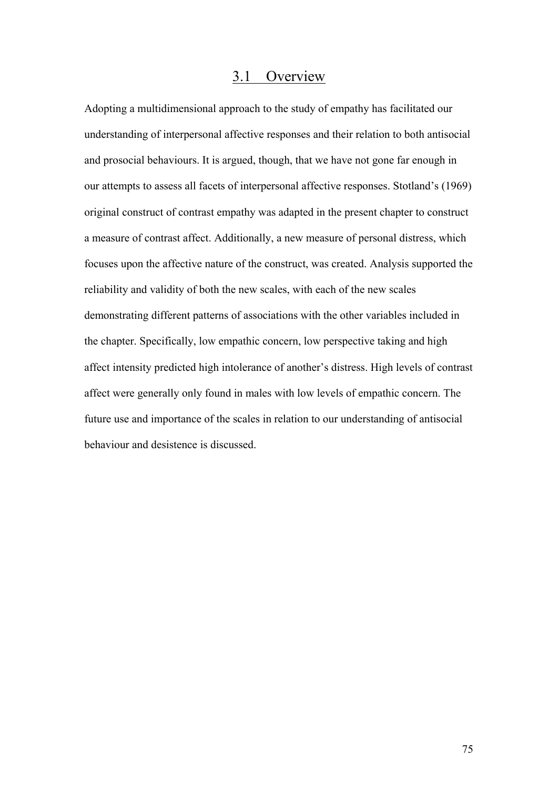# 3.1 Overview

Adopting a multidimensional approach to the study of empathy has facilitated our understanding of interpersonal affective responses and their relation to both antisocial and prosocial behaviours. It is argued, though, that we have not gone far enough in our attempts to assess all facets of interpersonal affective responses. Stotland's (1969) original construct of contrast empathy was adapted in the present chapter to construct a measure of contrast affect. Additionally, a new measure of personal distress, which focuses upon the affective nature of the construct, was created. Analysis supported the reliability and validity of both the new scales, with each of the new scales demonstrating different patterns of associations with the other variables included in the chapter. Specifically, low empathic concern, low perspective taking and high affect intensity predicted high intolerance of another's distress. High levels of contrast affect were generally only found in males with low levels of empathic concern. The future use and importance of the scales in relation to our understanding of antisocial behaviour and desistence is discussed.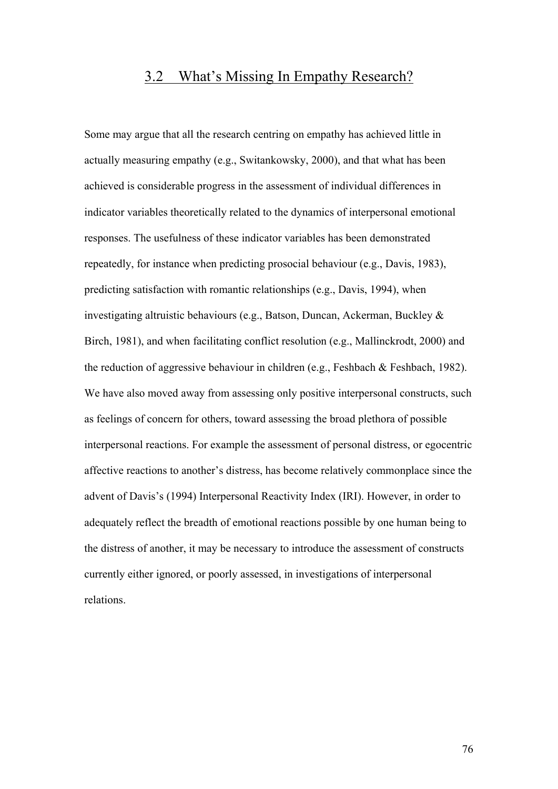# 3.2 What's Missing In Empathy Research?

Some may argue that all the research centring on empathy has achieved little in actually measuring empathy (e.g., Switankowsky, 2000), and that what has been achieved is considerable progress in the assessment of individual differences in indicator variables theoretically related to the dynamics of interpersonal emotional responses. The usefulness of these indicator variables has been demonstrated repeatedly, for instance when predicting prosocial behaviour (e.g., Davis, 1983), predicting satisfaction with romantic relationships (e.g., Davis, 1994), when investigating altruistic behaviours (e.g., Batson, Duncan, Ackerman, Buckley & Birch, 1981), and when facilitating conflict resolution (e.g., Mallinckrodt, 2000) and the reduction of aggressive behaviour in children (e.g., Feshbach & Feshbach, 1982). We have also moved away from assessing only positive interpersonal constructs, such as feelings of concern for others, toward assessing the broad plethora of possible interpersonal reactions. For example the assessment of personal distress, or egocentric affective reactions to another's distress, has become relatively commonplace since the advent of Davis's (1994) Interpersonal Reactivity Index (IRI). However, in order to adequately reflect the breadth of emotional reactions possible by one human being to the distress of another, it may be necessary to introduce the assessment of constructs currently either ignored, or poorly assessed, in investigations of interpersonal relations.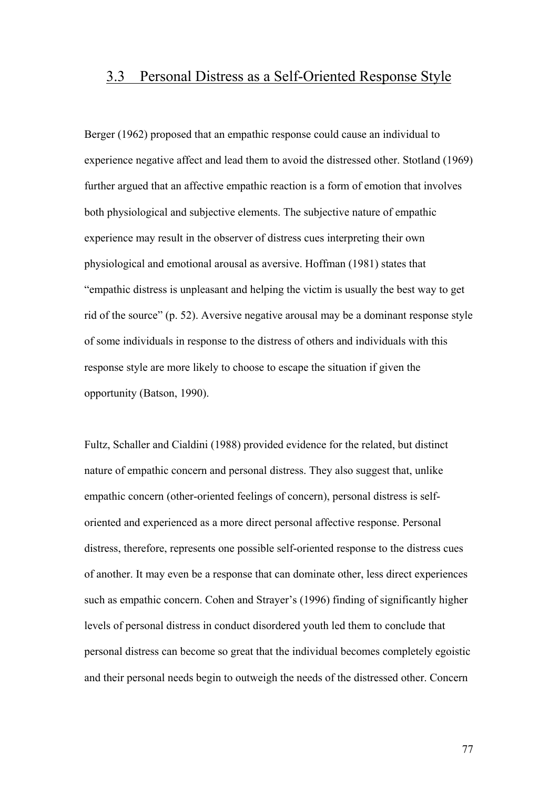# 3.3 Personal Distress as a Self-Oriented Response Style

Berger (1962) proposed that an empathic response could cause an individual to experience negative affect and lead them to avoid the distressed other. Stotland (1969) further argued that an affective empathic reaction is a form of emotion that involves both physiological and subjective elements. The subjective nature of empathic experience may result in the observer of distress cues interpreting their own physiological and emotional arousal as aversive. Hoffman (1981) states that "empathic distress is unpleasant and helping the victim is usually the best way to get rid of the source" (p. 52). Aversive negative arousal may be a dominant response style of some individuals in response to the distress of others and individuals with this response style are more likely to choose to escape the situation if given the opportunity (Batson, 1990).

Fultz, Schaller and Cialdini (1988) provided evidence for the related, but distinct nature of empathic concern and personal distress. They also suggest that, unlike empathic concern (other-oriented feelings of concern), personal distress is selforiented and experienced as a more direct personal affective response. Personal distress, therefore, represents one possible self-oriented response to the distress cues of another. It may even be a response that can dominate other, less direct experiences such as empathic concern. Cohen and Strayer's (1996) finding of significantly higher levels of personal distress in conduct disordered youth led them to conclude that personal distress can become so great that the individual becomes completely egoistic and their personal needs begin to outweigh the needs of the distressed other. Concern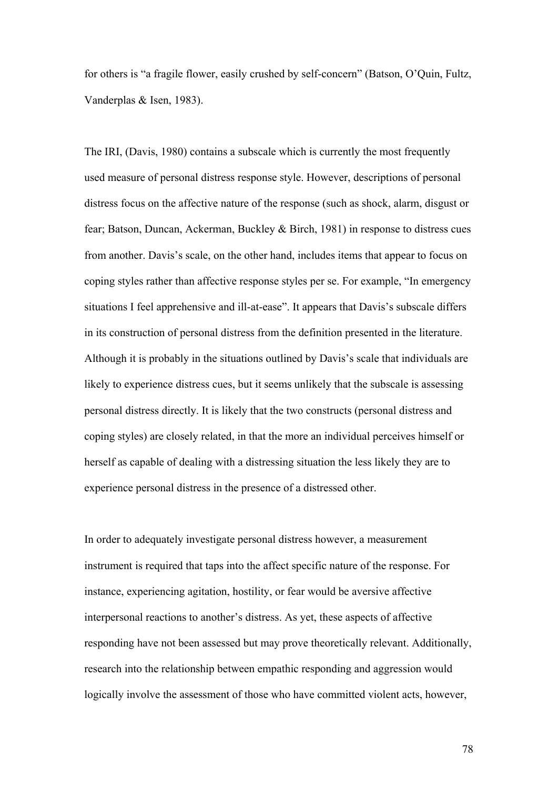for others is "a fragile flower, easily crushed by self-concern" (Batson, O'Quin, Fultz, Vanderplas & Isen, 1983).

The IRI, (Davis, 1980) contains a subscale which is currently the most frequently used measure of personal distress response style. However, descriptions of personal distress focus on the affective nature of the response (such as shock, alarm, disgust or fear; Batson, Duncan, Ackerman, Buckley & Birch, 1981) in response to distress cues from another. Davis's scale, on the other hand, includes items that appear to focus on coping styles rather than affective response styles per se. For example, "In emergency situations I feel apprehensive and ill-at-ease". It appears that Davis's subscale differs in its construction of personal distress from the definition presented in the literature. Although it is probably in the situations outlined by Davis's scale that individuals are likely to experience distress cues, but it seems unlikely that the subscale is assessing personal distress directly. It is likely that the two constructs (personal distress and coping styles) are closely related, in that the more an individual perceives himself or herself as capable of dealing with a distressing situation the less likely they are to experience personal distress in the presence of a distressed other.

In order to adequately investigate personal distress however, a measurement instrument is required that taps into the affect specific nature of the response. For instance, experiencing agitation, hostility, or fear would be aversive affective interpersonal reactions to another's distress. As yet, these aspects of affective responding have not been assessed but may prove theoretically relevant. Additionally, research into the relationship between empathic responding and aggression would logically involve the assessment of those who have committed violent acts, however,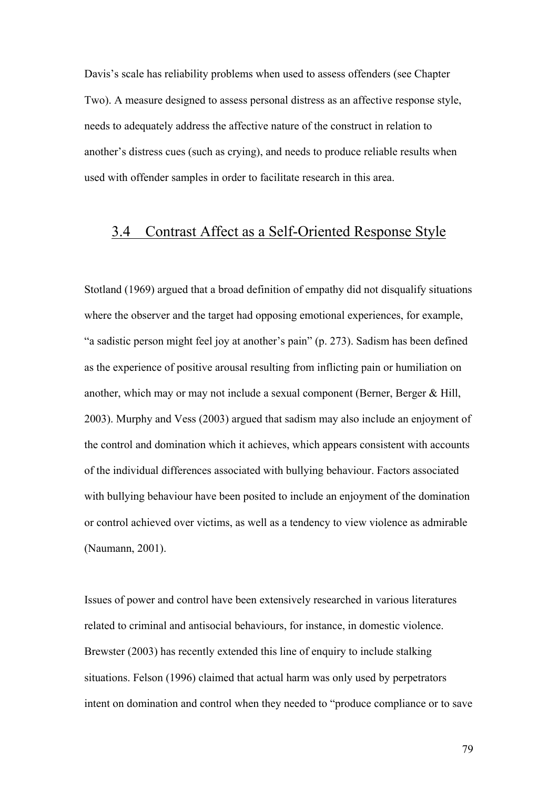Davis's scale has reliability problems when used to assess offenders (see Chapter Two). A measure designed to assess personal distress as an affective response style, needs to adequately address the affective nature of the construct in relation to another's distress cues (such as crying), and needs to produce reliable results when used with offender samples in order to facilitate research in this area.

# 3.4 Contrast Affect as a Self-Oriented Response Style

Stotland (1969) argued that a broad definition of empathy did not disqualify situations where the observer and the target had opposing emotional experiences, for example, "a sadistic person might feel joy at another's pain" (p. 273). Sadism has been defined as the experience of positive arousal resulting from inflicting pain or humiliation on another, which may or may not include a sexual component (Berner, Berger & Hill, 2003). Murphy and Vess (2003) argued that sadism may also include an enjoyment of the control and domination which it achieves, which appears consistent with accounts of the individual differences associated with bullying behaviour. Factors associated with bullying behaviour have been posited to include an enjoyment of the domination or control achieved over victims, as well as a tendency to view violence as admirable (Naumann, 2001).

Issues of power and control have been extensively researched in various literatures related to criminal and antisocial behaviours, for instance, in domestic violence. Brewster (2003) has recently extended this line of enquiry to include stalking situations. Felson (1996) claimed that actual harm was only used by perpetrators intent on domination and control when they needed to "produce compliance or to save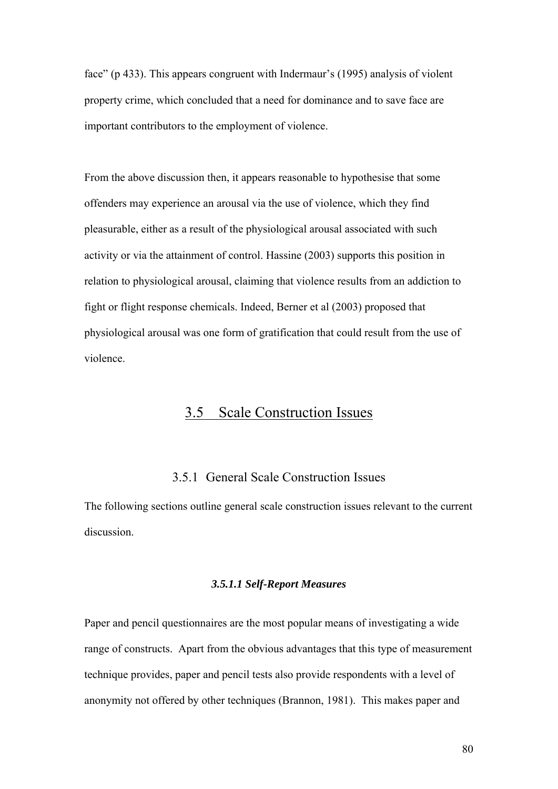face" (p 433). This appears congruent with Indermaur's (1995) analysis of violent property crime, which concluded that a need for dominance and to save face are important contributors to the employment of violence.

From the above discussion then, it appears reasonable to hypothesise that some offenders may experience an arousal via the use of violence, which they find pleasurable, either as a result of the physiological arousal associated with such activity or via the attainment of control. Hassine (2003) supports this position in relation to physiological arousal, claiming that violence results from an addiction to fight or flight response chemicals. Indeed, Berner et al (2003) proposed that physiological arousal was one form of gratification that could result from the use of violence.

# 3.5 Scale Construction Issues

# 3.5.1 General Scale Construction Issues

The following sections outline general scale construction issues relevant to the current discussion.

#### *3.5.1.1 Self-Report Measures*

Paper and pencil questionnaires are the most popular means of investigating a wide range of constructs. Apart from the obvious advantages that this type of measurement technique provides, paper and pencil tests also provide respondents with a level of anonymity not offered by other techniques (Brannon, 1981). This makes paper and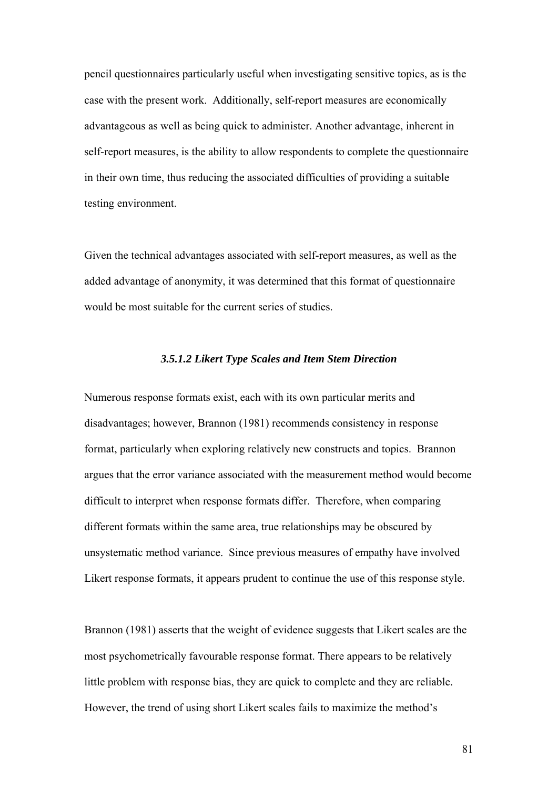pencil questionnaires particularly useful when investigating sensitive topics, as is the case with the present work. Additionally, self-report measures are economically advantageous as well as being quick to administer. Another advantage, inherent in self-report measures, is the ability to allow respondents to complete the questionnaire in their own time, thus reducing the associated difficulties of providing a suitable testing environment.

Given the technical advantages associated with self-report measures, as well as the added advantage of anonymity, it was determined that this format of questionnaire would be most suitable for the current series of studies.

#### *3.5.1.2 Likert Type Scales and Item Stem Direction*

Numerous response formats exist, each with its own particular merits and disadvantages; however, Brannon (1981) recommends consistency in response format, particularly when exploring relatively new constructs and topics. Brannon argues that the error variance associated with the measurement method would become difficult to interpret when response formats differ. Therefore, when comparing different formats within the same area, true relationships may be obscured by unsystematic method variance. Since previous measures of empathy have involved Likert response formats, it appears prudent to continue the use of this response style.

Brannon (1981) asserts that the weight of evidence suggests that Likert scales are the most psychometrically favourable response format. There appears to be relatively little problem with response bias, they are quick to complete and they are reliable. However, the trend of using short Likert scales fails to maximize the method's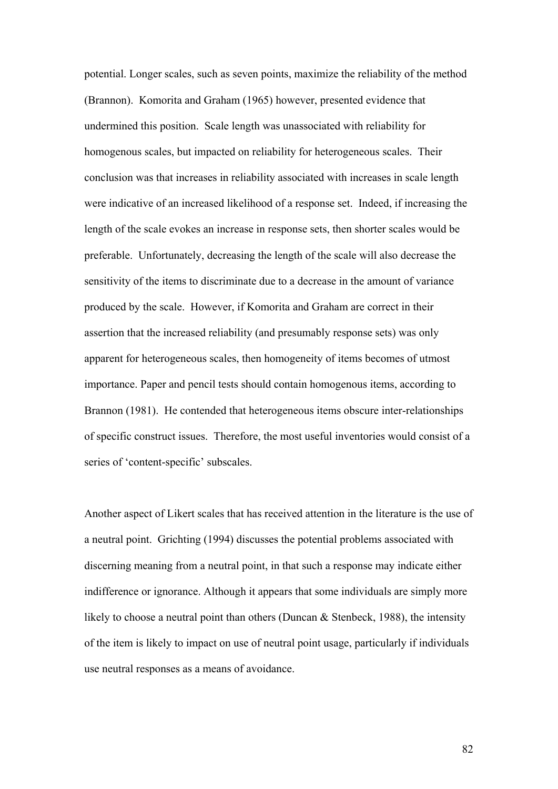potential. Longer scales, such as seven points, maximize the reliability of the method (Brannon). Komorita and Graham (1965) however, presented evidence that undermined this position. Scale length was unassociated with reliability for homogenous scales, but impacted on reliability for heterogeneous scales. Their conclusion was that increases in reliability associated with increases in scale length were indicative of an increased likelihood of a response set. Indeed, if increasing the length of the scale evokes an increase in response sets, then shorter scales would be preferable. Unfortunately, decreasing the length of the scale will also decrease the sensitivity of the items to discriminate due to a decrease in the amount of variance produced by the scale. However, if Komorita and Graham are correct in their assertion that the increased reliability (and presumably response sets) was only apparent for heterogeneous scales, then homogeneity of items becomes of utmost importance. Paper and pencil tests should contain homogenous items, according to Brannon (1981). He contended that heterogeneous items obscure inter-relationships of specific construct issues. Therefore, the most useful inventories would consist of a series of 'content-specific' subscales.

Another aspect of Likert scales that has received attention in the literature is the use of a neutral point. Grichting (1994) discusses the potential problems associated with discerning meaning from a neutral point, in that such a response may indicate either indifference or ignorance. Although it appears that some individuals are simply more likely to choose a neutral point than others (Duncan & Stenbeck, 1988), the intensity of the item is likely to impact on use of neutral point usage, particularly if individuals use neutral responses as a means of avoidance.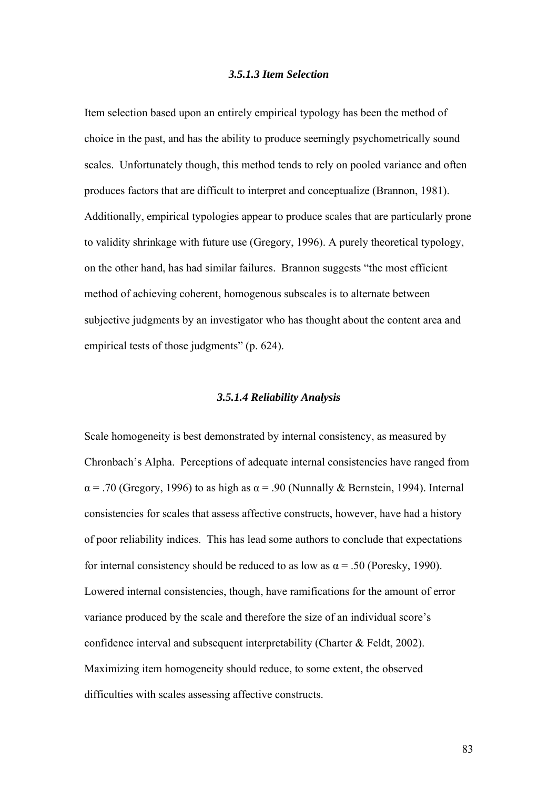#### *3.5.1.3 Item Selection*

Item selection based upon an entirely empirical typology has been the method of choice in the past, and has the ability to produce seemingly psychometrically sound scales. Unfortunately though, this method tends to rely on pooled variance and often produces factors that are difficult to interpret and conceptualize (Brannon, 1981). Additionally, empirical typologies appear to produce scales that are particularly prone to validity shrinkage with future use (Gregory, 1996). A purely theoretical typology, on the other hand, has had similar failures. Brannon suggests "the most efficient method of achieving coherent, homogenous subscales is to alternate between subjective judgments by an investigator who has thought about the content area and empirical tests of those judgments" (p. 624).

#### *3.5.1.4 Reliability Analysis*

Scale homogeneity is best demonstrated by internal consistency, as measured by Chronbach's Alpha. Perceptions of adequate internal consistencies have ranged from  $\alpha$  = .70 (Gregory, 1996) to as high as  $\alpha$  = .90 (Nunnally & Bernstein, 1994). Internal consistencies for scales that assess affective constructs, however, have had a history of poor reliability indices. This has lead some authors to conclude that expectations for internal consistency should be reduced to as low as  $\alpha$  = .50 (Poresky, 1990). Lowered internal consistencies, though, have ramifications for the amount of error variance produced by the scale and therefore the size of an individual score's confidence interval and subsequent interpretability (Charter & Feldt, 2002). Maximizing item homogeneity should reduce, to some extent, the observed difficulties with scales assessing affective constructs.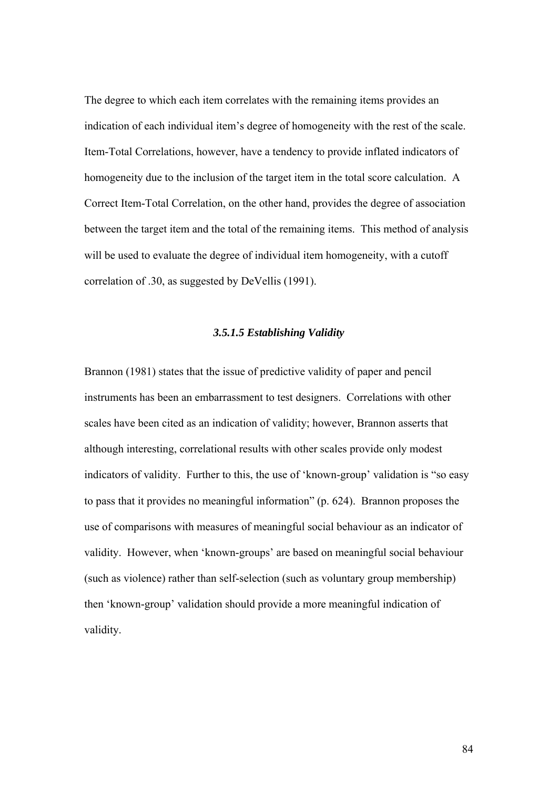The degree to which each item correlates with the remaining items provides an indication of each individual item's degree of homogeneity with the rest of the scale. Item-Total Correlations, however, have a tendency to provide inflated indicators of homogeneity due to the inclusion of the target item in the total score calculation. A Correct Item-Total Correlation, on the other hand, provides the degree of association between the target item and the total of the remaining items. This method of analysis will be used to evaluate the degree of individual item homogeneity, with a cutoff correlation of .30, as suggested by DeVellis (1991).

### *3.5.1.5 Establishing Validity*

Brannon (1981) states that the issue of predictive validity of paper and pencil instruments has been an embarrassment to test designers. Correlations with other scales have been cited as an indication of validity; however, Brannon asserts that although interesting, correlational results with other scales provide only modest indicators of validity. Further to this, the use of 'known-group' validation is "so easy to pass that it provides no meaningful information" (p. 624). Brannon proposes the use of comparisons with measures of meaningful social behaviour as an indicator of validity. However, when 'known-groups' are based on meaningful social behaviour (such as violence) rather than self-selection (such as voluntary group membership) then 'known-group' validation should provide a more meaningful indication of validity.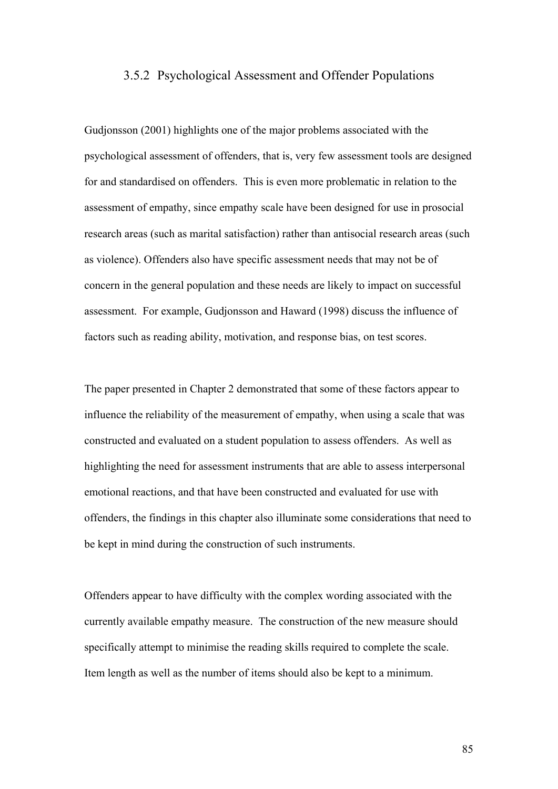### 3.5.2 Psychological Assessment and Offender Populations

Gudjonsson (2001) highlights one of the major problems associated with the psychological assessment of offenders, that is, very few assessment tools are designed for and standardised on offenders. This is even more problematic in relation to the assessment of empathy, since empathy scale have been designed for use in prosocial research areas (such as marital satisfaction) rather than antisocial research areas (such as violence). Offenders also have specific assessment needs that may not be of concern in the general population and these needs are likely to impact on successful assessment. For example, Gudjonsson and Haward (1998) discuss the influence of factors such as reading ability, motivation, and response bias, on test scores.

The paper presented in Chapter 2 demonstrated that some of these factors appear to influence the reliability of the measurement of empathy, when using a scale that was constructed and evaluated on a student population to assess offenders. As well as highlighting the need for assessment instruments that are able to assess interpersonal emotional reactions, and that have been constructed and evaluated for use with offenders, the findings in this chapter also illuminate some considerations that need to be kept in mind during the construction of such instruments.

Offenders appear to have difficulty with the complex wording associated with the currently available empathy measure. The construction of the new measure should specifically attempt to minimise the reading skills required to complete the scale. Item length as well as the number of items should also be kept to a minimum.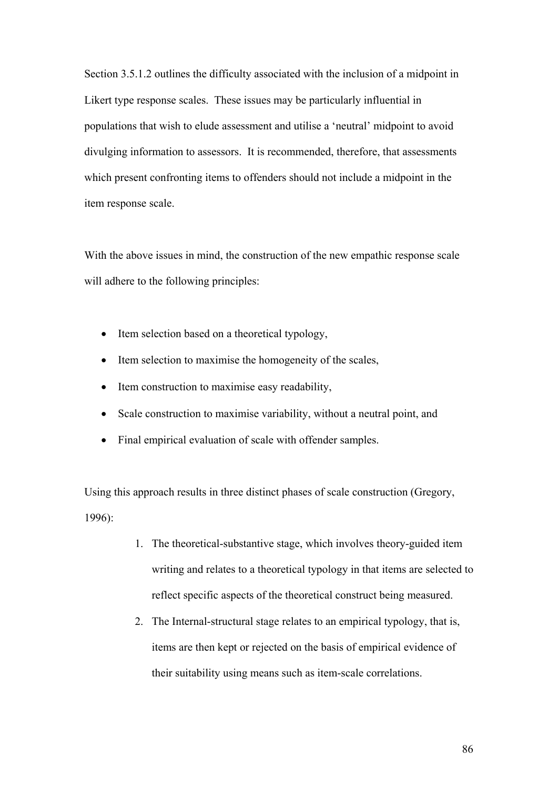Section 3.5.1.2 outlines the difficulty associated with the inclusion of a midpoint in Likert type response scales. These issues may be particularly influential in populations that wish to elude assessment and utilise a 'neutral' midpoint to avoid divulging information to assessors. It is recommended, therefore, that assessments which present confronting items to offenders should not include a midpoint in the item response scale.

With the above issues in mind, the construction of the new empathic response scale will adhere to the following principles:

- Item selection based on a theoretical typology,
- Item selection to maximise the homogeneity of the scales,
- Item construction to maximise easy readability,
- Scale construction to maximise variability, without a neutral point, and
- Final empirical evaluation of scale with offender samples.

Using this approach results in three distinct phases of scale construction (Gregory, 1996):

- 1. The theoretical-substantive stage, which involves theory-guided item writing and relates to a theoretical typology in that items are selected to reflect specific aspects of the theoretical construct being measured.
- 2. The Internal-structural stage relates to an empirical typology, that is, items are then kept or rejected on the basis of empirical evidence of their suitability using means such as item-scale correlations.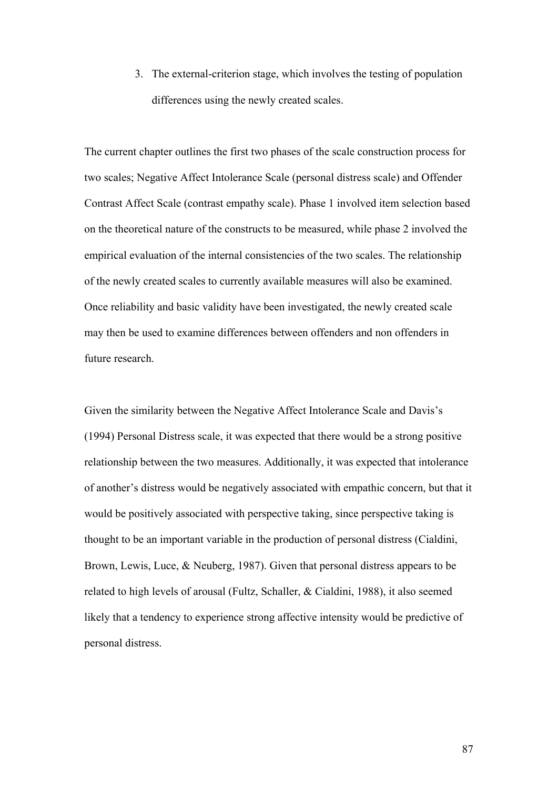3. The external-criterion stage, which involves the testing of population differences using the newly created scales.

The current chapter outlines the first two phases of the scale construction process for two scales; Negative Affect Intolerance Scale (personal distress scale) and Offender Contrast Affect Scale (contrast empathy scale). Phase 1 involved item selection based on the theoretical nature of the constructs to be measured, while phase 2 involved the empirical evaluation of the internal consistencies of the two scales. The relationship of the newly created scales to currently available measures will also be examined. Once reliability and basic validity have been investigated, the newly created scale may then be used to examine differences between offenders and non offenders in future research.

Given the similarity between the Negative Affect Intolerance Scale and Davis's (1994) Personal Distress scale, it was expected that there would be a strong positive relationship between the two measures. Additionally, it was expected that intolerance of another's distress would be negatively associated with empathic concern, but that it would be positively associated with perspective taking, since perspective taking is thought to be an important variable in the production of personal distress (Cialdini, Brown, Lewis, Luce, & Neuberg, 1987). Given that personal distress appears to be related to high levels of arousal (Fultz, Schaller, & Cialdini, 1988), it also seemed likely that a tendency to experience strong affective intensity would be predictive of personal distress.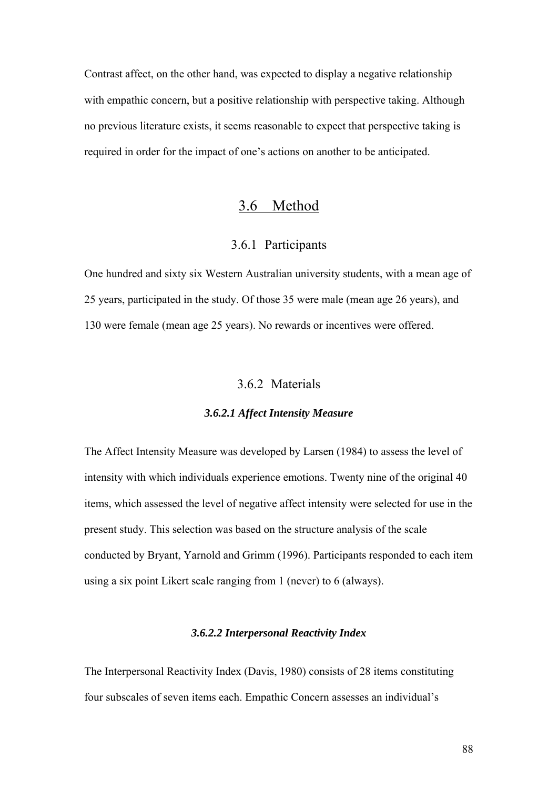Contrast affect, on the other hand, was expected to display a negative relationship with empathic concern, but a positive relationship with perspective taking. Although no previous literature exists, it seems reasonable to expect that perspective taking is required in order for the impact of one's actions on another to be anticipated.

# 3.6 Method

# 3.6.1 Participants

One hundred and sixty six Western Australian university students, with a mean age of 25 years, participated in the study. Of those 35 were male (mean age 26 years), and 130 were female (mean age 25 years). No rewards or incentives were offered.

### 3.6.2 Materials

#### *3.6.2.1 Affect Intensity Measure*

The Affect Intensity Measure was developed by Larsen (1984) to assess the level of intensity with which individuals experience emotions. Twenty nine of the original 40 items, which assessed the level of negative affect intensity were selected for use in the present study. This selection was based on the structure analysis of the scale conducted by Bryant, Yarnold and Grimm (1996). Participants responded to each item using a six point Likert scale ranging from 1 (never) to 6 (always).

### *3.6.2.2 Interpersonal Reactivity Index*

The Interpersonal Reactivity Index (Davis, 1980) consists of 28 items constituting four subscales of seven items each. Empathic Concern assesses an individual's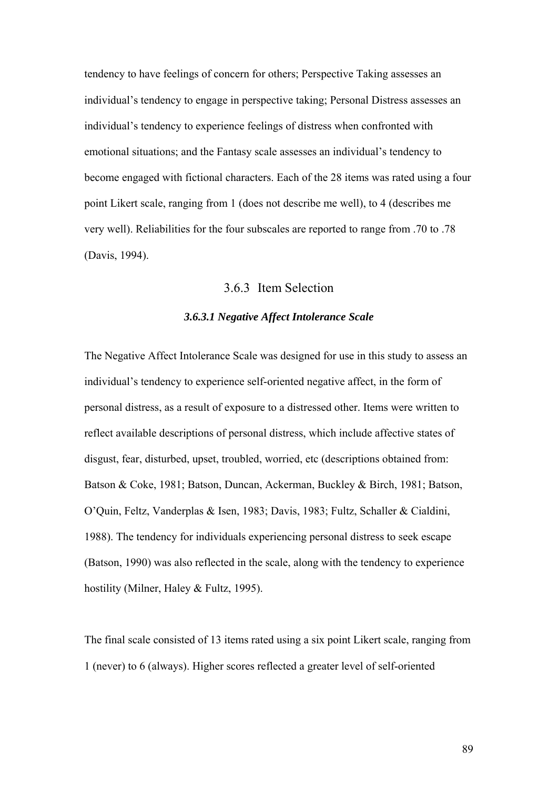tendency to have feelings of concern for others; Perspective Taking assesses an individual's tendency to engage in perspective taking; Personal Distress assesses an individual's tendency to experience feelings of distress when confronted with emotional situations; and the Fantasy scale assesses an individual's tendency to become engaged with fictional characters. Each of the 28 items was rated using a four point Likert scale, ranging from 1 (does not describe me well), to 4 (describes me very well). Reliabilities for the four subscales are reported to range from .70 to .78 (Davis, 1994).

# 3.6.3 Item Selection

### *3.6.3.1 Negative Affect Intolerance Scale*

The Negative Affect Intolerance Scale was designed for use in this study to assess an individual's tendency to experience self-oriented negative affect, in the form of personal distress, as a result of exposure to a distressed other. Items were written to reflect available descriptions of personal distress, which include affective states of disgust, fear, disturbed, upset, troubled, worried, etc (descriptions obtained from: Batson & Coke, 1981; Batson, Duncan, Ackerman, Buckley & Birch, 1981; Batson, O'Quin, Feltz, Vanderplas & Isen, 1983; Davis, 1983; Fultz, Schaller & Cialdini, 1988). The tendency for individuals experiencing personal distress to seek escape (Batson, 1990) was also reflected in the scale, along with the tendency to experience hostility (Milner, Haley & Fultz, 1995).

The final scale consisted of 13 items rated using a six point Likert scale, ranging from 1 (never) to 6 (always). Higher scores reflected a greater level of self-oriented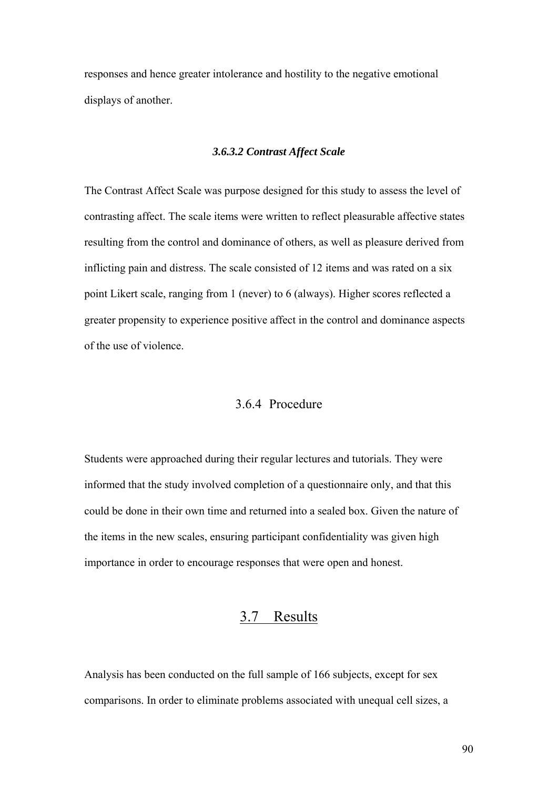responses and hence greater intolerance and hostility to the negative emotional displays of another.

### *3.6.3.2 Contrast Affect Scale*

The Contrast Affect Scale was purpose designed for this study to assess the level of contrasting affect. The scale items were written to reflect pleasurable affective states resulting from the control and dominance of others, as well as pleasure derived from inflicting pain and distress. The scale consisted of 12 items and was rated on a six point Likert scale, ranging from 1 (never) to 6 (always). Higher scores reflected a greater propensity to experience positive affect in the control and dominance aspects of the use of violence.

# 3.6.4 Procedure

Students were approached during their regular lectures and tutorials. They were informed that the study involved completion of a questionnaire only, and that this could be done in their own time and returned into a sealed box. Given the nature of the items in the new scales, ensuring participant confidentiality was given high importance in order to encourage responses that were open and honest.

# 3.7 Results

Analysis has been conducted on the full sample of 166 subjects, except for sex comparisons. In order to eliminate problems associated with unequal cell sizes, a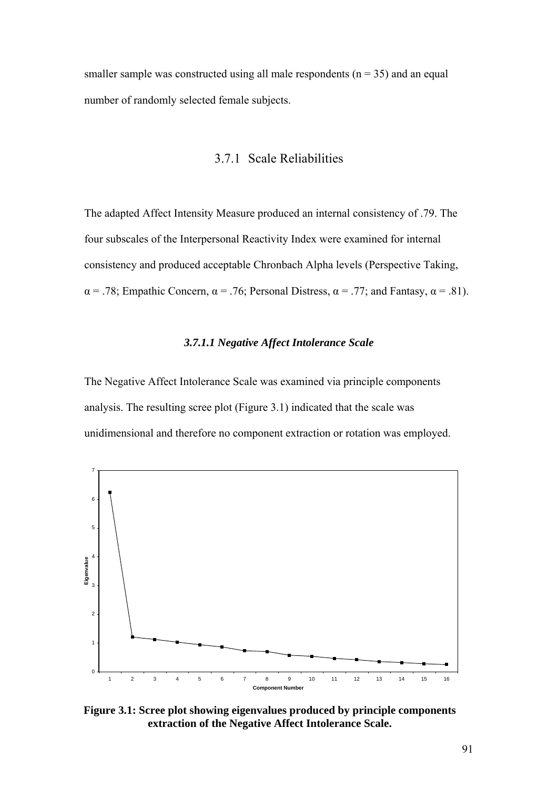smaller sample was constructed using all male respondents  $(n = 35)$  and an equal number of randomly selected female subjects.

# 3.7.1 Scale Reliabilities

The adapted Affect Intensity Measure produced an internal consistency of .79. The four subscales of the Interpersonal Reactivity Index were examined for internal consistency and produced acceptable Chronbach Alpha levels (Perspective Taking,  $\alpha$  = .78; Empathic Concern,  $\alpha$  = .76; Personal Distress,  $\alpha$  = .77; and Fantasy,  $\alpha$  = .81).

#### *3.7.1.1 Negative Affect Intolerance Scale*

The Negative Affect Intolerance Scale was examined via principle components analysis. The resulting scree plot (Figure 3.1) indicated that the scale was unidimensional and therefore no component extraction or rotation was employed.



**Figure 3.1: Scree plot showing eigenvalues produced by principle components extraction of the Negative Affect Intolerance Scale.**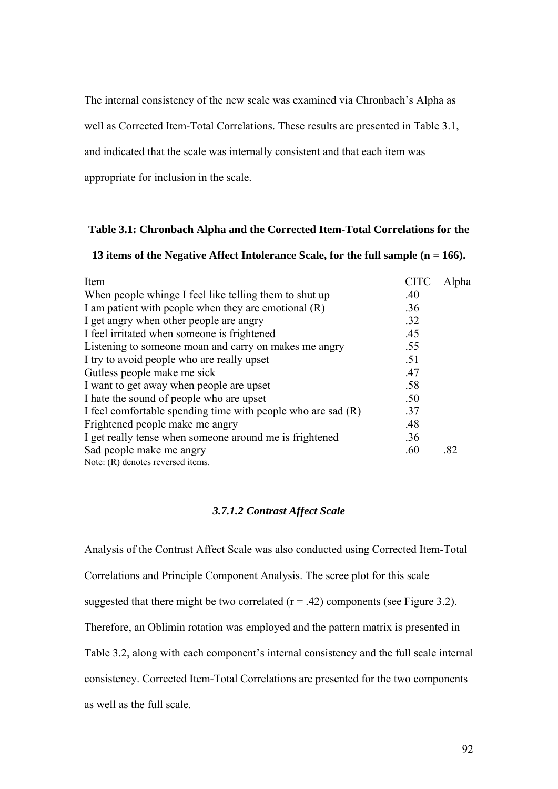The internal consistency of the new scale was examined via Chronbach's Alpha as

well as Corrected Item-Total Correlations. These results are presented in Table 3.1,

and indicated that the scale was internally consistent and that each item was

appropriate for inclusion in the scale.

#### **Table 3.1: Chronbach Alpha and the Corrected Item-Total Correlations for the**

| 13 items of the Negative Affect Intolerance Scale, for the full sample $(n = 166)$ . |  |
|--------------------------------------------------------------------------------------|--|
|                                                                                      |  |

| Item                                                           | CITC | Alpha |
|----------------------------------------------------------------|------|-------|
| When people whinge I feel like telling them to shut up         | .40  |       |
| I am patient with people when they are emotional (R)           | .36  |       |
| I get angry when other people are angry                        | .32  |       |
| I feel irritated when someone is frightened                    | .45  |       |
| Listening to someone moan and carry on makes me angry          | .55  |       |
| I try to avoid people who are really upset                     | .51  |       |
| Gutless people make me sick                                    | .47  |       |
| I want to get away when people are upset                       | .58  |       |
| I hate the sound of people who are upset                       | .50  |       |
| I feel comfortable spending time with people who are sad $(R)$ | .37  |       |
| Frightened people make me angry                                | .48  |       |
| I get really tense when someone around me is frightened        | .36  |       |
| Sad people make me angry                                       | .60  | .82   |
| $\mathbf{M}$ . $\mathbf{M}$ . The state is a series of the set |      |       |

Note: (R) denotes reversed items.

### *3.7.1.2 Contrast Affect Scale*

Analysis of the Contrast Affect Scale was also conducted using Corrected Item-Total Correlations and Principle Component Analysis. The scree plot for this scale suggested that there might be two correlated  $(r = .42)$  components (see Figure 3.2). Therefore, an Oblimin rotation was employed and the pattern matrix is presented in Table 3.2, along with each component's internal consistency and the full scale internal consistency. Corrected Item-Total Correlations are presented for the two components as well as the full scale.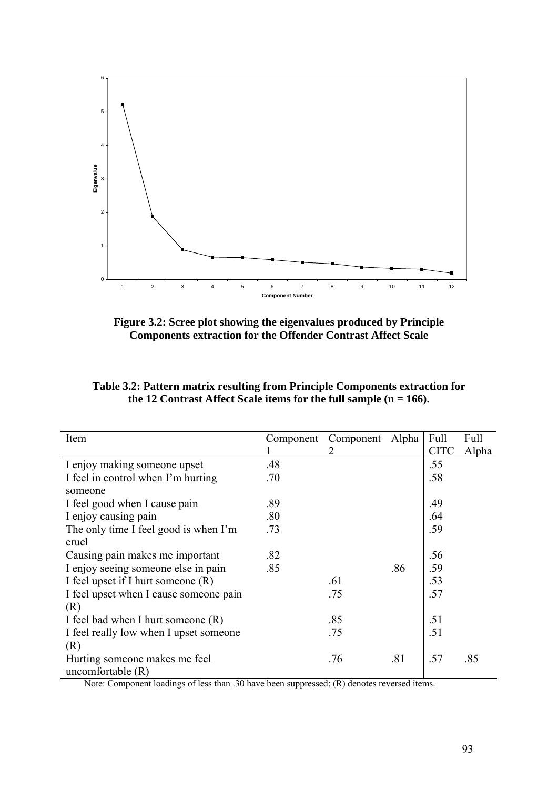

**Figure 3.2: Scree plot showing the eigenvalues produced by Principle Components extraction for the Offender Contrast Affect Scale** 

| Item                                   | Component | Component | Alpha | Full        | Full  |
|----------------------------------------|-----------|-----------|-------|-------------|-------|
|                                        |           | 2         |       | <b>CITC</b> | Alpha |
| I enjoy making someone upset           | .48       |           |       | .55         |       |
| I feel in control when I'm hurting     | .70       |           |       | .58         |       |
| someone                                |           |           |       |             |       |
| I feel good when I cause pain          | .89       |           |       | .49         |       |
| I enjoy causing pain                   | .80       |           |       | .64         |       |
| The only time I feel good is when I'm  | .73       |           |       | .59         |       |
| cruel                                  |           |           |       |             |       |
| Causing pain makes me important        | .82       |           |       | .56         |       |
| I enjoy seeing someone else in pain    | .85       |           | .86   | .59         |       |
| I feel upset if I hurt someone (R)     |           | .61       |       | .53         |       |
| I feel upset when I cause someone pain |           | .75       |       | .57         |       |
| (R)                                    |           |           |       |             |       |
| I feel bad when I hurt someone (R)     |           | .85       |       | .51         |       |
| I feel really low when I upset someone |           | .75       |       | .51         |       |
| (R)                                    |           |           |       |             |       |
| Hurting someone makes me feel          |           | .76       | .81   | .57         | .85   |
| uncomfortable $(R)$                    |           |           |       |             |       |

**Table 3.2: Pattern matrix resulting from Principle Components extraction for the 12 Contrast Affect Scale items for the full sample (n = 166).** 

Note: Component loadings of less than .30 have been suppressed; (R) denotes reversed items.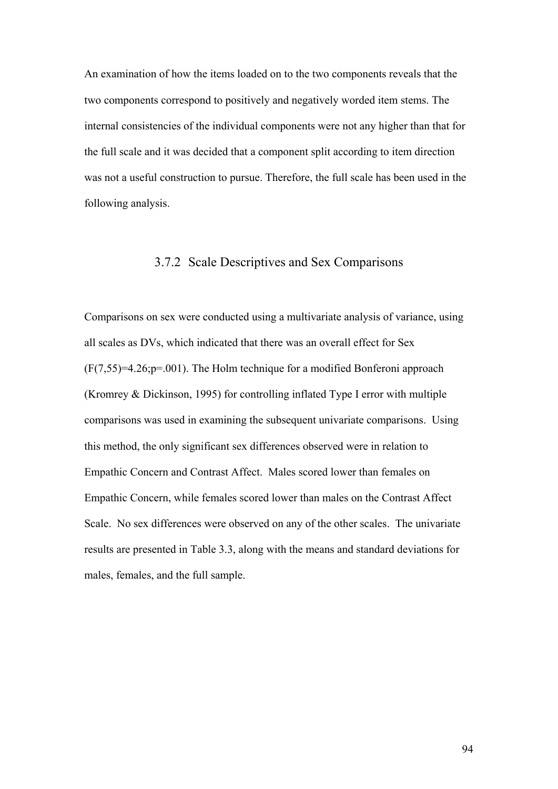An examination of how the items loaded on to the two components reveals that the two components correspond to positively and negatively worded item stems. The internal consistencies of the individual components were not any higher than that for the full scale and it was decided that a component split according to item direction was not a useful construction to pursue. Therefore, the full scale has been used in the following analysis.

## 3.7.2 Scale Descriptives and Sex Comparisons

Comparisons on sex were conducted using a multivariate analysis of variance, using all scales as DVs, which indicated that there was an overall effect for Sex (F(7,55)=4.26;p=.001). The Holm technique for a modified Bonferoni approach (Kromrey & Dickinson, 1995) for controlling inflated Type I error with multiple comparisons was used in examining the subsequent univariate comparisons. Using this method, the only significant sex differences observed were in relation to Empathic Concern and Contrast Affect. Males scored lower than females on Empathic Concern, while females scored lower than males on the Contrast Affect Scale. No sex differences were observed on any of the other scales. The univariate results are presented in Table 3.3, along with the means and standard deviations for males, females, and the full sample.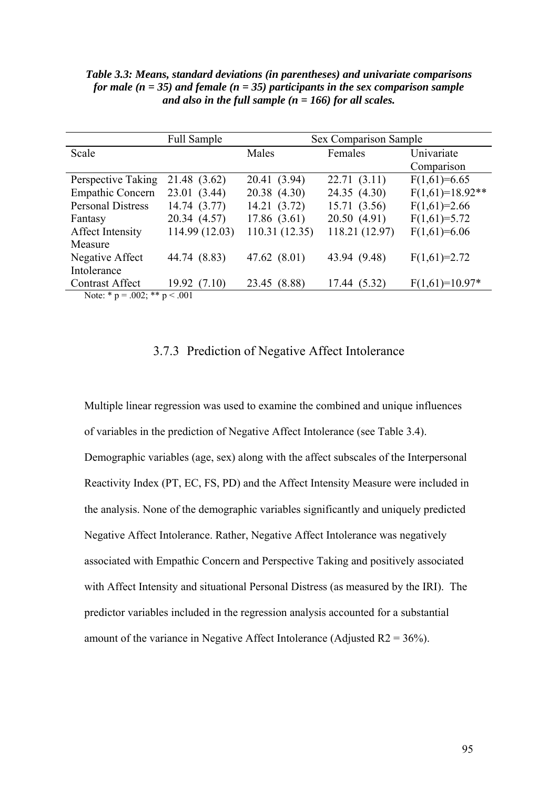|                                    | <b>Full Sample</b> | Sex Comparison Sample |                |                   |  |
|------------------------------------|--------------------|-----------------------|----------------|-------------------|--|
| Scale                              |                    | Males                 | Females        | Univariate        |  |
|                                    |                    |                       |                | Comparison        |  |
| Perspective Taking                 | 21.48 (3.62)       | 20.41 (3.94)          | 22.71(3.11)    | $F(1,61)=6.65$    |  |
| <b>Empathic Concern</b>            | 23.01 (3.44)       | 20.38 (4.30)          | 24.35 (4.30)   | $F(1,61)=18.92**$ |  |
| <b>Personal Distress</b>           | 14.74 (3.77)       | 14.21 (3.72)          | 15.71(3.56)    | $F(1,61)=2.66$    |  |
| Fantasy                            | 20.34 (4.57)       | 17.86(3.61)           | 20.50(4.91)    | $F(1,61)=5.72$    |  |
| Affect Intensity                   | 114.99 (12.03)     | 110.31 (12.35)        | 118.21 (12.97) | $F(1,61)=6.06$    |  |
| Measure                            |                    |                       |                |                   |  |
| Negative Affect                    | 44.74 (8.83)       | 47.62 (8.01)          | 43.94 (9.48)   | $F(1,61)=2.72$    |  |
| Intolerance                        |                    |                       |                |                   |  |
| <b>Contrast Affect</b>             | 19.92(7.10)        | 23.45 (8.88)          | 17.44 (5.32)   | $F(1,61)=10.97*$  |  |
| Note: * $p = .002$ ; ** $p < .001$ |                    |                       |                |                   |  |

*Table 3.3: Means, standard deviations (in parentheses) and univariate comparisons for male (n = 35) and female (n = 35) participants in the sex comparison sample and also in the full sample (n = 166) for all scales.* 

## 3.7.3 Prediction of Negative Affect Intolerance

Multiple linear regression was used to examine the combined and unique influences of variables in the prediction of Negative Affect Intolerance (see Table 3.4). Demographic variables (age, sex) along with the affect subscales of the Interpersonal Reactivity Index (PT, EC, FS, PD) and the Affect Intensity Measure were included in the analysis. None of the demographic variables significantly and uniquely predicted Negative Affect Intolerance. Rather, Negative Affect Intolerance was negatively associated with Empathic Concern and Perspective Taking and positively associated with Affect Intensity and situational Personal Distress (as measured by the IRI). The predictor variables included in the regression analysis accounted for a substantial amount of the variance in Negative Affect Intolerance (Adjusted  $R2 = 36\%$ ).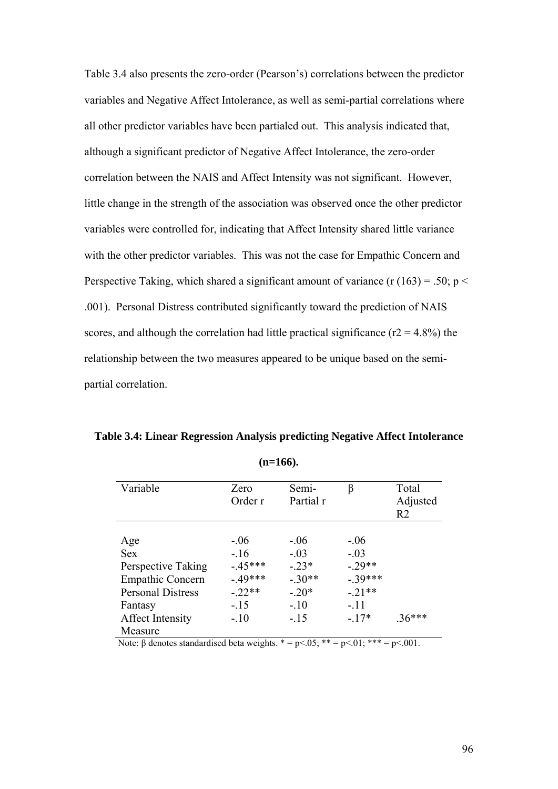Table 3.4 also presents the zero-order (Pearson's) correlations between the predictor variables and Negative Affect Intolerance, as well as semi-partial correlations where all other predictor variables have been partialed out. This analysis indicated that, although a significant predictor of Negative Affect Intolerance, the zero-order correlation between the NAIS and Affect Intensity was not significant. However, little change in the strength of the association was observed once the other predictor variables were controlled for, indicating that Affect Intensity shared little variance with the other predictor variables. This was not the case for Empathic Concern and Perspective Taking, which shared a significant amount of variance (r  $(163) = .50$ ; p < .001). Personal Distress contributed significantly toward the prediction of NAIS scores, and although the correlation had little practical significance ( $r2 = 4.8\%$ ) the relationship between the two measures appeared to be unique based on the semipartial correlation.

**Table 3.4: Linear Regression Analysis predicting Negative Affect Intolerance** 

| Variable                 | Zero     | Semi-     | β        | Total          |
|--------------------------|----------|-----------|----------|----------------|
|                          | Order r  | Partial r |          | Adjusted       |
|                          |          |           |          | R <sub>2</sub> |
|                          |          |           |          |                |
| Age                      | $-.06$   | $-.06$    | $-.06$   |                |
| <b>Sex</b>               | $-16$    | $-.03$    | $-.03$   |                |
| Perspective Taking       | $-45***$ | $-23*$    | $-29**$  |                |
| <b>Empathic Concern</b>  | $-49***$ | $-.30**$  | $-39***$ |                |
| <b>Personal Distress</b> | $-.22**$ | $-.20*$   | $-21**$  |                |
| Fantasy                  | $-.15$   | $-.10$    | $-.11$   |                |
| Affect Intensity         | $-.10$   | $-.15$    | $-17*$   | $36***$        |
| Measure                  |          |           |          |                |

**(n=166).** 

Note: β denotes standardised beta weights.  $* = p < .05$ ;  $** = p < .01$ ;  $*** = p < .001$ .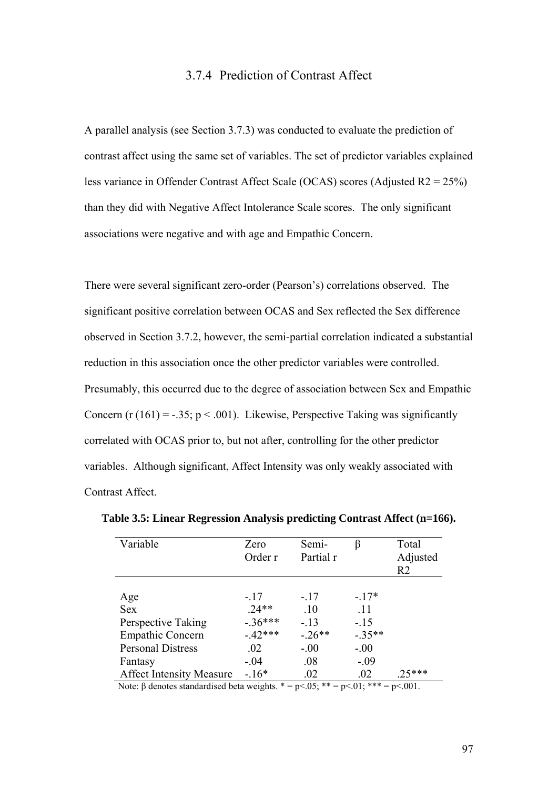## 3.7.4 Prediction of Contrast Affect

A parallel analysis (see Section 3.7.3) was conducted to evaluate the prediction of contrast affect using the same set of variables. The set of predictor variables explained less variance in Offender Contrast Affect Scale (OCAS) scores (Adjusted R2 = 25%) than they did with Negative Affect Intolerance Scale scores. The only significant associations were negative and with age and Empathic Concern.

There were several significant zero-order (Pearson's) correlations observed. The significant positive correlation between OCAS and Sex reflected the Sex difference observed in Section 3.7.2, however, the semi-partial correlation indicated a substantial reduction in this association once the other predictor variables were controlled. Presumably, this occurred due to the degree of association between Sex and Empathic Concern (r  $(161) = -.35$ ;  $p < .001$ ). Likewise, Perspective Taking was significantly correlated with OCAS prior to, but not after, controlling for the other predictor variables. Although significant, Affect Intensity was only weakly associated with Contrast Affect.

| Variable                                                                              | Zero<br>Order r | Semi-<br>Partial r | ß        | Total<br>Adjusted<br>R <sub>2</sub> |
|---------------------------------------------------------------------------------------|-----------------|--------------------|----------|-------------------------------------|
| Age                                                                                   | $-.17$          | $-.17$             | $-17*$   |                                     |
| <b>Sex</b>                                                                            | $.24**$         | .10                | .11      |                                     |
| Perspective Taking                                                                    | $-36***$        | $-.13$             | $-15$    |                                     |
| <b>Empathic Concern</b>                                                               | $-42***$        | $-26**$            | $-.35**$ |                                     |
| <b>Personal Distress</b>                                                              | $.02\,$         | $-.00$             | $-.00$   |                                     |
| Fantasy                                                                               | $-.04$          | .08                | $-.09$   |                                     |
| <b>Affect Intensity Measure</b>                                                       | $-16*$          | .02                | .02      | $.25***$                            |
| Note: $\beta$ denotes standardised beta weights. * = p<.05; ** = p<.01; *** = p<.001. |                 |                    |          |                                     |

**Table 3.5: Linear Regression Analysis predicting Contrast Affect (n=166).**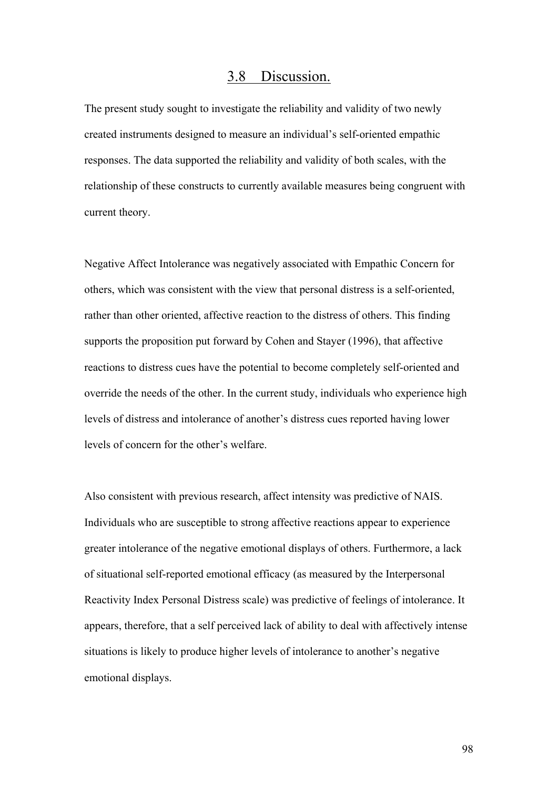# 3.8 Discussion.

The present study sought to investigate the reliability and validity of two newly created instruments designed to measure an individual's self-oriented empathic responses. The data supported the reliability and validity of both scales, with the relationship of these constructs to currently available measures being congruent with current theory.

Negative Affect Intolerance was negatively associated with Empathic Concern for others, which was consistent with the view that personal distress is a self-oriented, rather than other oriented, affective reaction to the distress of others. This finding supports the proposition put forward by Cohen and Stayer (1996), that affective reactions to distress cues have the potential to become completely self-oriented and override the needs of the other. In the current study, individuals who experience high levels of distress and intolerance of another's distress cues reported having lower levels of concern for the other's welfare.

Also consistent with previous research, affect intensity was predictive of NAIS. Individuals who are susceptible to strong affective reactions appear to experience greater intolerance of the negative emotional displays of others. Furthermore, a lack of situational self-reported emotional efficacy (as measured by the Interpersonal Reactivity Index Personal Distress scale) was predictive of feelings of intolerance. It appears, therefore, that a self perceived lack of ability to deal with affectively intense situations is likely to produce higher levels of intolerance to another's negative emotional displays.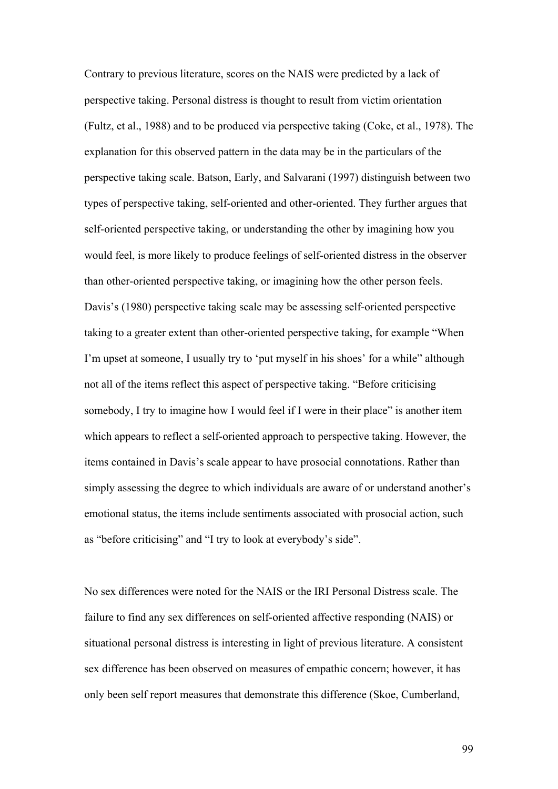Contrary to previous literature, scores on the NAIS were predicted by a lack of perspective taking. Personal distress is thought to result from victim orientation (Fultz, et al., 1988) and to be produced via perspective taking (Coke, et al., 1978). The explanation for this observed pattern in the data may be in the particulars of the perspective taking scale. Batson, Early, and Salvarani (1997) distinguish between two types of perspective taking, self-oriented and other-oriented. They further argues that self-oriented perspective taking, or understanding the other by imagining how you would feel, is more likely to produce feelings of self-oriented distress in the observer than other-oriented perspective taking, or imagining how the other person feels. Davis's (1980) perspective taking scale may be assessing self-oriented perspective taking to a greater extent than other-oriented perspective taking, for example "When I'm upset at someone, I usually try to 'put myself in his shoes' for a while" although not all of the items reflect this aspect of perspective taking. "Before criticising somebody, I try to imagine how I would feel if I were in their place" is another item which appears to reflect a self-oriented approach to perspective taking. However, the items contained in Davis's scale appear to have prosocial connotations. Rather than simply assessing the degree to which individuals are aware of or understand another's emotional status, the items include sentiments associated with prosocial action, such as "before criticising" and "I try to look at everybody's side".

No sex differences were noted for the NAIS or the IRI Personal Distress scale. The failure to find any sex differences on self-oriented affective responding (NAIS) or situational personal distress is interesting in light of previous literature. A consistent sex difference has been observed on measures of empathic concern; however, it has only been self report measures that demonstrate this difference (Skoe, Cumberland,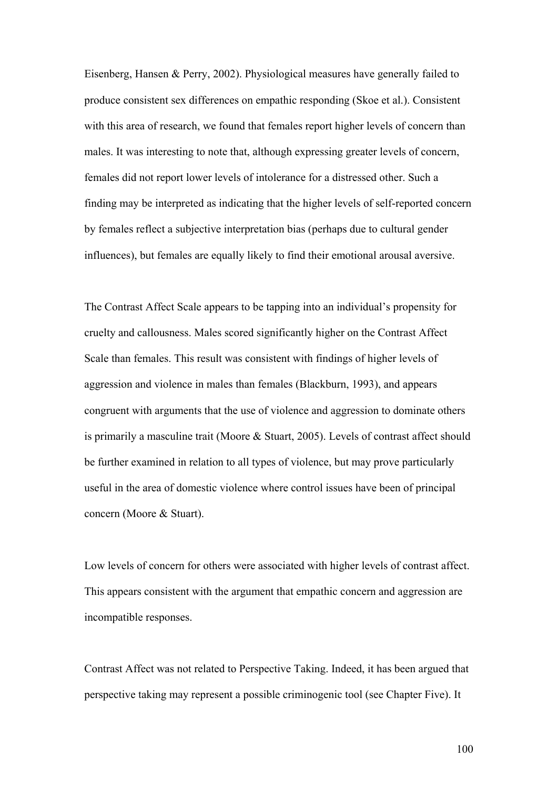Eisenberg, Hansen & Perry, 2002). Physiological measures have generally failed to produce consistent sex differences on empathic responding (Skoe et al.). Consistent with this area of research, we found that females report higher levels of concern than males. It was interesting to note that, although expressing greater levels of concern, females did not report lower levels of intolerance for a distressed other. Such a finding may be interpreted as indicating that the higher levels of self-reported concern by females reflect a subjective interpretation bias (perhaps due to cultural gender influences), but females are equally likely to find their emotional arousal aversive.

The Contrast Affect Scale appears to be tapping into an individual's propensity for cruelty and callousness. Males scored significantly higher on the Contrast Affect Scale than females. This result was consistent with findings of higher levels of aggression and violence in males than females (Blackburn, 1993), and appears congruent with arguments that the use of violence and aggression to dominate others is primarily a masculine trait (Moore & Stuart, 2005). Levels of contrast affect should be further examined in relation to all types of violence, but may prove particularly useful in the area of domestic violence where control issues have been of principal concern (Moore & Stuart).

Low levels of concern for others were associated with higher levels of contrast affect. This appears consistent with the argument that empathic concern and aggression are incompatible responses.

Contrast Affect was not related to Perspective Taking. Indeed, it has been argued that perspective taking may represent a possible criminogenic tool (see Chapter Five). It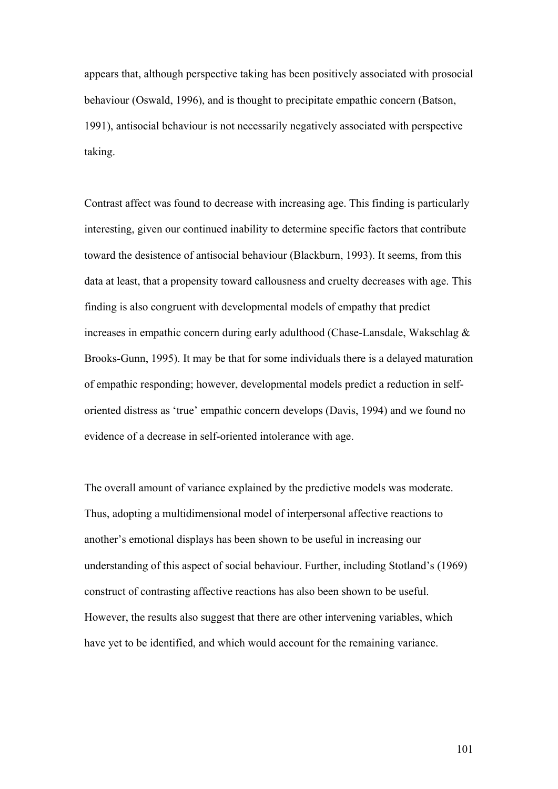appears that, although perspective taking has been positively associated with prosocial behaviour (Oswald, 1996), and is thought to precipitate empathic concern (Batson, 1991), antisocial behaviour is not necessarily negatively associated with perspective taking.

Contrast affect was found to decrease with increasing age. This finding is particularly interesting, given our continued inability to determine specific factors that contribute toward the desistence of antisocial behaviour (Blackburn, 1993). It seems, from this data at least, that a propensity toward callousness and cruelty decreases with age. This finding is also congruent with developmental models of empathy that predict increases in empathic concern during early adulthood (Chase-Lansdale, Wakschlag & Brooks-Gunn, 1995). It may be that for some individuals there is a delayed maturation of empathic responding; however, developmental models predict a reduction in selforiented distress as 'true' empathic concern develops (Davis, 1994) and we found no evidence of a decrease in self-oriented intolerance with age.

The overall amount of variance explained by the predictive models was moderate. Thus, adopting a multidimensional model of interpersonal affective reactions to another's emotional displays has been shown to be useful in increasing our understanding of this aspect of social behaviour. Further, including Stotland's (1969) construct of contrasting affective reactions has also been shown to be useful. However, the results also suggest that there are other intervening variables, which have yet to be identified, and which would account for the remaining variance.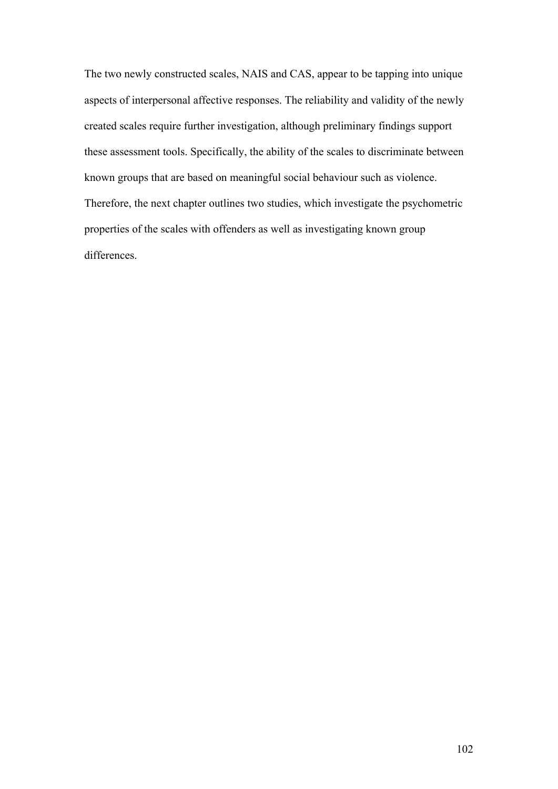The two newly constructed scales, NAIS and CAS, appear to be tapping into unique aspects of interpersonal affective responses. The reliability and validity of the newly created scales require further investigation, although preliminary findings support these assessment tools. Specifically, the ability of the scales to discriminate between known groups that are based on meaningful social behaviour such as violence. Therefore, the next chapter outlines two studies, which investigate the psychometric properties of the scales with offenders as well as investigating known group differences.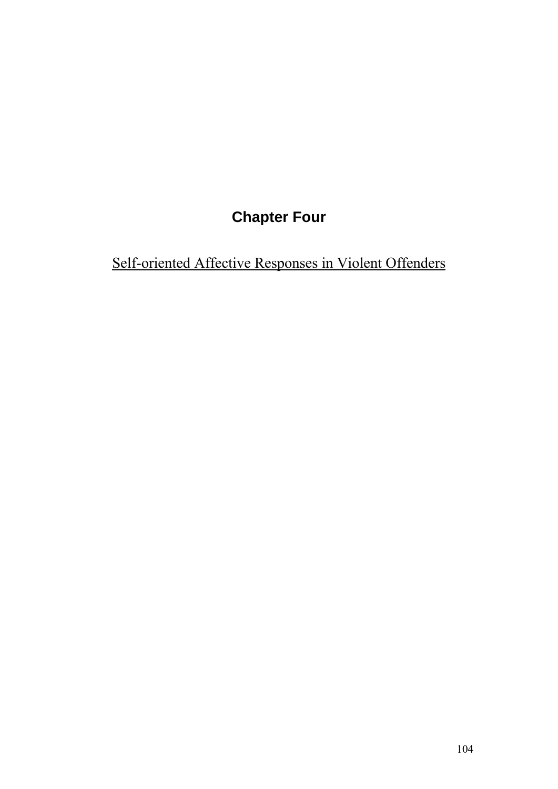# **Chapter Four**

Self-oriented Affective Responses in Violent Offenders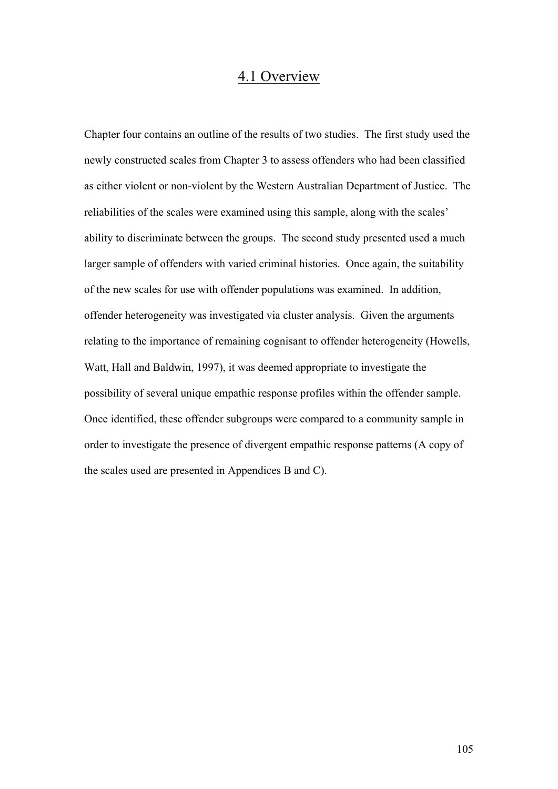# 4.1 Overview

Chapter four contains an outline of the results of two studies. The first study used the newly constructed scales from Chapter 3 to assess offenders who had been classified as either violent or non-violent by the Western Australian Department of Justice. The reliabilities of the scales were examined using this sample, along with the scales' ability to discriminate between the groups. The second study presented used a much larger sample of offenders with varied criminal histories. Once again, the suitability of the new scales for use with offender populations was examined. In addition, offender heterogeneity was investigated via cluster analysis. Given the arguments relating to the importance of remaining cognisant to offender heterogeneity (Howells, Watt, Hall and Baldwin, 1997), it was deemed appropriate to investigate the possibility of several unique empathic response profiles within the offender sample. Once identified, these offender subgroups were compared to a community sample in order to investigate the presence of divergent empathic response patterns (A copy of the scales used are presented in Appendices B and C).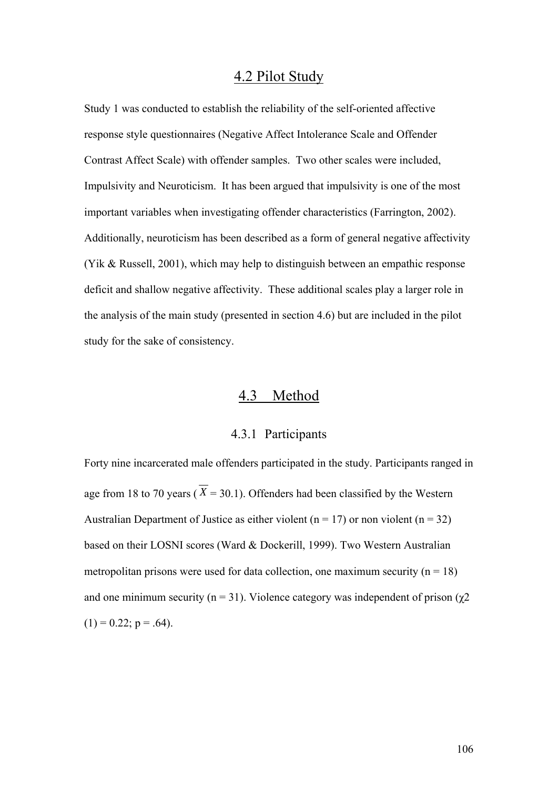# 4.2 Pilot Study

Study 1 was conducted to establish the reliability of the self-oriented affective response style questionnaires (Negative Affect Intolerance Scale and Offender Contrast Affect Scale) with offender samples. Two other scales were included, Impulsivity and Neuroticism. It has been argued that impulsivity is one of the most important variables when investigating offender characteristics (Farrington, 2002). Additionally, neuroticism has been described as a form of general negative affectivity (Yik & Russell, 2001), which may help to distinguish between an empathic response deficit and shallow negative affectivity. These additional scales play a larger role in the analysis of the main study (presented in section 4.6) but are included in the pilot study for the sake of consistency.

# 4.3 Method

#### 4.3.1 Participants

Forty nine incarcerated male offenders participated in the study. Participants ranged in age from 18 to 70 years ( $\overline{X}$  = 30.1). Offenders had been classified by the Western Australian Department of Justice as either violent ( $n = 17$ ) or non violent ( $n = 32$ ) based on their LOSNI scores (Ward & Dockerill, 1999). Two Western Australian metropolitan prisons were used for data collection, one maximum security ( $n = 18$ ) and one minimum security (n = 31). Violence category was independent of prison ( $\chi$ 2  $(1) = 0.22$ ;  $p = .64$ ).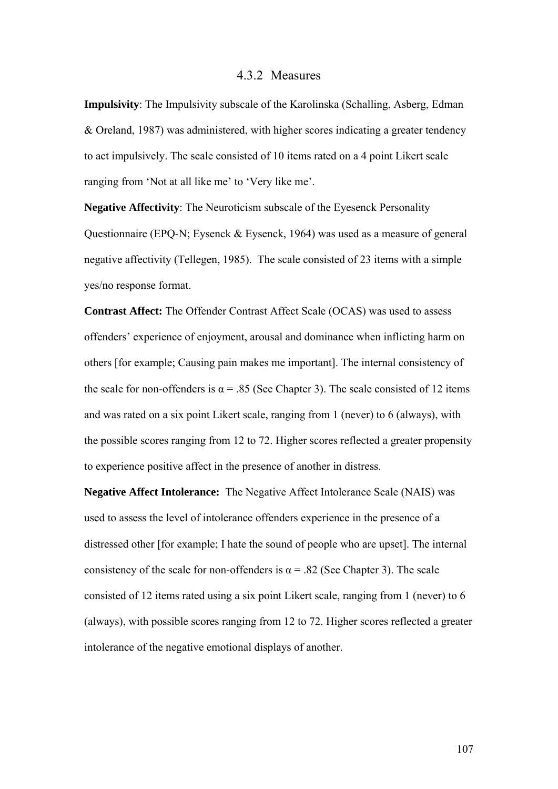### 4.3.2 Measures

**Impulsivity**: The Impulsivity subscale of the Karolinska (Schalling, Asberg, Edman & Oreland, 1987) was administered, with higher scores indicating a greater tendency to act impulsively. The scale consisted of 10 items rated on a 4 point Likert scale ranging from 'Not at all like me' to 'Very like me'.

**Negative Affectivity**: The Neuroticism subscale of the Eyesenck Personality Questionnaire (EPQ-N; Eysenck & Eysenck, 1964) was used as a measure of general negative affectivity (Tellegen, 1985). The scale consisted of 23 items with a simple yes/no response format.

**Contrast Affect:** The Offender Contrast Affect Scale (OCAS) was used to assess offenders' experience of enjoyment, arousal and dominance when inflicting harm on others [for example; Causing pain makes me important]. The internal consistency of the scale for non-offenders is  $\alpha$  = .85 (See Chapter 3). The scale consisted of 12 items and was rated on a six point Likert scale, ranging from 1 (never) to 6 (always), with the possible scores ranging from 12 to 72. Higher scores reflected a greater propensity to experience positive affect in the presence of another in distress.

**Negative Affect Intolerance:** The Negative Affect Intolerance Scale (NAIS) was used to assess the level of intolerance offenders experience in the presence of a distressed other [for example; I hate the sound of people who are upset]. The internal consistency of the scale for non-offenders is  $\alpha$  = .82 (See Chapter 3). The scale consisted of 12 items rated using a six point Likert scale, ranging from 1 (never) to 6 (always), with possible scores ranging from 12 to 72. Higher scores reflected a greater intolerance of the negative emotional displays of another.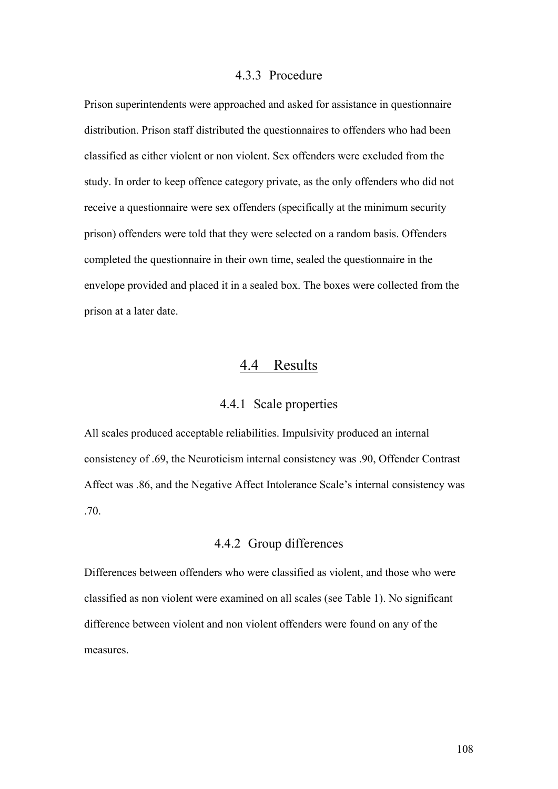## 4.3.3 Procedure

Prison superintendents were approached and asked for assistance in questionnaire distribution. Prison staff distributed the questionnaires to offenders who had been classified as either violent or non violent. Sex offenders were excluded from the study. In order to keep offence category private, as the only offenders who did not receive a questionnaire were sex offenders (specifically at the minimum security prison) offenders were told that they were selected on a random basis. Offenders completed the questionnaire in their own time, sealed the questionnaire in the envelope provided and placed it in a sealed box. The boxes were collected from the prison at a later date.

# 4.4 Results

## 4.4.1 Scale properties

All scales produced acceptable reliabilities. Impulsivity produced an internal consistency of .69, the Neuroticism internal consistency was .90, Offender Contrast Affect was .86, and the Negative Affect Intolerance Scale's internal consistency was .70.

## 4.4.2 Group differences

Differences between offenders who were classified as violent, and those who were classified as non violent were examined on all scales (see Table 1). No significant difference between violent and non violent offenders were found on any of the measures.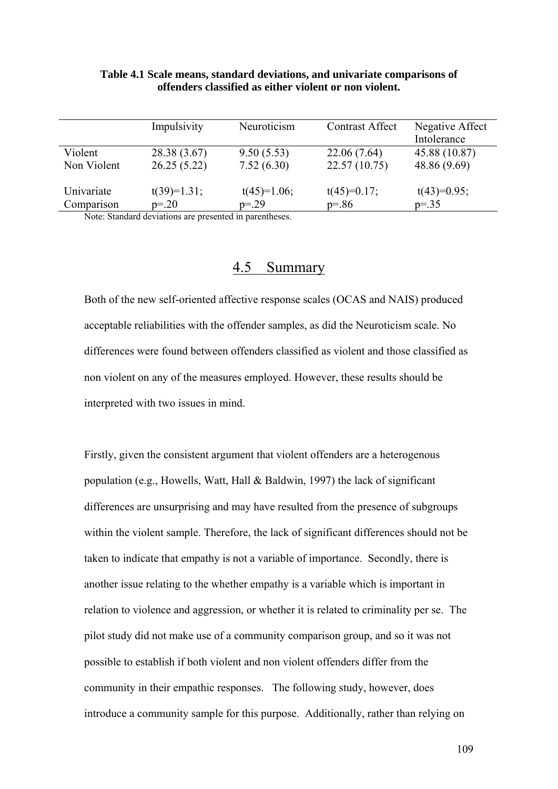|                                                                  | Impulsivity   | Neuroticism           | <b>Contrast Affect</b> | Negative Affect |
|------------------------------------------------------------------|---------------|-----------------------|------------------------|-----------------|
|                                                                  |               |                       |                        | Intolerance     |
| Violent                                                          | 28.38 (3.67)  | 9.50(5.53)            | 22.06 (7.64)           | 45.88 (10.87)   |
| Non Violent                                                      | 26.25(5.22)   | 7.52(6.30)            | 22.57(10.75)           | 48.86 (9.69)    |
| Univariate                                                       | $t(39)=1.31;$ | $t(45)=1.06;$         | $t(45)=0.17;$          | $t(43)=0.95;$   |
| Comparison                                                       | $p = 20$      | $p = 29$              | $p = 86$               | $p = 0.35$      |
| $\mathbf{M}$ $\mathbf{M}$ $\mathbf{M}$ $\mathbf{M}$ $\mathbf{M}$ |               | $\sim$ 1.5 $\sim$ 1.1 |                        |                 |

#### **Table 4.1 Scale means, standard deviations, and univariate comparisons of offenders classified as either violent or non violent.**

Note: Standard deviations are presented in parentheses.

# 4.5 Summary

Both of the new self-oriented affective response scales (OCAS and NAIS) produced acceptable reliabilities with the offender samples, as did the Neuroticism scale. No differences were found between offenders classified as violent and those classified as non violent on any of the measures employed. However, these results should be interpreted with two issues in mind.

Firstly, given the consistent argument that violent offenders are a heterogenous population (e.g., Howells, Watt, Hall & Baldwin, 1997) the lack of significant differences are unsurprising and may have resulted from the presence of subgroups within the violent sample. Therefore, the lack of significant differences should not be taken to indicate that empathy is not a variable of importance. Secondly, there is another issue relating to the whether empathy is a variable which is important in relation to violence and aggression, or whether it is related to criminality per se. The pilot study did not make use of a community comparison group, and so it was not possible to establish if both violent and non violent offenders differ from the community in their empathic responses. The following study, however, does introduce a community sample for this purpose. Additionally, rather than relying on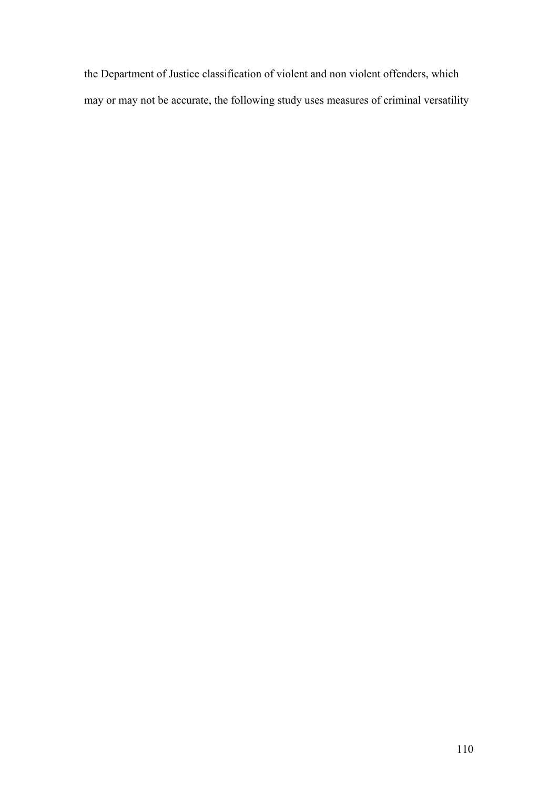the Department of Justice classification of violent and non violent offenders, which may or may not be accurate, the following study uses measures of criminal versatility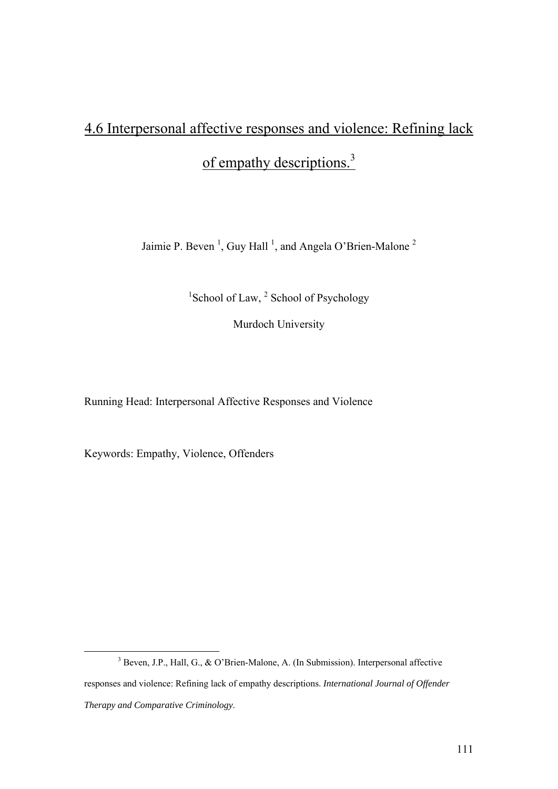# 4.6 Interpersonal affective responses and violence: Refining lack

of empathy descriptions.<sup>3</sup>

Jaimie P. Beven<sup>1</sup>, Guy Hall<sup>1</sup>, and Angela O'Brien-Malone<sup>2</sup>

<sup>1</sup>School of Law, <sup>2</sup> School of Psychology

Murdoch University

Running Head: Interpersonal Affective Responses and Violence

Keywords: Empathy, Violence, Offenders

 $\frac{1}{3}$  $3$  Beven, J.P., Hall, G., & O'Brien-Malone, A. (In Submission). Interpersonal affective responses and violence: Refining lack of empathy descriptions. *International Journal of Offender Therapy and Comparative Criminology*.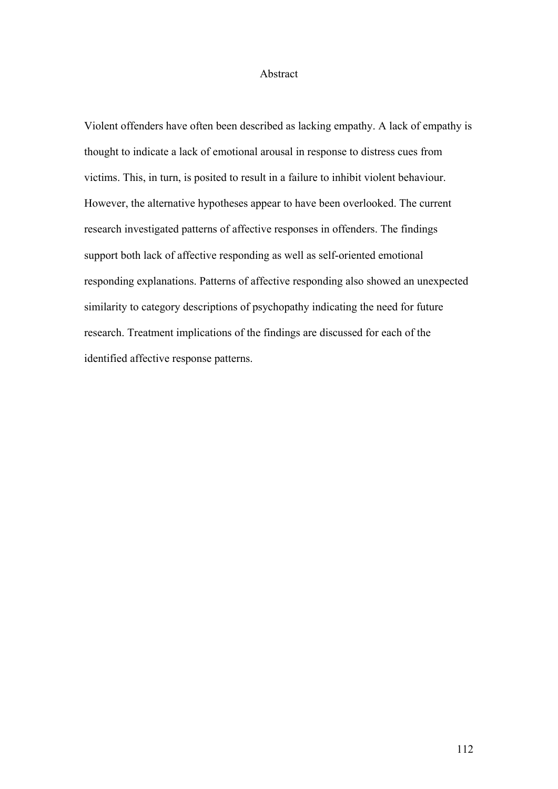#### Abstract

Violent offenders have often been described as lacking empathy. A lack of empathy is thought to indicate a lack of emotional arousal in response to distress cues from victims. This, in turn, is posited to result in a failure to inhibit violent behaviour. However, the alternative hypotheses appear to have been overlooked. The current research investigated patterns of affective responses in offenders. The findings support both lack of affective responding as well as self-oriented emotional responding explanations. Patterns of affective responding also showed an unexpected similarity to category descriptions of psychopathy indicating the need for future research. Treatment implications of the findings are discussed for each of the identified affective response patterns.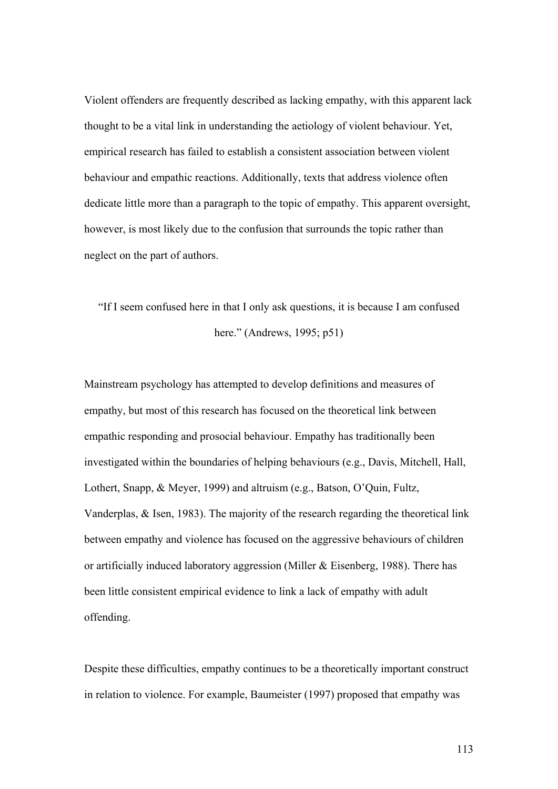Violent offenders are frequently described as lacking empathy, with this apparent lack thought to be a vital link in understanding the aetiology of violent behaviour. Yet, empirical research has failed to establish a consistent association between violent behaviour and empathic reactions. Additionally, texts that address violence often dedicate little more than a paragraph to the topic of empathy. This apparent oversight, however, is most likely due to the confusion that surrounds the topic rather than neglect on the part of authors.

"If I seem confused here in that I only ask questions, it is because I am confused here." (Andrews, 1995; p51)

Mainstream psychology has attempted to develop definitions and measures of empathy, but most of this research has focused on the theoretical link between empathic responding and prosocial behaviour. Empathy has traditionally been investigated within the boundaries of helping behaviours (e.g., Davis, Mitchell, Hall, Lothert, Snapp, & Meyer, 1999) and altruism (e.g., Batson, O'Quin, Fultz, Vanderplas, & Isen, 1983). The majority of the research regarding the theoretical link between empathy and violence has focused on the aggressive behaviours of children or artificially induced laboratory aggression (Miller & Eisenberg, 1988). There has been little consistent empirical evidence to link a lack of empathy with adult offending.

Despite these difficulties, empathy continues to be a theoretically important construct in relation to violence. For example, Baumeister (1997) proposed that empathy was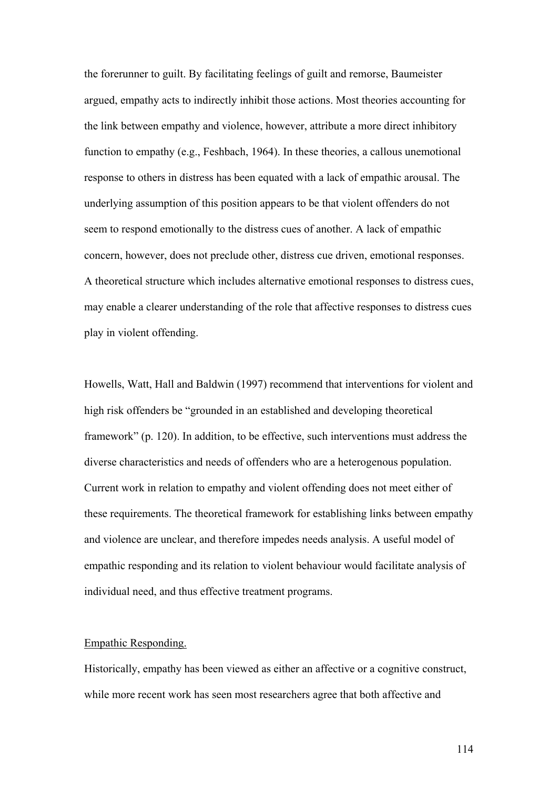the forerunner to guilt. By facilitating feelings of guilt and remorse, Baumeister argued, empathy acts to indirectly inhibit those actions. Most theories accounting for the link between empathy and violence, however, attribute a more direct inhibitory function to empathy (e.g., Feshbach, 1964). In these theories, a callous unemotional response to others in distress has been equated with a lack of empathic arousal. The underlying assumption of this position appears to be that violent offenders do not seem to respond emotionally to the distress cues of another. A lack of empathic concern, however, does not preclude other, distress cue driven, emotional responses. A theoretical structure which includes alternative emotional responses to distress cues, may enable a clearer understanding of the role that affective responses to distress cues play in violent offending.

Howells, Watt, Hall and Baldwin (1997) recommend that interventions for violent and high risk offenders be "grounded in an established and developing theoretical framework" (p. 120). In addition, to be effective, such interventions must address the diverse characteristics and needs of offenders who are a heterogenous population. Current work in relation to empathy and violent offending does not meet either of these requirements. The theoretical framework for establishing links between empathy and violence are unclear, and therefore impedes needs analysis. A useful model of empathic responding and its relation to violent behaviour would facilitate analysis of individual need, and thus effective treatment programs.

#### Empathic Responding.

Historically, empathy has been viewed as either an affective or a cognitive construct, while more recent work has seen most researchers agree that both affective and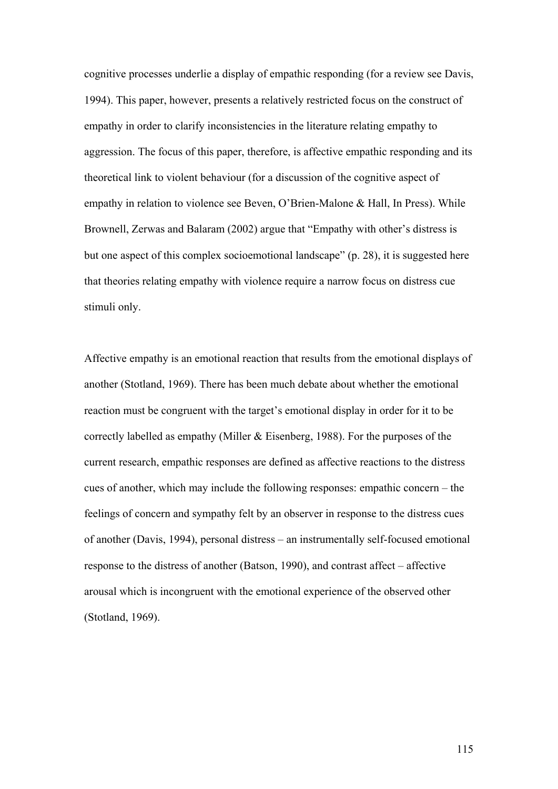cognitive processes underlie a display of empathic responding (for a review see Davis, 1994). This paper, however, presents a relatively restricted focus on the construct of empathy in order to clarify inconsistencies in the literature relating empathy to aggression. The focus of this paper, therefore, is affective empathic responding and its theoretical link to violent behaviour (for a discussion of the cognitive aspect of empathy in relation to violence see Beven, O'Brien-Malone & Hall, In Press). While Brownell, Zerwas and Balaram (2002) argue that "Empathy with other's distress is but one aspect of this complex socioemotional landscape" (p. 28), it is suggested here that theories relating empathy with violence require a narrow focus on distress cue stimuli only.

Affective empathy is an emotional reaction that results from the emotional displays of another (Stotland, 1969). There has been much debate about whether the emotional reaction must be congruent with the target's emotional display in order for it to be correctly labelled as empathy (Miller & Eisenberg, 1988). For the purposes of the current research, empathic responses are defined as affective reactions to the distress cues of another, which may include the following responses: empathic concern – the feelings of concern and sympathy felt by an observer in response to the distress cues of another (Davis, 1994), personal distress – an instrumentally self-focused emotional response to the distress of another (Batson, 1990), and contrast affect – affective arousal which is incongruent with the emotional experience of the observed other (Stotland, 1969).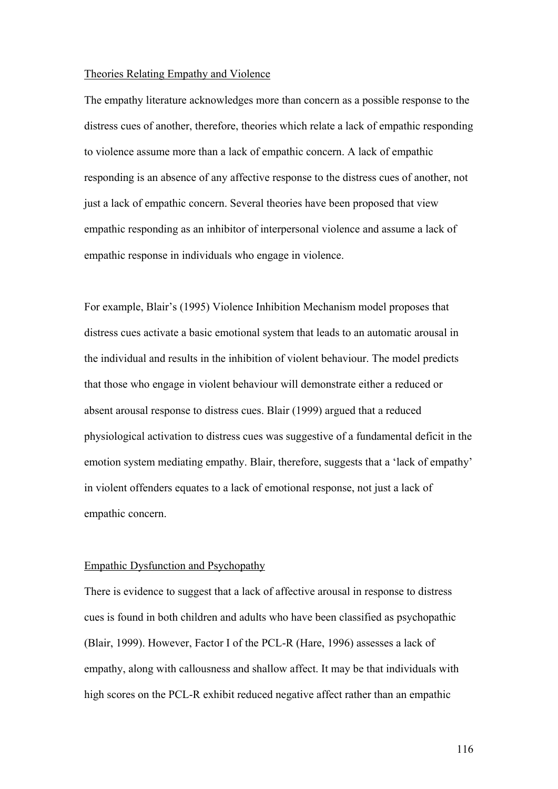#### Theories Relating Empathy and Violence

The empathy literature acknowledges more than concern as a possible response to the distress cues of another, therefore, theories which relate a lack of empathic responding to violence assume more than a lack of empathic concern. A lack of empathic responding is an absence of any affective response to the distress cues of another, not just a lack of empathic concern. Several theories have been proposed that view empathic responding as an inhibitor of interpersonal violence and assume a lack of empathic response in individuals who engage in violence.

For example, Blair's (1995) Violence Inhibition Mechanism model proposes that distress cues activate a basic emotional system that leads to an automatic arousal in the individual and results in the inhibition of violent behaviour. The model predicts that those who engage in violent behaviour will demonstrate either a reduced or absent arousal response to distress cues. Blair (1999) argued that a reduced physiological activation to distress cues was suggestive of a fundamental deficit in the emotion system mediating empathy. Blair, therefore, suggests that a 'lack of empathy' in violent offenders equates to a lack of emotional response, not just a lack of empathic concern.

#### Empathic Dysfunction and Psychopathy

There is evidence to suggest that a lack of affective arousal in response to distress cues is found in both children and adults who have been classified as psychopathic (Blair, 1999). However, Factor I of the PCL-R (Hare, 1996) assesses a lack of empathy, along with callousness and shallow affect. It may be that individuals with high scores on the PCL-R exhibit reduced negative affect rather than an empathic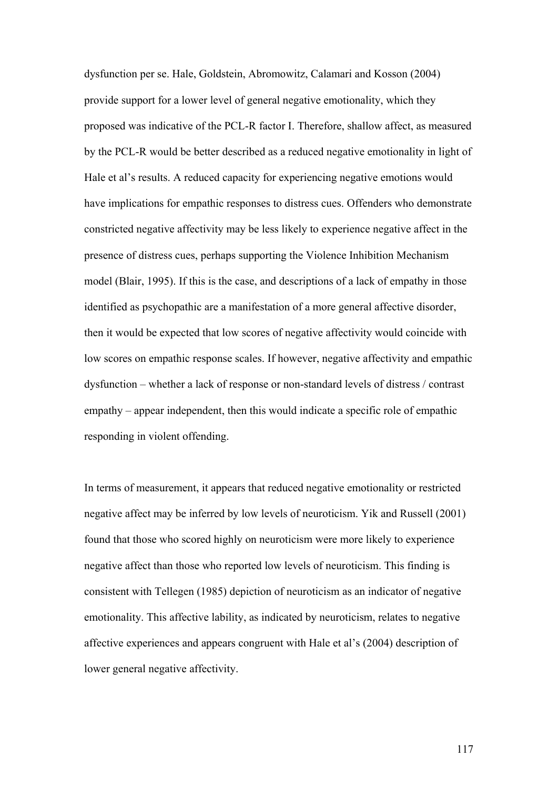dysfunction per se. Hale, Goldstein, Abromowitz, Calamari and Kosson (2004) provide support for a lower level of general negative emotionality, which they proposed was indicative of the PCL-R factor I. Therefore, shallow affect, as measured by the PCL-R would be better described as a reduced negative emotionality in light of Hale et al's results. A reduced capacity for experiencing negative emotions would have implications for empathic responses to distress cues. Offenders who demonstrate constricted negative affectivity may be less likely to experience negative affect in the presence of distress cues, perhaps supporting the Violence Inhibition Mechanism model (Blair, 1995). If this is the case, and descriptions of a lack of empathy in those identified as psychopathic are a manifestation of a more general affective disorder, then it would be expected that low scores of negative affectivity would coincide with low scores on empathic response scales. If however, negative affectivity and empathic dysfunction – whether a lack of response or non-standard levels of distress / contrast empathy – appear independent, then this would indicate a specific role of empathic responding in violent offending.

In terms of measurement, it appears that reduced negative emotionality or restricted negative affect may be inferred by low levels of neuroticism. Yik and Russell (2001) found that those who scored highly on neuroticism were more likely to experience negative affect than those who reported low levels of neuroticism. This finding is consistent with Tellegen (1985) depiction of neuroticism as an indicator of negative emotionality. This affective lability, as indicated by neuroticism, relates to negative affective experiences and appears congruent with Hale et al's (2004) description of lower general negative affectivity.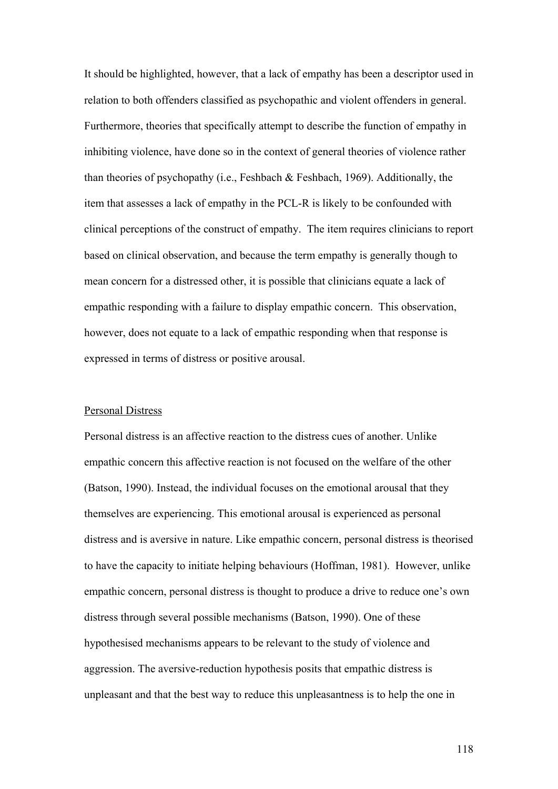It should be highlighted, however, that a lack of empathy has been a descriptor used in relation to both offenders classified as psychopathic and violent offenders in general. Furthermore, theories that specifically attempt to describe the function of empathy in inhibiting violence, have done so in the context of general theories of violence rather than theories of psychopathy (i.e., Feshbach & Feshbach, 1969). Additionally, the item that assesses a lack of empathy in the PCL-R is likely to be confounded with clinical perceptions of the construct of empathy. The item requires clinicians to report based on clinical observation, and because the term empathy is generally though to mean concern for a distressed other, it is possible that clinicians equate a lack of empathic responding with a failure to display empathic concern. This observation, however, does not equate to a lack of empathic responding when that response is expressed in terms of distress or positive arousal.

#### Personal Distress

Personal distress is an affective reaction to the distress cues of another. Unlike empathic concern this affective reaction is not focused on the welfare of the other (Batson, 1990). Instead, the individual focuses on the emotional arousal that they themselves are experiencing. This emotional arousal is experienced as personal distress and is aversive in nature. Like empathic concern, personal distress is theorised to have the capacity to initiate helping behaviours (Hoffman, 1981). However, unlike empathic concern, personal distress is thought to produce a drive to reduce one's own distress through several possible mechanisms (Batson, 1990). One of these hypothesised mechanisms appears to be relevant to the study of violence and aggression. The aversive-reduction hypothesis posits that empathic distress is unpleasant and that the best way to reduce this unpleasantness is to help the one in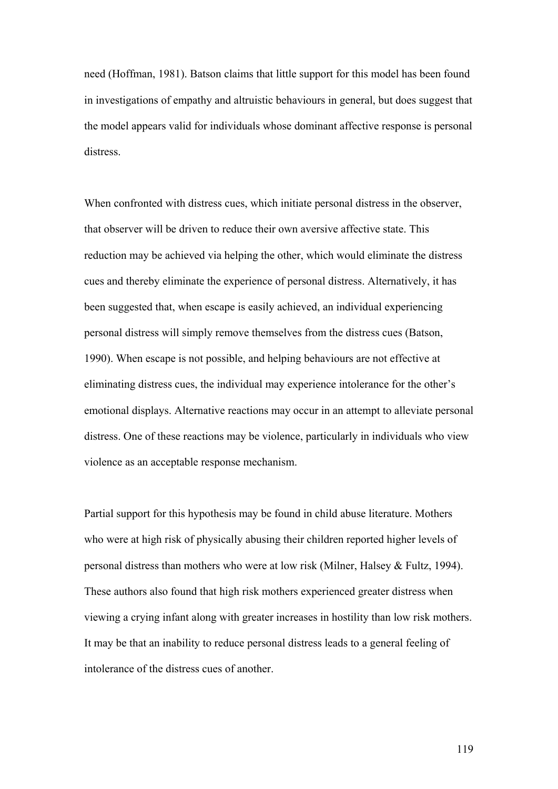need (Hoffman, 1981). Batson claims that little support for this model has been found in investigations of empathy and altruistic behaviours in general, but does suggest that the model appears valid for individuals whose dominant affective response is personal distress.

When confronted with distress cues, which initiate personal distress in the observer, that observer will be driven to reduce their own aversive affective state. This reduction may be achieved via helping the other, which would eliminate the distress cues and thereby eliminate the experience of personal distress. Alternatively, it has been suggested that, when escape is easily achieved, an individual experiencing personal distress will simply remove themselves from the distress cues (Batson, 1990). When escape is not possible, and helping behaviours are not effective at eliminating distress cues, the individual may experience intolerance for the other's emotional displays. Alternative reactions may occur in an attempt to alleviate personal distress. One of these reactions may be violence, particularly in individuals who view violence as an acceptable response mechanism.

Partial support for this hypothesis may be found in child abuse literature. Mothers who were at high risk of physically abusing their children reported higher levels of personal distress than mothers who were at low risk (Milner, Halsey & Fultz, 1994). These authors also found that high risk mothers experienced greater distress when viewing a crying infant along with greater increases in hostility than low risk mothers. It may be that an inability to reduce personal distress leads to a general feeling of intolerance of the distress cues of another.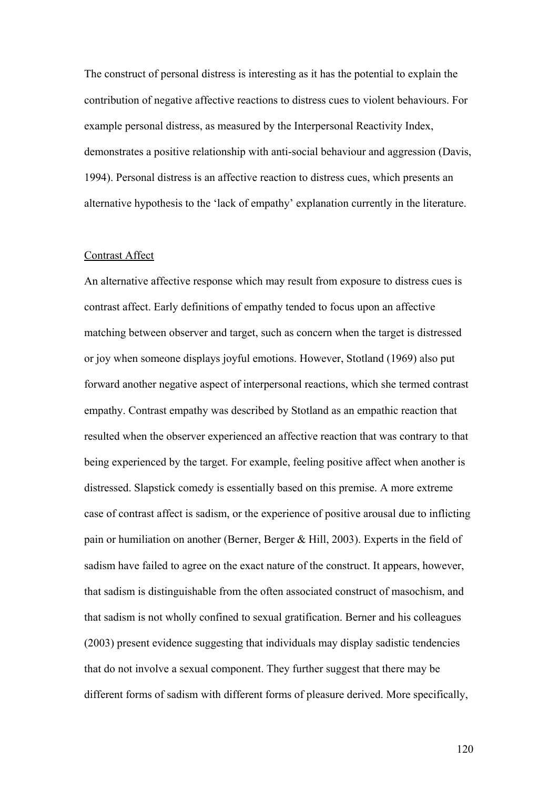The construct of personal distress is interesting as it has the potential to explain the contribution of negative affective reactions to distress cues to violent behaviours. For example personal distress, as measured by the Interpersonal Reactivity Index, demonstrates a positive relationship with anti-social behaviour and aggression (Davis, 1994). Personal distress is an affective reaction to distress cues, which presents an alternative hypothesis to the 'lack of empathy' explanation currently in the literature.

#### Contrast Affect

An alternative affective response which may result from exposure to distress cues is contrast affect. Early definitions of empathy tended to focus upon an affective matching between observer and target, such as concern when the target is distressed or joy when someone displays joyful emotions. However, Stotland (1969) also put forward another negative aspect of interpersonal reactions, which she termed contrast empathy. Contrast empathy was described by Stotland as an empathic reaction that resulted when the observer experienced an affective reaction that was contrary to that being experienced by the target. For example, feeling positive affect when another is distressed. Slapstick comedy is essentially based on this premise. A more extreme case of contrast affect is sadism, or the experience of positive arousal due to inflicting pain or humiliation on another (Berner, Berger & Hill, 2003). Experts in the field of sadism have failed to agree on the exact nature of the construct. It appears, however, that sadism is distinguishable from the often associated construct of masochism, and that sadism is not wholly confined to sexual gratification. Berner and his colleagues (2003) present evidence suggesting that individuals may display sadistic tendencies that do not involve a sexual component. They further suggest that there may be different forms of sadism with different forms of pleasure derived. More specifically,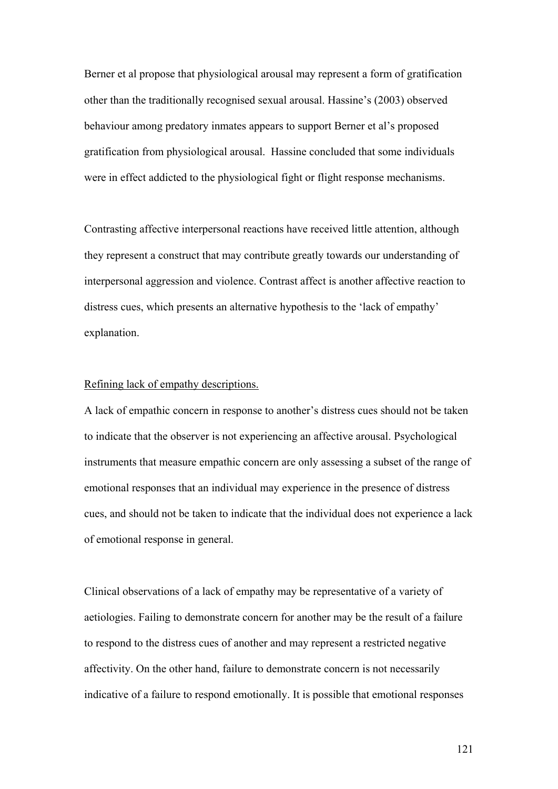Berner et al propose that physiological arousal may represent a form of gratification other than the traditionally recognised sexual arousal. Hassine's (2003) observed behaviour among predatory inmates appears to support Berner et al's proposed gratification from physiological arousal. Hassine concluded that some individuals were in effect addicted to the physiological fight or flight response mechanisms.

Contrasting affective interpersonal reactions have received little attention, although they represent a construct that may contribute greatly towards our understanding of interpersonal aggression and violence. Contrast affect is another affective reaction to distress cues, which presents an alternative hypothesis to the 'lack of empathy' explanation.

#### Refining lack of empathy descriptions.

A lack of empathic concern in response to another's distress cues should not be taken to indicate that the observer is not experiencing an affective arousal. Psychological instruments that measure empathic concern are only assessing a subset of the range of emotional responses that an individual may experience in the presence of distress cues, and should not be taken to indicate that the individual does not experience a lack of emotional response in general.

Clinical observations of a lack of empathy may be representative of a variety of aetiologies. Failing to demonstrate concern for another may be the result of a failure to respond to the distress cues of another and may represent a restricted negative affectivity. On the other hand, failure to demonstrate concern is not necessarily indicative of a failure to respond emotionally. It is possible that emotional responses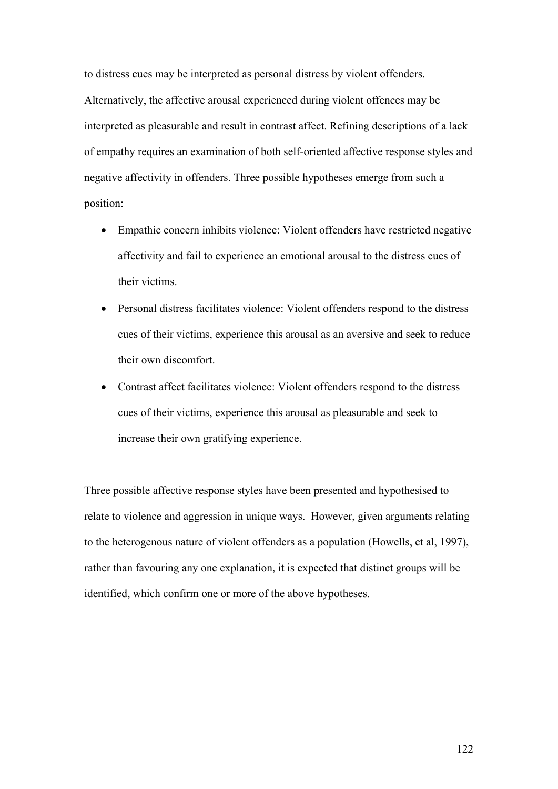to distress cues may be interpreted as personal distress by violent offenders. Alternatively, the affective arousal experienced during violent offences may be interpreted as pleasurable and result in contrast affect. Refining descriptions of a lack of empathy requires an examination of both self-oriented affective response styles and negative affectivity in offenders. Three possible hypotheses emerge from such a position:

- Empathic concern inhibits violence: Violent offenders have restricted negative affectivity and fail to experience an emotional arousal to the distress cues of their victims.
- Personal distress facilitates violence: Violent offenders respond to the distress cues of their victims, experience this arousal as an aversive and seek to reduce their own discomfort.
- Contrast affect facilitates violence: Violent offenders respond to the distress cues of their victims, experience this arousal as pleasurable and seek to increase their own gratifying experience.

Three possible affective response styles have been presented and hypothesised to relate to violence and aggression in unique ways. However, given arguments relating to the heterogenous nature of violent offenders as a population (Howells, et al, 1997), rather than favouring any one explanation, it is expected that distinct groups will be identified, which confirm one or more of the above hypotheses.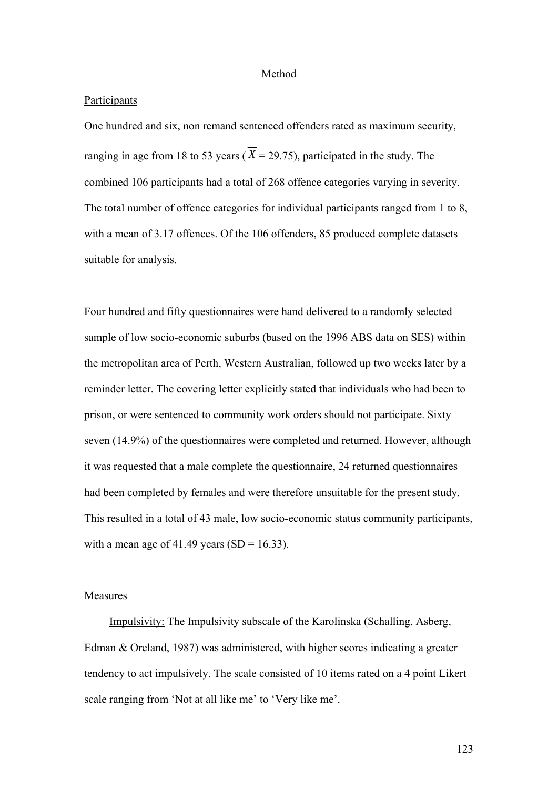#### Method

#### **Participants**

One hundred and six, non remand sentenced offenders rated as maximum security, ranging in age from 18 to 53 years ( $\overline{X}$  = 29.75), participated in the study. The combined 106 participants had a total of 268 offence categories varying in severity. The total number of offence categories for individual participants ranged from 1 to 8, with a mean of 3.17 offences. Of the 106 offenders, 85 produced complete datasets suitable for analysis.

Four hundred and fifty questionnaires were hand delivered to a randomly selected sample of low socio-economic suburbs (based on the 1996 ABS data on SES) within the metropolitan area of Perth, Western Australian, followed up two weeks later by a reminder letter. The covering letter explicitly stated that individuals who had been to prison, or were sentenced to community work orders should not participate. Sixty seven (14.9%) of the questionnaires were completed and returned. However, although it was requested that a male complete the questionnaire, 24 returned questionnaires had been completed by females and were therefore unsuitable for the present study. This resulted in a total of 43 male, low socio-economic status community participants, with a mean age of 41.49 years  $(SD = 16.33)$ .

#### Measures

Impulsivity: The Impulsivity subscale of the Karolinska (Schalling, Asberg, Edman & Oreland, 1987) was administered, with higher scores indicating a greater tendency to act impulsively. The scale consisted of 10 items rated on a 4 point Likert scale ranging from 'Not at all like me' to 'Very like me'.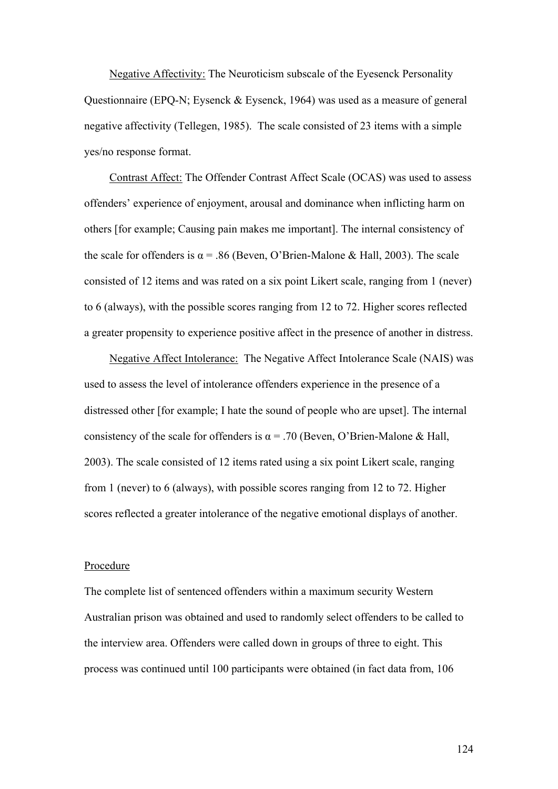Negative Affectivity: The Neuroticism subscale of the Eyesenck Personality Questionnaire (EPQ-N; Eysenck & Eysenck, 1964) was used as a measure of general negative affectivity (Tellegen, 1985). The scale consisted of 23 items with a simple yes/no response format.

Contrast Affect: The Offender Contrast Affect Scale (OCAS) was used to assess offenders' experience of enjoyment, arousal and dominance when inflicting harm on others [for example; Causing pain makes me important]. The internal consistency of the scale for offenders is  $\alpha$  = .86 (Beven, O'Brien-Malone & Hall, 2003). The scale consisted of 12 items and was rated on a six point Likert scale, ranging from 1 (never) to 6 (always), with the possible scores ranging from 12 to 72. Higher scores reflected a greater propensity to experience positive affect in the presence of another in distress.

Negative Affect Intolerance: The Negative Affect Intolerance Scale (NAIS) was used to assess the level of intolerance offenders experience in the presence of a distressed other [for example; I hate the sound of people who are upset]. The internal consistency of the scale for offenders is  $\alpha$  = .70 (Beven, O'Brien-Malone & Hall, 2003). The scale consisted of 12 items rated using a six point Likert scale, ranging from 1 (never) to 6 (always), with possible scores ranging from 12 to 72. Higher scores reflected a greater intolerance of the negative emotional displays of another.

#### Procedure

The complete list of sentenced offenders within a maximum security Western Australian prison was obtained and used to randomly select offenders to be called to the interview area. Offenders were called down in groups of three to eight. This process was continued until 100 participants were obtained (in fact data from, 106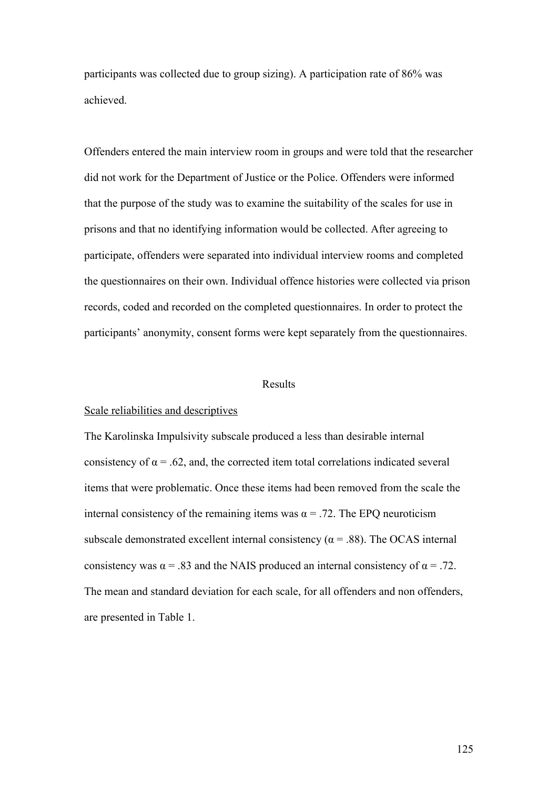participants was collected due to group sizing). A participation rate of 86% was achieved.

Offenders entered the main interview room in groups and were told that the researcher did not work for the Department of Justice or the Police. Offenders were informed that the purpose of the study was to examine the suitability of the scales for use in prisons and that no identifying information would be collected. After agreeing to participate, offenders were separated into individual interview rooms and completed the questionnaires on their own. Individual offence histories were collected via prison records, coded and recorded on the completed questionnaires. In order to protect the participants' anonymity, consent forms were kept separately from the questionnaires.

#### Results

#### Scale reliabilities and descriptives

The Karolinska Impulsivity subscale produced a less than desirable internal consistency of  $\alpha$  = .62, and, the corrected item total correlations indicated several items that were problematic. Once these items had been removed from the scale the internal consistency of the remaining items was  $\alpha$  = .72. The EPQ neuroticism subscale demonstrated excellent internal consistency ( $\alpha$  = .88). The OCAS internal consistency was  $\alpha$  = .83 and the NAIS produced an internal consistency of  $\alpha$  = .72. The mean and standard deviation for each scale, for all offenders and non offenders, are presented in Table 1.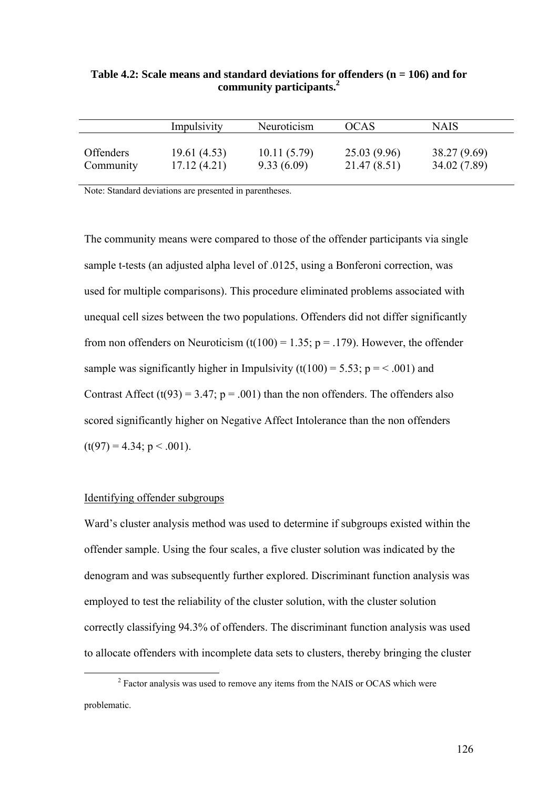|                  | Impulsivity | Neuroticism | <b>OCAS</b>  | <b>NAIS</b>  |
|------------------|-------------|-------------|--------------|--------------|
| <b>Offenders</b> | 19.61(4.53) | 10.11(5.79) | 25.03(9.96)  | 38.27 (9.69) |
| Community        | 17.12(4.21) | 9.33(6.09)  | 21.47 (8.51) | 34.02 (7.89) |

**Table 4.2: Scale means and standard deviations for offenders (n = 106) and for community participants.2**

Note: Standard deviations are presented in parentheses.

The community means were compared to those of the offender participants via single sample t-tests (an adjusted alpha level of .0125, using a Bonferoni correction, was used for multiple comparisons). This procedure eliminated problems associated with unequal cell sizes between the two populations. Offenders did not differ significantly from non offenders on Neuroticism (t(100) = 1.35; p = .179). However, the offender sample was significantly higher in Impulsivity (t(100) = 5.53;  $p = < .001$ ) and Contrast Affect (t(93) = 3.47;  $p = .001$ ) than the non offenders. The offenders also scored significantly higher on Negative Affect Intolerance than the non offenders  $(t(97) = 4.34; p < .001)$ .

#### Identifying offender subgroups

Ward's cluster analysis method was used to determine if subgroups existed within the offender sample. Using the four scales, a five cluster solution was indicated by the denogram and was subsequently further explored. Discriminant function analysis was employed to test the reliability of the cluster solution, with the cluster solution correctly classifying 94.3% of offenders. The discriminant function analysis was used to allocate offenders with incomplete data sets to clusters, thereby bringing the cluster

 $\overline{\phantom{a}}$ <sup>2</sup> Factor analysis was used to remove any items from the NAIS or OCAS which were problematic.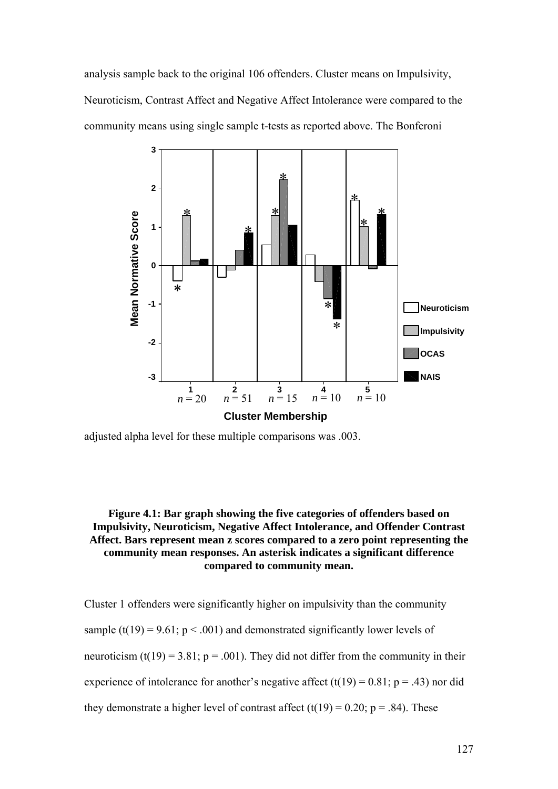analysis sample back to the original 106 offenders. Cluster means on Impulsivity, Neuroticism, Contrast Affect and Negative Affect Intolerance were compared to the community means using single sample t-tests as reported above. The Bonferoni



adjusted alpha level for these multiple comparisons was .003.

### **Figure 4.1: Bar graph showing the five categories of offenders based on Impulsivity, Neuroticism, Negative Affect Intolerance, and Offender Contrast Affect. Bars represent mean z scores compared to a zero point representing the community mean responses. An asterisk indicates a significant difference compared to community mean.**

Cluster 1 offenders were significantly higher on impulsivity than the community sample (t(19) = 9.61;  $p < .001$ ) and demonstrated significantly lower levels of neuroticism (t(19) = 3.81;  $p = .001$ ). They did not differ from the community in their experience of intolerance for another's negative affect  $(t(19) = 0.81; p = .43)$  nor did they demonstrate a higher level of contrast affect  $(t(19) = 0.20; p = .84)$ . These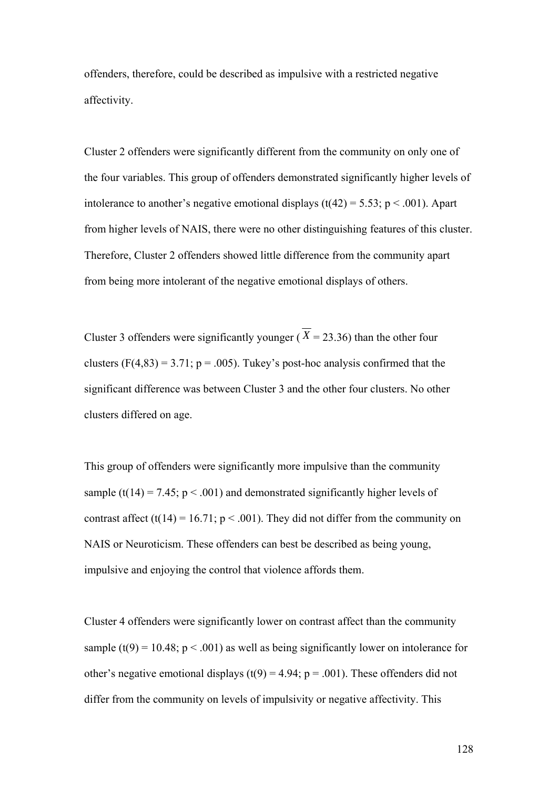offenders, therefore, could be described as impulsive with a restricted negative affectivity.

Cluster 2 offenders were significantly different from the community on only one of the four variables. This group of offenders demonstrated significantly higher levels of intolerance to another's negative emotional displays ( $t(42) = 5.53$ ;  $p < .001$ ). Apart from higher levels of NAIS, there were no other distinguishing features of this cluster. Therefore, Cluster 2 offenders showed little difference from the community apart from being more intolerant of the negative emotional displays of others.

Cluster 3 offenders were significantly younger ( $\overline{X}$  = 23.36) than the other four clusters  $(F(4,83) = 3.71; p = .005)$ . Tukey's post-hoc analysis confirmed that the significant difference was between Cluster 3 and the other four clusters. No other clusters differed on age.

This group of offenders were significantly more impulsive than the community sample (t(14) = 7.45;  $p < .001$ ) and demonstrated significantly higher levels of contrast affect (t(14) = 16.71;  $p < .001$ ). They did not differ from the community on NAIS or Neuroticism. These offenders can best be described as being young, impulsive and enjoying the control that violence affords them.

Cluster 4 offenders were significantly lower on contrast affect than the community sample (t(9) = 10.48;  $p < .001$ ) as well as being significantly lower on intolerance for other's negative emotional displays (t(9) = 4.94; p = .001). These offenders did not differ from the community on levels of impulsivity or negative affectivity. This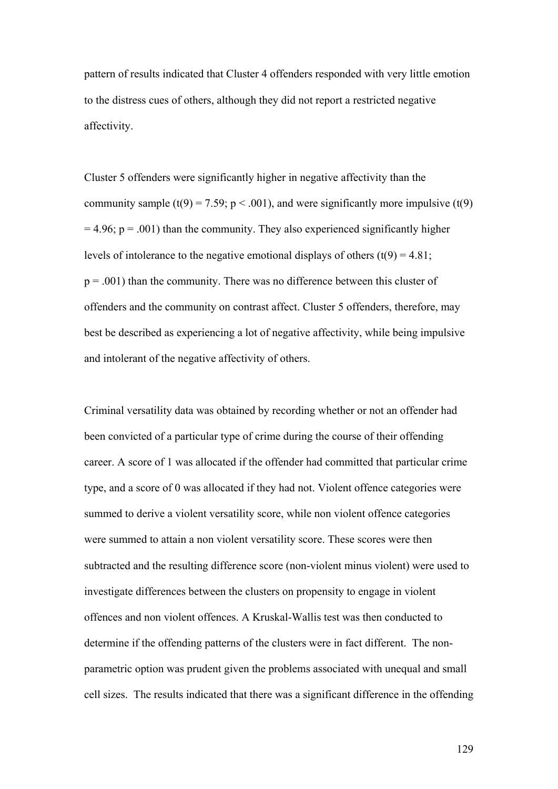pattern of results indicated that Cluster 4 offenders responded with very little emotion to the distress cues of others, although they did not report a restricted negative affectivity.

Cluster 5 offenders were significantly higher in negative affectivity than the community sample (t(9) = 7.59;  $p < .001$ ), and were significantly more impulsive (t(9)  $= 4.96$ ;  $p = .001$ ) than the community. They also experienced significantly higher levels of intolerance to the negative emotional displays of others  $(t(9) = 4.81)$ ;  $p = .001$ ) than the community. There was no difference between this cluster of offenders and the community on contrast affect. Cluster 5 offenders, therefore, may best be described as experiencing a lot of negative affectivity, while being impulsive and intolerant of the negative affectivity of others.

Criminal versatility data was obtained by recording whether or not an offender had been convicted of a particular type of crime during the course of their offending career. A score of 1 was allocated if the offender had committed that particular crime type, and a score of 0 was allocated if they had not. Violent offence categories were summed to derive a violent versatility score, while non violent offence categories were summed to attain a non violent versatility score. These scores were then subtracted and the resulting difference score (non-violent minus violent) were used to investigate differences between the clusters on propensity to engage in violent offences and non violent offences. A Kruskal-Wallis test was then conducted to determine if the offending patterns of the clusters were in fact different. The nonparametric option was prudent given the problems associated with unequal and small cell sizes. The results indicated that there was a significant difference in the offending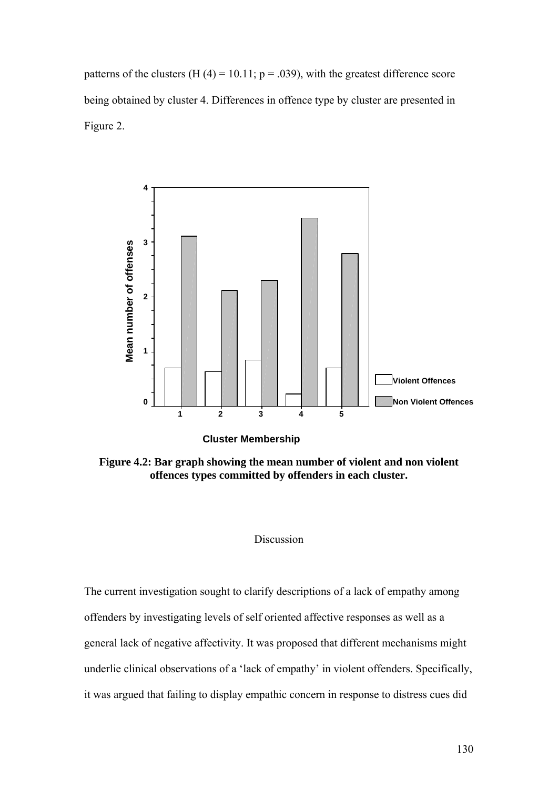patterns of the clusters (H  $(4)$  = 10.11; p = .039), with the greatest difference score being obtained by cluster 4. Differences in offence type by cluster are presented in Figure 2.



**Figure 4.2: Bar graph showing the mean number of violent and non violent offences types committed by offenders in each cluster.** 

#### Discussion

The current investigation sought to clarify descriptions of a lack of empathy among offenders by investigating levels of self oriented affective responses as well as a general lack of negative affectivity. It was proposed that different mechanisms might underlie clinical observations of a 'lack of empathy' in violent offenders. Specifically, it was argued that failing to display empathic concern in response to distress cues did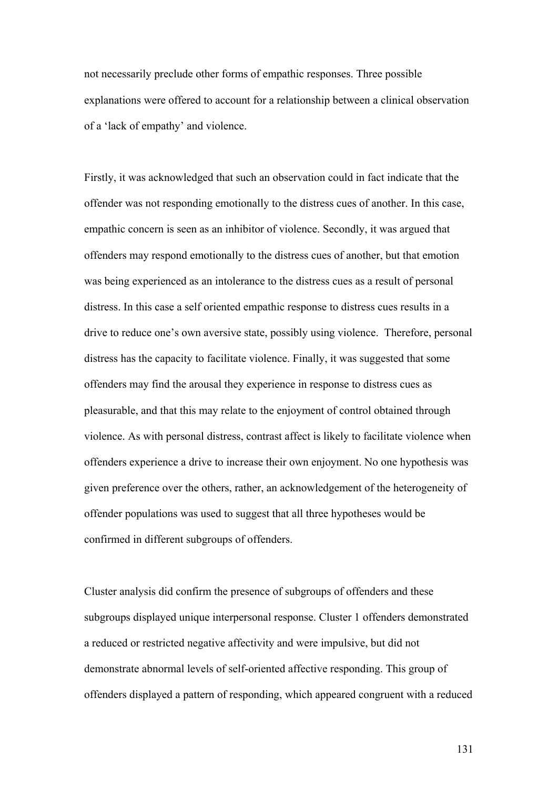not necessarily preclude other forms of empathic responses. Three possible explanations were offered to account for a relationship between a clinical observation of a 'lack of empathy' and violence.

Firstly, it was acknowledged that such an observation could in fact indicate that the offender was not responding emotionally to the distress cues of another. In this case, empathic concern is seen as an inhibitor of violence. Secondly, it was argued that offenders may respond emotionally to the distress cues of another, but that emotion was being experienced as an intolerance to the distress cues as a result of personal distress. In this case a self oriented empathic response to distress cues results in a drive to reduce one's own aversive state, possibly using violence. Therefore, personal distress has the capacity to facilitate violence. Finally, it was suggested that some offenders may find the arousal they experience in response to distress cues as pleasurable, and that this may relate to the enjoyment of control obtained through violence. As with personal distress, contrast affect is likely to facilitate violence when offenders experience a drive to increase their own enjoyment. No one hypothesis was given preference over the others, rather, an acknowledgement of the heterogeneity of offender populations was used to suggest that all three hypotheses would be confirmed in different subgroups of offenders.

Cluster analysis did confirm the presence of subgroups of offenders and these subgroups displayed unique interpersonal response. Cluster 1 offenders demonstrated a reduced or restricted negative affectivity and were impulsive, but did not demonstrate abnormal levels of self-oriented affective responding. This group of offenders displayed a pattern of responding, which appeared congruent with a reduced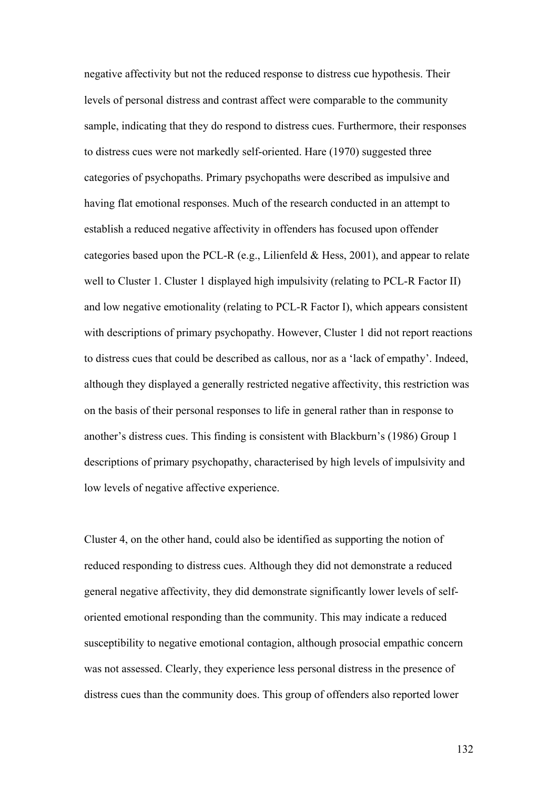negative affectivity but not the reduced response to distress cue hypothesis. Their levels of personal distress and contrast affect were comparable to the community sample, indicating that they do respond to distress cues. Furthermore, their responses to distress cues were not markedly self-oriented. Hare (1970) suggested three categories of psychopaths. Primary psychopaths were described as impulsive and having flat emotional responses. Much of the research conducted in an attempt to establish a reduced negative affectivity in offenders has focused upon offender categories based upon the PCL-R (e.g., Lilienfeld  $& Hess, 2001$ ), and appear to relate well to Cluster 1. Cluster 1 displayed high impulsivity (relating to PCL-R Factor II) and low negative emotionality (relating to PCL-R Factor I), which appears consistent with descriptions of primary psychopathy. However, Cluster 1 did not report reactions to distress cues that could be described as callous, nor as a 'lack of empathy'. Indeed, although they displayed a generally restricted negative affectivity, this restriction was on the basis of their personal responses to life in general rather than in response to another's distress cues. This finding is consistent with Blackburn's (1986) Group 1 descriptions of primary psychopathy, characterised by high levels of impulsivity and low levels of negative affective experience.

Cluster 4, on the other hand, could also be identified as supporting the notion of reduced responding to distress cues. Although they did not demonstrate a reduced general negative affectivity, they did demonstrate significantly lower levels of selforiented emotional responding than the community. This may indicate a reduced susceptibility to negative emotional contagion, although prosocial empathic concern was not assessed. Clearly, they experience less personal distress in the presence of distress cues than the community does. This group of offenders also reported lower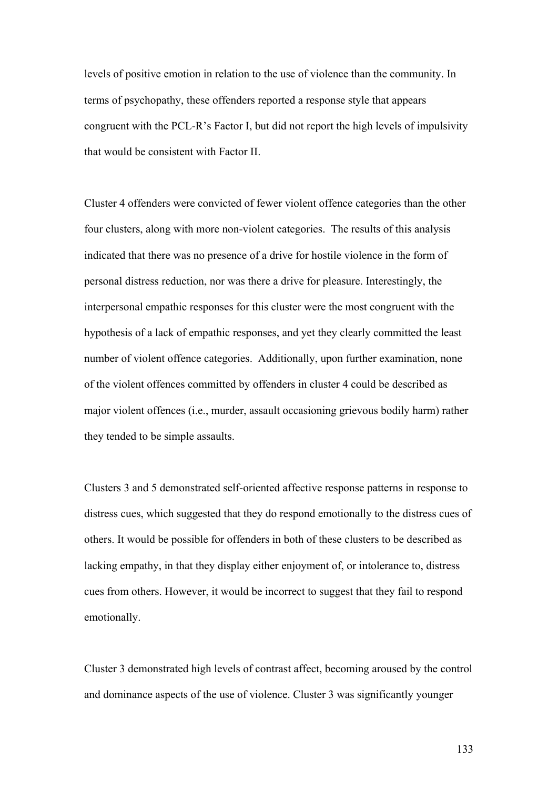levels of positive emotion in relation to the use of violence than the community. In terms of psychopathy, these offenders reported a response style that appears congruent with the PCL-R's Factor I, but did not report the high levels of impulsivity that would be consistent with Factor II.

Cluster 4 offenders were convicted of fewer violent offence categories than the other four clusters, along with more non-violent categories. The results of this analysis indicated that there was no presence of a drive for hostile violence in the form of personal distress reduction, nor was there a drive for pleasure. Interestingly, the interpersonal empathic responses for this cluster were the most congruent with the hypothesis of a lack of empathic responses, and yet they clearly committed the least number of violent offence categories. Additionally, upon further examination, none of the violent offences committed by offenders in cluster 4 could be described as major violent offences (i.e., murder, assault occasioning grievous bodily harm) rather they tended to be simple assaults.

Clusters 3 and 5 demonstrated self-oriented affective response patterns in response to distress cues, which suggested that they do respond emotionally to the distress cues of others. It would be possible for offenders in both of these clusters to be described as lacking empathy, in that they display either enjoyment of, or intolerance to, distress cues from others. However, it would be incorrect to suggest that they fail to respond emotionally.

Cluster 3 demonstrated high levels of contrast affect, becoming aroused by the control and dominance aspects of the use of violence. Cluster 3 was significantly younger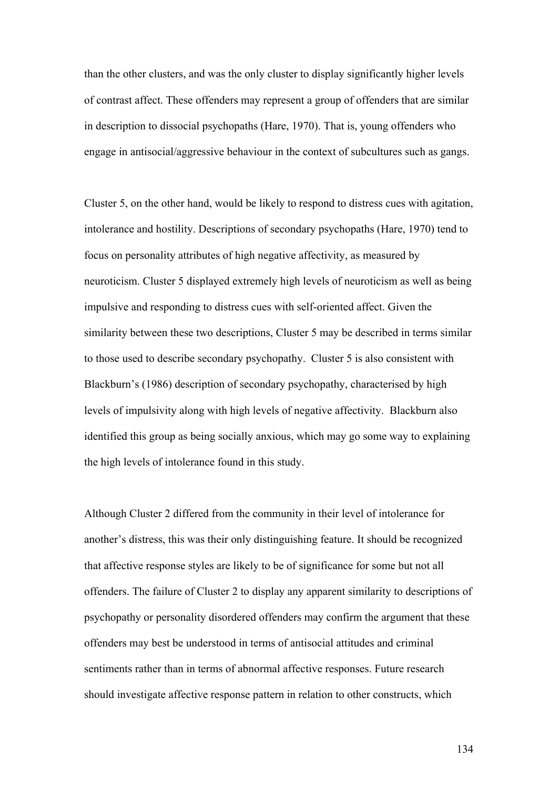than the other clusters, and was the only cluster to display significantly higher levels of contrast affect. These offenders may represent a group of offenders that are similar in description to dissocial psychopaths (Hare, 1970). That is, young offenders who engage in antisocial/aggressive behaviour in the context of subcultures such as gangs.

Cluster 5, on the other hand, would be likely to respond to distress cues with agitation, intolerance and hostility. Descriptions of secondary psychopaths (Hare, 1970) tend to focus on personality attributes of high negative affectivity, as measured by neuroticism. Cluster 5 displayed extremely high levels of neuroticism as well as being impulsive and responding to distress cues with self-oriented affect. Given the similarity between these two descriptions, Cluster 5 may be described in terms similar to those used to describe secondary psychopathy. Cluster 5 is also consistent with Blackburn's (1986) description of secondary psychopathy, characterised by high levels of impulsivity along with high levels of negative affectivity. Blackburn also identified this group as being socially anxious, which may go some way to explaining the high levels of intolerance found in this study.

Although Cluster 2 differed from the community in their level of intolerance for another's distress, this was their only distinguishing feature. It should be recognized that affective response styles are likely to be of significance for some but not all offenders. The failure of Cluster 2 to display any apparent similarity to descriptions of psychopathy or personality disordered offenders may confirm the argument that these offenders may best be understood in terms of antisocial attitudes and criminal sentiments rather than in terms of abnormal affective responses. Future research should investigate affective response pattern in relation to other constructs, which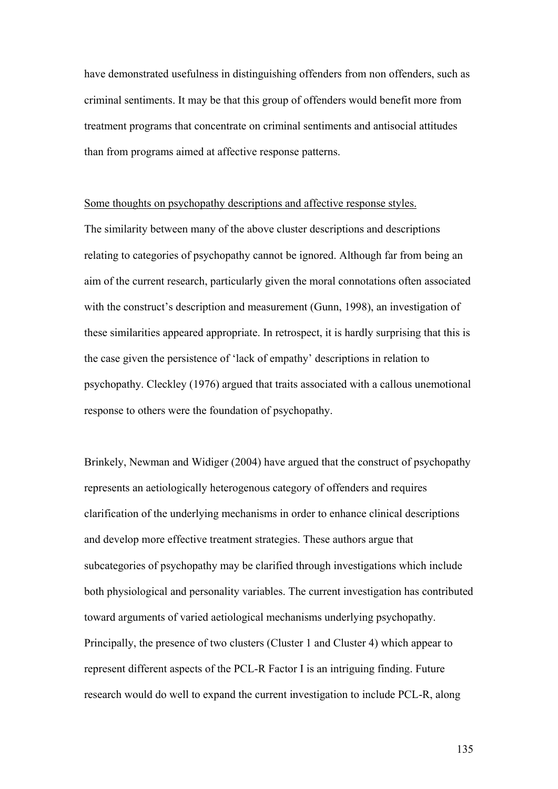have demonstrated usefulness in distinguishing offenders from non offenders, such as criminal sentiments. It may be that this group of offenders would benefit more from treatment programs that concentrate on criminal sentiments and antisocial attitudes than from programs aimed at affective response patterns.

#### Some thoughts on psychopathy descriptions and affective response styles.

The similarity between many of the above cluster descriptions and descriptions relating to categories of psychopathy cannot be ignored. Although far from being an aim of the current research, particularly given the moral connotations often associated with the construct's description and measurement (Gunn, 1998), an investigation of these similarities appeared appropriate. In retrospect, it is hardly surprising that this is the case given the persistence of 'lack of empathy' descriptions in relation to psychopathy. Cleckley (1976) argued that traits associated with a callous unemotional response to others were the foundation of psychopathy.

Brinkely, Newman and Widiger (2004) have argued that the construct of psychopathy represents an aetiologically heterogenous category of offenders and requires clarification of the underlying mechanisms in order to enhance clinical descriptions and develop more effective treatment strategies. These authors argue that subcategories of psychopathy may be clarified through investigations which include both physiological and personality variables. The current investigation has contributed toward arguments of varied aetiological mechanisms underlying psychopathy. Principally, the presence of two clusters (Cluster 1 and Cluster 4) which appear to represent different aspects of the PCL-R Factor I is an intriguing finding. Future research would do well to expand the current investigation to include PCL-R, along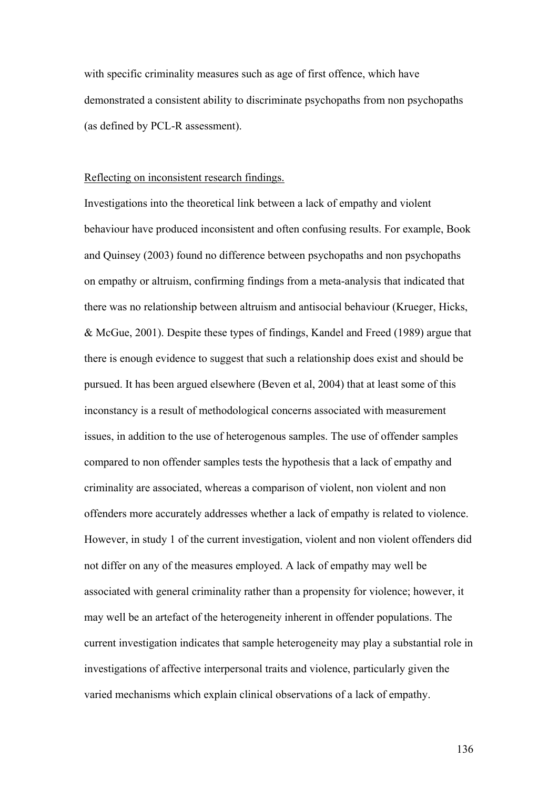with specific criminality measures such as age of first offence, which have demonstrated a consistent ability to discriminate psychopaths from non psychopaths (as defined by PCL-R assessment).

#### Reflecting on inconsistent research findings.

Investigations into the theoretical link between a lack of empathy and violent behaviour have produced inconsistent and often confusing results. For example, Book and Quinsey (2003) found no difference between psychopaths and non psychopaths on empathy or altruism, confirming findings from a meta-analysis that indicated that there was no relationship between altruism and antisocial behaviour (Krueger, Hicks, & McGue, 2001). Despite these types of findings, Kandel and Freed (1989) argue that there is enough evidence to suggest that such a relationship does exist and should be pursued. It has been argued elsewhere (Beven et al, 2004) that at least some of this inconstancy is a result of methodological concerns associated with measurement issues, in addition to the use of heterogenous samples. The use of offender samples compared to non offender samples tests the hypothesis that a lack of empathy and criminality are associated, whereas a comparison of violent, non violent and non offenders more accurately addresses whether a lack of empathy is related to violence. However, in study 1 of the current investigation, violent and non violent offenders did not differ on any of the measures employed. A lack of empathy may well be associated with general criminality rather than a propensity for violence; however, it may well be an artefact of the heterogeneity inherent in offender populations. The current investigation indicates that sample heterogeneity may play a substantial role in investigations of affective interpersonal traits and violence, particularly given the varied mechanisms which explain clinical observations of a lack of empathy.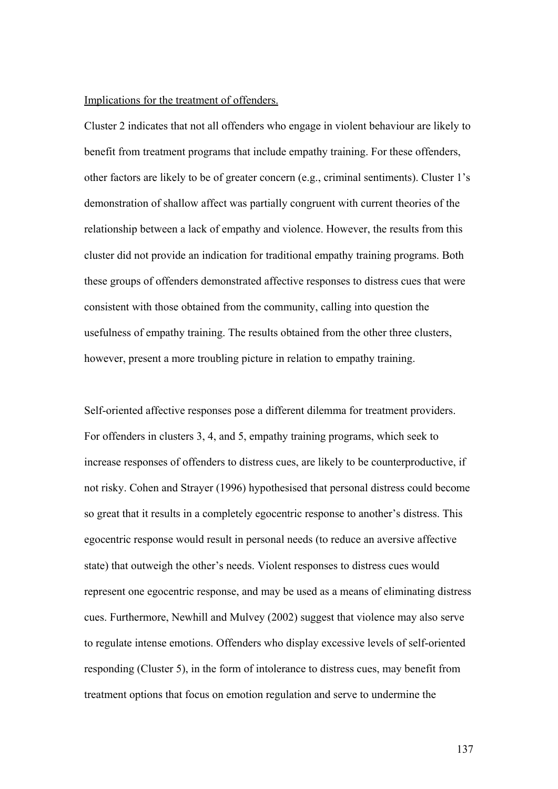#### Implications for the treatment of offenders.

Cluster 2 indicates that not all offenders who engage in violent behaviour are likely to benefit from treatment programs that include empathy training. For these offenders, other factors are likely to be of greater concern (e.g., criminal sentiments). Cluster 1's demonstration of shallow affect was partially congruent with current theories of the relationship between a lack of empathy and violence. However, the results from this cluster did not provide an indication for traditional empathy training programs. Both these groups of offenders demonstrated affective responses to distress cues that were consistent with those obtained from the community, calling into question the usefulness of empathy training. The results obtained from the other three clusters, however, present a more troubling picture in relation to empathy training.

Self-oriented affective responses pose a different dilemma for treatment providers. For offenders in clusters 3, 4, and 5, empathy training programs, which seek to increase responses of offenders to distress cues, are likely to be counterproductive, if not risky. Cohen and Strayer (1996) hypothesised that personal distress could become so great that it results in a completely egocentric response to another's distress. This egocentric response would result in personal needs (to reduce an aversive affective state) that outweigh the other's needs. Violent responses to distress cues would represent one egocentric response, and may be used as a means of eliminating distress cues. Furthermore, Newhill and Mulvey (2002) suggest that violence may also serve to regulate intense emotions. Offenders who display excessive levels of self-oriented responding (Cluster 5), in the form of intolerance to distress cues, may benefit from treatment options that focus on emotion regulation and serve to undermine the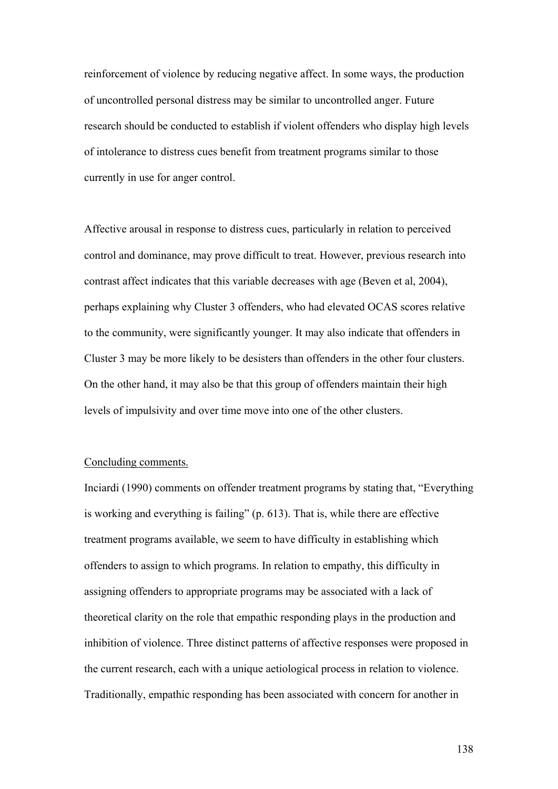reinforcement of violence by reducing negative affect. In some ways, the production of uncontrolled personal distress may be similar to uncontrolled anger. Future research should be conducted to establish if violent offenders who display high levels of intolerance to distress cues benefit from treatment programs similar to those currently in use for anger control.

Affective arousal in response to distress cues, particularly in relation to perceived control and dominance, may prove difficult to treat. However, previous research into contrast affect indicates that this variable decreases with age (Beven et al, 2004), perhaps explaining why Cluster 3 offenders, who had elevated OCAS scores relative to the community, were significantly younger. It may also indicate that offenders in Cluster 3 may be more likely to be desisters than offenders in the other four clusters. On the other hand, it may also be that this group of offenders maintain their high levels of impulsivity and over time move into one of the other clusters.

#### Concluding comments.

Inciardi (1990) comments on offender treatment programs by stating that, "Everything is working and everything is failing" (p. 613). That is, while there are effective treatment programs available, we seem to have difficulty in establishing which offenders to assign to which programs. In relation to empathy, this difficulty in assigning offenders to appropriate programs may be associated with a lack of theoretical clarity on the role that empathic responding plays in the production and inhibition of violence. Three distinct patterns of affective responses were proposed in the current research, each with a unique aetiological process in relation to violence. Traditionally, empathic responding has been associated with concern for another in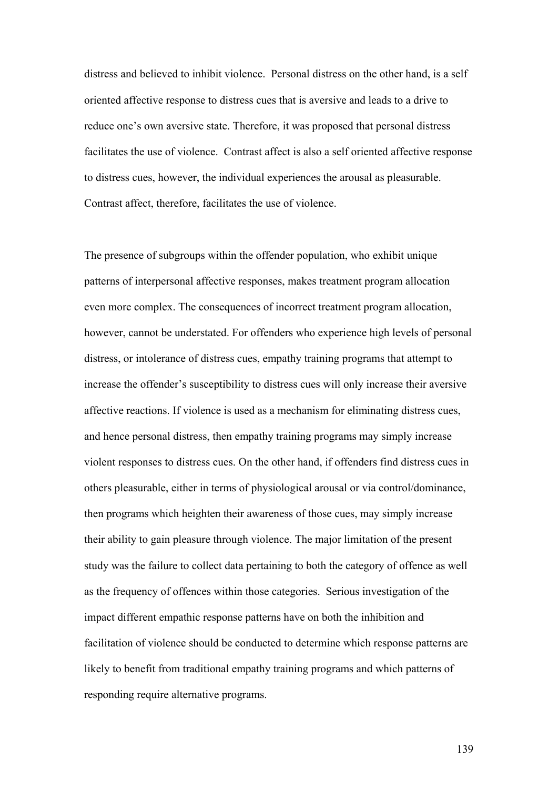distress and believed to inhibit violence. Personal distress on the other hand, is a self oriented affective response to distress cues that is aversive and leads to a drive to reduce one's own aversive state. Therefore, it was proposed that personal distress facilitates the use of violence. Contrast affect is also a self oriented affective response to distress cues, however, the individual experiences the arousal as pleasurable. Contrast affect, therefore, facilitates the use of violence.

The presence of subgroups within the offender population, who exhibit unique patterns of interpersonal affective responses, makes treatment program allocation even more complex. The consequences of incorrect treatment program allocation, however, cannot be understated. For offenders who experience high levels of personal distress, or intolerance of distress cues, empathy training programs that attempt to increase the offender's susceptibility to distress cues will only increase their aversive affective reactions. If violence is used as a mechanism for eliminating distress cues, and hence personal distress, then empathy training programs may simply increase violent responses to distress cues. On the other hand, if offenders find distress cues in others pleasurable, either in terms of physiological arousal or via control/dominance, then programs which heighten their awareness of those cues, may simply increase their ability to gain pleasure through violence. The major limitation of the present study was the failure to collect data pertaining to both the category of offence as well as the frequency of offences within those categories. Serious investigation of the impact different empathic response patterns have on both the inhibition and facilitation of violence should be conducted to determine which response patterns are likely to benefit from traditional empathy training programs and which patterns of responding require alternative programs.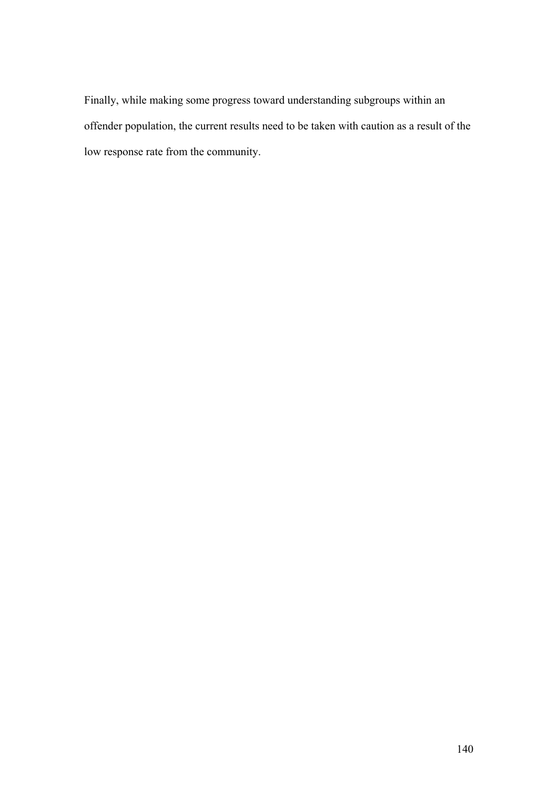Finally, while making some progress toward understanding subgroups within an offender population, the current results need to be taken with caution as a result of the low response rate from the community.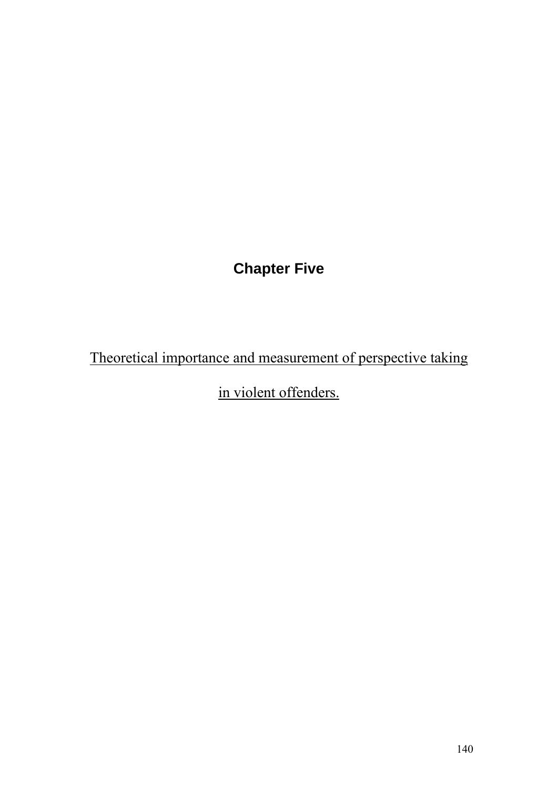## **Chapter Five**

Theoretical importance and measurement of perspective taking

in violent offenders.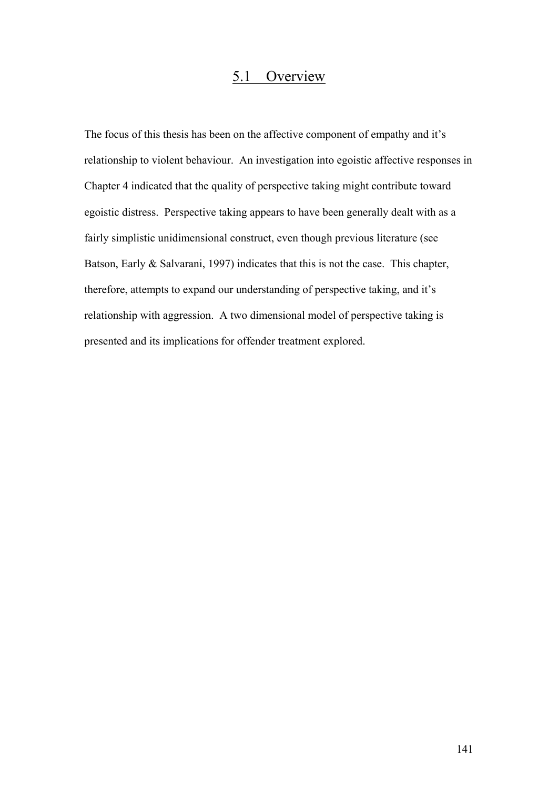## 5.1 Overview

The focus of this thesis has been on the affective component of empathy and it's relationship to violent behaviour. An investigation into egoistic affective responses in Chapter 4 indicated that the quality of perspective taking might contribute toward egoistic distress. Perspective taking appears to have been generally dealt with as a fairly simplistic unidimensional construct, even though previous literature (see Batson, Early & Salvarani, 1997) indicates that this is not the case. This chapter, therefore, attempts to expand our understanding of perspective taking, and it's relationship with aggression. A two dimensional model of perspective taking is presented and its implications for offender treatment explored.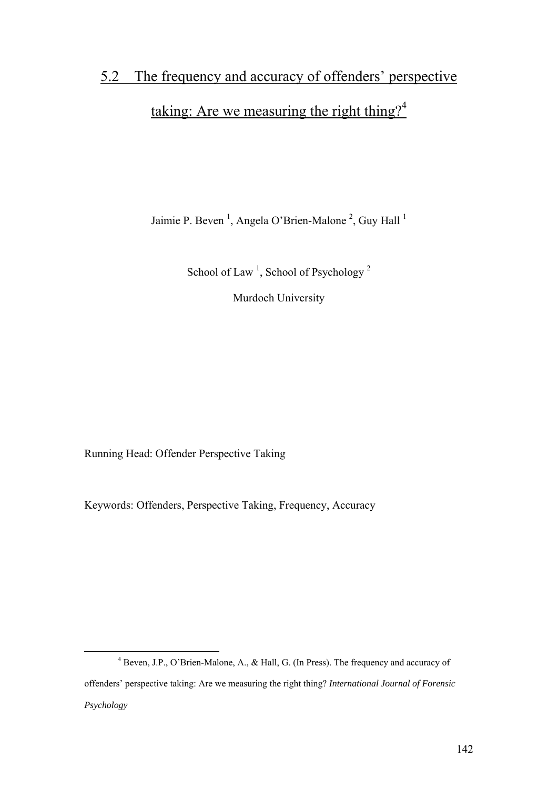# 5.2 The frequency and accuracy of offenders' perspective taking: Are we measuring the right thing?<sup>4</sup>

Jaimie P. Beven<sup>1</sup>, Angela O'Brien-Malone<sup>2</sup>, Guy Hall<sup>1</sup>

School of Law<sup>1</sup>, School of Psychology<sup>2</sup>

Murdoch University

Running Head: Offender Perspective Taking

Keywords: Offenders, Perspective Taking, Frequency, Accuracy

 $\frac{1}{4}$  Beven, J.P., O'Brien-Malone, A., & Hall, G. (In Press). The frequency and accuracy of offenders' perspective taking: Are we measuring the right thing? *International Journal of Forensic Psychology*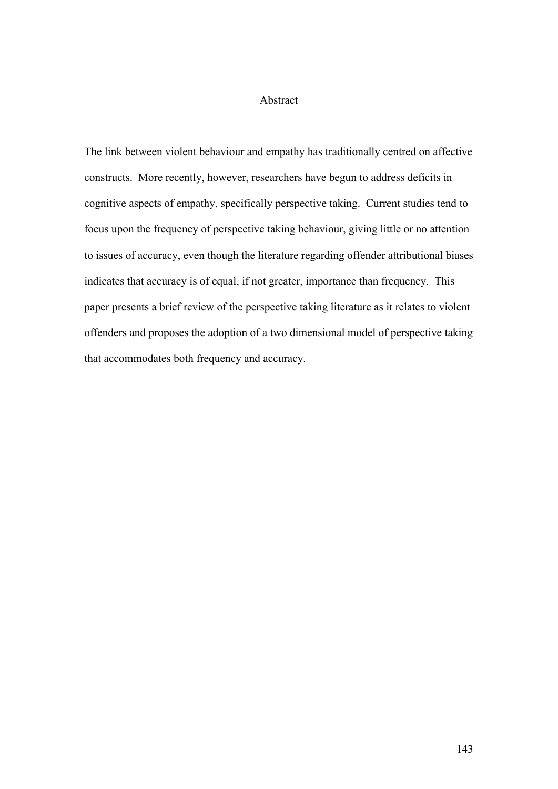#### Abstract

The link between violent behaviour and empathy has traditionally centred on affective constructs. More recently, however, researchers have begun to address deficits in cognitive aspects of empathy, specifically perspective taking. Current studies tend to focus upon the frequency of perspective taking behaviour, giving little or no attention to issues of accuracy, even though the literature regarding offender attributional biases indicates that accuracy is of equal, if not greater, importance than frequency. This paper presents a brief review of the perspective taking literature as it relates to violent offenders and proposes the adoption of a two dimensional model of perspective taking that accommodates both frequency and accuracy.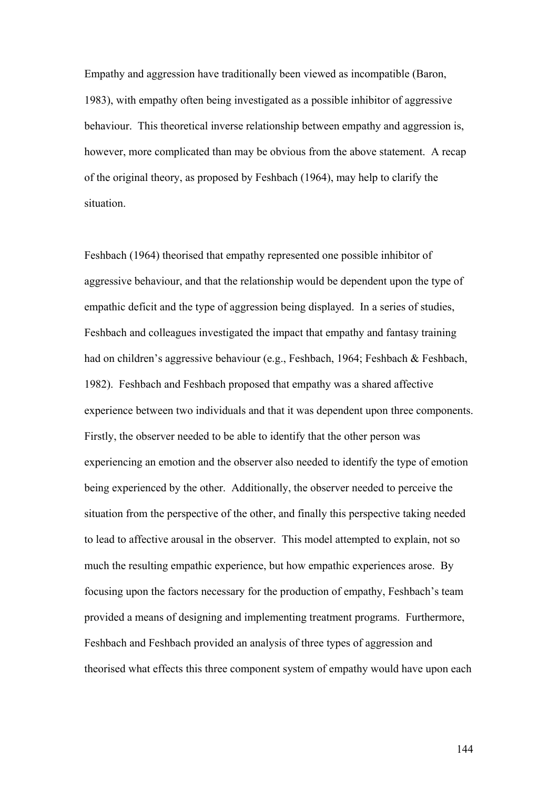Empathy and aggression have traditionally been viewed as incompatible (Baron, 1983), with empathy often being investigated as a possible inhibitor of aggressive behaviour. This theoretical inverse relationship between empathy and aggression is, however, more complicated than may be obvious from the above statement. A recap of the original theory, as proposed by Feshbach (1964), may help to clarify the situation.

Feshbach (1964) theorised that empathy represented one possible inhibitor of aggressive behaviour, and that the relationship would be dependent upon the type of empathic deficit and the type of aggression being displayed. In a series of studies, Feshbach and colleagues investigated the impact that empathy and fantasy training had on children's aggressive behaviour (e.g., Feshbach, 1964; Feshbach & Feshbach, 1982). Feshbach and Feshbach proposed that empathy was a shared affective experience between two individuals and that it was dependent upon three components. Firstly, the observer needed to be able to identify that the other person was experiencing an emotion and the observer also needed to identify the type of emotion being experienced by the other. Additionally, the observer needed to perceive the situation from the perspective of the other, and finally this perspective taking needed to lead to affective arousal in the observer. This model attempted to explain, not so much the resulting empathic experience, but how empathic experiences arose. By focusing upon the factors necessary for the production of empathy, Feshbach's team provided a means of designing and implementing treatment programs. Furthermore, Feshbach and Feshbach provided an analysis of three types of aggression and theorised what effects this three component system of empathy would have upon each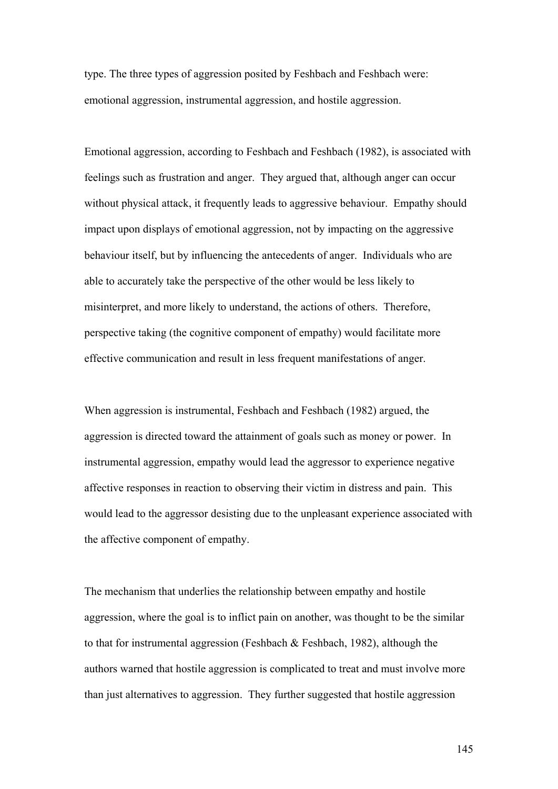type. The three types of aggression posited by Feshbach and Feshbach were: emotional aggression, instrumental aggression, and hostile aggression.

Emotional aggression, according to Feshbach and Feshbach (1982), is associated with feelings such as frustration and anger. They argued that, although anger can occur without physical attack, it frequently leads to aggressive behaviour. Empathy should impact upon displays of emotional aggression, not by impacting on the aggressive behaviour itself, but by influencing the antecedents of anger. Individuals who are able to accurately take the perspective of the other would be less likely to misinterpret, and more likely to understand, the actions of others. Therefore, perspective taking (the cognitive component of empathy) would facilitate more effective communication and result in less frequent manifestations of anger.

When aggression is instrumental, Feshbach and Feshbach (1982) argued, the aggression is directed toward the attainment of goals such as money or power. In instrumental aggression, empathy would lead the aggressor to experience negative affective responses in reaction to observing their victim in distress and pain. This would lead to the aggressor desisting due to the unpleasant experience associated with the affective component of empathy.

The mechanism that underlies the relationship between empathy and hostile aggression, where the goal is to inflict pain on another, was thought to be the similar to that for instrumental aggression (Feshbach  $\&$  Feshbach, 1982), although the authors warned that hostile aggression is complicated to treat and must involve more than just alternatives to aggression. They further suggested that hostile aggression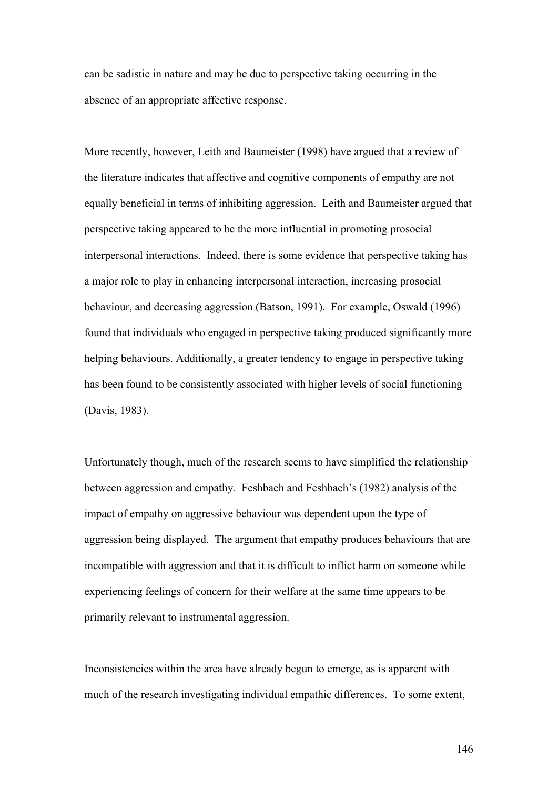can be sadistic in nature and may be due to perspective taking occurring in the absence of an appropriate affective response.

More recently, however, Leith and Baumeister (1998) have argued that a review of the literature indicates that affective and cognitive components of empathy are not equally beneficial in terms of inhibiting aggression. Leith and Baumeister argued that perspective taking appeared to be the more influential in promoting prosocial interpersonal interactions. Indeed, there is some evidence that perspective taking has a major role to play in enhancing interpersonal interaction, increasing prosocial behaviour, and decreasing aggression (Batson, 1991). For example, Oswald (1996) found that individuals who engaged in perspective taking produced significantly more helping behaviours. Additionally, a greater tendency to engage in perspective taking has been found to be consistently associated with higher levels of social functioning (Davis, 1983).

Unfortunately though, much of the research seems to have simplified the relationship between aggression and empathy. Feshbach and Feshbach's (1982) analysis of the impact of empathy on aggressive behaviour was dependent upon the type of aggression being displayed. The argument that empathy produces behaviours that are incompatible with aggression and that it is difficult to inflict harm on someone while experiencing feelings of concern for their welfare at the same time appears to be primarily relevant to instrumental aggression.

Inconsistencies within the area have already begun to emerge, as is apparent with much of the research investigating individual empathic differences. To some extent,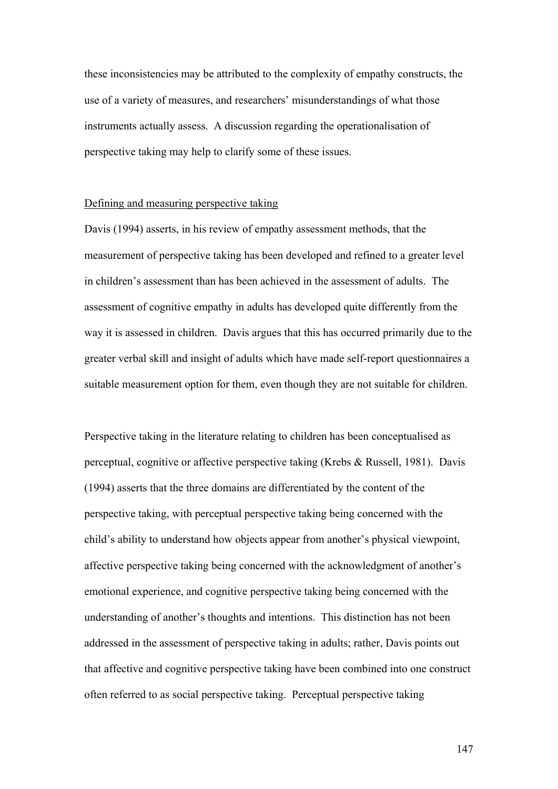these inconsistencies may be attributed to the complexity of empathy constructs, the use of a variety of measures, and researchers' misunderstandings of what those instruments actually assess. A discussion regarding the operationalisation of perspective taking may help to clarify some of these issues.

#### Defining and measuring perspective taking

Davis (1994) asserts, in his review of empathy assessment methods, that the measurement of perspective taking has been developed and refined to a greater level in children's assessment than has been achieved in the assessment of adults. The assessment of cognitive empathy in adults has developed quite differently from the way it is assessed in children. Davis argues that this has occurred primarily due to the greater verbal skill and insight of adults which have made self-report questionnaires a suitable measurement option for them, even though they are not suitable for children.

Perspective taking in the literature relating to children has been conceptualised as perceptual, cognitive or affective perspective taking (Krebs & Russell, 1981). Davis (1994) asserts that the three domains are differentiated by the content of the perspective taking, with perceptual perspective taking being concerned with the child's ability to understand how objects appear from another's physical viewpoint, affective perspective taking being concerned with the acknowledgment of another's emotional experience, and cognitive perspective taking being concerned with the understanding of another's thoughts and intentions. This distinction has not been addressed in the assessment of perspective taking in adults; rather, Davis points out that affective and cognitive perspective taking have been combined into one construct often referred to as social perspective taking. Perceptual perspective taking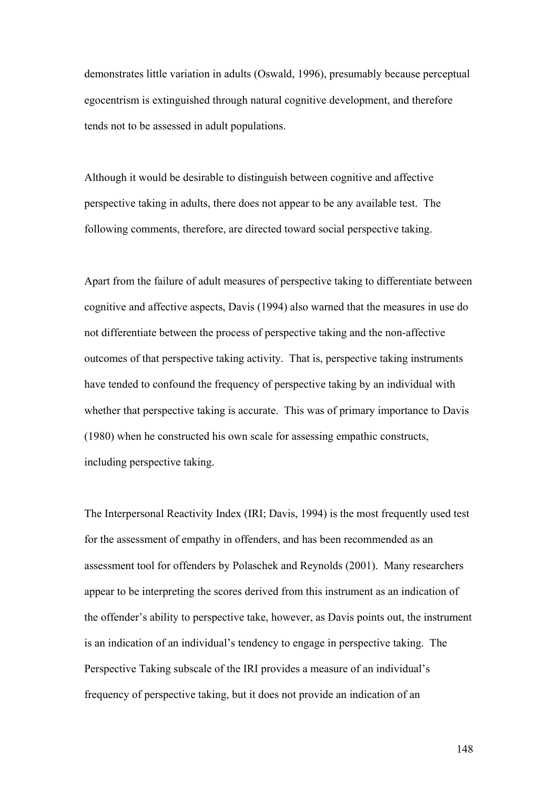demonstrates little variation in adults (Oswald, 1996), presumably because perceptual egocentrism is extinguished through natural cognitive development, and therefore tends not to be assessed in adult populations.

Although it would be desirable to distinguish between cognitive and affective perspective taking in adults, there does not appear to be any available test. The following comments, therefore, are directed toward social perspective taking.

Apart from the failure of adult measures of perspective taking to differentiate between cognitive and affective aspects, Davis (1994) also warned that the measures in use do not differentiate between the process of perspective taking and the non-affective outcomes of that perspective taking activity. That is, perspective taking instruments have tended to confound the frequency of perspective taking by an individual with whether that perspective taking is accurate. This was of primary importance to Davis (1980) when he constructed his own scale for assessing empathic constructs, including perspective taking.

The Interpersonal Reactivity Index (IRI; Davis, 1994) is the most frequently used test for the assessment of empathy in offenders, and has been recommended as an assessment tool for offenders by Polaschek and Reynolds (2001). Many researchers appear to be interpreting the scores derived from this instrument as an indication of the offender's ability to perspective take, however, as Davis points out, the instrument is an indication of an individual's tendency to engage in perspective taking. The Perspective Taking subscale of the IRI provides a measure of an individual's frequency of perspective taking, but it does not provide an indication of an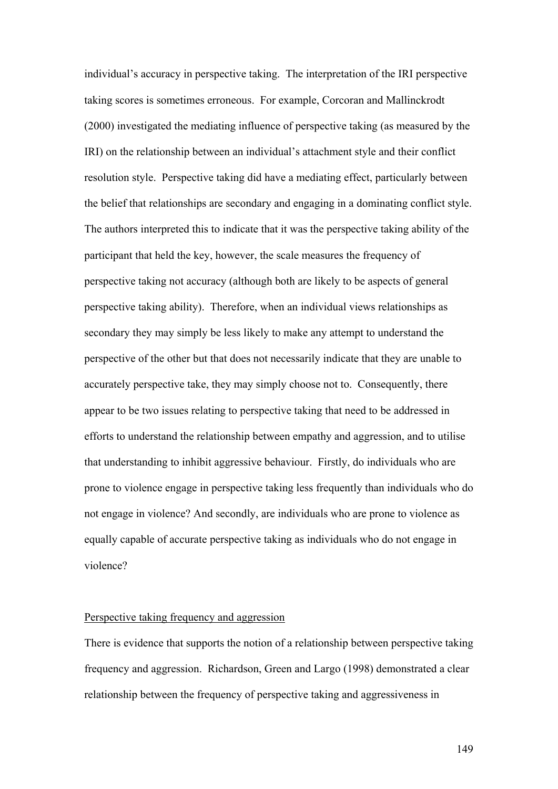individual's accuracy in perspective taking. The interpretation of the IRI perspective taking scores is sometimes erroneous. For example, Corcoran and Mallinckrodt (2000) investigated the mediating influence of perspective taking (as measured by the IRI) on the relationship between an individual's attachment style and their conflict resolution style. Perspective taking did have a mediating effect, particularly between the belief that relationships are secondary and engaging in a dominating conflict style. The authors interpreted this to indicate that it was the perspective taking ability of the participant that held the key, however, the scale measures the frequency of perspective taking not accuracy (although both are likely to be aspects of general perspective taking ability). Therefore, when an individual views relationships as secondary they may simply be less likely to make any attempt to understand the perspective of the other but that does not necessarily indicate that they are unable to accurately perspective take, they may simply choose not to. Consequently, there appear to be two issues relating to perspective taking that need to be addressed in efforts to understand the relationship between empathy and aggression, and to utilise that understanding to inhibit aggressive behaviour. Firstly, do individuals who are prone to violence engage in perspective taking less frequently than individuals who do not engage in violence? And secondly, are individuals who are prone to violence as equally capable of accurate perspective taking as individuals who do not engage in violence?

#### Perspective taking frequency and aggression

There is evidence that supports the notion of a relationship between perspective taking frequency and aggression. Richardson, Green and Largo (1998) demonstrated a clear relationship between the frequency of perspective taking and aggressiveness in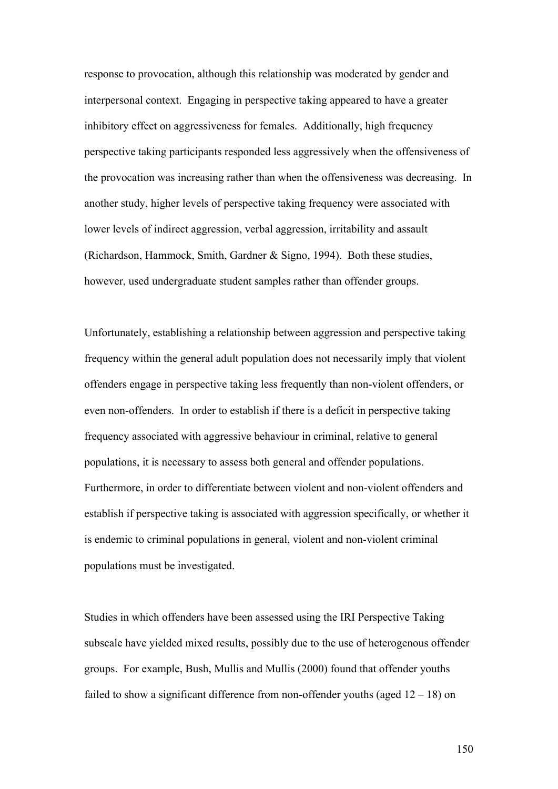response to provocation, although this relationship was moderated by gender and interpersonal context. Engaging in perspective taking appeared to have a greater inhibitory effect on aggressiveness for females. Additionally, high frequency perspective taking participants responded less aggressively when the offensiveness of the provocation was increasing rather than when the offensiveness was decreasing. In another study, higher levels of perspective taking frequency were associated with lower levels of indirect aggression, verbal aggression, irritability and assault (Richardson, Hammock, Smith, Gardner & Signo, 1994). Both these studies, however, used undergraduate student samples rather than offender groups.

Unfortunately, establishing a relationship between aggression and perspective taking frequency within the general adult population does not necessarily imply that violent offenders engage in perspective taking less frequently than non-violent offenders, or even non-offenders. In order to establish if there is a deficit in perspective taking frequency associated with aggressive behaviour in criminal, relative to general populations, it is necessary to assess both general and offender populations. Furthermore, in order to differentiate between violent and non-violent offenders and establish if perspective taking is associated with aggression specifically, or whether it is endemic to criminal populations in general, violent and non-violent criminal populations must be investigated.

Studies in which offenders have been assessed using the IRI Perspective Taking subscale have yielded mixed results, possibly due to the use of heterogenous offender groups. For example, Bush, Mullis and Mullis (2000) found that offender youths failed to show a significant difference from non-offender youths (aged  $12 - 18$ ) on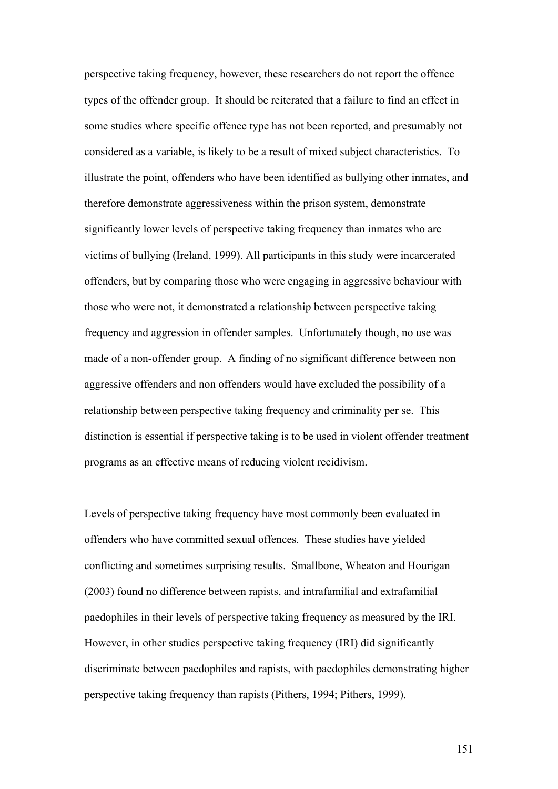perspective taking frequency, however, these researchers do not report the offence types of the offender group. It should be reiterated that a failure to find an effect in some studies where specific offence type has not been reported, and presumably not considered as a variable, is likely to be a result of mixed subject characteristics. To illustrate the point, offenders who have been identified as bullying other inmates, and therefore demonstrate aggressiveness within the prison system, demonstrate significantly lower levels of perspective taking frequency than inmates who are victims of bullying (Ireland, 1999). All participants in this study were incarcerated offenders, but by comparing those who were engaging in aggressive behaviour with those who were not, it demonstrated a relationship between perspective taking frequency and aggression in offender samples. Unfortunately though, no use was made of a non-offender group. A finding of no significant difference between non aggressive offenders and non offenders would have excluded the possibility of a relationship between perspective taking frequency and criminality per se. This distinction is essential if perspective taking is to be used in violent offender treatment programs as an effective means of reducing violent recidivism.

Levels of perspective taking frequency have most commonly been evaluated in offenders who have committed sexual offences. These studies have yielded conflicting and sometimes surprising results. Smallbone, Wheaton and Hourigan (2003) found no difference between rapists, and intrafamilial and extrafamilial paedophiles in their levels of perspective taking frequency as measured by the IRI. However, in other studies perspective taking frequency (IRI) did significantly discriminate between paedophiles and rapists, with paedophiles demonstrating higher perspective taking frequency than rapists (Pithers, 1994; Pithers, 1999).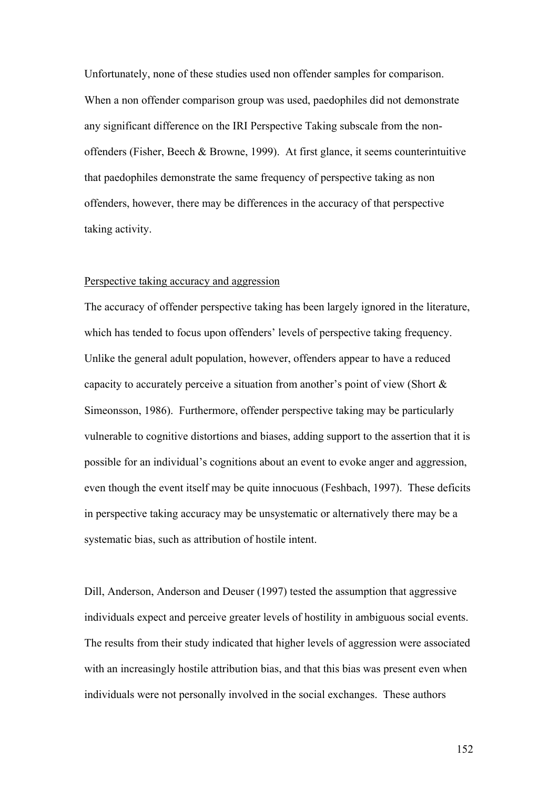Unfortunately, none of these studies used non offender samples for comparison. When a non offender comparison group was used, paedophiles did not demonstrate any significant difference on the IRI Perspective Taking subscale from the nonoffenders (Fisher, Beech & Browne, 1999). At first glance, it seems counterintuitive that paedophiles demonstrate the same frequency of perspective taking as non offenders, however, there may be differences in the accuracy of that perspective taking activity.

#### Perspective taking accuracy and aggression

The accuracy of offender perspective taking has been largely ignored in the literature, which has tended to focus upon offenders' levels of perspective taking frequency. Unlike the general adult population, however, offenders appear to have a reduced capacity to accurately perceive a situation from another's point of view (Short & Simeonsson, 1986). Furthermore, offender perspective taking may be particularly vulnerable to cognitive distortions and biases, adding support to the assertion that it is possible for an individual's cognitions about an event to evoke anger and aggression, even though the event itself may be quite innocuous (Feshbach, 1997). These deficits in perspective taking accuracy may be unsystematic or alternatively there may be a systematic bias, such as attribution of hostile intent.

Dill, Anderson, Anderson and Deuser (1997) tested the assumption that aggressive individuals expect and perceive greater levels of hostility in ambiguous social events. The results from their study indicated that higher levels of aggression were associated with an increasingly hostile attribution bias, and that this bias was present even when individuals were not personally involved in the social exchanges. These authors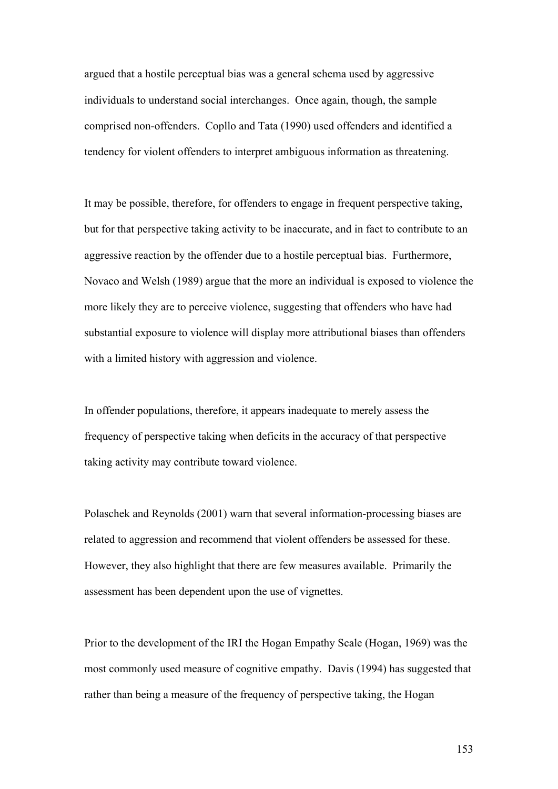argued that a hostile perceptual bias was a general schema used by aggressive individuals to understand social interchanges. Once again, though, the sample comprised non-offenders. Copllo and Tata (1990) used offenders and identified a tendency for violent offenders to interpret ambiguous information as threatening.

It may be possible, therefore, for offenders to engage in frequent perspective taking, but for that perspective taking activity to be inaccurate, and in fact to contribute to an aggressive reaction by the offender due to a hostile perceptual bias. Furthermore, Novaco and Welsh (1989) argue that the more an individual is exposed to violence the more likely they are to perceive violence, suggesting that offenders who have had substantial exposure to violence will display more attributional biases than offenders with a limited history with aggression and violence.

In offender populations, therefore, it appears inadequate to merely assess the frequency of perspective taking when deficits in the accuracy of that perspective taking activity may contribute toward violence.

Polaschek and Reynolds (2001) warn that several information-processing biases are related to aggression and recommend that violent offenders be assessed for these. However, they also highlight that there are few measures available. Primarily the assessment has been dependent upon the use of vignettes.

Prior to the development of the IRI the Hogan Empathy Scale (Hogan, 1969) was the most commonly used measure of cognitive empathy. Davis (1994) has suggested that rather than being a measure of the frequency of perspective taking, the Hogan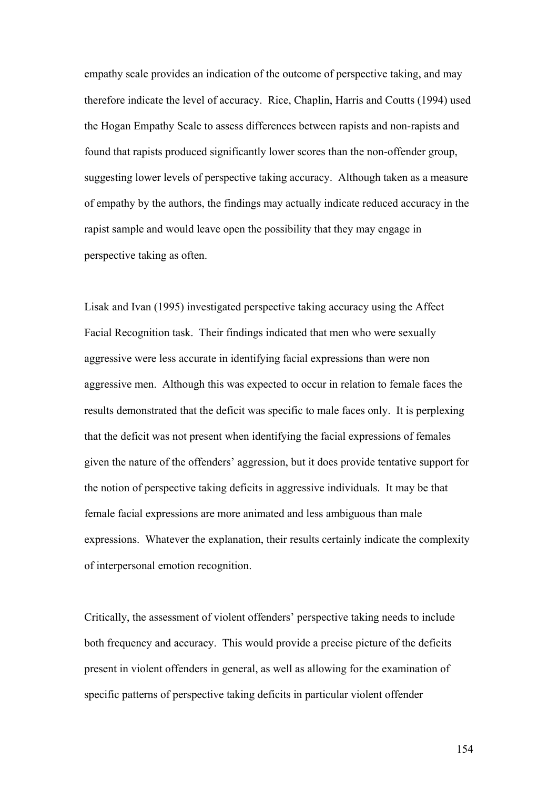empathy scale provides an indication of the outcome of perspective taking, and may therefore indicate the level of accuracy. Rice, Chaplin, Harris and Coutts (1994) used the Hogan Empathy Scale to assess differences between rapists and non-rapists and found that rapists produced significantly lower scores than the non-offender group, suggesting lower levels of perspective taking accuracy. Although taken as a measure of empathy by the authors, the findings may actually indicate reduced accuracy in the rapist sample and would leave open the possibility that they may engage in perspective taking as often.

Lisak and Ivan (1995) investigated perspective taking accuracy using the Affect Facial Recognition task. Their findings indicated that men who were sexually aggressive were less accurate in identifying facial expressions than were non aggressive men. Although this was expected to occur in relation to female faces the results demonstrated that the deficit was specific to male faces only. It is perplexing that the deficit was not present when identifying the facial expressions of females given the nature of the offenders' aggression, but it does provide tentative support for the notion of perspective taking deficits in aggressive individuals. It may be that female facial expressions are more animated and less ambiguous than male expressions. Whatever the explanation, their results certainly indicate the complexity of interpersonal emotion recognition.

Critically, the assessment of violent offenders' perspective taking needs to include both frequency and accuracy. This would provide a precise picture of the deficits present in violent offenders in general, as well as allowing for the examination of specific patterns of perspective taking deficits in particular violent offender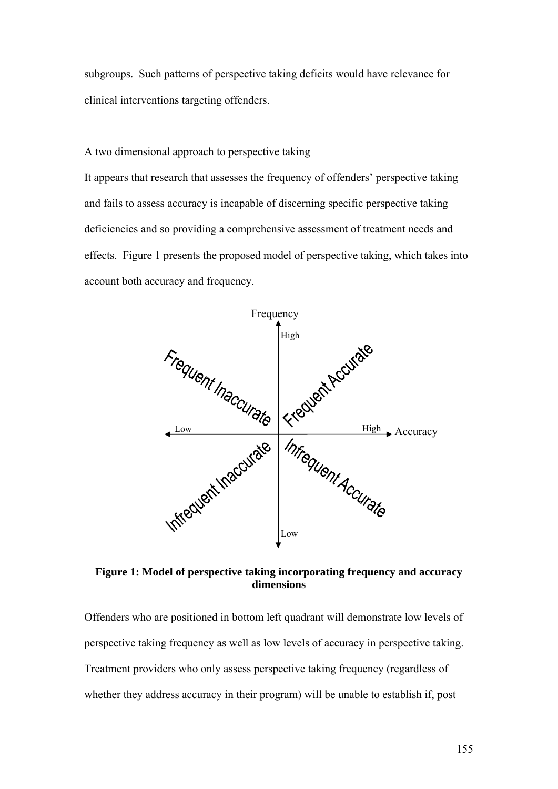subgroups. Such patterns of perspective taking deficits would have relevance for clinical interventions targeting offenders.

#### A two dimensional approach to perspective taking

It appears that research that assesses the frequency of offenders' perspective taking and fails to assess accuracy is incapable of discerning specific perspective taking deficiencies and so providing a comprehensive assessment of treatment needs and effects. Figure 1 presents the proposed model of perspective taking, which takes into account both accuracy and frequency.



**Figure 1: Model of perspective taking incorporating frequency and accuracy dimensions** 

Offenders who are positioned in bottom left quadrant will demonstrate low levels of perspective taking frequency as well as low levels of accuracy in perspective taking. Treatment providers who only assess perspective taking frequency (regardless of whether they address accuracy in their program) will be unable to establish if, post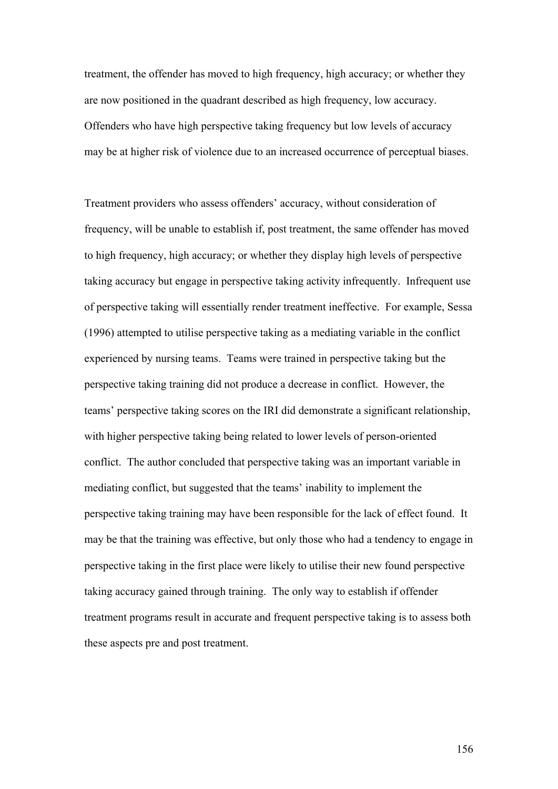treatment, the offender has moved to high frequency, high accuracy; or whether they are now positioned in the quadrant described as high frequency, low accuracy. Offenders who have high perspective taking frequency but low levels of accuracy may be at higher risk of violence due to an increased occurrence of perceptual biases.

Treatment providers who assess offenders' accuracy, without consideration of frequency, will be unable to establish if, post treatment, the same offender has moved to high frequency, high accuracy; or whether they display high levels of perspective taking accuracy but engage in perspective taking activity infrequently. Infrequent use of perspective taking will essentially render treatment ineffective. For example, Sessa (1996) attempted to utilise perspective taking as a mediating variable in the conflict experienced by nursing teams. Teams were trained in perspective taking but the perspective taking training did not produce a decrease in conflict. However, the teams' perspective taking scores on the IRI did demonstrate a significant relationship, with higher perspective taking being related to lower levels of person-oriented conflict. The author concluded that perspective taking was an important variable in mediating conflict, but suggested that the teams' inability to implement the perspective taking training may have been responsible for the lack of effect found. It may be that the training was effective, but only those who had a tendency to engage in perspective taking in the first place were likely to utilise their new found perspective taking accuracy gained through training. The only way to establish if offender treatment programs result in accurate and frequent perspective taking is to assess both these aspects pre and post treatment.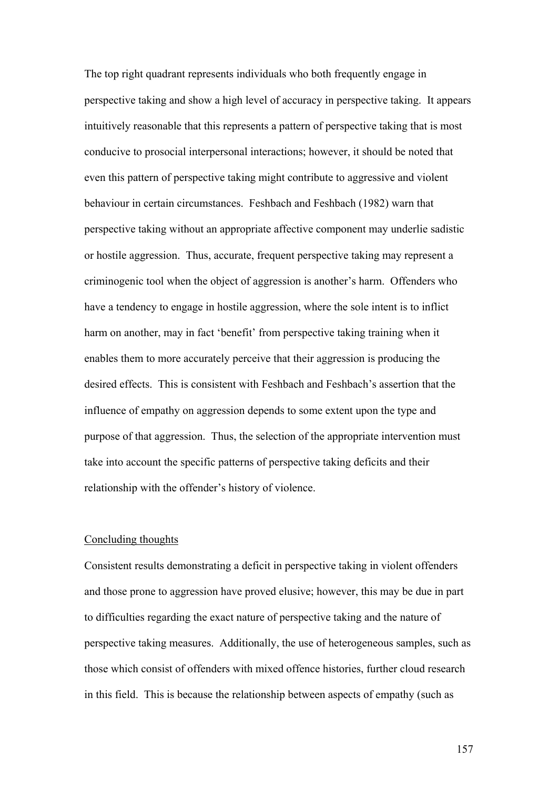The top right quadrant represents individuals who both frequently engage in perspective taking and show a high level of accuracy in perspective taking. It appears intuitively reasonable that this represents a pattern of perspective taking that is most conducive to prosocial interpersonal interactions; however, it should be noted that even this pattern of perspective taking might contribute to aggressive and violent behaviour in certain circumstances. Feshbach and Feshbach (1982) warn that perspective taking without an appropriate affective component may underlie sadistic or hostile aggression. Thus, accurate, frequent perspective taking may represent a criminogenic tool when the object of aggression is another's harm. Offenders who have a tendency to engage in hostile aggression, where the sole intent is to inflict harm on another, may in fact 'benefit' from perspective taking training when it enables them to more accurately perceive that their aggression is producing the desired effects. This is consistent with Feshbach and Feshbach's assertion that the influence of empathy on aggression depends to some extent upon the type and purpose of that aggression. Thus, the selection of the appropriate intervention must take into account the specific patterns of perspective taking deficits and their relationship with the offender's history of violence.

#### Concluding thoughts

Consistent results demonstrating a deficit in perspective taking in violent offenders and those prone to aggression have proved elusive; however, this may be due in part to difficulties regarding the exact nature of perspective taking and the nature of perspective taking measures. Additionally, the use of heterogeneous samples, such as those which consist of offenders with mixed offence histories, further cloud research in this field. This is because the relationship between aspects of empathy (such as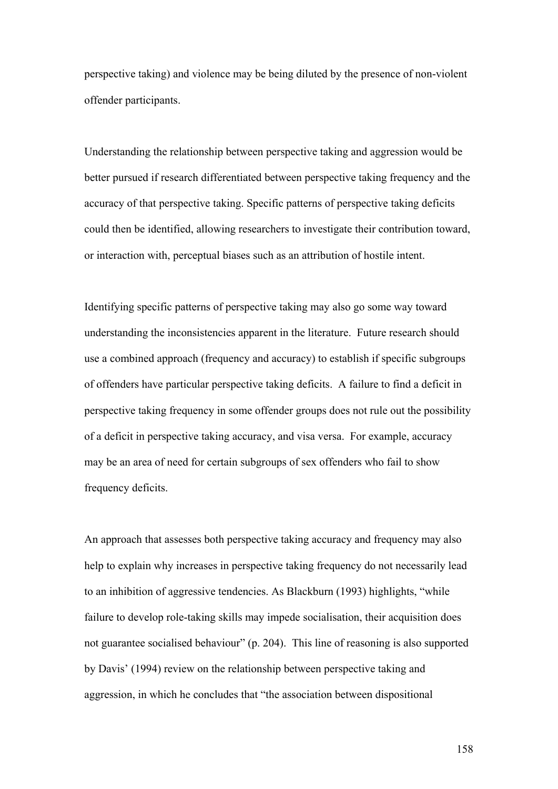perspective taking) and violence may be being diluted by the presence of non-violent offender participants.

Understanding the relationship between perspective taking and aggression would be better pursued if research differentiated between perspective taking frequency and the accuracy of that perspective taking. Specific patterns of perspective taking deficits could then be identified, allowing researchers to investigate their contribution toward, or interaction with, perceptual biases such as an attribution of hostile intent.

Identifying specific patterns of perspective taking may also go some way toward understanding the inconsistencies apparent in the literature. Future research should use a combined approach (frequency and accuracy) to establish if specific subgroups of offenders have particular perspective taking deficits. A failure to find a deficit in perspective taking frequency in some offender groups does not rule out the possibility of a deficit in perspective taking accuracy, and visa versa. For example, accuracy may be an area of need for certain subgroups of sex offenders who fail to show frequency deficits.

An approach that assesses both perspective taking accuracy and frequency may also help to explain why increases in perspective taking frequency do not necessarily lead to an inhibition of aggressive tendencies. As Blackburn (1993) highlights, "while failure to develop role-taking skills may impede socialisation, their acquisition does not guarantee socialised behaviour" (p. 204). This line of reasoning is also supported by Davis' (1994) review on the relationship between perspective taking and aggression, in which he concludes that "the association between dispositional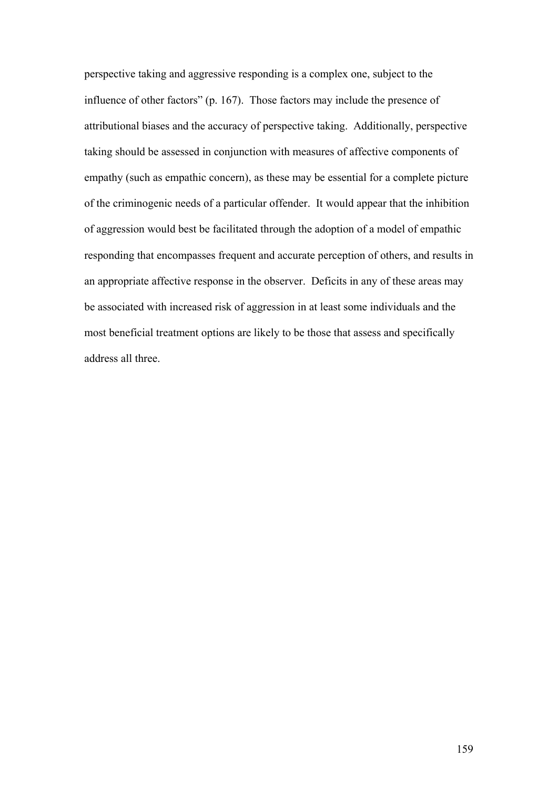perspective taking and aggressive responding is a complex one, subject to the influence of other factors" (p. 167). Those factors may include the presence of attributional biases and the accuracy of perspective taking. Additionally, perspective taking should be assessed in conjunction with measures of affective components of empathy (such as empathic concern), as these may be essential for a complete picture of the criminogenic needs of a particular offender. It would appear that the inhibition of aggression would best be facilitated through the adoption of a model of empathic responding that encompasses frequent and accurate perception of others, and results in an appropriate affective response in the observer. Deficits in any of these areas may be associated with increased risk of aggression in at least some individuals and the most beneficial treatment options are likely to be those that assess and specifically address all three.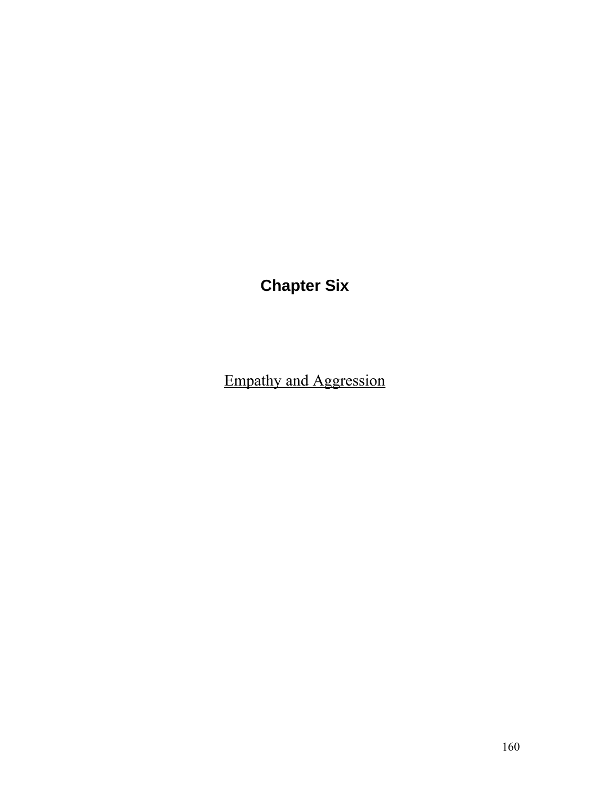**Chapter Six** 

Empathy and Aggression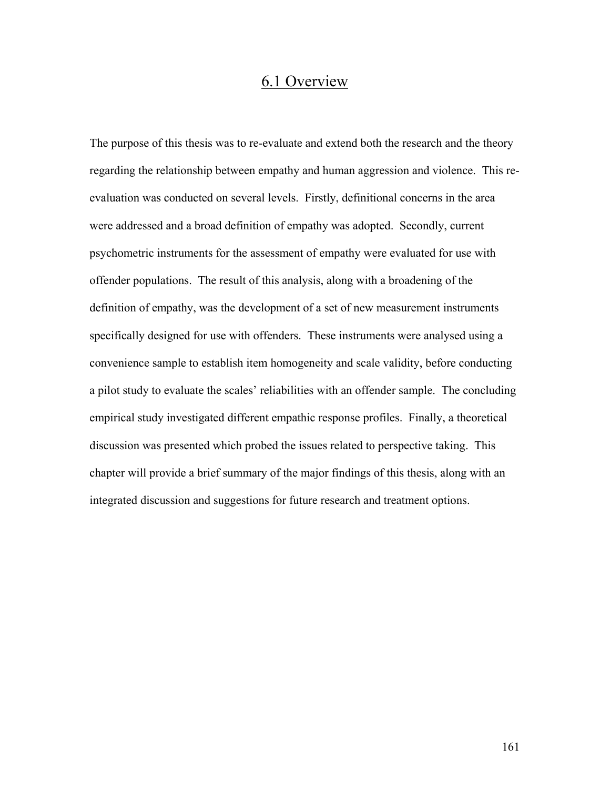## 6.1 Overview

The purpose of this thesis was to re-evaluate and extend both the research and the theory regarding the relationship between empathy and human aggression and violence. This reevaluation was conducted on several levels. Firstly, definitional concerns in the area were addressed and a broad definition of empathy was adopted. Secondly, current psychometric instruments for the assessment of empathy were evaluated for use with offender populations. The result of this analysis, along with a broadening of the definition of empathy, was the development of a set of new measurement instruments specifically designed for use with offenders. These instruments were analysed using a convenience sample to establish item homogeneity and scale validity, before conducting a pilot study to evaluate the scales' reliabilities with an offender sample. The concluding empirical study investigated different empathic response profiles. Finally, a theoretical discussion was presented which probed the issues related to perspective taking. This chapter will provide a brief summary of the major findings of this thesis, along with an integrated discussion and suggestions for future research and treatment options.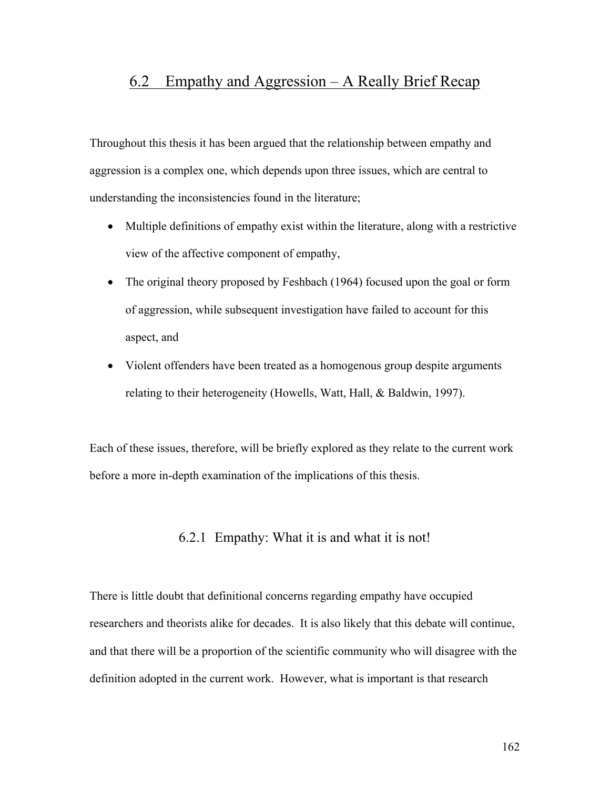## 6.2 Empathy and Aggression – A Really Brief Recap

Throughout this thesis it has been argued that the relationship between empathy and aggression is a complex one, which depends upon three issues, which are central to understanding the inconsistencies found in the literature;

- Multiple definitions of empathy exist within the literature, along with a restrictive view of the affective component of empathy,
- The original theory proposed by Feshbach (1964) focused upon the goal or form of aggression, while subsequent investigation have failed to account for this aspect, and
- Violent offenders have been treated as a homogenous group despite arguments relating to their heterogeneity (Howells, Watt, Hall, & Baldwin, 1997).

Each of these issues, therefore, will be briefly explored as they relate to the current work before a more in-depth examination of the implications of this thesis.

6.2.1 Empathy: What it is and what it is not!

There is little doubt that definitional concerns regarding empathy have occupied researchers and theorists alike for decades. It is also likely that this debate will continue, and that there will be a proportion of the scientific community who will disagree with the definition adopted in the current work. However, what is important is that research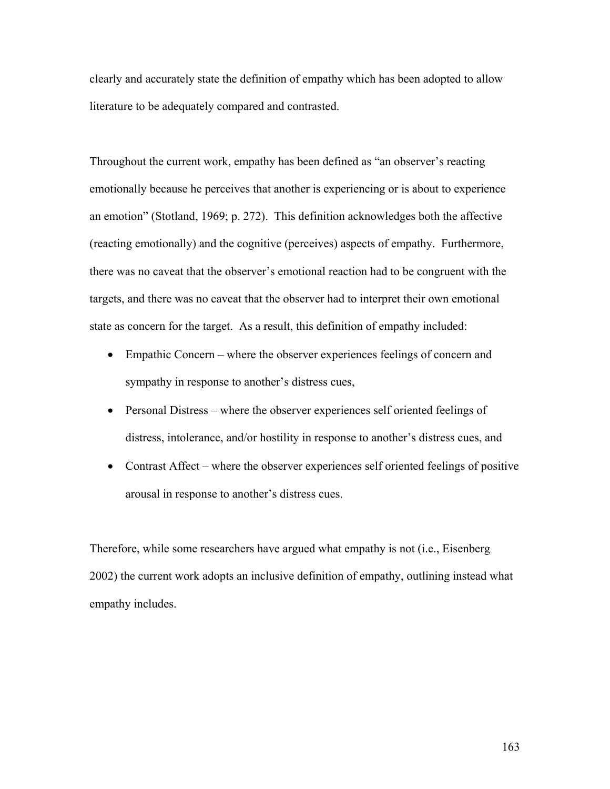clearly and accurately state the definition of empathy which has been adopted to allow literature to be adequately compared and contrasted.

Throughout the current work, empathy has been defined as "an observer's reacting emotionally because he perceives that another is experiencing or is about to experience an emotion" (Stotland, 1969; p. 272). This definition acknowledges both the affective (reacting emotionally) and the cognitive (perceives) aspects of empathy. Furthermore, there was no caveat that the observer's emotional reaction had to be congruent with the targets, and there was no caveat that the observer had to interpret their own emotional state as concern for the target. As a result, this definition of empathy included:

- Empathic Concern where the observer experiences feelings of concern and sympathy in response to another's distress cues,
- Personal Distress where the observer experiences self oriented feelings of distress, intolerance, and/or hostility in response to another's distress cues, and
- Contrast Affect where the observer experiences self oriented feelings of positive arousal in response to another's distress cues.

Therefore, while some researchers have argued what empathy is not (i.e., Eisenberg 2002) the current work adopts an inclusive definition of empathy, outlining instead what empathy includes.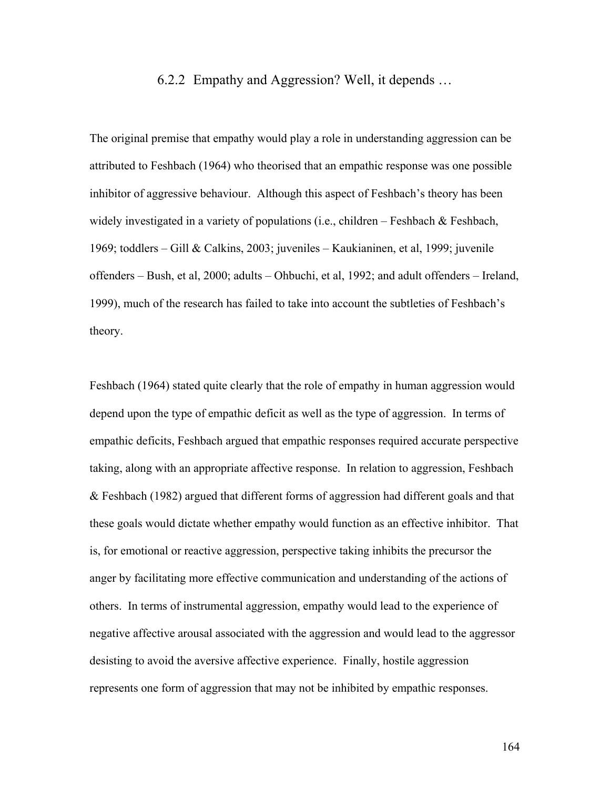### 6.2.2 Empathy and Aggression? Well, it depends …

The original premise that empathy would play a role in understanding aggression can be attributed to Feshbach (1964) who theorised that an empathic response was one possible inhibitor of aggressive behaviour. Although this aspect of Feshbach's theory has been widely investigated in a variety of populations (i.e., children – Feshbach & Feshbach, 1969; toddlers – Gill & Calkins, 2003; juveniles – Kaukianinen, et al, 1999; juvenile offenders – Bush, et al, 2000; adults – Ohbuchi, et al, 1992; and adult offenders – Ireland, 1999), much of the research has failed to take into account the subtleties of Feshbach's theory.

Feshbach (1964) stated quite clearly that the role of empathy in human aggression would depend upon the type of empathic deficit as well as the type of aggression. In terms of empathic deficits, Feshbach argued that empathic responses required accurate perspective taking, along with an appropriate affective response. In relation to aggression, Feshbach & Feshbach (1982) argued that different forms of aggression had different goals and that these goals would dictate whether empathy would function as an effective inhibitor. That is, for emotional or reactive aggression, perspective taking inhibits the precursor the anger by facilitating more effective communication and understanding of the actions of others. In terms of instrumental aggression, empathy would lead to the experience of negative affective arousal associated with the aggression and would lead to the aggressor desisting to avoid the aversive affective experience. Finally, hostile aggression represents one form of aggression that may not be inhibited by empathic responses.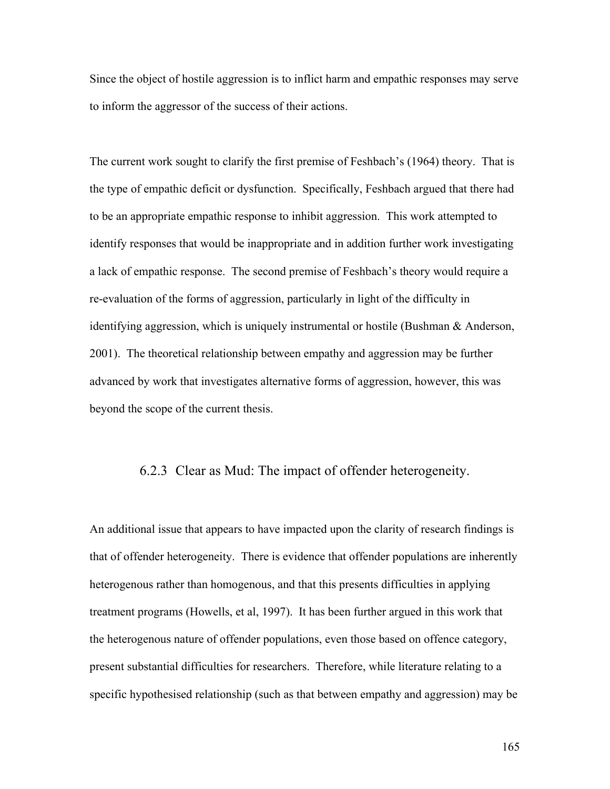Since the object of hostile aggression is to inflict harm and empathic responses may serve to inform the aggressor of the success of their actions.

The current work sought to clarify the first premise of Feshbach's (1964) theory. That is the type of empathic deficit or dysfunction. Specifically, Feshbach argued that there had to be an appropriate empathic response to inhibit aggression. This work attempted to identify responses that would be inappropriate and in addition further work investigating a lack of empathic response. The second premise of Feshbach's theory would require a re-evaluation of the forms of aggression, particularly in light of the difficulty in identifying aggression, which is uniquely instrumental or hostile (Bushman & Anderson, 2001). The theoretical relationship between empathy and aggression may be further advanced by work that investigates alternative forms of aggression, however, this was beyond the scope of the current thesis.

#### 6.2.3 Clear as Mud: The impact of offender heterogeneity.

An additional issue that appears to have impacted upon the clarity of research findings is that of offender heterogeneity. There is evidence that offender populations are inherently heterogenous rather than homogenous, and that this presents difficulties in applying treatment programs (Howells, et al, 1997). It has been further argued in this work that the heterogenous nature of offender populations, even those based on offence category, present substantial difficulties for researchers. Therefore, while literature relating to a specific hypothesised relationship (such as that between empathy and aggression) may be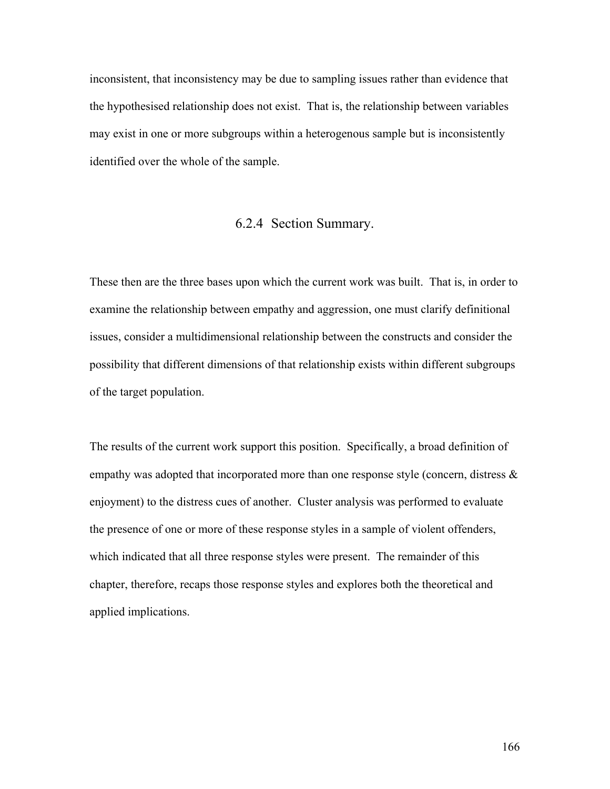inconsistent, that inconsistency may be due to sampling issues rather than evidence that the hypothesised relationship does not exist. That is, the relationship between variables may exist in one or more subgroups within a heterogenous sample but is inconsistently identified over the whole of the sample.

# 6.2.4 Section Summary.

These then are the three bases upon which the current work was built. That is, in order to examine the relationship between empathy and aggression, one must clarify definitional issues, consider a multidimensional relationship between the constructs and consider the possibility that different dimensions of that relationship exists within different subgroups of the target population.

The results of the current work support this position. Specifically, a broad definition of empathy was adopted that incorporated more than one response style (concern, distress  $\&$ enjoyment) to the distress cues of another. Cluster analysis was performed to evaluate the presence of one or more of these response styles in a sample of violent offenders, which indicated that all three response styles were present. The remainder of this chapter, therefore, recaps those response styles and explores both the theoretical and applied implications.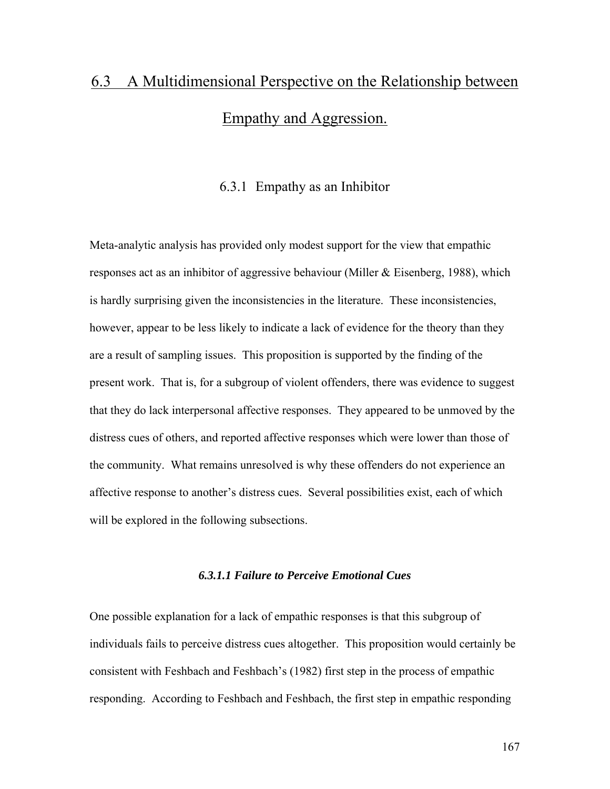# 6.3 A Multidimensional Perspective on the Relationship between Empathy and Aggression.

## 6.3.1 Empathy as an Inhibitor

Meta-analytic analysis has provided only modest support for the view that empathic responses act as an inhibitor of aggressive behaviour (Miller & Eisenberg, 1988), which is hardly surprising given the inconsistencies in the literature. These inconsistencies, however, appear to be less likely to indicate a lack of evidence for the theory than they are a result of sampling issues. This proposition is supported by the finding of the present work. That is, for a subgroup of violent offenders, there was evidence to suggest that they do lack interpersonal affective responses. They appeared to be unmoved by the distress cues of others, and reported affective responses which were lower than those of the community. What remains unresolved is why these offenders do not experience an affective response to another's distress cues. Several possibilities exist, each of which will be explored in the following subsections.

# *6.3.1.1 Failure to Perceive Emotional Cues*

One possible explanation for a lack of empathic responses is that this subgroup of individuals fails to perceive distress cues altogether. This proposition would certainly be consistent with Feshbach and Feshbach's (1982) first step in the process of empathic responding. According to Feshbach and Feshbach, the first step in empathic responding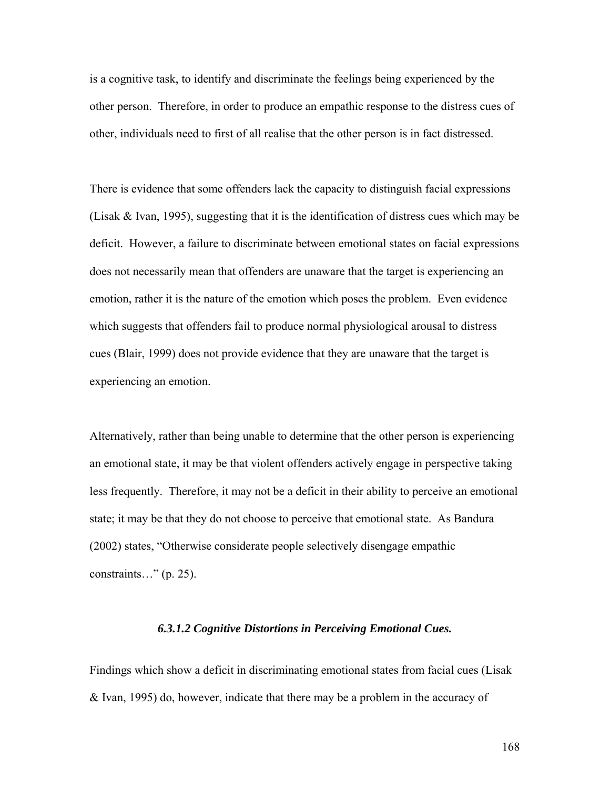is a cognitive task, to identify and discriminate the feelings being experienced by the other person. Therefore, in order to produce an empathic response to the distress cues of other, individuals need to first of all realise that the other person is in fact distressed.

There is evidence that some offenders lack the capacity to distinguish facial expressions (Lisak & Ivan, 1995), suggesting that it is the identification of distress cues which may be deficit. However, a failure to discriminate between emotional states on facial expressions does not necessarily mean that offenders are unaware that the target is experiencing an emotion, rather it is the nature of the emotion which poses the problem. Even evidence which suggests that offenders fail to produce normal physiological arousal to distress cues (Blair, 1999) does not provide evidence that they are unaware that the target is experiencing an emotion.

Alternatively, rather than being unable to determine that the other person is experiencing an emotional state, it may be that violent offenders actively engage in perspective taking less frequently. Therefore, it may not be a deficit in their ability to perceive an emotional state; it may be that they do not choose to perceive that emotional state. As Bandura (2002) states, "Otherwise considerate people selectively disengage empathic constraints…" (p. 25).

#### *6.3.1.2 Cognitive Distortions in Perceiving Emotional Cues.*

Findings which show a deficit in discriminating emotional states from facial cues (Lisak & Ivan, 1995) do, however, indicate that there may be a problem in the accuracy of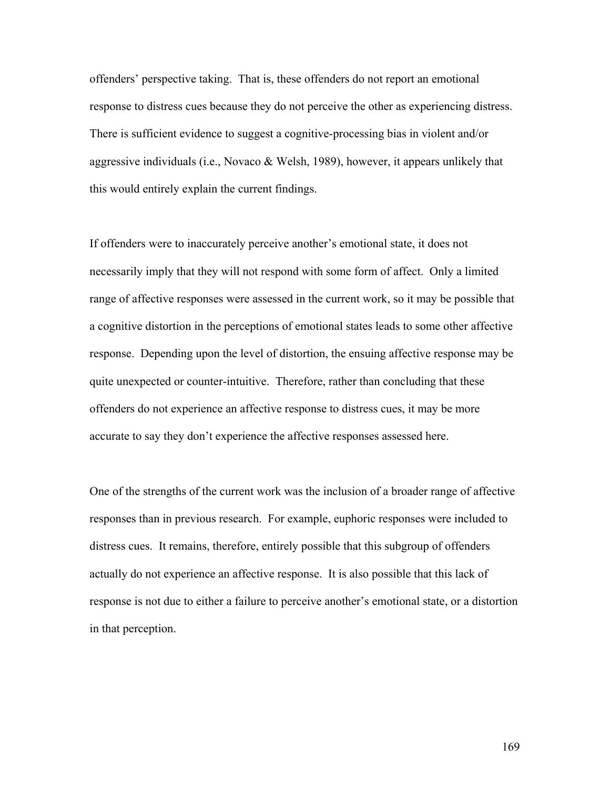offenders' perspective taking. That is, these offenders do not report an emotional response to distress cues because they do not perceive the other as experiencing distress. There is sufficient evidence to suggest a cognitive-processing bias in violent and/or aggressive individuals (i.e., Novaco & Welsh, 1989), however, it appears unlikely that this would entirely explain the current findings.

If offenders were to inaccurately perceive another's emotional state, it does not necessarily imply that they will not respond with some form of affect. Only a limited range of affective responses were assessed in the current work, so it may be possible that a cognitive distortion in the perceptions of emotional states leads to some other affective response. Depending upon the level of distortion, the ensuing affective response may be quite unexpected or counter-intuitive. Therefore, rather than concluding that these offenders do not experience an affective response to distress cues, it may be more accurate to say they don't experience the affective responses assessed here.

One of the strengths of the current work was the inclusion of a broader range of affective responses than in previous research. For example, euphoric responses were included to distress cues. It remains, therefore, entirely possible that this subgroup of offenders actually do not experience an affective response. It is also possible that this lack of response is not due to either a failure to perceive another's emotional state, or a distortion in that perception.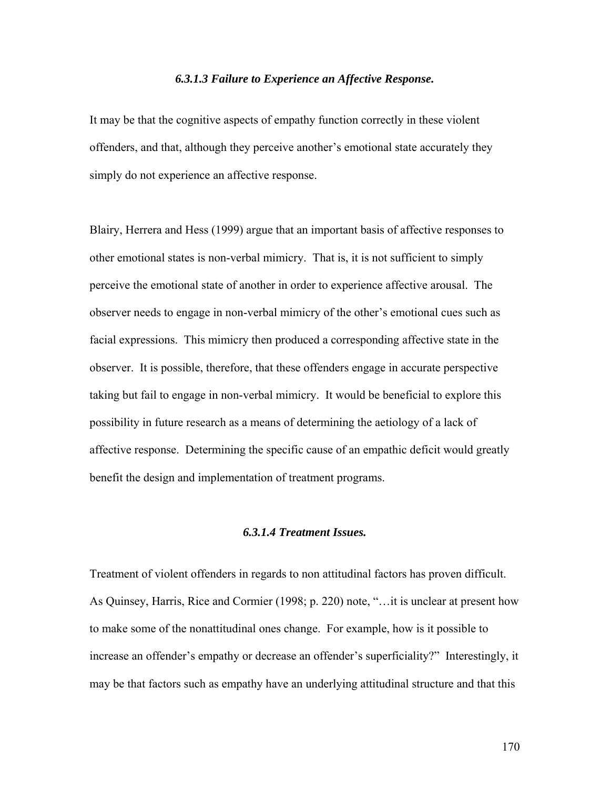#### *6.3.1.3 Failure to Experience an Affective Response.*

It may be that the cognitive aspects of empathy function correctly in these violent offenders, and that, although they perceive another's emotional state accurately they simply do not experience an affective response.

Blairy, Herrera and Hess (1999) argue that an important basis of affective responses to other emotional states is non-verbal mimicry. That is, it is not sufficient to simply perceive the emotional state of another in order to experience affective arousal. The observer needs to engage in non-verbal mimicry of the other's emotional cues such as facial expressions. This mimicry then produced a corresponding affective state in the observer. It is possible, therefore, that these offenders engage in accurate perspective taking but fail to engage in non-verbal mimicry. It would be beneficial to explore this possibility in future research as a means of determining the aetiology of a lack of affective response. Determining the specific cause of an empathic deficit would greatly benefit the design and implementation of treatment programs.

## *6.3.1.4 Treatment Issues.*

Treatment of violent offenders in regards to non attitudinal factors has proven difficult. As Quinsey, Harris, Rice and Cormier (1998; p. 220) note, "…it is unclear at present how to make some of the nonattitudinal ones change. For example, how is it possible to increase an offender's empathy or decrease an offender's superficiality?" Interestingly, it may be that factors such as empathy have an underlying attitudinal structure and that this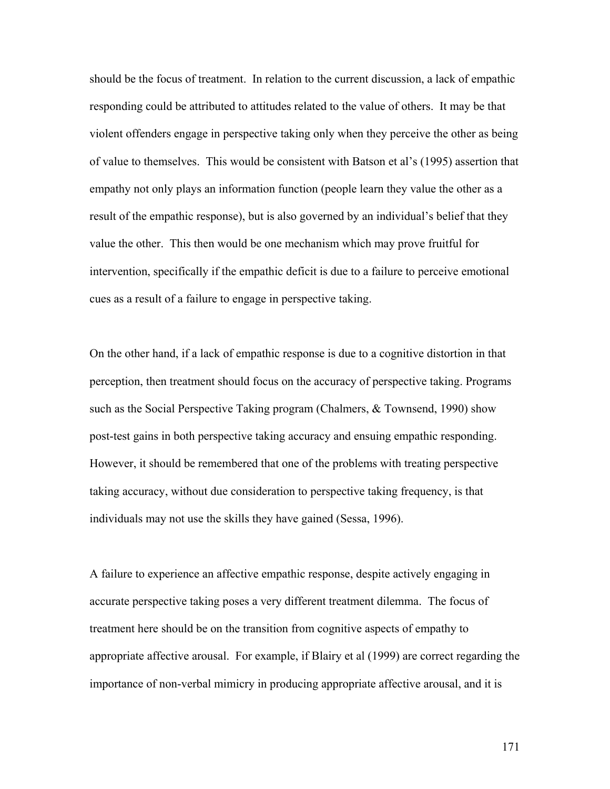should be the focus of treatment. In relation to the current discussion, a lack of empathic responding could be attributed to attitudes related to the value of others. It may be that violent offenders engage in perspective taking only when they perceive the other as being of value to themselves. This would be consistent with Batson et al's (1995) assertion that empathy not only plays an information function (people learn they value the other as a result of the empathic response), but is also governed by an individual's belief that they value the other. This then would be one mechanism which may prove fruitful for intervention, specifically if the empathic deficit is due to a failure to perceive emotional cues as a result of a failure to engage in perspective taking.

On the other hand, if a lack of empathic response is due to a cognitive distortion in that perception, then treatment should focus on the accuracy of perspective taking. Programs such as the Social Perspective Taking program (Chalmers, & Townsend, 1990) show post-test gains in both perspective taking accuracy and ensuing empathic responding. However, it should be remembered that one of the problems with treating perspective taking accuracy, without due consideration to perspective taking frequency, is that individuals may not use the skills they have gained (Sessa, 1996).

A failure to experience an affective empathic response, despite actively engaging in accurate perspective taking poses a very different treatment dilemma. The focus of treatment here should be on the transition from cognitive aspects of empathy to appropriate affective arousal. For example, if Blairy et al (1999) are correct regarding the importance of non-verbal mimicry in producing appropriate affective arousal, and it is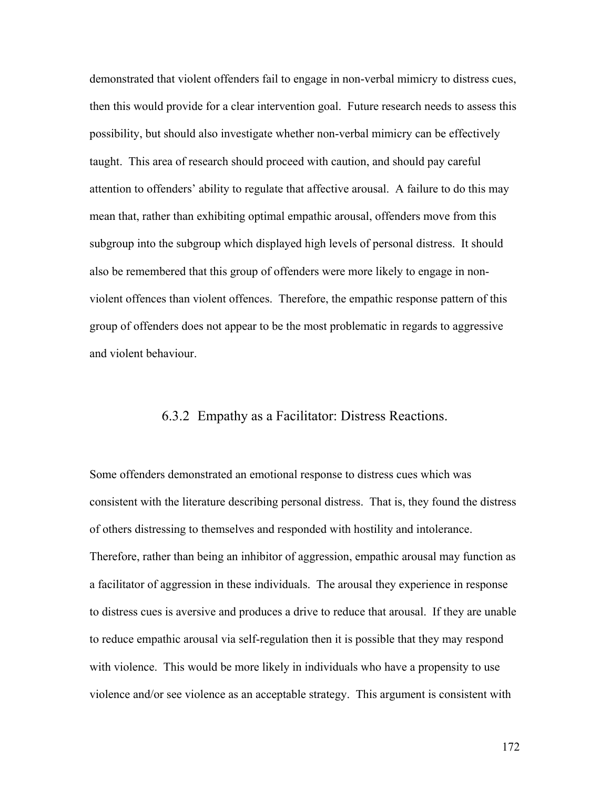demonstrated that violent offenders fail to engage in non-verbal mimicry to distress cues, then this would provide for a clear intervention goal. Future research needs to assess this possibility, but should also investigate whether non-verbal mimicry can be effectively taught. This area of research should proceed with caution, and should pay careful attention to offenders' ability to regulate that affective arousal. A failure to do this may mean that, rather than exhibiting optimal empathic arousal, offenders move from this subgroup into the subgroup which displayed high levels of personal distress. It should also be remembered that this group of offenders were more likely to engage in nonviolent offences than violent offences. Therefore, the empathic response pattern of this group of offenders does not appear to be the most problematic in regards to aggressive and violent behaviour.

# 6.3.2 Empathy as a Facilitator: Distress Reactions.

Some offenders demonstrated an emotional response to distress cues which was consistent with the literature describing personal distress. That is, they found the distress of others distressing to themselves and responded with hostility and intolerance. Therefore, rather than being an inhibitor of aggression, empathic arousal may function as a facilitator of aggression in these individuals. The arousal they experience in response to distress cues is aversive and produces a drive to reduce that arousal. If they are unable to reduce empathic arousal via self-regulation then it is possible that they may respond with violence. This would be more likely in individuals who have a propensity to use violence and/or see violence as an acceptable strategy. This argument is consistent with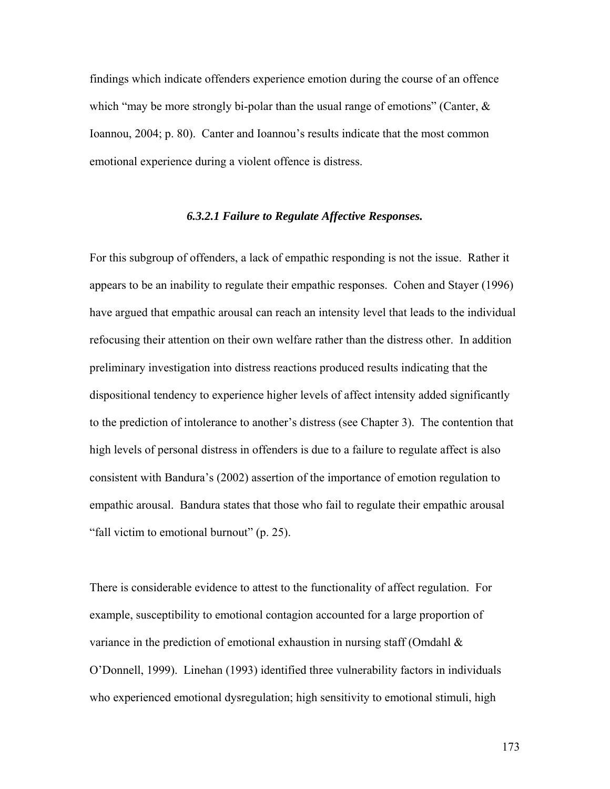findings which indicate offenders experience emotion during the course of an offence which "may be more strongly bi-polar than the usual range of emotions" (Canter,  $\&$ Ioannou, 2004; p. 80). Canter and Ioannou's results indicate that the most common emotional experience during a violent offence is distress.

#### *6.3.2.1 Failure to Regulate Affective Responses.*

For this subgroup of offenders, a lack of empathic responding is not the issue. Rather it appears to be an inability to regulate their empathic responses. Cohen and Stayer (1996) have argued that empathic arousal can reach an intensity level that leads to the individual refocusing their attention on their own welfare rather than the distress other. In addition preliminary investigation into distress reactions produced results indicating that the dispositional tendency to experience higher levels of affect intensity added significantly to the prediction of intolerance to another's distress (see Chapter 3). The contention that high levels of personal distress in offenders is due to a failure to regulate affect is also consistent with Bandura's (2002) assertion of the importance of emotion regulation to empathic arousal. Bandura states that those who fail to regulate their empathic arousal "fall victim to emotional burnout" (p. 25).

There is considerable evidence to attest to the functionality of affect regulation. For example, susceptibility to emotional contagion accounted for a large proportion of variance in the prediction of emotional exhaustion in nursing staff (Omdahl  $\&$ O'Donnell, 1999). Linehan (1993) identified three vulnerability factors in individuals who experienced emotional dysregulation; high sensitivity to emotional stimuli, high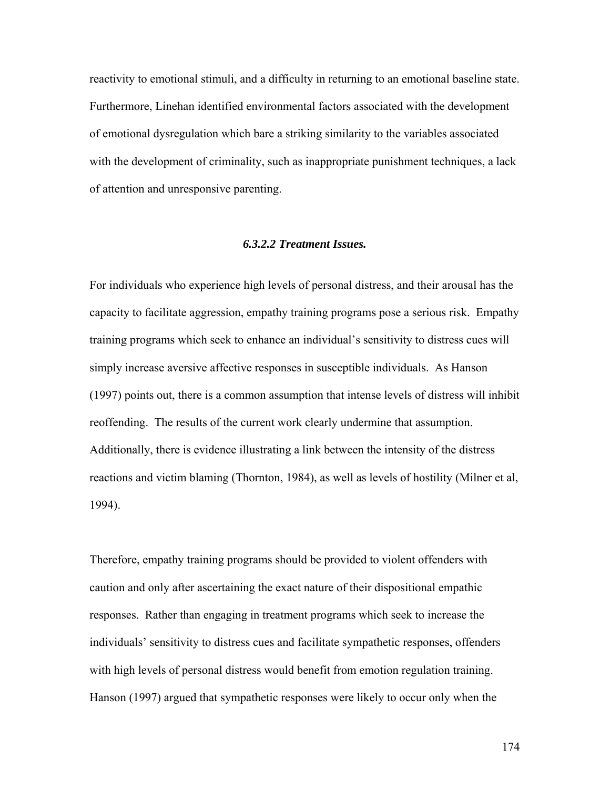reactivity to emotional stimuli, and a difficulty in returning to an emotional baseline state. Furthermore, Linehan identified environmental factors associated with the development of emotional dysregulation which bare a striking similarity to the variables associated with the development of criminality, such as inappropriate punishment techniques, a lack of attention and unresponsive parenting.

#### *6.3.2.2 Treatment Issues.*

For individuals who experience high levels of personal distress, and their arousal has the capacity to facilitate aggression, empathy training programs pose a serious risk. Empathy training programs which seek to enhance an individual's sensitivity to distress cues will simply increase aversive affective responses in susceptible individuals. As Hanson (1997) points out, there is a common assumption that intense levels of distress will inhibit reoffending. The results of the current work clearly undermine that assumption. Additionally, there is evidence illustrating a link between the intensity of the distress reactions and victim blaming (Thornton, 1984), as well as levels of hostility (Milner et al, 1994).

Therefore, empathy training programs should be provided to violent offenders with caution and only after ascertaining the exact nature of their dispositional empathic responses. Rather than engaging in treatment programs which seek to increase the individuals' sensitivity to distress cues and facilitate sympathetic responses, offenders with high levels of personal distress would benefit from emotion regulation training. Hanson (1997) argued that sympathetic responses were likely to occur only when the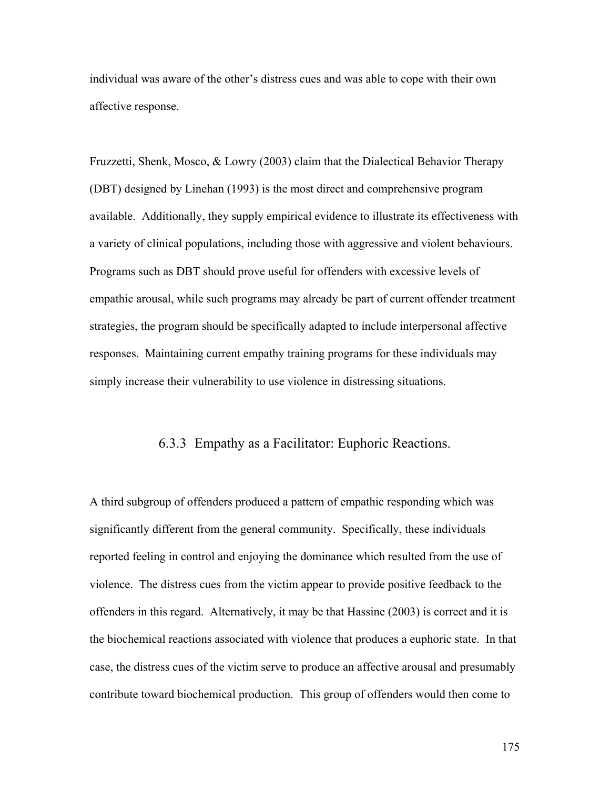individual was aware of the other's distress cues and was able to cope with their own affective response.

Fruzzetti, Shenk, Mosco, & Lowry (2003) claim that the Dialectical Behavior Therapy (DBT) designed by Linehan (1993) is the most direct and comprehensive program available. Additionally, they supply empirical evidence to illustrate its effectiveness with a variety of clinical populations, including those with aggressive and violent behaviours. Programs such as DBT should prove useful for offenders with excessive levels of empathic arousal, while such programs may already be part of current offender treatment strategies, the program should be specifically adapted to include interpersonal affective responses. Maintaining current empathy training programs for these individuals may simply increase their vulnerability to use violence in distressing situations.

# 6.3.3 Empathy as a Facilitator: Euphoric Reactions.

A third subgroup of offenders produced a pattern of empathic responding which was significantly different from the general community. Specifically, these individuals reported feeling in control and enjoying the dominance which resulted from the use of violence. The distress cues from the victim appear to provide positive feedback to the offenders in this regard. Alternatively, it may be that Hassine (2003) is correct and it is the biochemical reactions associated with violence that produces a euphoric state. In that case, the distress cues of the victim serve to produce an affective arousal and presumably contribute toward biochemical production. This group of offenders would then come to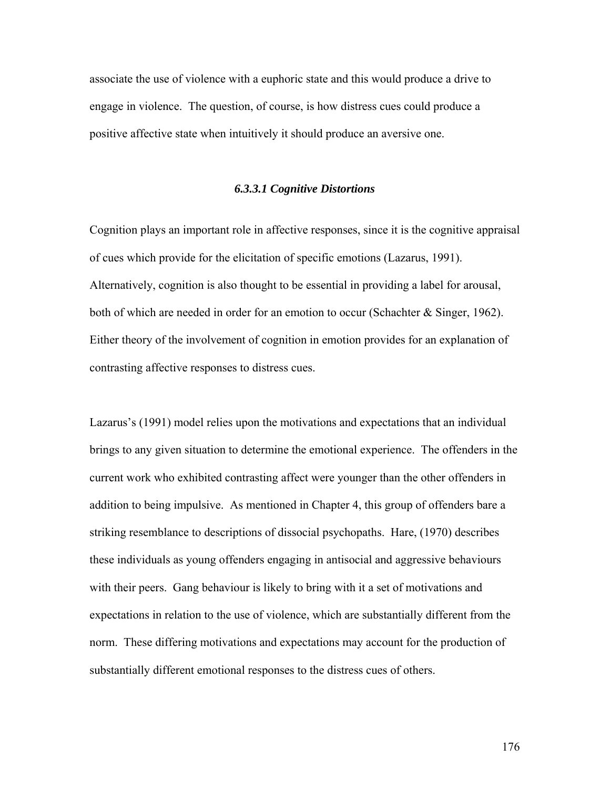associate the use of violence with a euphoric state and this would produce a drive to engage in violence. The question, of course, is how distress cues could produce a positive affective state when intuitively it should produce an aversive one.

#### *6.3.3.1 Cognitive Distortions*

Cognition plays an important role in affective responses, since it is the cognitive appraisal of cues which provide for the elicitation of specific emotions (Lazarus, 1991). Alternatively, cognition is also thought to be essential in providing a label for arousal, both of which are needed in order for an emotion to occur (Schachter & Singer, 1962). Either theory of the involvement of cognition in emotion provides for an explanation of contrasting affective responses to distress cues.

Lazarus's (1991) model relies upon the motivations and expectations that an individual brings to any given situation to determine the emotional experience. The offenders in the current work who exhibited contrasting affect were younger than the other offenders in addition to being impulsive. As mentioned in Chapter 4, this group of offenders bare a striking resemblance to descriptions of dissocial psychopaths. Hare, (1970) describes these individuals as young offenders engaging in antisocial and aggressive behaviours with their peers. Gang behaviour is likely to bring with it a set of motivations and expectations in relation to the use of violence, which are substantially different from the norm. These differing motivations and expectations may account for the production of substantially different emotional responses to the distress cues of others.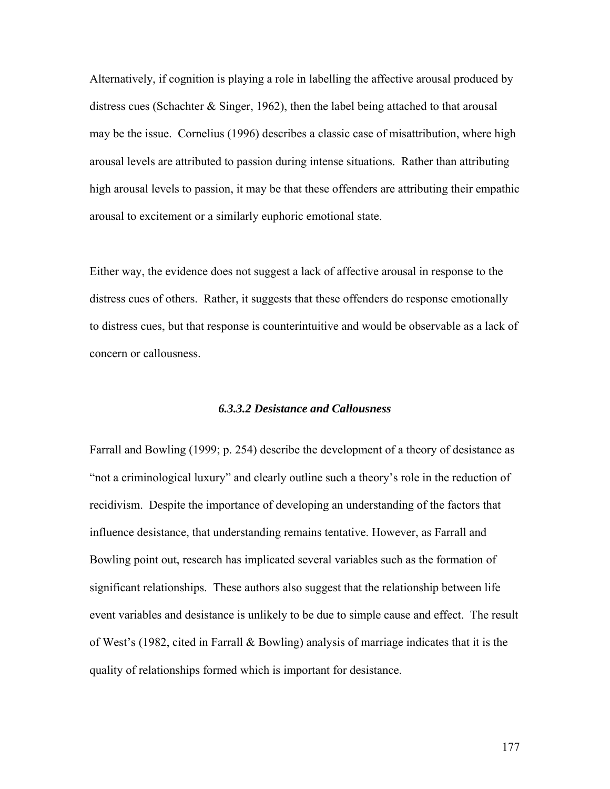Alternatively, if cognition is playing a role in labelling the affective arousal produced by distress cues (Schachter  $&$  Singer, 1962), then the label being attached to that arousal may be the issue. Cornelius (1996) describes a classic case of misattribution, where high arousal levels are attributed to passion during intense situations. Rather than attributing high arousal levels to passion, it may be that these offenders are attributing their empathic arousal to excitement or a similarly euphoric emotional state.

Either way, the evidence does not suggest a lack of affective arousal in response to the distress cues of others. Rather, it suggests that these offenders do response emotionally to distress cues, but that response is counterintuitive and would be observable as a lack of concern or callousness.

#### *6.3.3.2 Desistance and Callousness*

Farrall and Bowling (1999; p. 254) describe the development of a theory of desistance as "not a criminological luxury" and clearly outline such a theory's role in the reduction of recidivism. Despite the importance of developing an understanding of the factors that influence desistance, that understanding remains tentative. However, as Farrall and Bowling point out, research has implicated several variables such as the formation of significant relationships. These authors also suggest that the relationship between life event variables and desistance is unlikely to be due to simple cause and effect. The result of West's (1982, cited in Farrall & Bowling) analysis of marriage indicates that it is the quality of relationships formed which is important for desistance.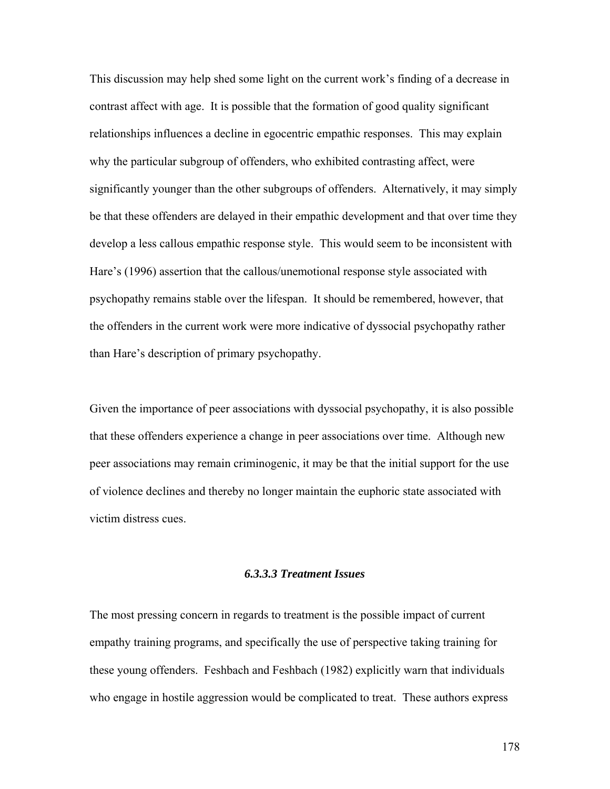This discussion may help shed some light on the current work's finding of a decrease in contrast affect with age. It is possible that the formation of good quality significant relationships influences a decline in egocentric empathic responses. This may explain why the particular subgroup of offenders, who exhibited contrasting affect, were significantly younger than the other subgroups of offenders. Alternatively, it may simply be that these offenders are delayed in their empathic development and that over time they develop a less callous empathic response style. This would seem to be inconsistent with Hare's (1996) assertion that the callous/unemotional response style associated with psychopathy remains stable over the lifespan. It should be remembered, however, that the offenders in the current work were more indicative of dyssocial psychopathy rather than Hare's description of primary psychopathy.

Given the importance of peer associations with dyssocial psychopathy, it is also possible that these offenders experience a change in peer associations over time. Although new peer associations may remain criminogenic, it may be that the initial support for the use of violence declines and thereby no longer maintain the euphoric state associated with victim distress cues.

## *6.3.3.3 Treatment Issues*

The most pressing concern in regards to treatment is the possible impact of current empathy training programs, and specifically the use of perspective taking training for these young offenders. Feshbach and Feshbach (1982) explicitly warn that individuals who engage in hostile aggression would be complicated to treat. These authors express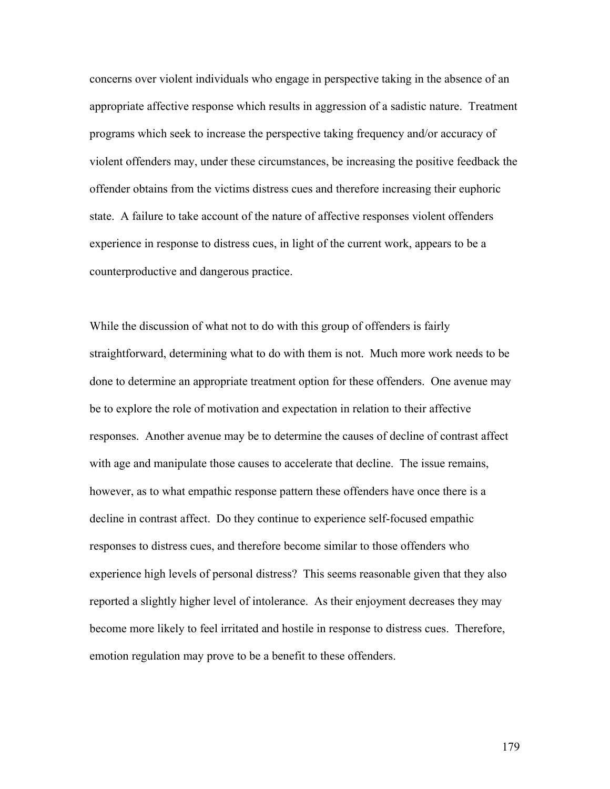concerns over violent individuals who engage in perspective taking in the absence of an appropriate affective response which results in aggression of a sadistic nature. Treatment programs which seek to increase the perspective taking frequency and/or accuracy of violent offenders may, under these circumstances, be increasing the positive feedback the offender obtains from the victims distress cues and therefore increasing their euphoric state. A failure to take account of the nature of affective responses violent offenders experience in response to distress cues, in light of the current work, appears to be a counterproductive and dangerous practice.

While the discussion of what not to do with this group of offenders is fairly straightforward, determining what to do with them is not. Much more work needs to be done to determine an appropriate treatment option for these offenders. One avenue may be to explore the role of motivation and expectation in relation to their affective responses. Another avenue may be to determine the causes of decline of contrast affect with age and manipulate those causes to accelerate that decline. The issue remains, however, as to what empathic response pattern these offenders have once there is a decline in contrast affect. Do they continue to experience self-focused empathic responses to distress cues, and therefore become similar to those offenders who experience high levels of personal distress? This seems reasonable given that they also reported a slightly higher level of intolerance. As their enjoyment decreases they may become more likely to feel irritated and hostile in response to distress cues. Therefore, emotion regulation may prove to be a benefit to these offenders.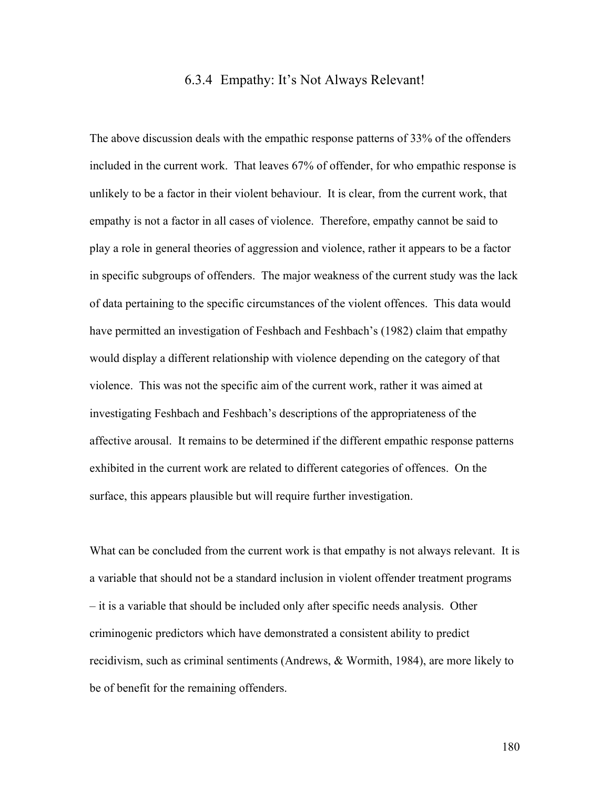## 6.3.4 Empathy: It's Not Always Relevant!

The above discussion deals with the empathic response patterns of 33% of the offenders included in the current work. That leaves 67% of offender, for who empathic response is unlikely to be a factor in their violent behaviour. It is clear, from the current work, that empathy is not a factor in all cases of violence. Therefore, empathy cannot be said to play a role in general theories of aggression and violence, rather it appears to be a factor in specific subgroups of offenders. The major weakness of the current study was the lack of data pertaining to the specific circumstances of the violent offences. This data would have permitted an investigation of Feshbach and Feshbach's (1982) claim that empathy would display a different relationship with violence depending on the category of that violence. This was not the specific aim of the current work, rather it was aimed at investigating Feshbach and Feshbach's descriptions of the appropriateness of the affective arousal. It remains to be determined if the different empathic response patterns exhibited in the current work are related to different categories of offences. On the surface, this appears plausible but will require further investigation.

What can be concluded from the current work is that empathy is not always relevant. It is a variable that should not be a standard inclusion in violent offender treatment programs – it is a variable that should be included only after specific needs analysis. Other criminogenic predictors which have demonstrated a consistent ability to predict recidivism, such as criminal sentiments (Andrews, & Wormith, 1984), are more likely to be of benefit for the remaining offenders.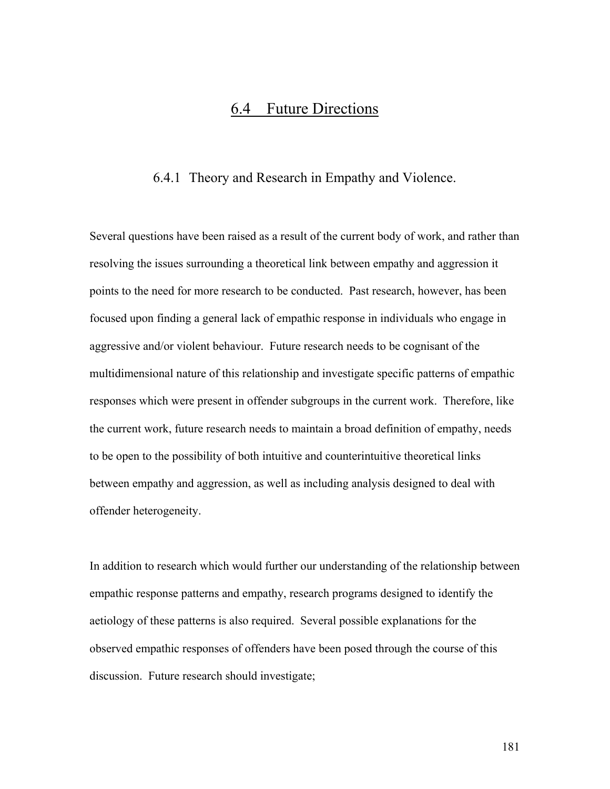# 6.4 Future Directions

# 6.4.1 Theory and Research in Empathy and Violence.

Several questions have been raised as a result of the current body of work, and rather than resolving the issues surrounding a theoretical link between empathy and aggression it points to the need for more research to be conducted. Past research, however, has been focused upon finding a general lack of empathic response in individuals who engage in aggressive and/or violent behaviour. Future research needs to be cognisant of the multidimensional nature of this relationship and investigate specific patterns of empathic responses which were present in offender subgroups in the current work. Therefore, like the current work, future research needs to maintain a broad definition of empathy, needs to be open to the possibility of both intuitive and counterintuitive theoretical links between empathy and aggression, as well as including analysis designed to deal with offender heterogeneity.

In addition to research which would further our understanding of the relationship between empathic response patterns and empathy, research programs designed to identify the aetiology of these patterns is also required. Several possible explanations for the observed empathic responses of offenders have been posed through the course of this discussion. Future research should investigate;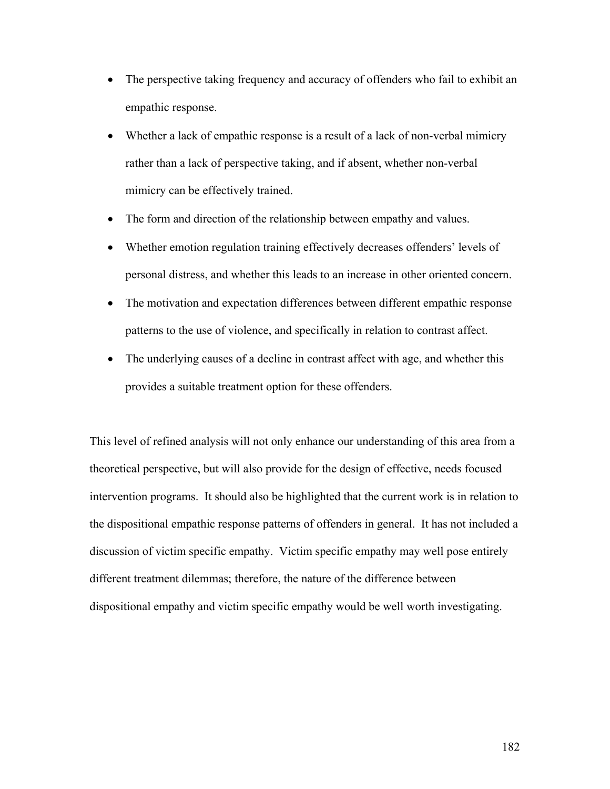- The perspective taking frequency and accuracy of offenders who fail to exhibit an empathic response.
- Whether a lack of empathic response is a result of a lack of non-verbal mimicry rather than a lack of perspective taking, and if absent, whether non-verbal mimicry can be effectively trained.
- The form and direction of the relationship between empathy and values.
- Whether emotion regulation training effectively decreases offenders' levels of personal distress, and whether this leads to an increase in other oriented concern.
- The motivation and expectation differences between different empathic response patterns to the use of violence, and specifically in relation to contrast affect.
- The underlying causes of a decline in contrast affect with age, and whether this provides a suitable treatment option for these offenders.

This level of refined analysis will not only enhance our understanding of this area from a theoretical perspective, but will also provide for the design of effective, needs focused intervention programs. It should also be highlighted that the current work is in relation to the dispositional empathic response patterns of offenders in general. It has not included a discussion of victim specific empathy. Victim specific empathy may well pose entirely different treatment dilemmas; therefore, the nature of the difference between dispositional empathy and victim specific empathy would be well worth investigating.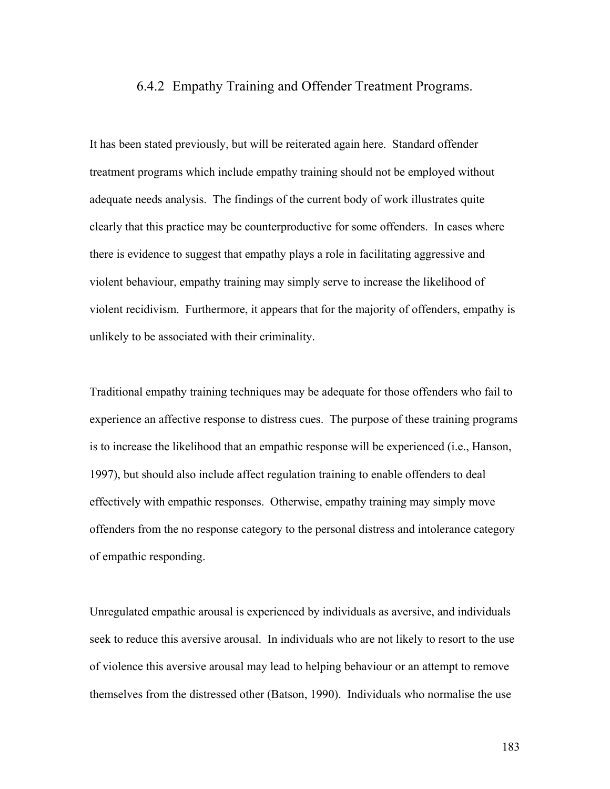#### 6.4.2 Empathy Training and Offender Treatment Programs.

It has been stated previously, but will be reiterated again here. Standard offender treatment programs which include empathy training should not be employed without adequate needs analysis. The findings of the current body of work illustrates quite clearly that this practice may be counterproductive for some offenders. In cases where there is evidence to suggest that empathy plays a role in facilitating aggressive and violent behaviour, empathy training may simply serve to increase the likelihood of violent recidivism. Furthermore, it appears that for the majority of offenders, empathy is unlikely to be associated with their criminality.

Traditional empathy training techniques may be adequate for those offenders who fail to experience an affective response to distress cues. The purpose of these training programs is to increase the likelihood that an empathic response will be experienced (i.e., Hanson, 1997), but should also include affect regulation training to enable offenders to deal effectively with empathic responses. Otherwise, empathy training may simply move offenders from the no response category to the personal distress and intolerance category of empathic responding.

Unregulated empathic arousal is experienced by individuals as aversive, and individuals seek to reduce this aversive arousal. In individuals who are not likely to resort to the use of violence this aversive arousal may lead to helping behaviour or an attempt to remove themselves from the distressed other (Batson, 1990). Individuals who normalise the use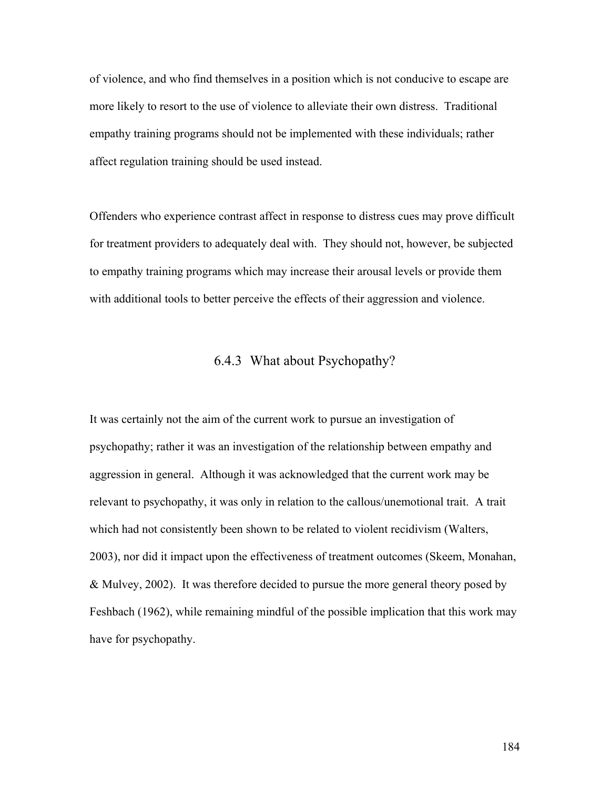of violence, and who find themselves in a position which is not conducive to escape are more likely to resort to the use of violence to alleviate their own distress. Traditional empathy training programs should not be implemented with these individuals; rather affect regulation training should be used instead.

Offenders who experience contrast affect in response to distress cues may prove difficult for treatment providers to adequately deal with. They should not, however, be subjected to empathy training programs which may increase their arousal levels or provide them with additional tools to better perceive the effects of their aggression and violence.

# 6.4.3 What about Psychopathy?

It was certainly not the aim of the current work to pursue an investigation of psychopathy; rather it was an investigation of the relationship between empathy and aggression in general. Although it was acknowledged that the current work may be relevant to psychopathy, it was only in relation to the callous/unemotional trait. A trait which had not consistently been shown to be related to violent recidivism (Walters, 2003), nor did it impact upon the effectiveness of treatment outcomes (Skeem, Monahan, & Mulvey, 2002). It was therefore decided to pursue the more general theory posed by Feshbach (1962), while remaining mindful of the possible implication that this work may have for psychopathy.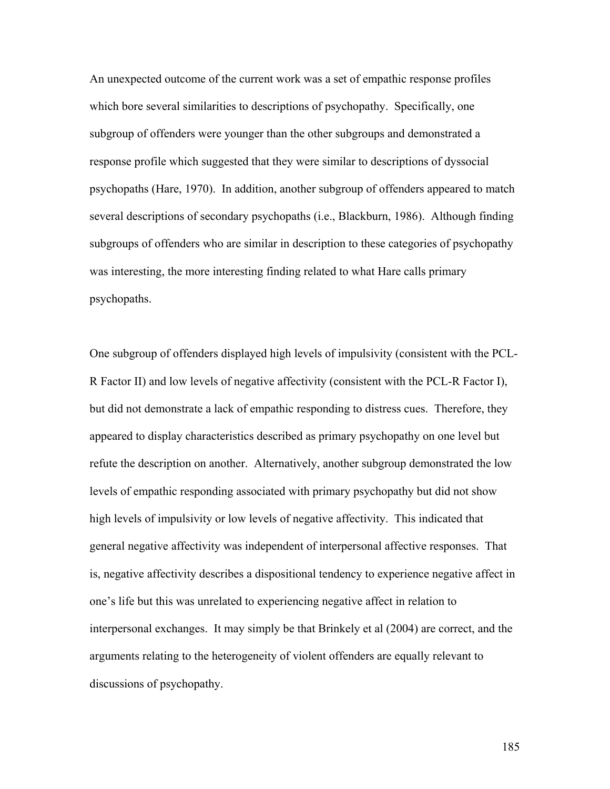An unexpected outcome of the current work was a set of empathic response profiles which bore several similarities to descriptions of psychopathy. Specifically, one subgroup of offenders were younger than the other subgroups and demonstrated a response profile which suggested that they were similar to descriptions of dyssocial psychopaths (Hare, 1970). In addition, another subgroup of offenders appeared to match several descriptions of secondary psychopaths (i.e., Blackburn, 1986). Although finding subgroups of offenders who are similar in description to these categories of psychopathy was interesting, the more interesting finding related to what Hare calls primary psychopaths.

One subgroup of offenders displayed high levels of impulsivity (consistent with the PCL-R Factor II) and low levels of negative affectivity (consistent with the PCL-R Factor I), but did not demonstrate a lack of empathic responding to distress cues. Therefore, they appeared to display characteristics described as primary psychopathy on one level but refute the description on another. Alternatively, another subgroup demonstrated the low levels of empathic responding associated with primary psychopathy but did not show high levels of impulsivity or low levels of negative affectivity. This indicated that general negative affectivity was independent of interpersonal affective responses. That is, negative affectivity describes a dispositional tendency to experience negative affect in one's life but this was unrelated to experiencing negative affect in relation to interpersonal exchanges. It may simply be that Brinkely et al (2004) are correct, and the arguments relating to the heterogeneity of violent offenders are equally relevant to discussions of psychopathy.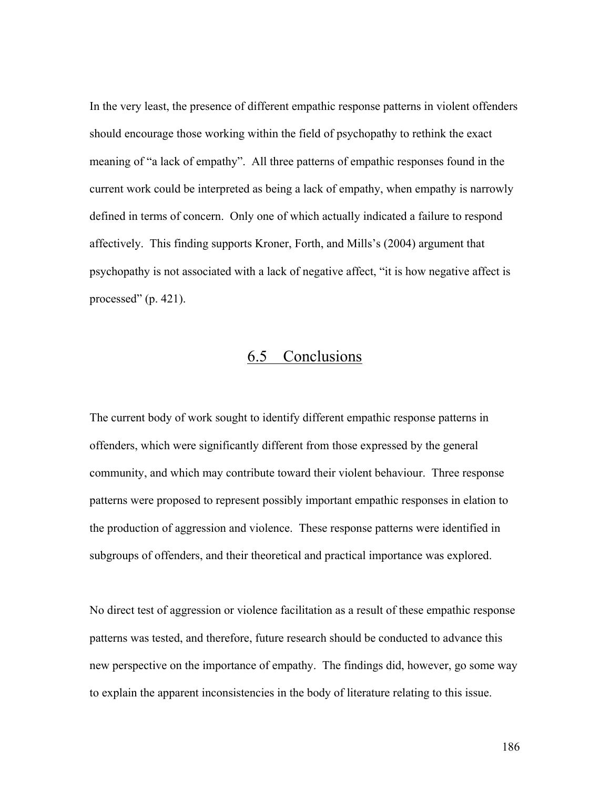In the very least, the presence of different empathic response patterns in violent offenders should encourage those working within the field of psychopathy to rethink the exact meaning of "a lack of empathy". All three patterns of empathic responses found in the current work could be interpreted as being a lack of empathy, when empathy is narrowly defined in terms of concern. Only one of which actually indicated a failure to respond affectively. This finding supports Kroner, Forth, and Mills's (2004) argument that psychopathy is not associated with a lack of negative affect, "it is how negative affect is processed"  $(p. 421)$ .

# 6.5 Conclusions

The current body of work sought to identify different empathic response patterns in offenders, which were significantly different from those expressed by the general community, and which may contribute toward their violent behaviour. Three response patterns were proposed to represent possibly important empathic responses in elation to the production of aggression and violence. These response patterns were identified in subgroups of offenders, and their theoretical and practical importance was explored.

No direct test of aggression or violence facilitation as a result of these empathic response patterns was tested, and therefore, future research should be conducted to advance this new perspective on the importance of empathy. The findings did, however, go some way to explain the apparent inconsistencies in the body of literature relating to this issue.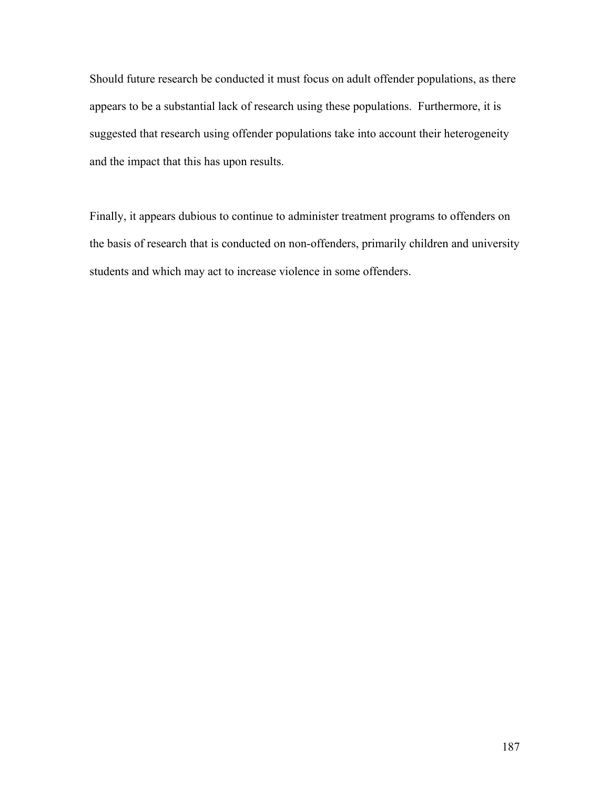Should future research be conducted it must focus on adult offender populations, as there appears to be a substantial lack of research using these populations. Furthermore, it is suggested that research using offender populations take into account their heterogeneity and the impact that this has upon results.

Finally, it appears dubious to continue to administer treatment programs to offenders on the basis of research that is conducted on non-offenders, primarily children and university students and which may act to increase violence in some offenders.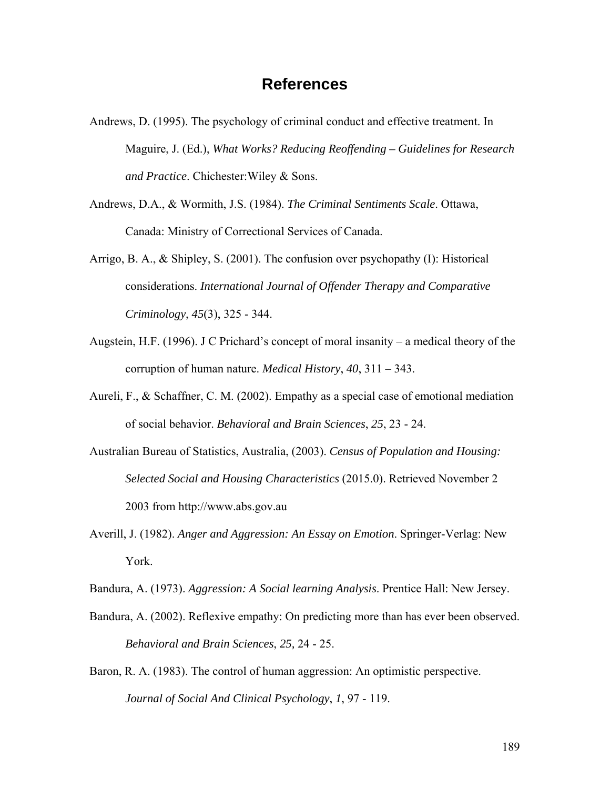# **References**

- Andrews, D. (1995). The psychology of criminal conduct and effective treatment. In Maguire, J. (Ed.), *What Works? Reducing Reoffending – Guidelines for Research and Practice*. Chichester:Wiley & Sons.
- Andrews, D.A., & Wormith, J.S. (1984). *The Criminal Sentiments Scale*. Ottawa, Canada: Ministry of Correctional Services of Canada.
- Arrigo, B. A., & Shipley, S. (2001). The confusion over psychopathy (I): Historical considerations. *International Journal of Offender Therapy and Comparative Criminology*, *45*(3), 325 - 344.
- Augstein, H.F. (1996). J C Prichard's concept of moral insanity a medical theory of the corruption of human nature. *Medical History*, *40*, 311 – 343.
- Aureli, F., & Schaffner, C. M. (2002). Empathy as a special case of emotional mediation of social behavior. *Behavioral and Brain Sciences*, *25*, 23 - 24.
- Australian Bureau of Statistics, Australia, (2003). *Census of Population and Housing: Selected Social and Housing Characteristics* (2015.0). Retrieved November 2 2003 from http://www.abs.gov.au
- Averill, J. (1982). *Anger and Aggression: An Essay on Emotion*. Springer-Verlag: New York.
- Bandura, A. (1973). *Aggression: A Social learning Analysis*. Prentice Hall: New Jersey.
- Bandura, A. (2002). Reflexive empathy: On predicting more than has ever been observed. *Behavioral and Brain Sciences*, *25,* 24 - 25.
- Baron, R. A. (1983). The control of human aggression: An optimistic perspective. *Journal of Social And Clinical Psychology*, *1*, 97 - 119.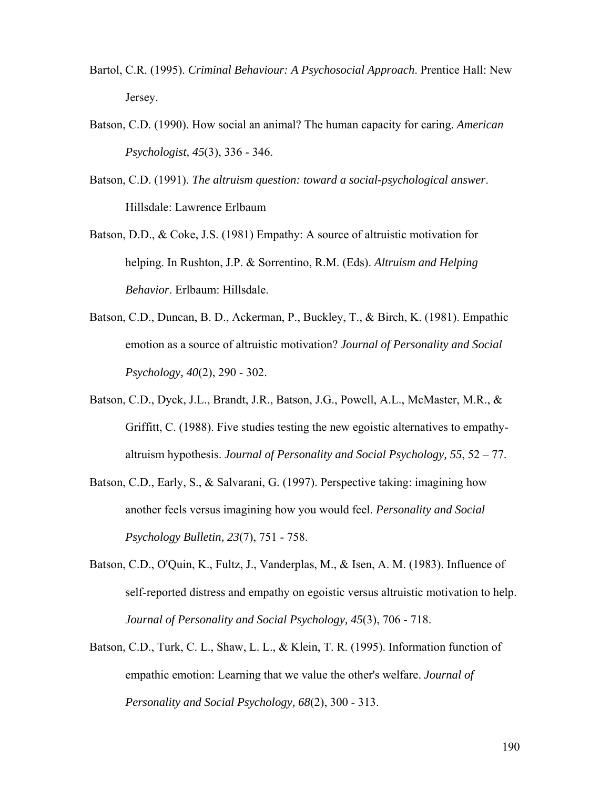- Bartol, C.R. (1995). *Criminal Behaviour: A Psychosocial Approach*. Prentice Hall: New Jersey.
- Batson, C.D. (1990). How social an animal? The human capacity for caring. *American Psychologist, 45*(3), 336 - 346.
- Batson, C.D. (1991). *The altruism question: toward a social-psychological answer*. Hillsdale: Lawrence Erlbaum
- Batson, D.D., & Coke, J.S. (1981) Empathy: A source of altruistic motivation for helping. In Rushton, J.P. & Sorrentino, R.M. (Eds). *Altruism and Helping Behavior*. Erlbaum: Hillsdale.
- Batson, C.D., Duncan, B. D., Ackerman, P., Buckley, T., & Birch, K. (1981). Empathic emotion as a source of altruistic motivation? *Journal of Personality and Social Psychology, 40*(2), 290 - 302.
- Batson, C.D., Dyck, J.L., Brandt, J.R., Batson, J.G., Powell, A.L., McMaster, M.R., & Griffitt, C. (1988). Five studies testing the new egoistic alternatives to empathyaltruism hypothesis. *Journal of Personality and Social Psychology, 55*, 52 – 77.
- Batson, C.D., Early, S., & Salvarani, G. (1997). Perspective taking: imagining how another feels versus imagining how you would feel. *Personality and Social Psychology Bulletin, 23*(7), 751 - 758.
- Batson, C.D., O'Quin, K., Fultz, J., Vanderplas, M., & Isen, A. M. (1983). Influence of self-reported distress and empathy on egoistic versus altruistic motivation to help. *Journal of Personality and Social Psychology, 45*(3), 706 - 718.
- Batson, C.D., Turk, C. L., Shaw, L. L., & Klein, T. R. (1995). Information function of empathic emotion: Learning that we value the other's welfare. *Journal of Personality and Social Psychology, 68*(2), 300 - 313.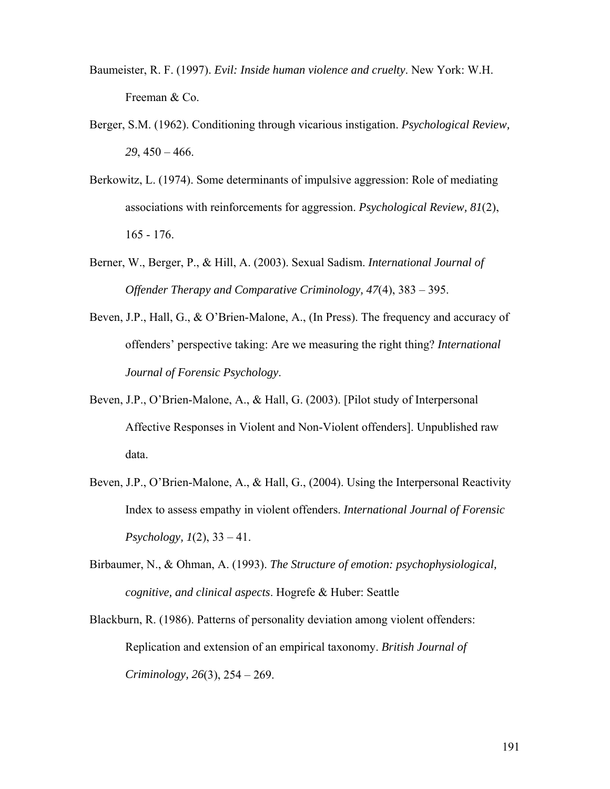- Baumeister, R. F. (1997). *Evil: Inside human violence and cruelty*. New York: W.H. Freeman & Co.
- Berger, S.M. (1962). Conditioning through vicarious instigation. *Psychological Review, 29*, 450 – 466.
- Berkowitz, L. (1974). Some determinants of impulsive aggression: Role of mediating associations with reinforcements for aggression. *Psychological Review, 81*(2), 165 - 176.
- Berner, W., Berger, P., & Hill, A. (2003). Sexual Sadism. *International Journal of Offender Therapy and Comparative Criminology, 47*(4), 383 – 395.
- Beven, J.P., Hall, G., & O'Brien-Malone, A., (In Press). The frequency and accuracy of offenders' perspective taking: Are we measuring the right thing? *International Journal of Forensic Psychology*.
- Beven, J.P., O'Brien-Malone, A., & Hall, G. (2003). [Pilot study of Interpersonal Affective Responses in Violent and Non-Violent offenders]. Unpublished raw data.
- Beven, J.P., O'Brien-Malone, A., & Hall, G., (2004). Using the Interpersonal Reactivity Index to assess empathy in violent offenders. *International Journal of Forensic Psychology, 1*(2), 33 – 41.
- Birbaumer, N., & Ohman, A. (1993). *The Structure of emotion: psychophysiological, cognitive, and clinical aspects*. Hogrefe & Huber: Seattle
- Blackburn, R. (1986). Patterns of personality deviation among violent offenders: Replication and extension of an empirical taxonomy. *British Journal of Criminology, 26*(3), 254 – 269.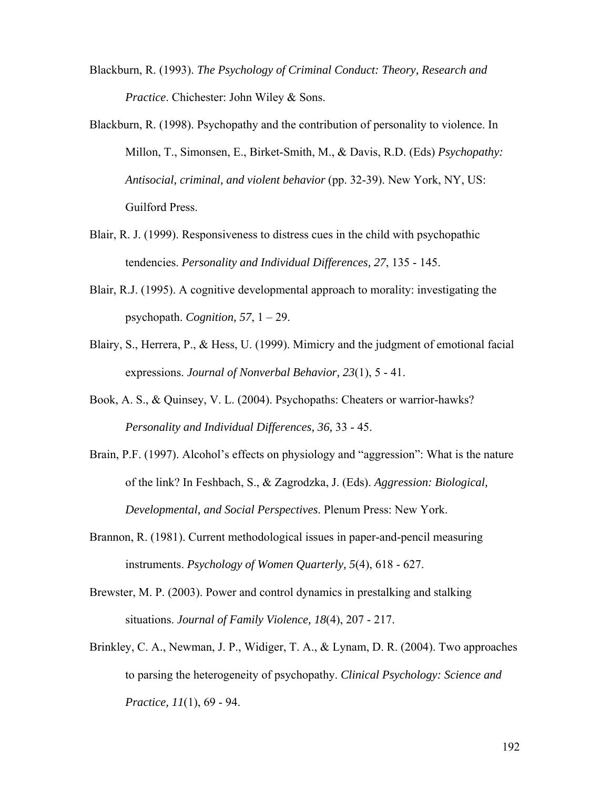- Blackburn, R. (1993). *The Psychology of Criminal Conduct: Theory, Research and Practice*. Chichester: John Wiley & Sons.
- Blackburn, R. (1998). Psychopathy and the contribution of personality to violence. In Millon, T., Simonsen, E., Birket-Smith, M., & Davis, R.D. (Eds) *Psychopathy: Antisocial, criminal, and violent behavior* (pp. 32-39). New York, NY, US: Guilford Press.
- Blair, R. J. (1999). Responsiveness to distress cues in the child with psychopathic tendencies. *Personality and Individual Differences, 27*, 135 - 145.
- Blair, R.J. (1995). A cognitive developmental approach to morality: investigating the psychopath. *Cognition, 57*, 1 – 29.
- Blairy, S., Herrera, P., & Hess, U. (1999). Mimicry and the judgment of emotional facial expressions. *Journal of Nonverbal Behavior, 23*(1), 5 - 41.
- Book, A. S., & Quinsey, V. L. (2004). Psychopaths: Cheaters or warrior-hawks? *Personality and Individual Differences, 36,* 33 - 45.
- Brain, P.F. (1997). Alcohol's effects on physiology and "aggression": What is the nature of the link? In Feshbach, S., & Zagrodzka, J. (Eds). *Aggression: Biological, Developmental, and Social Perspectives*. Plenum Press: New York.
- Brannon, R. (1981). Current methodological issues in paper-and-pencil measuring instruments. *Psychology of Women Quarterly, 5*(4), 618 - 627.
- Brewster, M. P. (2003). Power and control dynamics in prestalking and stalking situations. *Journal of Family Violence, 18*(4), 207 - 217.
- Brinkley, C. A., Newman, J. P., Widiger, T. A., & Lynam, D. R. (2004). Two approaches to parsing the heterogeneity of psychopathy. *Clinical Psychology: Science and Practice, 11*(1), 69 - 94.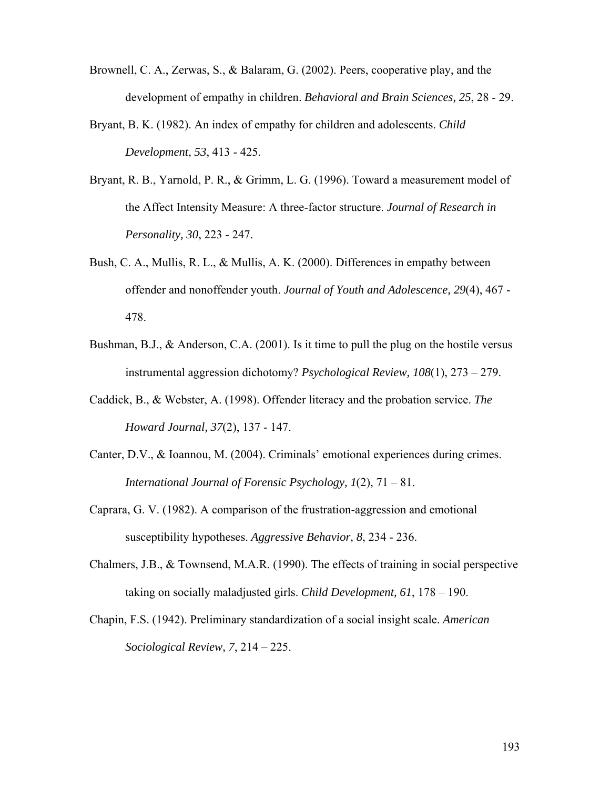- Brownell, C. A., Zerwas, S., & Balaram, G. (2002). Peers, cooperative play, and the development of empathy in children. *Behavioral and Brain Sciences, 25*, 28 - 29.
- Bryant, B. K. (1982). An index of empathy for children and adolescents. *Child Development, 53*, 413 - 425.
- Bryant, R. B., Yarnold, P. R., & Grimm, L. G. (1996). Toward a measurement model of the Affect Intensity Measure: A three-factor structure. *Journal of Research in Personality, 30*, 223 - 247.
- Bush, C. A., Mullis, R. L., & Mullis, A. K. (2000). Differences in empathy between offender and nonoffender youth. *Journal of Youth and Adolescence, 29*(4), 467 - 478.
- Bushman, B.J., & Anderson, C.A. (2001). Is it time to pull the plug on the hostile versus instrumental aggression dichotomy? *Psychological Review, 108*(1), 273 – 279.
- Caddick, B., & Webster, A. (1998). Offender literacy and the probation service. *The Howard Journal, 37*(2), 137 - 147.
- Canter, D.V., & Ioannou, M. (2004). Criminals' emotional experiences during crimes. *International Journal of Forensic Psychology, 1*(2), 71 – 81.
- Caprara, G. V. (1982). A comparison of the frustration-aggression and emotional susceptibility hypotheses. *Aggressive Behavior, 8*, 234 - 236.
- Chalmers, J.B., & Townsend, M.A.R. (1990). The effects of training in social perspective taking on socially maladjusted girls. *Child Development, 61*, 178 – 190.
- Chapin, F.S. (1942). Preliminary standardization of a social insight scale. *American Sociological Review, 7*, 214 – 225.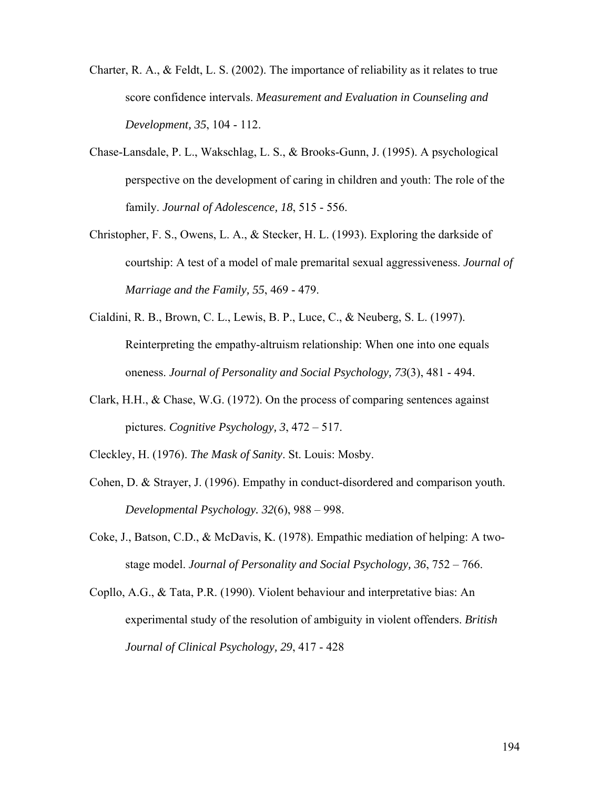- Charter, R. A., & Feldt, L. S. (2002). The importance of reliability as it relates to true score confidence intervals. *Measurement and Evaluation in Counseling and Development, 35*, 104 - 112.
- Chase-Lansdale, P. L., Wakschlag, L. S., & Brooks-Gunn, J. (1995). A psychological perspective on the development of caring in children and youth: The role of the family. *Journal of Adolescence, 18*, 515 - 556.
- Christopher, F. S., Owens, L. A., & Stecker, H. L. (1993). Exploring the darkside of courtship: A test of a model of male premarital sexual aggressiveness. *Journal of Marriage and the Family, 55*, 469 - 479.
- Cialdini, R. B., Brown, C. L., Lewis, B. P., Luce, C., & Neuberg, S. L. (1997). Reinterpreting the empathy-altruism relationship: When one into one equals oneness. *Journal of Personality and Social Psychology, 73*(3), 481 - 494.
- Clark, H.H., & Chase, W.G. (1972). On the process of comparing sentences against pictures. *Cognitive Psychology, 3*, 472 – 517.
- Cleckley, H. (1976). *The Mask of Sanity*. St. Louis: Mosby.
- Cohen, D. & Strayer, J. (1996). Empathy in conduct-disordered and comparison youth. *Developmental Psychology. 32*(6), 988 – 998.
- Coke, J., Batson, C.D., & McDavis, K. (1978). Empathic mediation of helping: A twostage model. *Journal of Personality and Social Psychology, 36*, 752 – 766.
- Copllo, A.G., & Tata, P.R. (1990). Violent behaviour and interpretative bias: An experimental study of the resolution of ambiguity in violent offenders. *British Journal of Clinical Psychology, 29*, 417 - 428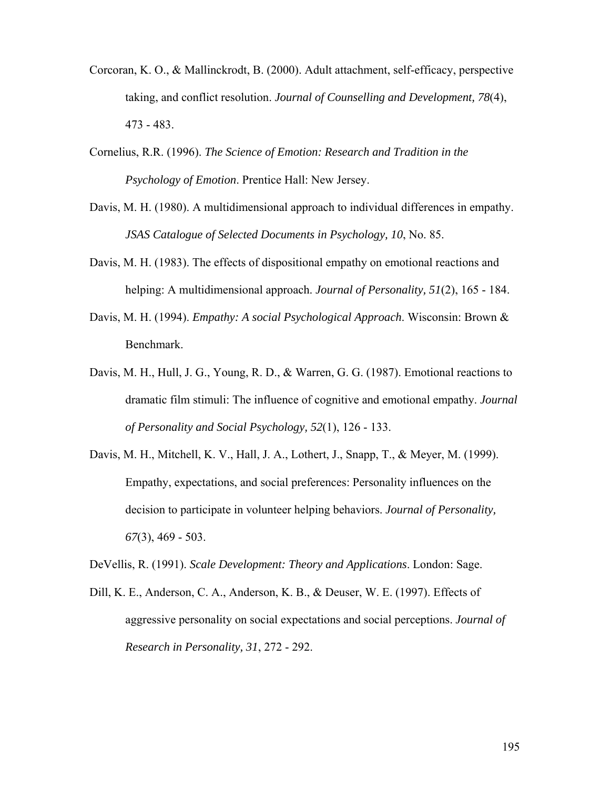- Corcoran, K. O., & Mallinckrodt, B. (2000). Adult attachment, self-efficacy, perspective taking, and conflict resolution. *Journal of Counselling and Development, 78*(4), 473 - 483.
- Cornelius, R.R. (1996). *The Science of Emotion: Research and Tradition in the Psychology of Emotion*. Prentice Hall: New Jersey.
- Davis, M. H. (1980). A multidimensional approach to individual differences in empathy. *JSAS Catalogue of Selected Documents in Psychology, 10*, No. 85.
- Davis, M. H. (1983). The effects of dispositional empathy on emotional reactions and helping: A multidimensional approach. *Journal of Personality, 51*(2), 165 - 184.
- Davis, M. H. (1994). *Empathy: A social Psychological Approach*. Wisconsin: Brown & Benchmark.
- Davis, M. H., Hull, J. G., Young, R. D., & Warren, G. G. (1987). Emotional reactions to dramatic film stimuli: The influence of cognitive and emotional empathy. *Journal of Personality and Social Psychology, 52*(1), 126 - 133.
- Davis, M. H., Mitchell, K. V., Hall, J. A., Lothert, J., Snapp, T., & Meyer, M. (1999). Empathy, expectations, and social preferences: Personality influences on the decision to participate in volunteer helping behaviors. *Journal of Personality, 67*(3), 469 - 503.

DeVellis, R. (1991). *Scale Development: Theory and Applications*. London: Sage.

Dill, K. E., Anderson, C. A., Anderson, K. B., & Deuser, W. E. (1997). Effects of aggressive personality on social expectations and social perceptions. *Journal of Research in Personality, 31*, 272 - 292.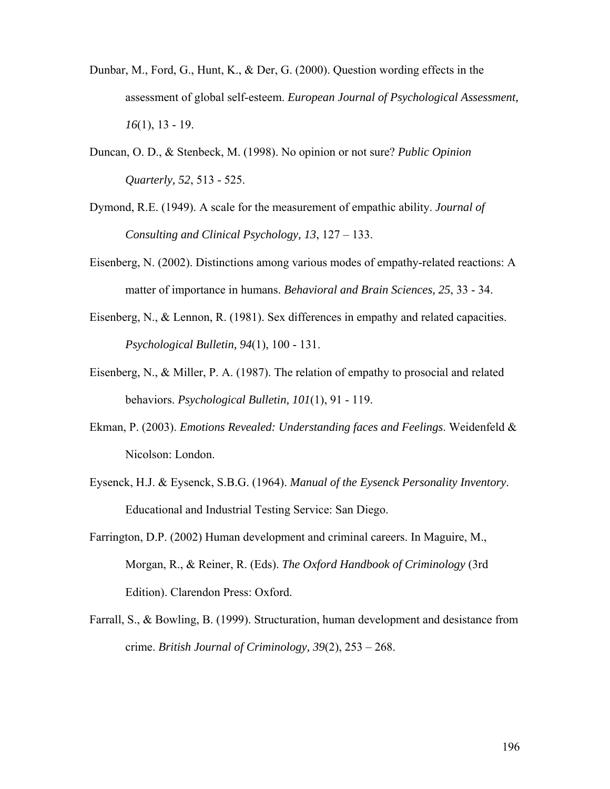- Dunbar, M., Ford, G., Hunt, K., & Der, G. (2000). Question wording effects in the assessment of global self-esteem. *European Journal of Psychological Assessment, 16*(1), 13 - 19.
- Duncan, O. D., & Stenbeck, M. (1998). No opinion or not sure? *Public Opinion Quarterly, 52*, 513 - 525.
- Dymond, R.E. (1949). A scale for the measurement of empathic ability. *Journal of Consulting and Clinical Psychology, 13*, 127 – 133.
- Eisenberg, N. (2002). Distinctions among various modes of empathy-related reactions: A matter of importance in humans. *Behavioral and Brain Sciences, 25*, 33 - 34.
- Eisenberg, N., & Lennon, R. (1981). Sex differences in empathy and related capacities. *Psychological Bulletin, 94*(1), 100 - 131.
- Eisenberg, N., & Miller, P. A. (1987). The relation of empathy to prosocial and related behaviors. *Psychological Bulletin, 101*(1), 91 - 119.
- Ekman, P. (2003). *Emotions Revealed: Understanding faces and Feelings*. Weidenfeld & Nicolson: London.
- Eysenck, H.J. & Eysenck, S.B.G. (1964). *Manual of the Eysenck Personality Inventory*. Educational and Industrial Testing Service: San Diego.
- Farrington, D.P. (2002) Human development and criminal careers. In Maguire, M., Morgan, R., & Reiner, R. (Eds). *The Oxford Handbook of Criminology* (3rd Edition). Clarendon Press: Oxford.
- Farrall, S., & Bowling, B. (1999). Structuration, human development and desistance from crime. *British Journal of Criminology, 39*(2), 253 – 268.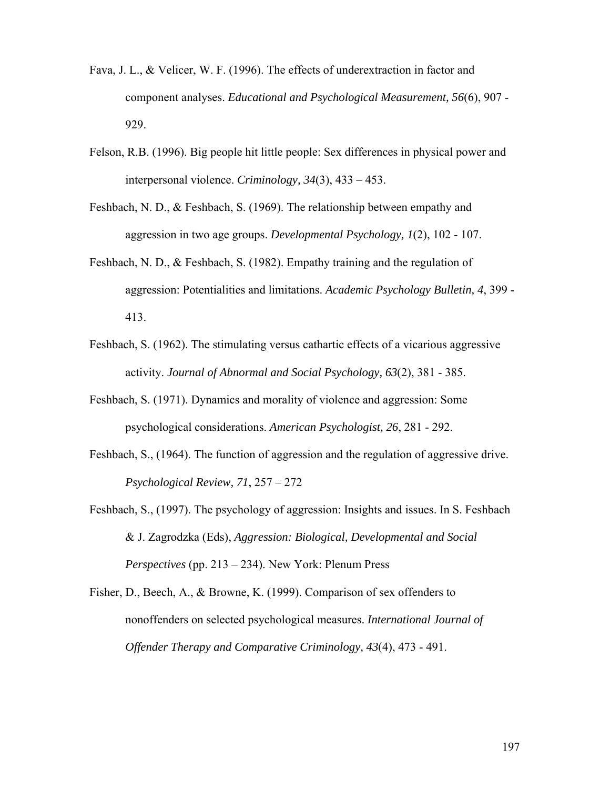- Fava, J. L., & Velicer, W. F. (1996). The effects of underextraction in factor and component analyses. *Educational and Psychological Measurement, 56*(6), 907 - 929.
- Felson, R.B. (1996). Big people hit little people: Sex differences in physical power and interpersonal violence. *Criminology, 34*(3), 433 – 453.
- Feshbach, N. D., & Feshbach, S. (1969). The relationship between empathy and aggression in two age groups. *Developmental Psychology, 1*(2), 102 - 107.
- Feshbach, N. D., & Feshbach, S. (1982). Empathy training and the regulation of aggression: Potentialities and limitations. *Academic Psychology Bulletin, 4*, 399 - 413.
- Feshbach, S. (1962). The stimulating versus cathartic effects of a vicarious aggressive activity. *Journal of Abnormal and Social Psychology, 63*(2), 381 - 385.
- Feshbach, S. (1971). Dynamics and morality of violence and aggression: Some psychological considerations. *American Psychologist, 26*, 281 - 292.
- Feshbach, S., (1964). The function of aggression and the regulation of aggressive drive. *Psychological Review, 71*, 257 – 272
- Feshbach, S., (1997). The psychology of aggression: Insights and issues. In S. Feshbach & J. Zagrodzka (Eds), *Aggression: Biological, Developmental and Social Perspectives* (pp. 213 – 234). New York: Plenum Press
- Fisher, D., Beech, A., & Browne, K. (1999). Comparison of sex offenders to nonoffenders on selected psychological measures. *International Journal of Offender Therapy and Comparative Criminology, 43*(4), 473 - 491.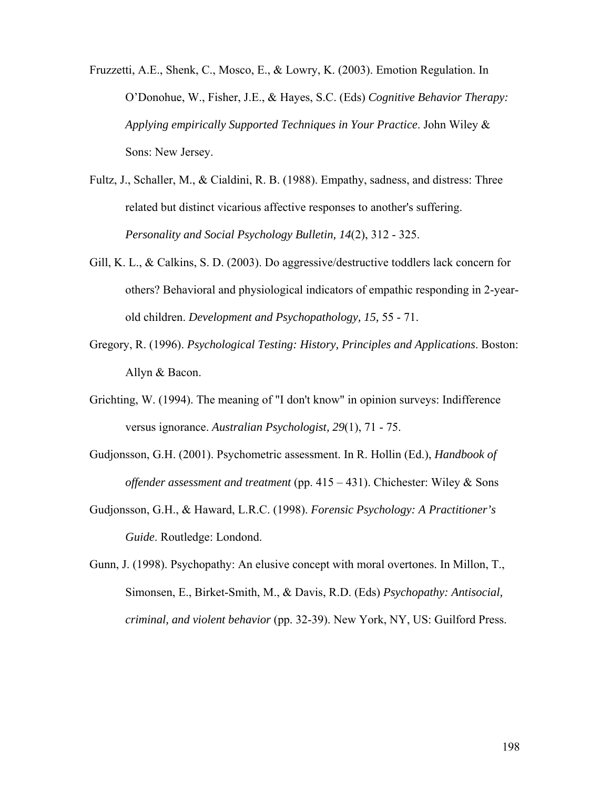Fruzzetti, A.E., Shenk, C., Mosco, E., & Lowry, K. (2003). Emotion Regulation. In O'Donohue, W., Fisher, J.E., & Hayes, S.C. (Eds) *Cognitive Behavior Therapy: Applying empirically Supported Techniques in Your Practice*. John Wiley & Sons: New Jersey.

- Fultz, J., Schaller, M., & Cialdini, R. B. (1988). Empathy, sadness, and distress: Three related but distinct vicarious affective responses to another's suffering. *Personality and Social Psychology Bulletin, 14*(2), 312 - 325.
- Gill, K. L., & Calkins, S. D. (2003). Do aggressive/destructive toddlers lack concern for others? Behavioral and physiological indicators of empathic responding in 2-yearold children. *Development and Psychopathology, 15,* 55 - 71.
- Gregory, R. (1996). *Psychological Testing: History, Principles and Applications*. Boston: Allyn & Bacon.
- Grichting, W. (1994). The meaning of "I don't know" in opinion surveys: Indifference versus ignorance. *Australian Psychologist, 29*(1), 71 - 75.
- Gudjonsson, G.H. (2001). Psychometric assessment. In R. Hollin (Ed.), *Handbook of offender assessment and treatment* (pp. 415 – 431). Chichester: Wiley & Sons
- Gudjonsson, G.H., & Haward, L.R.C. (1998). *Forensic Psychology: A Practitioner's Guide*. Routledge: Londond.

Gunn, J. (1998). Psychopathy: An elusive concept with moral overtones. In Millon, T., Simonsen, E., Birket-Smith, M., & Davis, R.D. (Eds) *Psychopathy: Antisocial, criminal, and violent behavior* (pp. 32-39). New York, NY, US: Guilford Press.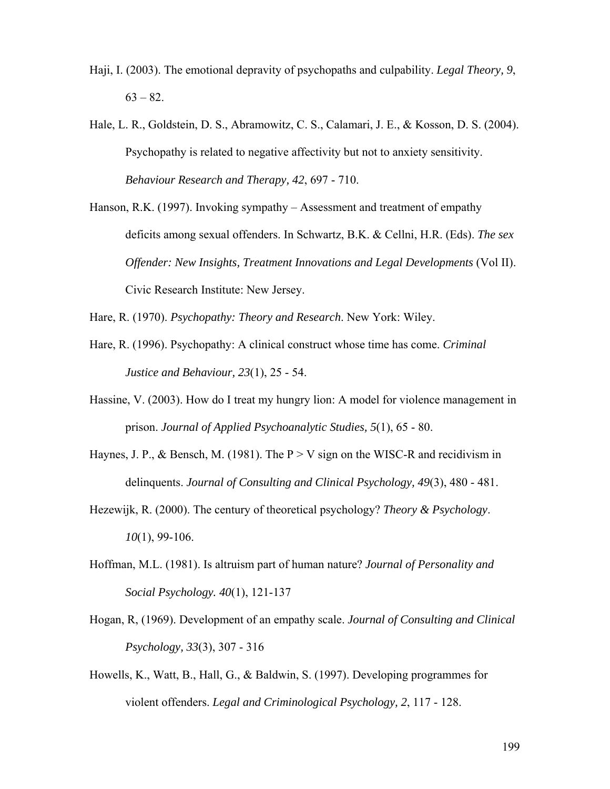- Haji, I. (2003). The emotional depravity of psychopaths and culpability. *Legal Theory, 9*,  $63 - 82$ .
- Hale, L. R., Goldstein, D. S., Abramowitz, C. S., Calamari, J. E., & Kosson, D. S. (2004). Psychopathy is related to negative affectivity but not to anxiety sensitivity. *Behaviour Research and Therapy, 42*, 697 - 710.
- Hanson, R.K. (1997). Invoking sympathy Assessment and treatment of empathy deficits among sexual offenders. In Schwartz, B.K. & Cellni, H.R. (Eds). *The sex Offender: New Insights, Treatment Innovations and Legal Developments (Vol II).* Civic Research Institute: New Jersey.

Hare, R. (1970). *Psychopathy: Theory and Research*. New York: Wiley.

- Hare, R. (1996). Psychopathy: A clinical construct whose time has come. *Criminal Justice and Behaviour, 23*(1), 25 - 54.
- Hassine, V. (2003). How do I treat my hungry lion: A model for violence management in prison. *Journal of Applied Psychoanalytic Studies, 5*(1), 65 - 80.
- Haynes, J. P., & Bensch, M. (1981). The  $P > V$  sign on the WISC-R and recidivism in delinquents. *Journal of Consulting and Clinical Psychology, 49*(3), 480 - 481.
- Hezewijk, R. (2000). The century of theoretical psychology? *Theory & Psychology*. *10*(1), 99-106.
- Hoffman, M.L. (1981). Is altruism part of human nature? *Journal of Personality and Social Psychology. 40*(1), 121-137
- Hogan, R, (1969). Development of an empathy scale. *Journal of Consulting and Clinical Psychology, 33*(3), 307 - 316
- Howells, K., Watt, B., Hall, G., & Baldwin, S. (1997). Developing programmes for violent offenders. *Legal and Criminological Psychology, 2*, 117 - 128.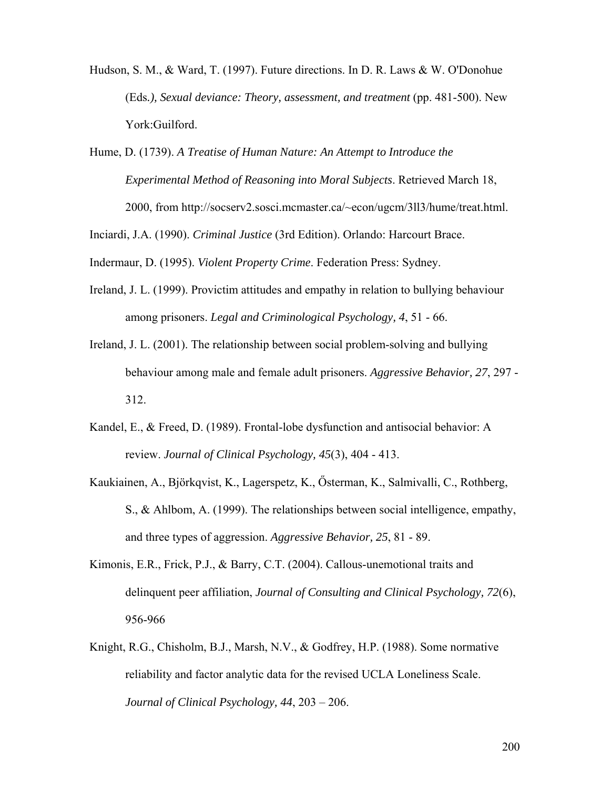- Hudson, S. M., & Ward, T. (1997). Future directions. In D. R. Laws & W. O'Donohue (Eds*.), Sexual deviance: Theory, assessment, and treatment* (pp. 481-500). New York:Guilford.
- Hume, D. (1739). *A Treatise of Human Nature: An Attempt to Introduce the Experimental Method of Reasoning into Moral Subjects*. Retrieved March 18, 2000, from http://socserv2.sosci.mcmaster.ca/~econ/ugcm/3ll3/hume/treat.html.

Inciardi, J.A. (1990). *Criminal Justice* (3rd Edition). Orlando: Harcourt Brace.

Indermaur, D. (1995). *Violent Property Crime*. Federation Press: Sydney.

- Ireland, J. L. (1999). Provictim attitudes and empathy in relation to bullying behaviour among prisoners. *Legal and Criminological Psychology, 4*, 51 - 66.
- Ireland, J. L. (2001). The relationship between social problem-solving and bullying behaviour among male and female adult prisoners. *Aggressive Behavior, 27*, 297 - 312.
- Kandel, E., & Freed, D. (1989). Frontal-lobe dysfunction and antisocial behavior: A review. *Journal of Clinical Psychology, 45*(3), 404 - 413.
- Kaukiainen, A., Björkqvist, K., Lagerspetz, K., Ősterman, K., Salmivalli, C., Rothberg, S., & Ahlbom, A. (1999). The relationships between social intelligence, empathy, and three types of aggression. *Aggressive Behavior, 25*, 81 - 89.
- Kimonis, E.R., Frick, P.J., & Barry, C.T. (2004). Callous-unemotional traits and delinquent peer affiliation, *Journal of Consulting and Clinical Psychology, 72*(6), 956-966
- Knight, R.G., Chisholm, B.J., Marsh, N.V., & Godfrey, H.P. (1988). Some normative reliability and factor analytic data for the revised UCLA Loneliness Scale. *Journal of Clinical Psychology, 44*, 203 – 206.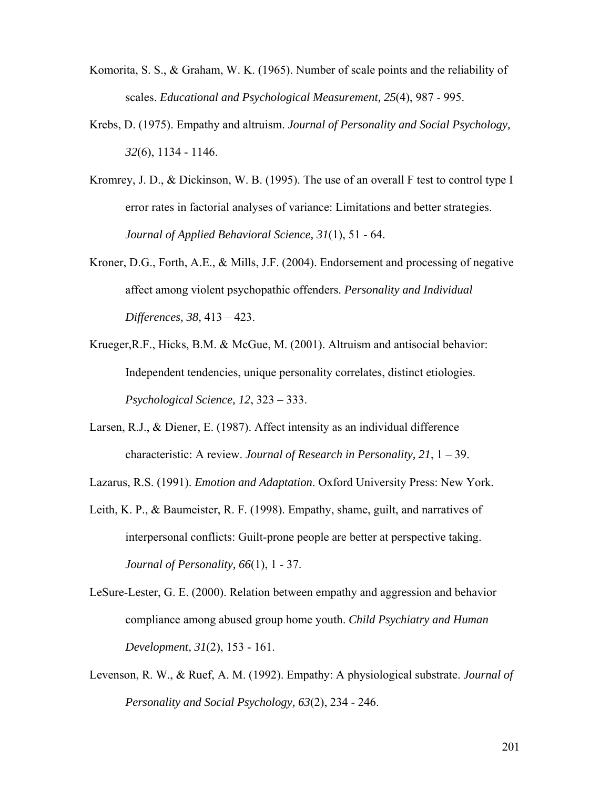- Komorita, S. S., & Graham, W. K. (1965). Number of scale points and the reliability of scales. *Educational and Psychological Measurement, 25*(4), 987 - 995.
- Krebs, D. (1975). Empathy and altruism. *Journal of Personality and Social Psychology, 32*(6), 1134 - 1146.
- Kromrey, J. D., & Dickinson, W. B. (1995). The use of an overall F test to control type I error rates in factorial analyses of variance: Limitations and better strategies. *Journal of Applied Behavioral Science, 31*(1), 51 - 64.
- Kroner, D.G., Forth, A.E., & Mills, J.F. (2004). Endorsement and processing of negative affect among violent psychopathic offenders. *Personality and Individual Differences, 38,* 413 – 423.
- Krueger,R.F., Hicks, B.M. & McGue, M. (2001). Altruism and antisocial behavior: Independent tendencies, unique personality correlates, distinct etiologies. *Psychological Science, 12*, 323 – 333.
- Larsen, R.J., & Diener, E. (1987). Affect intensity as an individual difference characteristic: A review. *Journal of Research in Personality, 21*, 1 – 39.

Lazarus, R.S. (1991). *Emotion and Adaptation*. Oxford University Press: New York.

- Leith, K. P., & Baumeister, R. F. (1998). Empathy, shame, guilt, and narratives of interpersonal conflicts: Guilt-prone people are better at perspective taking. *Journal of Personality, 66*(1), 1 - 37.
- LeSure-Lester, G. E. (2000). Relation between empathy and aggression and behavior compliance among abused group home youth. *Child Psychiatry and Human Development, 31*(2), 153 - 161.
- Levenson, R. W., & Ruef, A. M. (1992). Empathy: A physiological substrate. *Journal of Personality and Social Psychology, 63*(2), 234 - 246.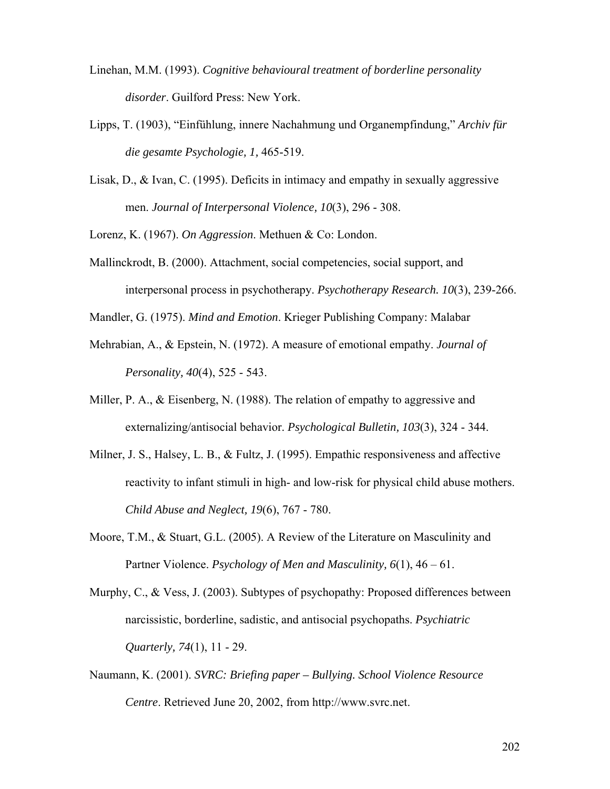- Linehan, M.M. (1993). *Cognitive behavioural treatment of borderline personality disorder*. Guilford Press: New York.
- Lipps, T. (1903), "Einfühlung, innere Nachahmung und Organempfindung," *Archiv für die gesamte Psychologie, 1,* 465-519.
- Lisak, D., & Ivan, C. (1995). Deficits in intimacy and empathy in sexually aggressive men. *Journal of Interpersonal Violence, 10*(3), 296 - 308.

Lorenz, K. (1967). *On Aggression*. Methuen & Co: London.

Mallinckrodt, B. (2000). Attachment, social competencies, social support, and interpersonal process in psychotherapy. *Psychotherapy Research. 10*(3), 239-266.

Mandler, G. (1975). *Mind and Emotion*. Krieger Publishing Company: Malabar

- Mehrabian, A., & Epstein, N. (1972). A measure of emotional empathy. *Journal of Personality, 40*(4), 525 - 543.
- Miller, P. A., & Eisenberg, N. (1988). The relation of empathy to aggressive and externalizing/antisocial behavior. *Psychological Bulletin, 103*(3), 324 - 344.
- Milner, J. S., Halsey, L. B., & Fultz, J. (1995). Empathic responsiveness and affective reactivity to infant stimuli in high- and low-risk for physical child abuse mothers. *Child Abuse and Neglect, 19*(6), 767 - 780.
- Moore, T.M., & Stuart, G.L. (2005). A Review of the Literature on Masculinity and Partner Violence. *Psychology of Men and Masculinity, 6*(1), 46 – 61.
- Murphy, C., & Vess, J. (2003). Subtypes of psychopathy: Proposed differences between narcissistic, borderline, sadistic, and antisocial psychopaths. *Psychiatric Quarterly, 74*(1), 11 - 29.
- Naumann, K. (2001). *SVRC: Briefing paper Bullying. School Violence Resource Centre*. Retrieved June 20, 2002, from http://www.svrc.net.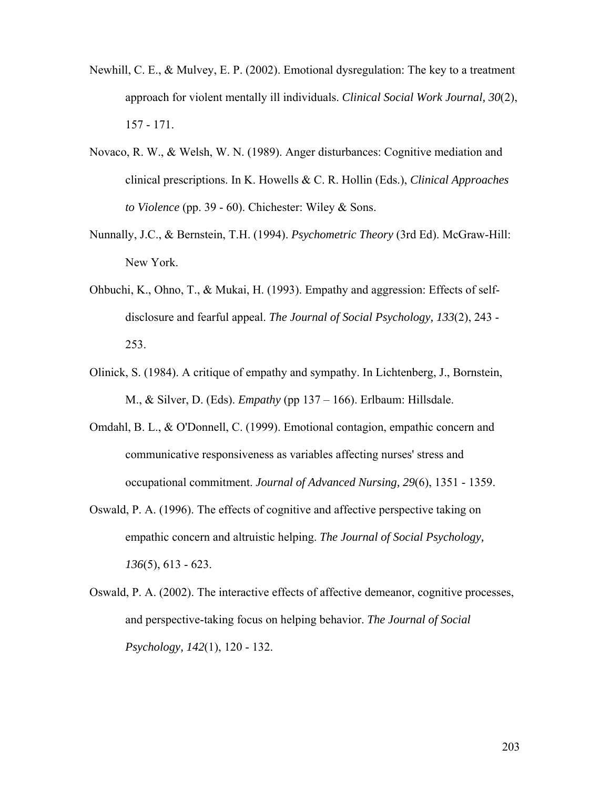- Newhill, C. E., & Mulvey, E. P. (2002). Emotional dysregulation: The key to a treatment approach for violent mentally ill individuals. *Clinical Social Work Journal, 30*(2), 157 - 171.
- Novaco, R. W., & Welsh, W. N. (1989). Anger disturbances: Cognitive mediation and clinical prescriptions. In K. Howells & C. R. Hollin (Eds.), *Clinical Approaches to Violence* (pp. 39 - 60). Chichester: Wiley & Sons.
- Nunnally, J.C., & Bernstein, T.H. (1994). *Psychometric Theory* (3rd Ed). McGraw-Hill: New York.
- Ohbuchi, K., Ohno, T., & Mukai, H. (1993). Empathy and aggression: Effects of selfdisclosure and fearful appeal. *The Journal of Social Psychology, 133*(2), 243 - 253.
- Olinick, S. (1984). A critique of empathy and sympathy. In Lichtenberg, J., Bornstein, M., & Silver, D. (Eds). *Empathy* (pp 137 – 166). Erlbaum: Hillsdale.
- Omdahl, B. L., & O'Donnell, C. (1999). Emotional contagion, empathic concern and communicative responsiveness as variables affecting nurses' stress and occupational commitment. *Journal of Advanced Nursing, 29*(6), 1351 - 1359.
- Oswald, P. A. (1996). The effects of cognitive and affective perspective taking on empathic concern and altruistic helping. *The Journal of Social Psychology, 136*(5), 613 - 623.
- Oswald, P. A. (2002). The interactive effects of affective demeanor, cognitive processes, and perspective-taking focus on helping behavior. *The Journal of Social Psychology, 142*(1), 120 - 132.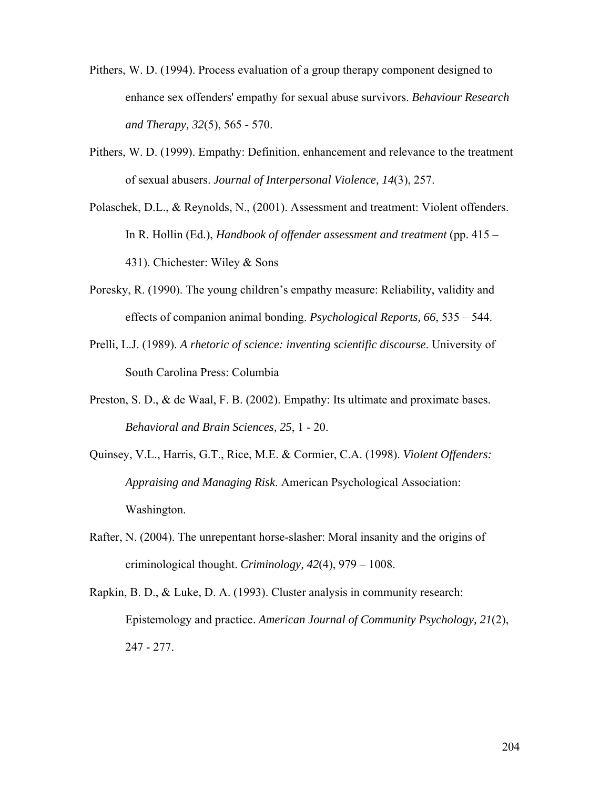- Pithers, W. D. (1994). Process evaluation of a group therapy component designed to enhance sex offenders' empathy for sexual abuse survivors. *Behaviour Research and Therapy, 32*(5), 565 - 570.
- Pithers, W. D. (1999). Empathy: Definition, enhancement and relevance to the treatment of sexual abusers. *Journal of Interpersonal Violence, 14*(3), 257.
- Polaschek, D.L., & Reynolds, N., (2001). Assessment and treatment: Violent offenders. In R. Hollin (Ed.), *Handbook of offender assessment and treatment* (pp. 415 – 431). Chichester: Wiley & Sons
- Poresky, R. (1990). The young children's empathy measure: Reliability, validity and effects of companion animal bonding. *Psychological Reports, 66*, 535 – 544.
- Prelli, L.J. (1989). *A rhetoric of science: inventing scientific discourse*. University of South Carolina Press: Columbia
- Preston, S. D., & de Waal, F. B. (2002). Empathy: Its ultimate and proximate bases. *Behavioral and Brain Sciences, 25*, 1 - 20.
- Quinsey, V.L., Harris, G.T., Rice, M.E. & Cormier, C.A. (1998). *Violent Offenders: Appraising and Managing Risk*. American Psychological Association: Washington.
- Rafter, N. (2004). The unrepentant horse-slasher: Moral insanity and the origins of criminological thought. *Criminology, 42*(4), 979 – 1008.
- Rapkin, B. D., & Luke, D. A. (1993). Cluster analysis in community research: Epistemology and practice. *American Journal of Community Psychology, 21*(2), 247 - 277.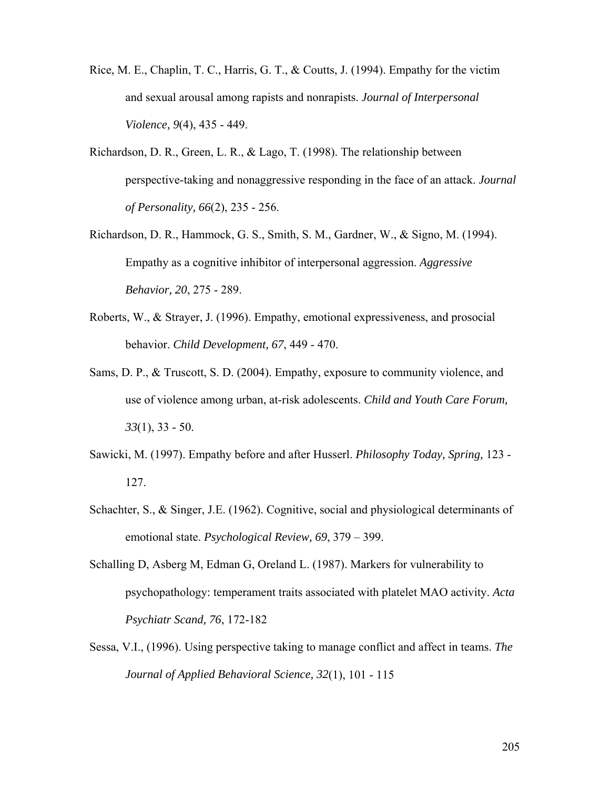- Rice, M. E., Chaplin, T. C., Harris, G. T., & Coutts, J. (1994). Empathy for the victim and sexual arousal among rapists and nonrapists. *Journal of Interpersonal Violence, 9*(4), 435 - 449.
- Richardson, D. R., Green, L. R., & Lago, T. (1998). The relationship between perspective-taking and nonaggressive responding in the face of an attack. *Journal of Personality, 66*(2), 235 - 256.
- Richardson, D. R., Hammock, G. S., Smith, S. M., Gardner, W., & Signo, M. (1994). Empathy as a cognitive inhibitor of interpersonal aggression. *Aggressive Behavior, 20*, 275 - 289.
- Roberts, W., & Strayer, J. (1996). Empathy, emotional expressiveness, and prosocial behavior. *Child Development, 67*, 449 - 470.
- Sams, D. P., & Truscott, S. D. (2004). Empathy, exposure to community violence, and use of violence among urban, at-risk adolescents. *Child and Youth Care Forum, 33*(1), 33 - 50.
- Sawicki, M. (1997). Empathy before and after Husserl. *Philosophy Today, Spring,* 123 127.
- Schachter, S., & Singer, J.E. (1962). Cognitive, social and physiological determinants of emotional state. *Psychological Review, 69*, 379 – 399.
- Schalling D, Asberg M, Edman G, Oreland L. (1987). Markers for vulnerability to psychopathology: temperament traits associated with platelet MAO activity. *Acta Psychiatr Scand, 76*, 172-182
- Sessa, V.I., (1996). Using perspective taking to manage conflict and affect in teams. *The Journal of Applied Behavioral Science, 32*(1), 101 - 115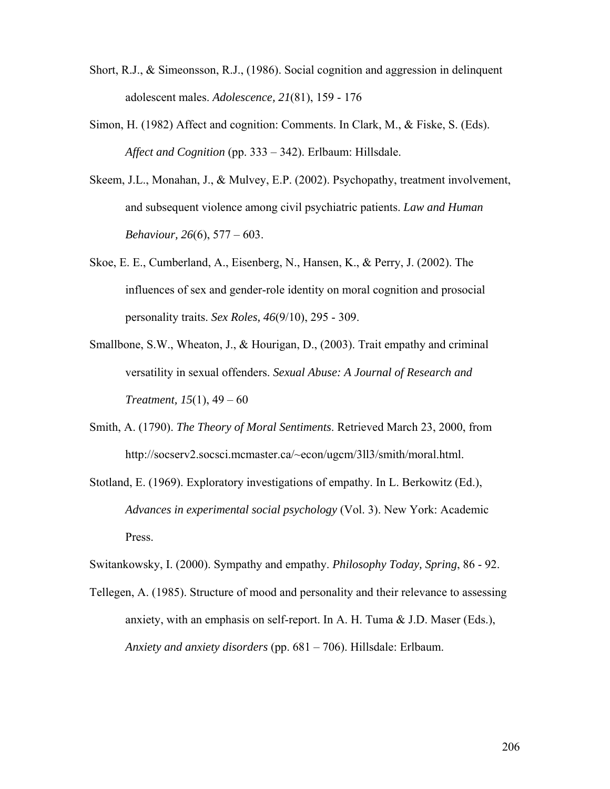- Short, R.J., & Simeonsson, R.J., (1986). Social cognition and aggression in delinquent adolescent males. *Adolescence, 21*(81), 159 - 176
- Simon, H. (1982) Affect and cognition: Comments. In Clark, M., & Fiske, S. (Eds). *Affect and Cognition* (pp. 333 – 342). Erlbaum: Hillsdale.
- Skeem, J.L., Monahan, J., & Mulvey, E.P. (2002). Psychopathy, treatment involvement, and subsequent violence among civil psychiatric patients. *Law and Human Behaviour, 26*(6), 577 – 603.
- Skoe, E. E., Cumberland, A., Eisenberg, N., Hansen, K., & Perry, J. (2002). The influences of sex and gender-role identity on moral cognition and prosocial personality traits. *Sex Roles, 46*(9/10), 295 - 309.
- Smallbone, S.W., Wheaton, J., & Hourigan, D., (2003). Trait empathy and criminal versatility in sexual offenders. *Sexual Abuse: A Journal of Research and Treatment, 15*(1), 49 – 60
- Smith, A. (1790). *The Theory of Moral Sentiments*. Retrieved March 23, 2000, from http://socserv2.socsci.mcmaster.ca/~econ/ugcm/3ll3/smith/moral.html.

Stotland, E. (1969). Exploratory investigations of empathy. In L. Berkowitz (Ed.), *Advances in experimental social psychology* (Vol. 3). New York: Academic Press.

Switankowsky, I. (2000). Sympathy and empathy. *Philosophy Today, Spring*, 86 - 92.

Tellegen, A. (1985). Structure of mood and personality and their relevance to assessing anxiety, with an emphasis on self-report. In A. H. Tuma & J.D. Maser (Eds.), *Anxiety and anxiety disorders* (pp. 681 – 706). Hillsdale: Erlbaum.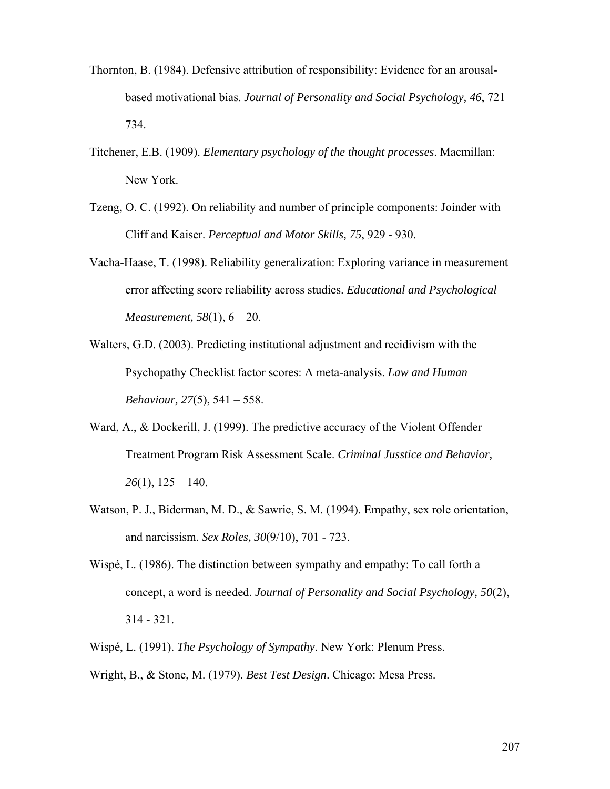- Thornton, B. (1984). Defensive attribution of responsibility: Evidence for an arousalbased motivational bias. *Journal of Personality and Social Psychology, 46*, 721 – 734.
- Titchener, E.B. (1909). *Elementary psychology of the thought processes*. Macmillan: New York.
- Tzeng, O. C. (1992). On reliability and number of principle components: Joinder with Cliff and Kaiser. *Perceptual and Motor Skills, 75*, 929 - 930.
- Vacha-Haase, T. (1998). Reliability generalization: Exploring variance in measurement error affecting score reliability across studies. *Educational and Psychological Measurement, 58*(1), 6 – 20.
- Walters, G.D. (2003). Predicting institutional adjustment and recidivism with the Psychopathy Checklist factor scores: A meta-analysis. *Law and Human Behaviour, 27*(5), 541 – 558.
- Ward, A., & Dockerill, J. (1999). The predictive accuracy of the Violent Offender Treatment Program Risk Assessment Scale. *Criminal Jusstice and Behavior, 26*(1), 125 – 140.
- Watson, P. J., Biderman, M. D., & Sawrie, S. M. (1994). Empathy, sex role orientation, and narcissism. *Sex Roles, 30*(9/10), 701 - 723.
- Wispé, L. (1986). The distinction between sympathy and empathy: To call forth a concept, a word is needed. *Journal of Personality and Social Psychology, 50*(2), 314 - 321.
- Wispé, L. (1991). *The Psychology of Sympathy*. New York: Plenum Press.
- Wright, B., & Stone, M. (1979). *Best Test Design*. Chicago: Mesa Press.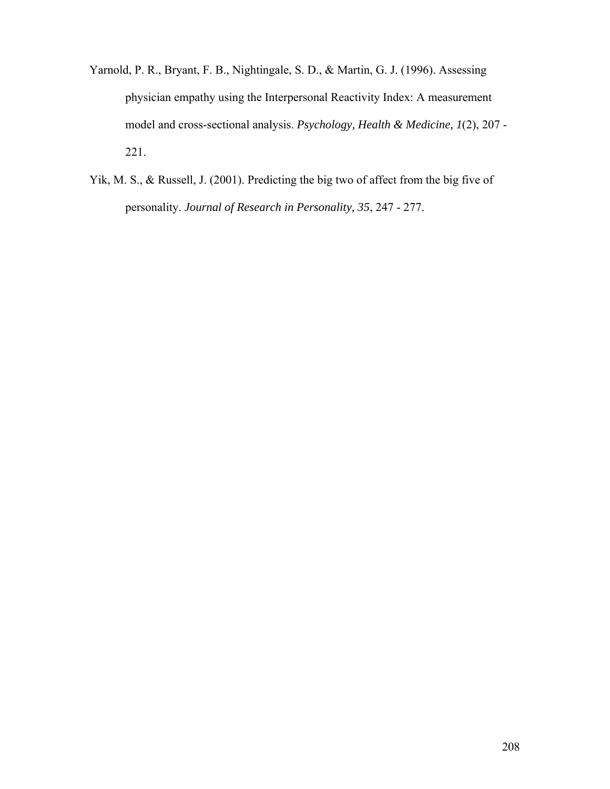- Yarnold, P. R., Bryant, F. B., Nightingale, S. D., & Martin, G. J. (1996). Assessing physician empathy using the Interpersonal Reactivity Index: A measurement model and cross-sectional analysis. *Psychology, Health & Medicine, 1*(2), 207 - 221.
- Yik, M. S., & Russell, J. (2001). Predicting the big two of affect from the big five of personality. *Journal of Research in Personality, 35*, 247 - 277.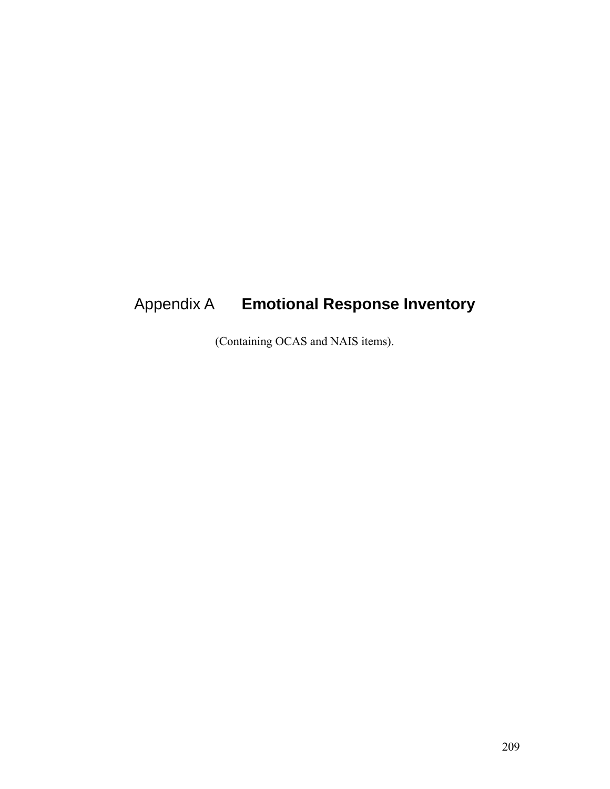# Appendix A **Emotional Response Inventory**

(Containing OCAS and NAIS items).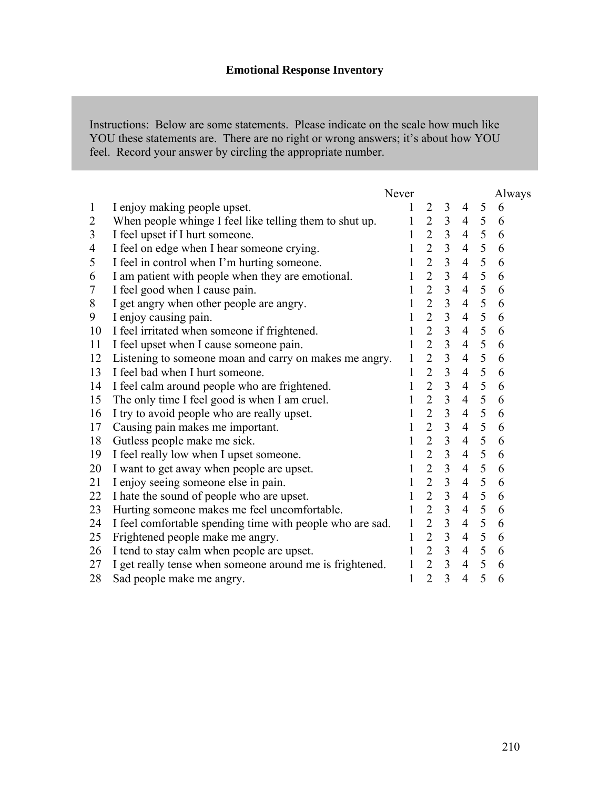Instructions: Below are some statements. Please indicate on the scale how much like YOU these statements are. There are no right or wrong answers; it's about how YOU feel. Record your answer by circling the appropriate number.

|                |                                                           | Never        |                |                         |                |            | Always |
|----------------|-----------------------------------------------------------|--------------|----------------|-------------------------|----------------|------------|--------|
| $\mathbf{1}$   | I enjoy making people upset.                              | 1            | $\overline{2}$ | $\mathfrak{Z}$          | 4              | 5          | 6      |
| $\overline{2}$ | When people whinge I feel like telling them to shut up.   | 1            | $\overline{2}$ | $\overline{3}$          | $\overline{4}$ | 5          | 6      |
| 3              | I feel upset if I hurt someone.                           | 1            | $\overline{2}$ | $\overline{3}$          | $\overline{4}$ | 5          | 6      |
| 4              | I feel on edge when I hear someone crying.                | $\mathbf{1}$ | $\overline{2}$ | $\overline{3}$          | $\overline{4}$ | 5          | 6      |
| 5              | I feel in control when I'm hurting someone.               | 1            | $\overline{2}$ | $\overline{3}$          | $\overline{4}$ | 5          | 6      |
| 6              | I am patient with people when they are emotional.         | 1            | $\overline{2}$ | $\overline{3}$          | $\overline{4}$ | 5          | 6      |
| 7              | I feel good when I cause pain.                            | 1            | $\overline{2}$ | $\overline{3}$          | $\overline{4}$ | 5          | 6      |
| 8              | I get angry when other people are angry.                  | 1            | $\overline{2}$ | $\overline{3}$          | $\overline{4}$ | 5          | 6      |
| 9              | I enjoy causing pain.                                     | $\mathbf{1}$ | $\overline{2}$ | $\overline{\mathbf{3}}$ | $\overline{4}$ | 5          | 6      |
| 10             | I feel irritated when someone if frightened.              | 1            | $\overline{2}$ | $\overline{3}$          | $\overline{4}$ | 5          | 6      |
| 11             | I feel upset when I cause someone pain.                   | 1            | $\overline{2}$ | $\overline{3}$          | $\overline{4}$ | 5          | 6      |
| 12             | Listening to someone moan and carry on makes me angry.    | 1            | $\overline{2}$ | $\overline{3}$          | $\overline{4}$ | 5          | 6      |
| 13             | I feel bad when I hurt someone.                           | $\mathbf{1}$ | $\overline{2}$ | $\overline{3}$          | $\overline{4}$ | 5          | 6      |
| 14             | I feel calm around people who are frightened.             | $\mathbf{1}$ | $\overline{2}$ | $\overline{\mathbf{3}}$ | $\overline{4}$ | 5          | 6      |
| 15             | The only time I feel good is when I am cruel.             | $\mathbf{1}$ | $\overline{2}$ | $\overline{3}$          | $\overline{4}$ | 5          | 6      |
| 16             | I try to avoid people who are really upset.               | 1            | $\overline{2}$ | $\overline{3}$          | $\overline{4}$ | 5          | 6      |
| 17             | Causing pain makes me important.                          | 1            | $\overline{2}$ | $\overline{3}$          | $\overline{4}$ | 5          | 6      |
| 18             | Gutless people make me sick.                              | $\mathbf{1}$ | $\overline{2}$ | $\overline{3}$          | $\overline{4}$ | $\sqrt{5}$ | 6      |
| 19             | I feel really low when I upset someone.                   | $\mathbf{1}$ | $\overline{2}$ | $\frac{3}{3}$           | $\overline{4}$ | 5          | 6      |
| 20             | I want to get away when people are upset.                 | $\mathbf{1}$ | $\overline{2}$ |                         | $\overline{4}$ | 5          | 6      |
| 21             | I enjoy seeing someone else in pain.                      | 1            | $\overline{2}$ | $\overline{3}$          | $\overline{4}$ | 5          | 6      |
| 22             | I hate the sound of people who are upset.                 | $\mathbf{1}$ | $\overline{2}$ | $\overline{3}$          | $\overline{4}$ | 5          | 6      |
| 23             | Hurting someone makes me feel uncomfortable.              | $\mathbf{1}$ | $\overline{2}$ | $\overline{3}$          | $\overline{4}$ | 5          | 6      |
| 24             | I feel comfortable spending time with people who are sad. | $\mathbf{1}$ | $\frac{2}{2}$  | $\frac{3}{3}$           | $\overline{4}$ | 5          | 6      |
| 25             | Frightened people make me angry.                          | $\mathbf{1}$ |                |                         | $\overline{4}$ | 5          | 6      |
| 26             | I tend to stay calm when people are upset.                | 1            | $\overline{2}$ | $\overline{3}$          | $\overline{4}$ | 5          | 6      |
| 27             | I get really tense when someone around me is frightened.  | $\mathbf{1}$ | $\overline{2}$ | $\overline{3}$          | $\overline{4}$ | 5          | 6      |
| 28             | Sad people make me angry.                                 | $\mathbf{1}$ | $\overline{2}$ | $\overline{3}$          | $\overline{4}$ | 5          | 6      |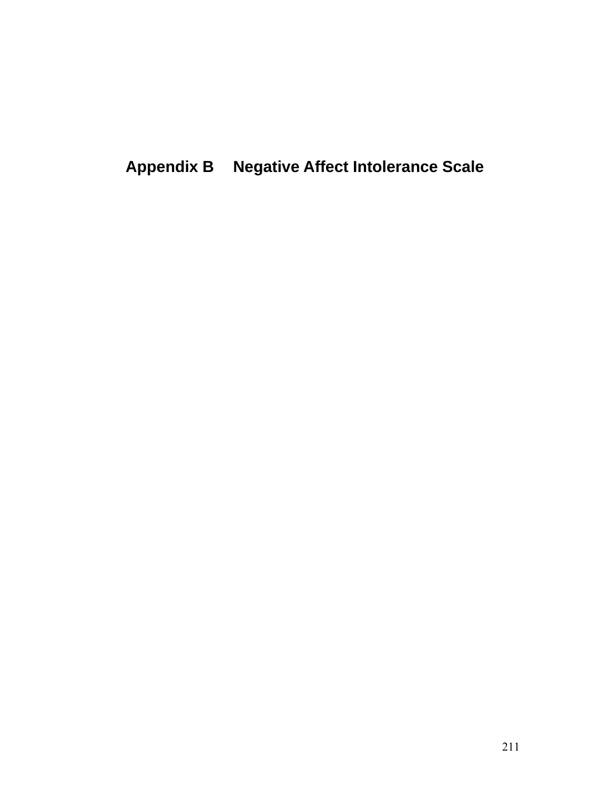**Appendix B Negative Affect Intolerance Scale**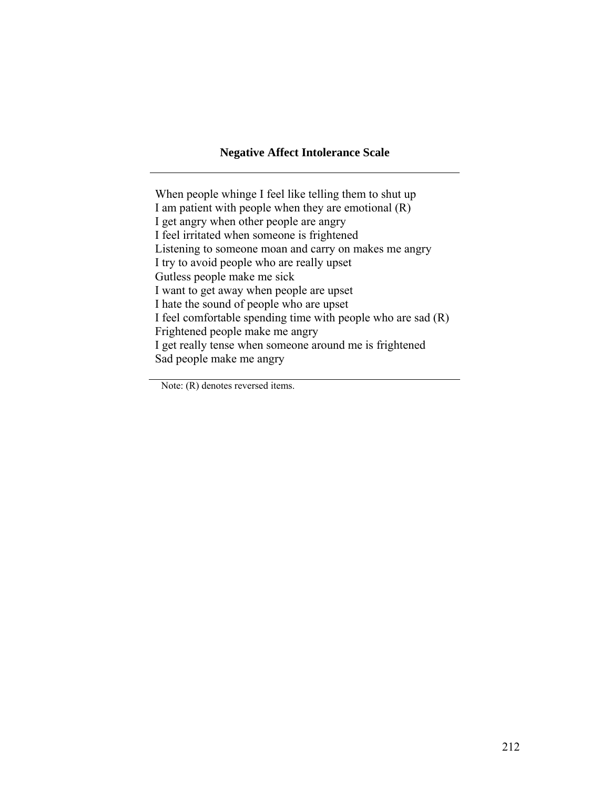#### **Negative Affect Intolerance Scale**

When people whinge I feel like telling them to shut up I am patient with people when they are emotional (R) I get angry when other people are angry I feel irritated when someone is frightened Listening to someone moan and carry on makes me angry I try to avoid people who are really upset Gutless people make me sick I want to get away when people are upset I hate the sound of people who are upset I feel comfortable spending time with people who are sad (R) Frightened people make me angry I get really tense when someone around me is frightened Sad people make me angry

Note: (R) denotes reversed items.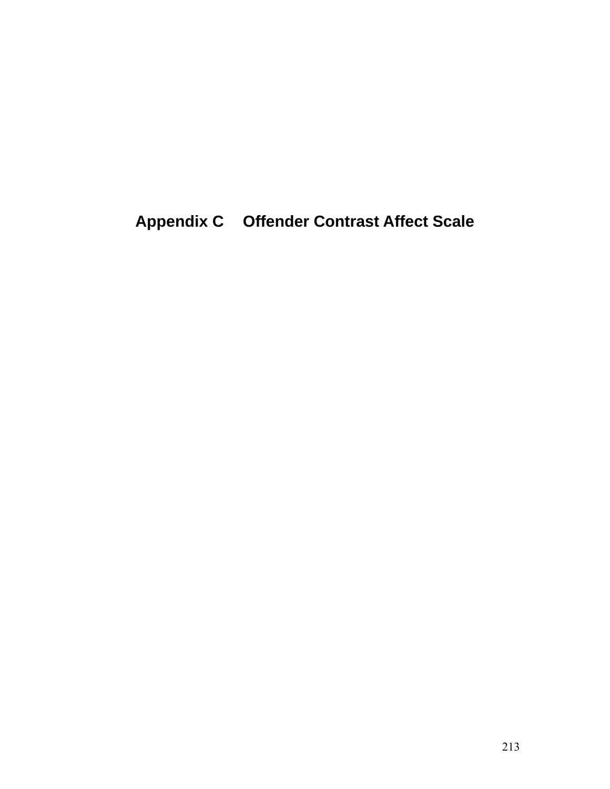**Appendix C Offender Contrast Affect Scale**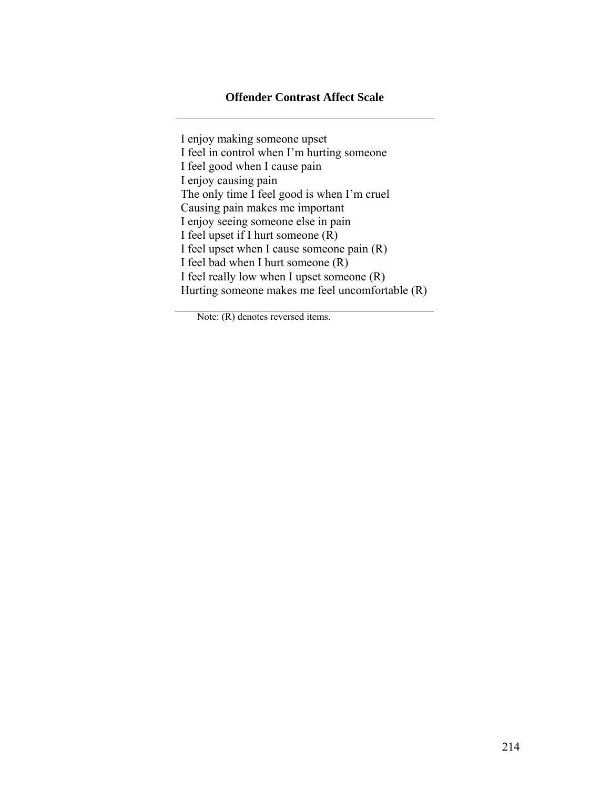### **Offender Contrast Affect Scale**

I enjoy making someone upset I feel in control when I'm hurting someone I feel good when I cause pain I enjoy causing pain The only time I feel good is when I'm cruel Causing pain makes me important I enjoy seeing someone else in pain I feel upset if I hurt someone (R) I feel upset when I cause someone pain (R) I feel bad when I hurt someone (R) I feel really low when I upset someone (R) Hurting someone makes me feel uncomfortable (R)

Note: (R) denotes reversed items.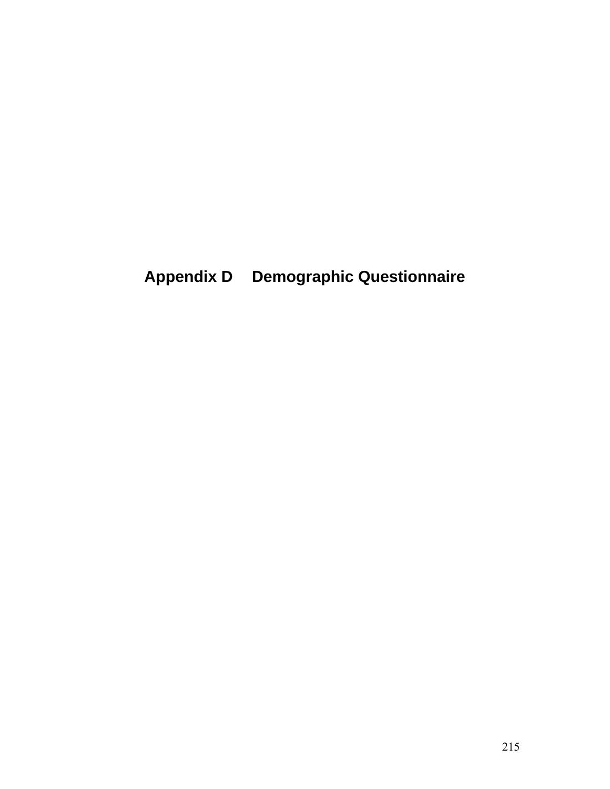**Appendix D Demographic Questionnaire**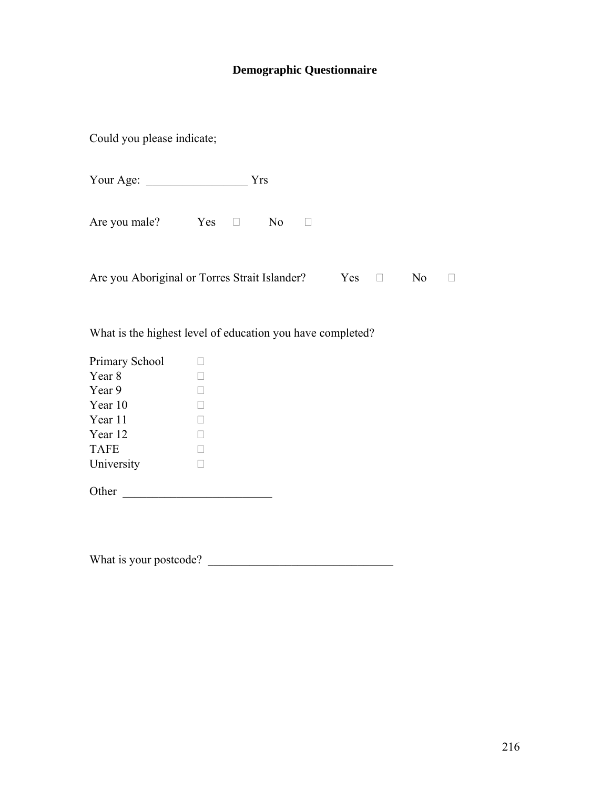## **Demographic Questionnaire**

Could you please indicate;

| Your Age: |  |
|-----------|--|
|-----------|--|

Are you male?  $Yes \Box \qquad No \Box$ 

| Are you Aboriginal or Torres Strait Islander? |  |  | $Yes \Box \qquad No \Box$ |  |
|-----------------------------------------------|--|--|---------------------------|--|
|-----------------------------------------------|--|--|---------------------------|--|

What is the highest level of education you have completed?

| Primary School |  |
|----------------|--|
| Year 8         |  |
| Year 9         |  |
| Year 10        |  |
| Year 11        |  |
| Year 12        |  |
| <b>TAFE</b>    |  |
| University     |  |
|                |  |

What is your postcode? \_\_\_\_\_\_\_\_\_\_\_\_\_\_\_\_\_\_\_\_\_\_\_\_\_\_\_\_\_\_\_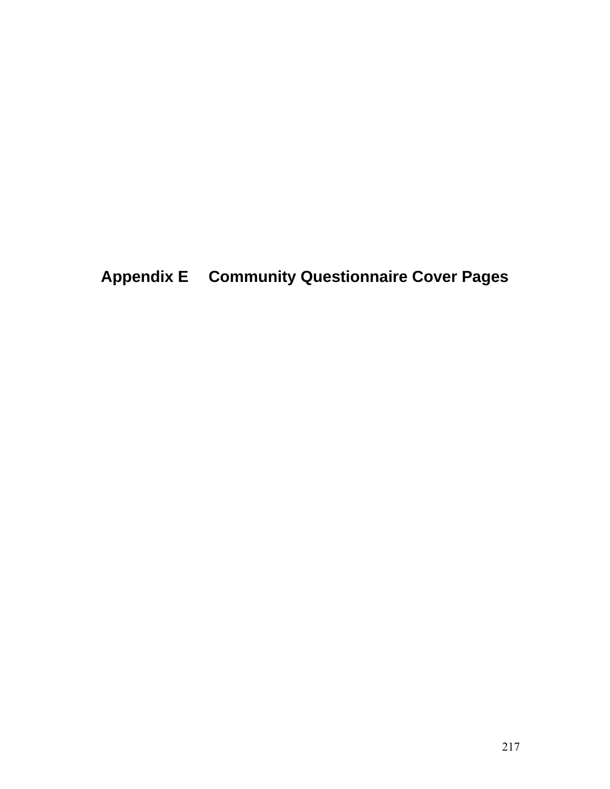**Appendix E Community Questionnaire Cover Pages**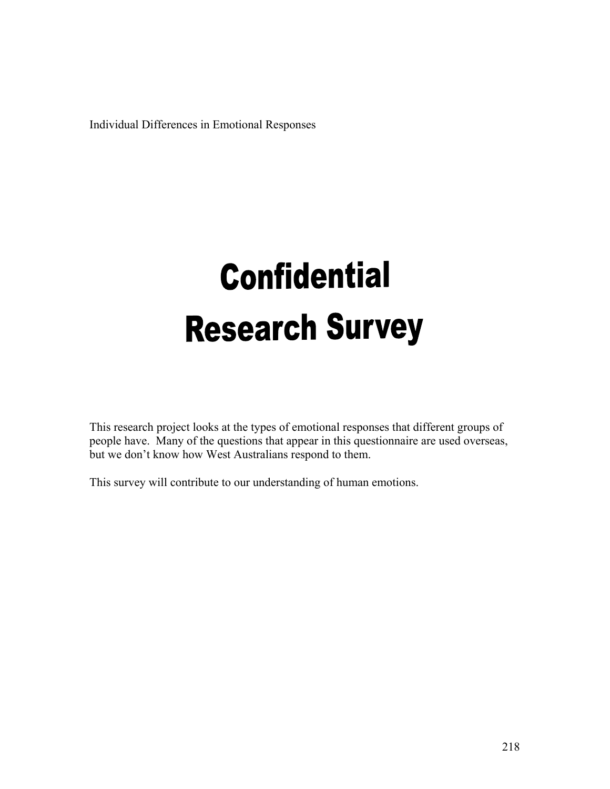Individual Differences in Emotional Responses

# **Confidential Research Survey**

This research project looks at the types of emotional responses that different groups of people have. Many of the questions that appear in this questionnaire are used overseas, but we don't know how West Australians respond to them.

This survey will contribute to our understanding of human emotions.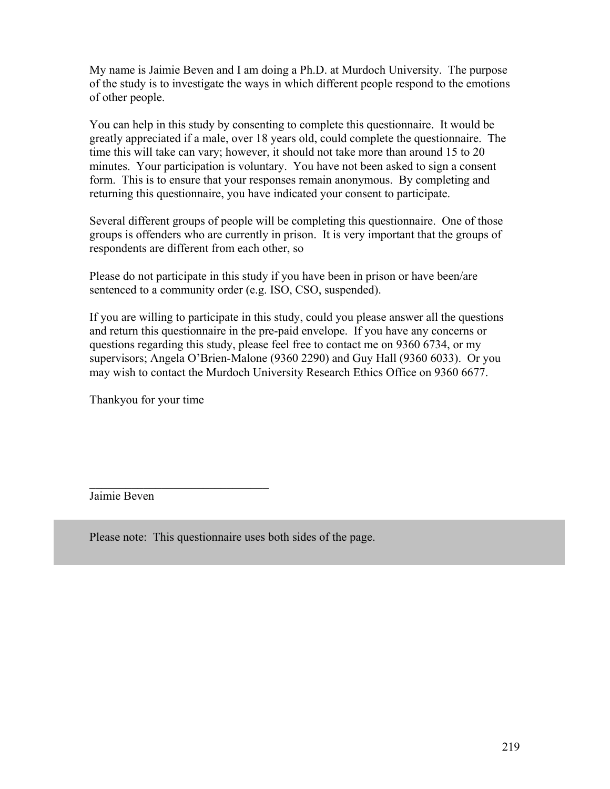My name is Jaimie Beven and I am doing a Ph.D. at Murdoch University. The purpose of the study is to investigate the ways in which different people respond to the emotions of other people.

You can help in this study by consenting to complete this questionnaire. It would be greatly appreciated if a male, over 18 years old, could complete the questionnaire. The time this will take can vary; however, it should not take more than around 15 to 20 minutes. Your participation is voluntary. You have not been asked to sign a consent form. This is to ensure that your responses remain anonymous. By completing and returning this questionnaire, you have indicated your consent to participate.

Several different groups of people will be completing this questionnaire. One of those groups is offenders who are currently in prison. It is very important that the groups of respondents are different from each other, so

Please do not participate in this study if you have been in prison or have been/are sentenced to a community order (e.g. ISO, CSO, suspended).

If you are willing to participate in this study, could you please answer all the questions and return this questionnaire in the pre-paid envelope. If you have any concerns or questions regarding this study, please feel free to contact me on 9360 6734, or my supervisors; Angela O'Brien-Malone (9360 2290) and Guy Hall (9360 6033). Or you may wish to contact the Murdoch University Research Ethics Office on 9360 6677.

Thankyou for your time

 $\overline{\phantom{a}}$  , where  $\overline{\phantom{a}}$  , where  $\overline{\phantom{a}}$  , where  $\overline{\phantom{a}}$ 

Jaimie Beven

Please note: This questionnaire uses both sides of the page.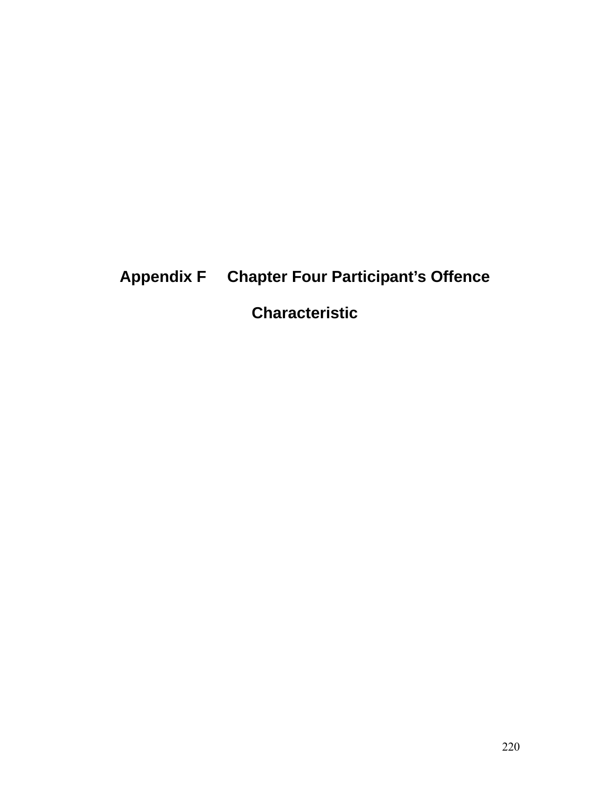## **Appendix F Chapter Four Participant's Offence**

**Characteristic**